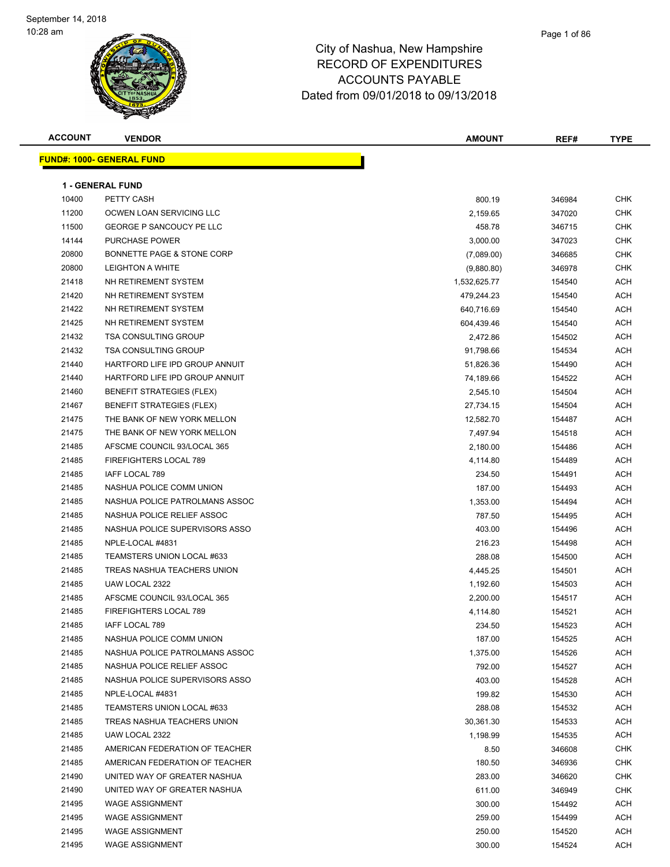#### Page 1 of 86

| <b>ACCOUNT</b> | <b>VENDOR</b>                    | <b>AMOUNT</b> | REF#   | <b>TYPE</b> |
|----------------|----------------------------------|---------------|--------|-------------|
|                | <b>FUND#: 1000- GENERAL FUND</b> |               |        |             |
|                |                                  |               |        |             |
|                | <b>1 - GENERAL FUND</b>          |               |        |             |
| 10400          | PETTY CASH                       | 800.19        | 346984 | CHK         |
| 11200          | OCWEN LOAN SERVICING LLC         | 2,159.65      | 347020 | <b>CHK</b>  |
| 11500          | <b>GEORGE P SANCOUCY PE LLC</b>  | 458.78        | 346715 | CHK         |
| 14144          | <b>PURCHASE POWER</b>            | 3,000.00      | 347023 | CHK         |
| 20800          | BONNETTE PAGE & STONE CORP       | (7,089.00)    | 346685 | <b>CHK</b>  |
| 20800          | <b>LEIGHTON A WHITE</b>          | (9,880.80)    | 346978 | <b>CHK</b>  |
| 21418          | NH RETIREMENT SYSTEM             | 1,532,625.77  | 154540 | <b>ACH</b>  |
| 21420          | NH RETIREMENT SYSTEM             | 479,244.23    | 154540 | <b>ACH</b>  |
| 21422          | NH RETIREMENT SYSTEM             | 640,716.69    | 154540 | <b>ACH</b>  |
| 21425          | NH RETIREMENT SYSTEM             | 604,439.46    | 154540 | <b>ACH</b>  |
| 21432          | <b>TSA CONSULTING GROUP</b>      | 2,472.86      | 154502 | <b>ACH</b>  |
| 21432          | <b>TSA CONSULTING GROUP</b>      | 91,798.66     | 154534 | ACH         |
| 21440          | HARTFORD LIFE IPD GROUP ANNUIT   | 51,826.36     | 154490 | ACH         |
| 21440          | HARTFORD LIFE IPD GROUP ANNUIT   | 74,189.66     | 154522 | <b>ACH</b>  |
| 21460          | BENEFIT STRATEGIES (FLEX)        | 2,545.10      | 154504 | <b>ACH</b>  |
| 21467          | <b>BENEFIT STRATEGIES (FLEX)</b> | 27,734.15     | 154504 | ACH         |
| 21475          | THE BANK OF NEW YORK MELLON      | 12,582.70     | 154487 | ACH         |
| 21475          | THE BANK OF NEW YORK MELLON      | 7,497.94      | 154518 | <b>ACH</b>  |
| 21485          | AFSCME COUNCIL 93/LOCAL 365      | 2,180.00      | 154486 | <b>ACH</b>  |
| 21485          | FIREFIGHTERS LOCAL 789           | 4,114.80      | 154489 | <b>ACH</b>  |
| 21485          | IAFF LOCAL 789                   | 234.50        | 154491 | ACH         |
| 21485          | NASHUA POLICE COMM UNION         | 187.00        | 154493 | <b>ACH</b>  |
| 21485          | NASHUA POLICE PATROLMANS ASSOC   | 1,353.00      | 154494 | ACH         |
| 21485          | NASHUA POLICE RELIEF ASSOC       | 787.50        | 154495 | <b>ACH</b>  |
| 21485          | NASHUA POLICE SUPERVISORS ASSO   | 403.00        | 154496 | <b>ACH</b>  |
| 21485          | NPLE-LOCAL #4831                 | 216.23        | 154498 | <b>ACH</b>  |
| 21485          | TEAMSTERS UNION LOCAL #633       | 288.08        | 154500 | ACH         |
| 21485          | TREAS NASHUA TEACHERS UNION      | 4,445.25      | 154501 | <b>ACH</b>  |
| 21485          | UAW LOCAL 2322                   | 1,192.60      | 154503 | <b>ACH</b>  |
| 21485          | AFSCME COUNCIL 93/LOCAL 365      | 2,200.00      | 154517 | <b>ACH</b>  |
| 21485          | FIREFIGHTERS LOCAL 789           | 4,114.80      | 154521 | ACH         |
| 21485          | IAFF LOCAL 789                   | 234.50        | 154523 | ACH         |
| 21485          | NASHUA POLICE COMM UNION         | 187.00        | 154525 | ACH         |
| 21485          | NASHUA POLICE PATROLMANS ASSOC   | 1,375.00      | 154526 | <b>ACH</b>  |
| 21485          | NASHUA POLICE RELIEF ASSOC       | 792.00        | 154527 | ACH         |
| 21485          | NASHUA POLICE SUPERVISORS ASSO   | 403.00        | 154528 | <b>ACH</b>  |
| 21485          | NPLE-LOCAL #4831                 | 199.82        | 154530 | <b>ACH</b>  |
| 21485          | TEAMSTERS UNION LOCAL #633       | 288.08        | 154532 | <b>ACH</b>  |
| 21485          | TREAS NASHUA TEACHERS UNION      | 30,361.30     | 154533 | <b>ACH</b>  |
| 21485          | UAW LOCAL 2322                   | 1,198.99      | 154535 | <b>ACH</b>  |
| 21485          | AMERICAN FEDERATION OF TEACHER   | 8.50          | 346608 | <b>CHK</b>  |
| 21485          | AMERICAN FEDERATION OF TEACHER   | 180.50        | 346936 | CHK         |
| 21490          | UNITED WAY OF GREATER NASHUA     | 283.00        | 346620 | CHK         |
| 21490          | UNITED WAY OF GREATER NASHUA     | 611.00        | 346949 | CHK         |
| 21495          | <b>WAGE ASSIGNMENT</b>           | 300.00        | 154492 | <b>ACH</b>  |
| 21495          | <b>WAGE ASSIGNMENT</b>           | 259.00        | 154499 | <b>ACH</b>  |
| 21495          | <b>WAGE ASSIGNMENT</b>           | 250.00        | 154520 | ACH         |
| 21495          | <b>WAGE ASSIGNMENT</b>           | 300.00        | 154524 | ACH         |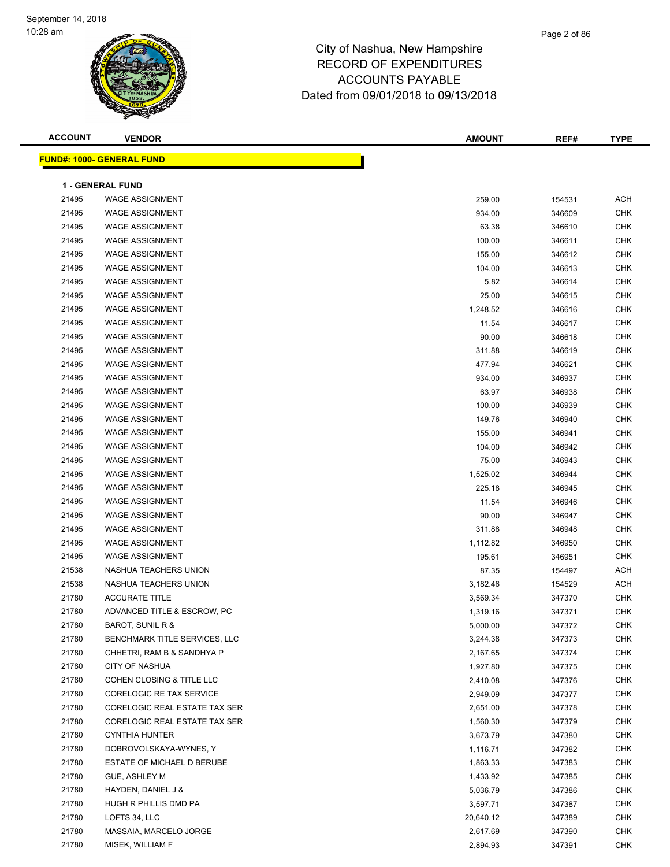| <b>ACCOUNT</b> | <b>VENDOR</b>                    | <b>AMOUNT</b> | REF#   | <b>TYPE</b> |
|----------------|----------------------------------|---------------|--------|-------------|
|                | <b>FUND#: 1000- GENERAL FUND</b> |               |        |             |
|                |                                  |               |        |             |
|                | <b>1 - GENERAL FUND</b>          |               |        |             |
| 21495          | <b>WAGE ASSIGNMENT</b>           | 259.00        | 154531 | ACH         |
| 21495          | <b>WAGE ASSIGNMENT</b>           | 934.00        | 346609 | <b>CHK</b>  |
| 21495          | <b>WAGE ASSIGNMENT</b>           | 63.38         | 346610 | <b>CHK</b>  |
| 21495          | <b>WAGE ASSIGNMENT</b>           | 100.00        | 346611 | <b>CHK</b>  |
| 21495          | <b>WAGE ASSIGNMENT</b>           | 155.00        | 346612 | <b>CHK</b>  |
| 21495          | <b>WAGE ASSIGNMENT</b>           | 104.00        | 346613 | <b>CHK</b>  |
| 21495          | <b>WAGE ASSIGNMENT</b>           | 5.82          | 346614 | <b>CHK</b>  |
| 21495          | <b>WAGE ASSIGNMENT</b>           | 25.00         | 346615 | <b>CHK</b>  |
| 21495          | <b>WAGE ASSIGNMENT</b>           | 1,248.52      | 346616 | <b>CHK</b>  |
| 21495          | <b>WAGE ASSIGNMENT</b>           | 11.54         | 346617 | <b>CHK</b>  |
| 21495          | <b>WAGE ASSIGNMENT</b>           | 90.00         | 346618 | <b>CHK</b>  |
| 21495          | <b>WAGE ASSIGNMENT</b>           | 311.88        | 346619 | <b>CHK</b>  |
| 21495          | <b>WAGE ASSIGNMENT</b>           | 477.94        | 346621 | <b>CHK</b>  |
| 21495          | <b>WAGE ASSIGNMENT</b>           | 934.00        | 346937 | <b>CHK</b>  |
| 21495          | <b>WAGE ASSIGNMENT</b>           | 63.97         | 346938 | <b>CHK</b>  |
| 21495          | <b>WAGE ASSIGNMENT</b>           | 100.00        | 346939 | <b>CHK</b>  |
| 21495          | <b>WAGE ASSIGNMENT</b>           | 149.76        | 346940 | <b>CHK</b>  |
| 21495          | <b>WAGE ASSIGNMENT</b>           | 155.00        | 346941 | <b>CHK</b>  |
| 21495          | <b>WAGE ASSIGNMENT</b>           | 104.00        | 346942 | <b>CHK</b>  |
| 21495          | <b>WAGE ASSIGNMENT</b>           | 75.00         | 346943 | <b>CHK</b>  |
| 21495          | <b>WAGE ASSIGNMENT</b>           | 1,525.02      | 346944 | <b>CHK</b>  |
| 21495          | <b>WAGE ASSIGNMENT</b>           | 225.18        | 346945 | <b>CHK</b>  |
| 21495          | <b>WAGE ASSIGNMENT</b>           | 11.54         | 346946 | <b>CHK</b>  |
| 21495          | <b>WAGE ASSIGNMENT</b>           | 90.00         | 346947 | <b>CHK</b>  |
| 21495          | <b>WAGE ASSIGNMENT</b>           | 311.88        | 346948 | <b>CHK</b>  |
| 21495          | <b>WAGE ASSIGNMENT</b>           | 1,112.82      | 346950 | <b>CHK</b>  |
| 21495          | <b>WAGE ASSIGNMENT</b>           | 195.61        | 346951 | <b>CHK</b>  |
| 21538          | NASHUA TEACHERS UNION            | 87.35         | 154497 | ACH         |
| 21538          | NASHUA TEACHERS UNION            | 3,182.46      | 154529 | <b>ACH</b>  |
| 21780          | <b>ACCURATE TITLE</b>            | 3,569.34      | 347370 | <b>CHK</b>  |
| 21780          | ADVANCED TITLE & ESCROW, PC      | 1,319.16      | 347371 | <b>CHK</b>  |
| 21780          | BAROT, SUNIL R &                 | 5,000.00      | 347372 | CHK         |
| 21780          | BENCHMARK TITLE SERVICES, LLC    | 3,244.38      | 347373 | <b>CHK</b>  |
| 21780          | CHHETRI, RAM B & SANDHYA P       | 2,167.65      | 347374 | <b>CHK</b>  |
| 21780          | CITY OF NASHUA                   | 1,927.80      | 347375 | <b>CHK</b>  |
| 21780          | COHEN CLOSING & TITLE LLC        | 2,410.08      | 347376 | <b>CHK</b>  |
| 21780          | CORELOGIC RE TAX SERVICE         | 2,949.09      | 347377 | <b>CHK</b>  |
| 21780          | CORELOGIC REAL ESTATE TAX SER    | 2,651.00      | 347378 | <b>CHK</b>  |
| 21780          | CORELOGIC REAL ESTATE TAX SER    | 1,560.30      | 347379 | CHK         |
| 21780          | <b>CYNTHIA HUNTER</b>            | 3,673.79      | 347380 | CHK         |
| 21780          | DOBROVOLSKAYA-WYNES, Y           | 1,116.71      | 347382 | CHK         |
| 21780          | ESTATE OF MICHAEL D BERUBE       | 1,863.33      | 347383 | <b>CHK</b>  |
| 21780          | GUE, ASHLEY M                    | 1,433.92      | 347385 | <b>CHK</b>  |
| 21780          | HAYDEN, DANIEL J &               | 5,036.79      | 347386 | <b>CHK</b>  |
| 21780          | HUGH R PHILLIS DMD PA            | 3,597.71      | 347387 | CHK         |
| 21780          | LOFTS 34, LLC                    | 20,640.12     | 347389 | <b>CHK</b>  |
| 21780          | MASSAIA, MARCELO JORGE           | 2,617.69      | 347390 | <b>CHK</b>  |
| 21780          | MISEK, WILLIAM F                 | 2,894.93      | 347391 | <b>CHK</b>  |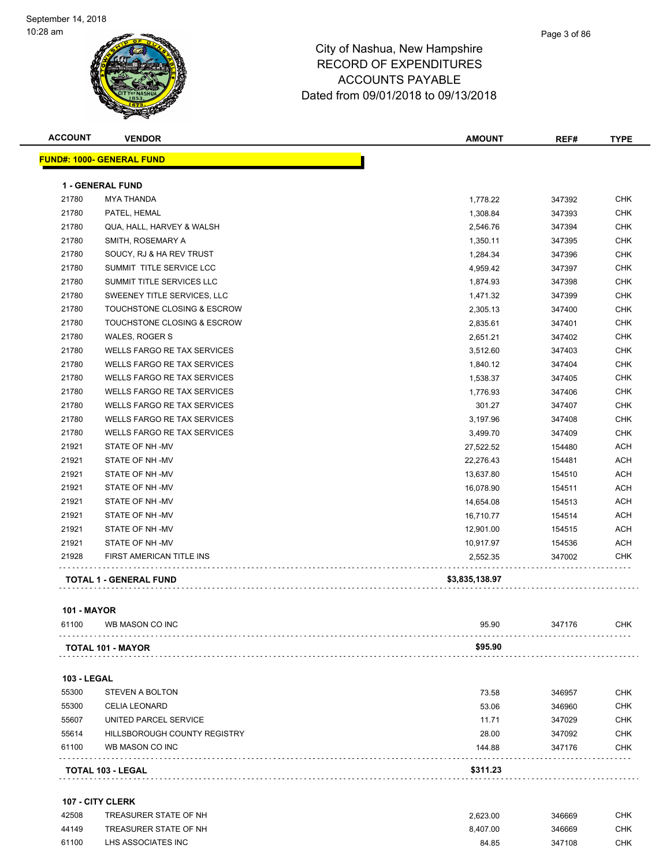| <b>ACCOUNT</b> | <b>VENDOR</b>                      | <b>AMOUNT</b>  | REF#   | <b>TYPE</b> |
|----------------|------------------------------------|----------------|--------|-------------|
|                | <b>FUND#: 1000- GENERAL FUND</b>   |                |        |             |
|                | <b>1 - GENERAL FUND</b>            |                |        |             |
| 21780          | <b>MYA THANDA</b>                  | 1,778.22       | 347392 | <b>CHK</b>  |
| 21780          | PATEL, HEMAL                       | 1,308.84       | 347393 | <b>CHK</b>  |
| 21780          | QUA, HALL, HARVEY & WALSH          | 2,546.76       | 347394 | <b>CHK</b>  |
| 21780          | SMITH, ROSEMARY A                  | 1,350.11       | 347395 | <b>CHK</b>  |
| 21780          | SOUCY, RJ & HA REV TRUST           | 1,284.34       | 347396 | <b>CHK</b>  |
| 21780          | SUMMIT TITLE SERVICE LCC           | 4,959.42       | 347397 | <b>CHK</b>  |
| 21780          | SUMMIT TITLE SERVICES LLC          | 1,874.93       | 347398 | <b>CHK</b>  |
| 21780          | SWEENEY TITLE SERVICES, LLC        | 1,471.32       | 347399 | <b>CHK</b>  |
| 21780          | TOUCHSTONE CLOSING & ESCROW        | 2,305.13       | 347400 | <b>CHK</b>  |
| 21780          | TOUCHSTONE CLOSING & ESCROW        | 2,835.61       | 347401 | <b>CHK</b>  |
| 21780          | WALES, ROGER S                     | 2,651.21       | 347402 | <b>CHK</b>  |
| 21780          | <b>WELLS FARGO RE TAX SERVICES</b> | 3,512.60       | 347403 | <b>CHK</b>  |
| 21780          | <b>WELLS FARGO RE TAX SERVICES</b> | 1,840.12       | 347404 | <b>CHK</b>  |
| 21780          | <b>WELLS FARGO RE TAX SERVICES</b> | 1,538.37       | 347405 | <b>CHK</b>  |
| 21780          | WELLS FARGO RE TAX SERVICES        | 1,776.93       | 347406 | <b>CHK</b>  |
| 21780          | WELLS FARGO RE TAX SERVICES        | 301.27         | 347407 | <b>CHK</b>  |
| 21780          | WELLS FARGO RE TAX SERVICES        | 3,197.96       | 347408 | <b>CHK</b>  |
| 21780          | WELLS FARGO RE TAX SERVICES        | 3,499.70       | 347409 | <b>CHK</b>  |
| 21921          | STATE OF NH-MV                     | 27,522.52      | 154480 | <b>ACH</b>  |
| 21921          | STATE OF NH-MV                     | 22,276.43      | 154481 | ACH         |
| 21921          | STATE OF NH-MV                     | 13,637.80      | 154510 | <b>ACH</b>  |
| 21921          | STATE OF NH-MV                     | 16,078.90      | 154511 | <b>ACH</b>  |
| 21921          | STATE OF NH-MV                     | 14,654.08      | 154513 | <b>ACH</b>  |
| 21921          | STATE OF NH -MV                    | 16,710.77      | 154514 | ACH         |
| 21921          | STATE OF NH-MV                     | 12,901.00      | 154515 | ACH         |
| 21921          | STATE OF NH-MV                     | 10,917.97      | 154536 | <b>ACH</b>  |
| 21928          | FIRST AMERICAN TITLE INS           | 2,552.35       | 347002 | <b>CHK</b>  |
|                | <b>TOTAL 1 - GENERAL FUND</b>      | \$3,835,138.97 |        |             |
|                |                                    |                |        |             |

#### **101 - MAYOR**

| 61100<br>WB MASON CO INC | 95.90   | 347176 | СНК |
|--------------------------|---------|--------|-----|
|                          |         |        |     |
| <b>TOTAL 101 - MAYOR</b> | \$95.90 |        |     |

|                    | <b>TOTAL 103 - LEGAL</b>     | \$311.23 |        |            |
|--------------------|------------------------------|----------|--------|------------|
| 61100              | WB MASON CO INC              | 144.88   | 347176 | <b>CHK</b> |
| 55614              | HILLSBOROUGH COUNTY REGISTRY | 28.00    | 347092 | <b>CHK</b> |
| 55607              | UNITED PARCEL SERVICE        | 11.71    | 347029 | <b>CHK</b> |
| 55300              | <b>CELIA LEONARD</b>         | 53.06    | 346960 | <b>CHK</b> |
| 55300              | <b>STEVEN A BOLTON</b>       | 73.58    | 346957 | <b>CHK</b> |
| <b>103 - LEGAL</b> |                              |          |        |            |

#### **107 - CITY CLERK**

| 42508 | TREASURER STATE OF NH | 2.623.00 | 346669 | снк |
|-------|-----------------------|----------|--------|-----|
| 44149 | TREASURER STATE OF NH | 8.407.00 | 346669 | СНК |
| 61100 | LHS ASSOCIATES INC    | 84.85    | 347108 | СНК |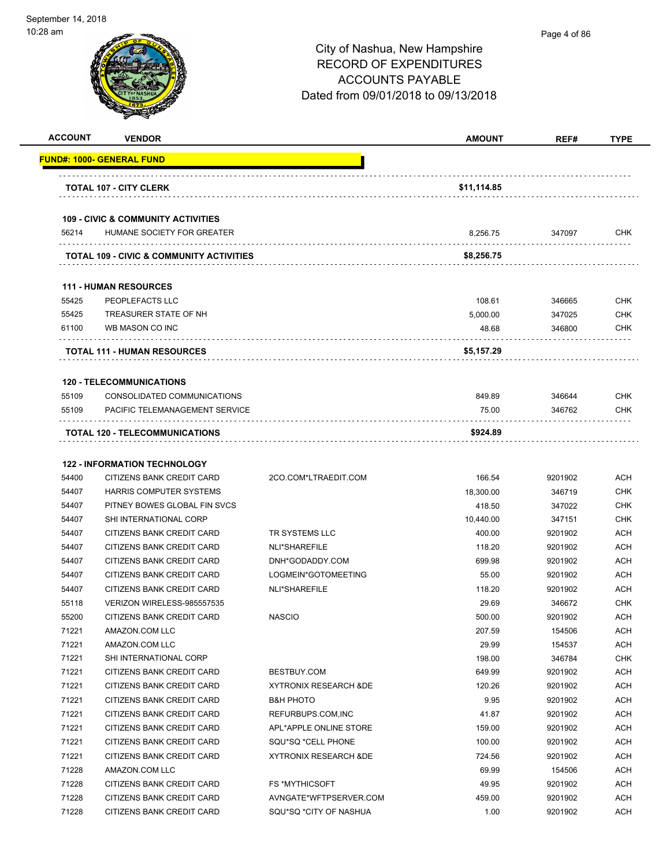| <b>ACCOUNT</b> | <b>VENDOR</b>                                                               |                                  | AMOUNT      | REF#    | <b>TYPE</b> |
|----------------|-----------------------------------------------------------------------------|----------------------------------|-------------|---------|-------------|
|                | <u> FUND#: 1000- GENERAL FUND</u>                                           |                                  |             |         |             |
|                | <b>TOTAL 107 - CITY CLERK</b>                                               |                                  | \$11,114.85 |         |             |
|                |                                                                             |                                  |             |         |             |
| 56214          | <b>109 - CIVIC &amp; COMMUNITY ACTIVITIES</b><br>HUMANE SOCIETY FOR GREATER |                                  | 8,256.75    | 347097  | <b>CHK</b>  |
|                | TOTAL 109 - CIVIC & COMMUNITY ACTIVITIES                                    |                                  | \$8,256.75  |         |             |
|                |                                                                             |                                  |             |         |             |
|                | <b>111 - HUMAN RESOURCES</b>                                                |                                  |             |         |             |
| 55425          | PEOPLEFACTS LLC                                                             |                                  | 108.61      | 346665  | <b>CHK</b>  |
| 55425          | TREASURER STATE OF NH                                                       |                                  | 5,000.00    | 347025  | <b>CHK</b>  |
| 61100          | WB MASON CO INC                                                             |                                  | 48.68       | 346800  | <b>CHK</b>  |
|                | <b>TOTAL 111 - HUMAN RESOURCES</b>                                          |                                  | \$5,157.29  |         |             |
|                | <b>120 - TELECOMMUNICATIONS</b>                                             |                                  |             |         |             |
| 55109          | CONSOLIDATED COMMUNICATIONS                                                 |                                  | 849.89      | 346644  | <b>CHK</b>  |
| 55109          | PACIFIC TELEMANAGEMENT SERVICE                                              |                                  | 75.00       | 346762  | <b>CHK</b>  |
|                |                                                                             |                                  | \$924.89    |         |             |
|                | <b>TOTAL 120 - TELECOMMUNICATIONS</b>                                       |                                  |             |         |             |
|                | <b>122 - INFORMATION TECHNOLOGY</b>                                         |                                  |             |         |             |
| 54400          | CITIZENS BANK CREDIT CARD                                                   | 2CO.COM*LTRAEDIT.COM             | 166.54      | 9201902 | <b>ACH</b>  |
| 54407          | HARRIS COMPUTER SYSTEMS                                                     |                                  | 18,300.00   | 346719  | <b>CHK</b>  |
| 54407          | PITNEY BOWES GLOBAL FIN SVCS                                                |                                  | 418.50      | 347022  | <b>CHK</b>  |
| 54407          | SHI INTERNATIONAL CORP                                                      |                                  | 10,440.00   | 347151  | <b>CHK</b>  |
| 54407          | CITIZENS BANK CREDIT CARD                                                   | TR SYSTEMS LLC                   | 400.00      | 9201902 | ACH         |
| 54407          | CITIZENS BANK CREDIT CARD                                                   | NLI*SHAREFILE                    | 118.20      | 9201902 | <b>ACH</b>  |
| 54407          | CITIZENS BANK CREDIT CARD                                                   | DNH*GODADDY.COM                  | 699.98      | 9201902 | <b>ACH</b>  |
| 54407          | CITIZENS BANK CREDIT CARD                                                   | LOGMEIN*GOTOMEETING              | 55.00       | 9201902 | ACH         |
| 54407          | CITIZENS BANK CREDIT CARD                                                   | NLI*SHAREFILE                    | 118.20      | 9201902 | <b>ACH</b>  |
| 55118          | VERIZON WIRELESS-985557535                                                  |                                  | 29.69       | 346672  | <b>CHK</b>  |
| 55200          | CITIZENS BANK CREDIT CARD                                                   | <b>NASCIO</b>                    | 500.00      | 9201902 | <b>ACH</b>  |
| 71221          | AMAZON.COM LLC                                                              |                                  | 207.59      | 154506  | <b>ACH</b>  |
| 71221          | AMAZON.COM LLC                                                              |                                  | 29.99       | 154537  | <b>ACH</b>  |
| 71221          | SHI INTERNATIONAL CORP                                                      |                                  | 198.00      | 346784  | <b>CHK</b>  |
| 71221          | CITIZENS BANK CREDIT CARD                                                   | BESTBUY.COM                      | 649.99      | 9201902 | <b>ACH</b>  |
| 71221          | CITIZENS BANK CREDIT CARD                                                   | <b>XYTRONIX RESEARCH &amp;DE</b> | 120.26      | 9201902 | <b>ACH</b>  |
| 71221          | CITIZENS BANK CREDIT CARD                                                   | <b>B&amp;H PHOTO</b>             | 9.95        | 9201902 | <b>ACH</b>  |
| 71221          | CITIZENS BANK CREDIT CARD                                                   | REFURBUPS.COM, INC               | 41.87       | 9201902 | <b>ACH</b>  |
| 71221          | CITIZENS BANK CREDIT CARD                                                   | APL*APPLE ONLINE STORE           | 159.00      | 9201902 | <b>ACH</b>  |
| 71221          | CITIZENS BANK CREDIT CARD                                                   | SQU*SQ *CELL PHONE               | 100.00      | 9201902 | <b>ACH</b>  |
| 71221          | CITIZENS BANK CREDIT CARD                                                   | XYTRONIX RESEARCH & DE           | 724.56      | 9201902 | <b>ACH</b>  |
| 71228          | AMAZON.COM LLC                                                              |                                  | 69.99       | 154506  | <b>ACH</b>  |
| 71228          | CITIZENS BANK CREDIT CARD                                                   | <b>FS *MYTHICSOFT</b>            | 49.95       | 9201902 | ACH         |
| 71228          | CITIZENS BANK CREDIT CARD                                                   | AVNGATE*WFTPSERVER.COM           | 459.00      | 9201902 | <b>ACH</b>  |
| 71228          | CITIZENS BANK CREDIT CARD                                                   | SQU*SQ *CITY OF NASHUA           | 1.00        | 9201902 | <b>ACH</b>  |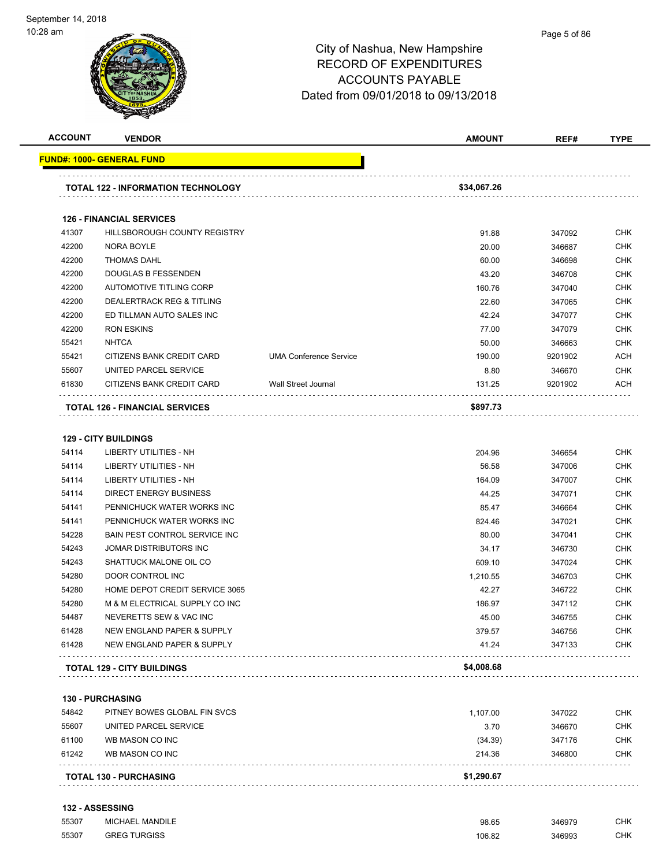| <b>ACCOUNT</b> | <b>VENDOR</b>                             |                               | <b>AMOUNT</b> | REF#    | <b>TYPE</b> |
|----------------|-------------------------------------------|-------------------------------|---------------|---------|-------------|
|                | <b>FUND#: 1000- GENERAL FUND</b>          |                               |               |         |             |
|                | <b>TOTAL 122 - INFORMATION TECHNOLOGY</b> |                               | \$34,067.26   |         |             |
|                | <b>126 - FINANCIAL SERVICES</b>           |                               |               |         |             |
| 41307          | <b>HILLSBOROUGH COUNTY REGISTRY</b>       |                               | 91.88         | 347092  | <b>CHK</b>  |
| 42200          | <b>NORA BOYLE</b>                         |                               | 20.00         | 346687  | <b>CHK</b>  |
| 42200          | <b>THOMAS DAHL</b>                        |                               | 60.00         | 346698  | <b>CHK</b>  |
| 42200          | <b>DOUGLAS B FESSENDEN</b>                |                               | 43.20         | 346708  | <b>CHK</b>  |
| 42200          | AUTOMOTIVE TITLING CORP                   |                               | 160.76        | 347040  | <b>CHK</b>  |
| 42200          | <b>DEALERTRACK REG &amp; TITLING</b>      |                               | 22.60         | 347065  | <b>CHK</b>  |
| 42200          | ED TILLMAN AUTO SALES INC                 |                               | 42.24         | 347077  | <b>CHK</b>  |
| 42200          | <b>RON ESKINS</b>                         |                               | 77.00         | 347079  | <b>CHK</b>  |
| 55421          | <b>NHTCA</b>                              |                               | 50.00         | 346663  | <b>CHK</b>  |
| 55421          | CITIZENS BANK CREDIT CARD                 | <b>UMA Conference Service</b> | 190.00        | 9201902 | <b>ACH</b>  |
| 55607          | UNITED PARCEL SERVICE                     |                               | 8.80          | 346670  | <b>CHK</b>  |
| 61830          | CITIZENS BANK CREDIT CARD                 | <b>Wall Street Journal</b>    | 131.25        | 9201902 | <b>ACH</b>  |
|                | <b>TOTAL 126 - FINANCIAL SERVICES</b>     |                               | \$897.73      |         |             |
|                | <b>129 - CITY BUILDINGS</b>               |                               |               |         |             |
| 54114          | LIBERTY UTILITIES - NH                    |                               | 204.96        | 346654  | <b>CHK</b>  |
| 54114          | <b>LIBERTY UTILITIES - NH</b>             |                               | 56.58         | 347006  | <b>CHK</b>  |
| 54114          | <b>LIBERTY UTILITIES - NH</b>             |                               | 164.09        | 347007  | <b>CHK</b>  |
| 54114          | <b>DIRECT ENERGY BUSINESS</b>             |                               | 44.25         | 347071  | <b>CHK</b>  |
| 54141          | PENNICHUCK WATER WORKS INC                |                               | 85.47         | 346664  | <b>CHK</b>  |
| 54141          | PENNICHUCK WATER WORKS INC                |                               | 824.46        | 347021  | <b>CHK</b>  |
| 54228          | <b>BAIN PEST CONTROL SERVICE INC.</b>     |                               | 80.00         | 347041  | <b>CHK</b>  |

| <b>130 - PURCHASING</b> |  |  |  |  |  |  |
|-------------------------|--|--|--|--|--|--|
|-------------------------|--|--|--|--|--|--|

| 61242 | WB MASON CO INC              | 214.36   | 346800 | <b>CHK</b> |
|-------|------------------------------|----------|--------|------------|
| 61100 | WB MASON CO INC              | (34.39)  | 347176 | <b>CHK</b> |
| 55607 | UNITED PARCEL SERVICE        | 3.70     | 346670 | <b>CHK</b> |
| 54842 | PITNEY BOWES GLOBAL FIN SVCS | 1.107.00 | 347022 | <b>CHK</b> |

. . . . . . . . . .

. . . . . . . . . . . .

. . . . .

**TOTAL 129 - CITY BUILDINGS \$4,008.68**

 JOMAR DISTRIBUTORS INC 34.17 346730 CHK SHATTUCK MALONE OIL CO 609.10 347024 CHK DOOR CONTROL INC 1,210.55 346703 CHK HOME DEPOT CREDIT SERVICE 3065 42.27 346722 CHK M & M ELECTRICAL SUPPLY CO INC 186.97 347112 CHK NEVERETTS SEW & VAC INC 45.00 346755 CHK NEW ENGLAND PAPER & SUPPLY 379.57 346756 CHK NEW ENGLAND PAPER & SUPPLY 41.24 347133 CHK

#### **132 - ASSESSING**

| 55307 | <b>MICHAEL MANDILE</b> | 98.65  | 346979 | $\sim$ $\mu$<br>∪⊓Ւ |
|-------|------------------------|--------|--------|---------------------|
|       |                        |        | 346993 | $\sim$ $\mu$        |
| 55307 | <b>GREG TURGISS</b>    | 106.82 |        | UMN.                |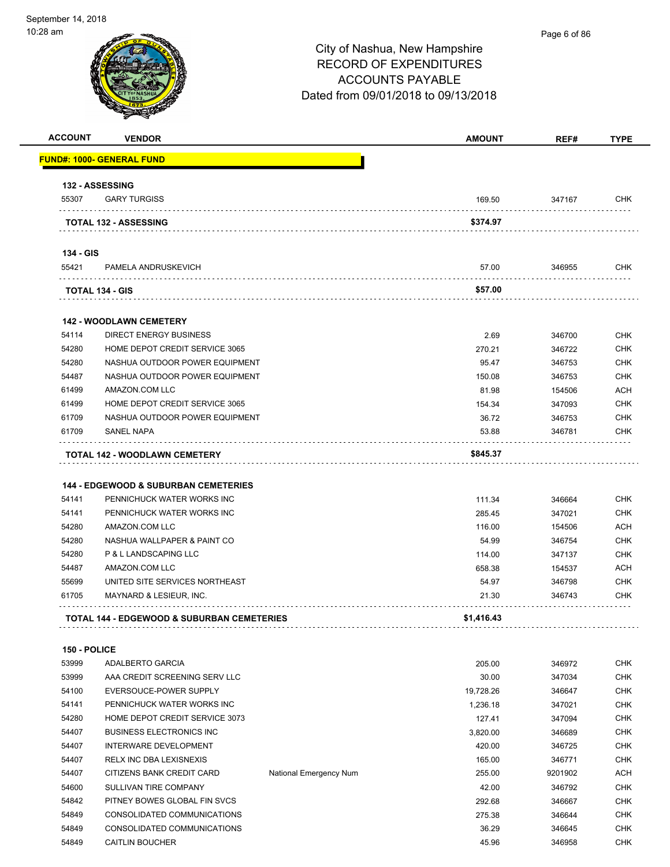

| <b>ACCOUNT</b> | <b>VENDOR</b>                                             |                        | <b>AMOUNT</b>  | REF#             | <b>TYPE</b>                                                                                                                                     |
|----------------|-----------------------------------------------------------|------------------------|----------------|------------------|-------------------------------------------------------------------------------------------------------------------------------------------------|
|                | <u> FUND#: 1000- GENERAL FUND</u>                         |                        |                |                  |                                                                                                                                                 |
|                | <b>132 - ASSESSING</b>                                    |                        |                |                  |                                                                                                                                                 |
| 55307          | <b>GARY TURGISS</b>                                       |                        | 169.50         | 347167           | CHK                                                                                                                                             |
|                |                                                           |                        | \$374.97       |                  |                                                                                                                                                 |
|                | <b>TOTAL 132 - ASSESSING</b>                              |                        |                |                  |                                                                                                                                                 |
| 134 - GIS      |                                                           |                        |                |                  |                                                                                                                                                 |
| 55421          | PAMELA ANDRUSKEVICH                                       |                        | 57.00          | 346955           | <b>CHK</b>                                                                                                                                      |
|                | TOTAL 134 - GIS                                           |                        | \$57.00        |                  |                                                                                                                                                 |
|                |                                                           |                        |                |                  |                                                                                                                                                 |
|                | <b>142 - WOODLAWN CEMETERY</b>                            |                        |                |                  |                                                                                                                                                 |
| 54114          | <b>DIRECT ENERGY BUSINESS</b>                             |                        | 2.69           | 346700           | <b>CHK</b>                                                                                                                                      |
| 54280          | HOME DEPOT CREDIT SERVICE 3065                            |                        | 270.21         | 346722           | <b>CHK</b>                                                                                                                                      |
| 54280          | NASHUA OUTDOOR POWER EQUIPMENT                            |                        | 95.47          | 346753           | <b>CHK</b>                                                                                                                                      |
| 54487          | NASHUA OUTDOOR POWER EQUIPMENT                            |                        | 150.08         | 346753           | <b>CHK</b>                                                                                                                                      |
| 61499          | AMAZON.COM LLC                                            |                        | 81.98          | 154506           | ACH                                                                                                                                             |
| 61499          | HOME DEPOT CREDIT SERVICE 3065                            |                        | 154.34         | 347093           | <b>CHK</b>                                                                                                                                      |
| 61709          | NASHUA OUTDOOR POWER EQUIPMENT                            |                        | 36.72          | 346753           | <b>CHK</b>                                                                                                                                      |
| 61709          | <b>SANEL NAPA</b>                                         |                        | 53.88          | 346781           | CHK                                                                                                                                             |
|                | <b>TOTAL 142 - WOODLAWN CEMETERY</b>                      |                        | \$845.37       |                  |                                                                                                                                                 |
|                | <b>144 - EDGEWOOD &amp; SUBURBAN CEMETERIES</b>           |                        |                |                  |                                                                                                                                                 |
| 54141          | PENNICHUCK WATER WORKS INC                                |                        | 111.34         | 346664           | <b>CHK</b>                                                                                                                                      |
| 54141          | PENNICHUCK WATER WORKS INC                                |                        | 285.45         | 347021           | <b>CHK</b>                                                                                                                                      |
| 54280          | AMAZON.COM LLC                                            |                        | 116.00         | 154506           | <b>ACH</b>                                                                                                                                      |
| 54280          | NASHUA WALLPAPER & PAINT CO                               |                        | 54.99          | 346754           | <b>CHK</b>                                                                                                                                      |
| 54280          | P & L LANDSCAPING LLC                                     |                        | 114.00         | 347137           | <b>CHK</b>                                                                                                                                      |
| 54487          | AMAZON.COM LLC                                            |                        | 658.38         | 154537           | ACH<br><b>CHK</b>                                                                                                                               |
| 55699<br>61705 | UNITED SITE SERVICES NORTHEAST<br>MAYNARD & LESIEUR, INC. |                        | 54.97<br>21.30 | 346798<br>346743 | CHK                                                                                                                                             |
|                | <b>TOTAL 144 - EDGEWOOD &amp; SUBURBAN CEMETERIES</b>     |                        | \$1,416.43     |                  |                                                                                                                                                 |
|                |                                                           |                        |                |                  |                                                                                                                                                 |
| 150 - POLICE   |                                                           |                        |                |                  |                                                                                                                                                 |
| 53999          | ADALBERTO GARCIA                                          |                        | 205.00         | 346972           | <b>CHK</b>                                                                                                                                      |
| 53999          | AAA CREDIT SCREENING SERV LLC                             |                        | 30.00          | 347034           |                                                                                                                                                 |
| 54100          | EVERSOUCE-POWER SUPPLY                                    |                        | 19,728.26      | 346647           |                                                                                                                                                 |
| 54141          | PENNICHUCK WATER WORKS INC                                |                        |                |                  |                                                                                                                                                 |
| 54280          |                                                           |                        | 1,236.18       | 347021           |                                                                                                                                                 |
|                | HOME DEPOT CREDIT SERVICE 3073                            |                        | 127.41         | 347094           |                                                                                                                                                 |
| 54407          | <b>BUSINESS ELECTRONICS INC</b>                           |                        | 3,820.00       | 346689           |                                                                                                                                                 |
| 54407          | INTERWARE DEVELOPMENT                                     |                        | 420.00         | 346725           |                                                                                                                                                 |
| 54407          | RELX INC DBA LEXISNEXIS                                   |                        | 165.00         | 346771           |                                                                                                                                                 |
| 54407          | CITIZENS BANK CREDIT CARD                                 | National Emergency Num | 255.00         | 9201902          |                                                                                                                                                 |
| 54600          | SULLIVAN TIRE COMPANY                                     |                        | 42.00          | 346792           |                                                                                                                                                 |
| 54842          | PITNEY BOWES GLOBAL FIN SVCS                              |                        | 292.68         | 346667           |                                                                                                                                                 |
| 54849          | CONSOLIDATED COMMUNICATIONS                               |                        | 275.38         | 346644           | <b>CHK</b><br><b>CHK</b><br><b>CHK</b><br><b>CHK</b><br><b>CHK</b><br><b>CHK</b><br><b>CHK</b><br>ACH<br><b>CHK</b><br><b>CHK</b><br><b>CHK</b> |
| 54849          | CONSOLIDATED COMMUNICATIONS                               |                        | 36.29          | 346645           | <b>CHK</b>                                                                                                                                      |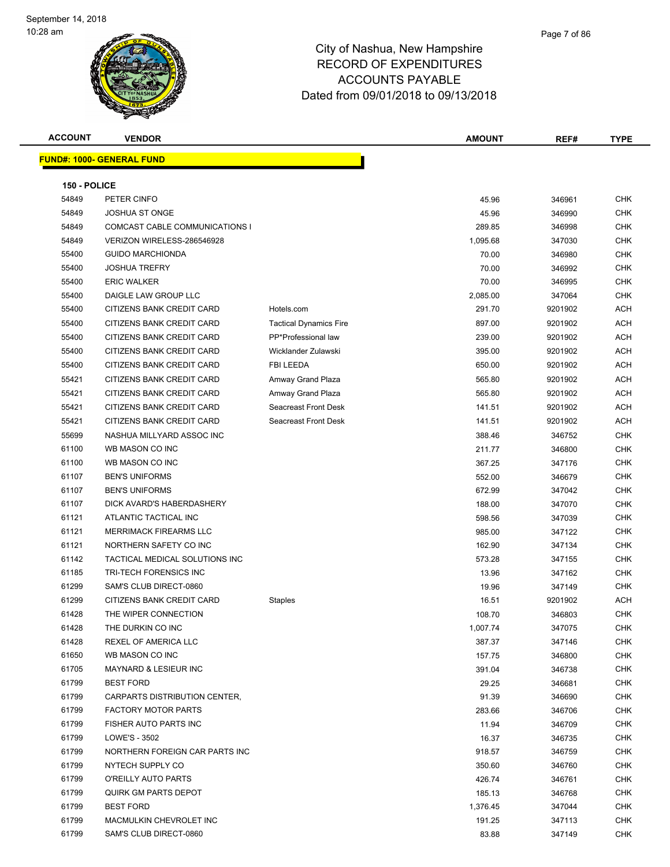| <b>ACCOUNT</b> | <b>VENDOR</b>                    |                               | <b>AMOUNT</b> | REF#    | <b>TYPE</b> |
|----------------|----------------------------------|-------------------------------|---------------|---------|-------------|
|                | <b>FUND#: 1000- GENERAL FUND</b> |                               |               |         |             |
|                |                                  |                               |               |         |             |
| 150 - POLICE   |                                  |                               |               |         |             |
| 54849          | PETER CINFO                      |                               | 45.96         | 346961  | CHK         |
| 54849          | <b>JOSHUA ST ONGE</b>            |                               | 45.96         | 346990  | <b>CHK</b>  |
| 54849          | COMCAST CABLE COMMUNICATIONS I   |                               | 289.85        | 346998  | <b>CHK</b>  |
| 54849          | VERIZON WIRELESS-286546928       |                               | 1,095.68      | 347030  | <b>CHK</b>  |
| 55400          | <b>GUIDO MARCHIONDA</b>          |                               | 70.00         | 346980  | <b>CHK</b>  |
| 55400          | <b>JOSHUA TREFRY</b>             |                               | 70.00         | 346992  | <b>CHK</b>  |
| 55400          | <b>ERIC WALKER</b>               |                               | 70.00         | 346995  | <b>CHK</b>  |
| 55400          | DAIGLE LAW GROUP LLC             |                               | 2,085.00      | 347064  | <b>CHK</b>  |
| 55400          | CITIZENS BANK CREDIT CARD        | Hotels.com                    | 291.70        | 9201902 | ACH         |
| 55400          | CITIZENS BANK CREDIT CARD        | <b>Tactical Dynamics Fire</b> | 897.00        | 9201902 | ACH         |
| 55400          | CITIZENS BANK CREDIT CARD        | PP*Professional law           | 239.00        | 9201902 | ACH         |
| 55400          | CITIZENS BANK CREDIT CARD        | Wicklander Zulawski           | 395.00        | 9201902 | ACH         |
| 55400          | CITIZENS BANK CREDIT CARD        | FBI LEEDA                     | 650.00        | 9201902 | ACH         |
| 55421          | CITIZENS BANK CREDIT CARD        | Amway Grand Plaza             | 565.80        | 9201902 | ACH         |
| 55421          | CITIZENS BANK CREDIT CARD        | Amway Grand Plaza             | 565.80        | 9201902 | ACH         |
| 55421          | CITIZENS BANK CREDIT CARD        | Seacreast Front Desk          | 141.51        | 9201902 | ACH         |
| 55421          | CITIZENS BANK CREDIT CARD        | Seacreast Front Desk          | 141.51        | 9201902 | ACH         |
| 55699          | NASHUA MILLYARD ASSOC INC        |                               | 388.46        | 346752  | <b>CHK</b>  |
| 61100          | WB MASON CO INC                  |                               | 211.77        | 346800  | <b>CHK</b>  |
| 61100          | WB MASON CO INC                  |                               | 367.25        | 347176  | <b>CHK</b>  |
| 61107          | <b>BEN'S UNIFORMS</b>            |                               | 552.00        | 346679  | <b>CHK</b>  |
| 61107          | <b>BEN'S UNIFORMS</b>            |                               | 672.99        | 347042  | <b>CHK</b>  |
| 61107          | DICK AVARD'S HABERDASHERY        |                               | 188.00        | 347070  | <b>CHK</b>  |
| 61121          | ATLANTIC TACTICAL INC            |                               | 598.56        | 347039  | <b>CHK</b>  |
| 61121          | <b>MERRIMACK FIREARMS LLC</b>    |                               | 985.00        | 347122  | <b>CHK</b>  |
| 61121          | NORTHERN SAFETY CO INC           |                               | 162.90        | 347134  | <b>CHK</b>  |
| 61142          | TACTICAL MEDICAL SOLUTIONS INC   |                               | 573.28        | 347155  | CHK         |
| 61185          | TRI-TECH FORENSICS INC           |                               | 13.96         | 347162  | CHK         |
| 61299          | SAM'S CLUB DIRECT-0860           |                               | 19.96         | 347149  | CHK         |
| 61299          | CITIZENS BANK CREDIT CARD        | Staples                       | 16.51         | 9201902 | ACH         |
| 61428          | THE WIPER CONNECTION             |                               | 108.70        | 346803  | <b>CHK</b>  |
| 61428          | THE DURKIN CO INC                |                               | 1,007.74      | 347075  | <b>CHK</b>  |
| 61428          | REXEL OF AMERICA LLC             |                               | 387.37        | 347146  | <b>CHK</b>  |
| 61650          | WB MASON CO INC                  |                               | 157.75        | 346800  | CHK         |
| 61705          | MAYNARD & LESIEUR INC            |                               | 391.04        | 346738  | <b>CHK</b>  |
| 61799          | <b>BEST FORD</b>                 |                               | 29.25         | 346681  | <b>CHK</b>  |
| 61799          | CARPARTS DISTRIBUTION CENTER,    |                               | 91.39         | 346690  | <b>CHK</b>  |
| 61799          | <b>FACTORY MOTOR PARTS</b>       |                               | 283.66        | 346706  | <b>CHK</b>  |
| 61799          | FISHER AUTO PARTS INC            |                               | 11.94         | 346709  | <b>CHK</b>  |
| 61799          | LOWE'S - 3502                    |                               | 16.37         | 346735  | <b>CHK</b>  |
| 61799          | NORTHERN FOREIGN CAR PARTS INC   |                               | 918.57        | 346759  | <b>CHK</b>  |
| 61799          | NYTECH SUPPLY CO                 |                               | 350.60        | 346760  | CHK         |
| 61799          | O'REILLY AUTO PARTS              |                               | 426.74        | 346761  | <b>CHK</b>  |
| 61799          | <b>QUIRK GM PARTS DEPOT</b>      |                               | 185.13        | 346768  | CHK         |
| 61799          | <b>BEST FORD</b>                 |                               | 1,376.45      | 347044  | CHK         |
| 61799          | MACMULKIN CHEVROLET INC          |                               | 191.25        | 347113  | CHK         |
| 61799          | SAM'S CLUB DIRECT-0860           |                               | 83.88         | 347149  | <b>CHK</b>  |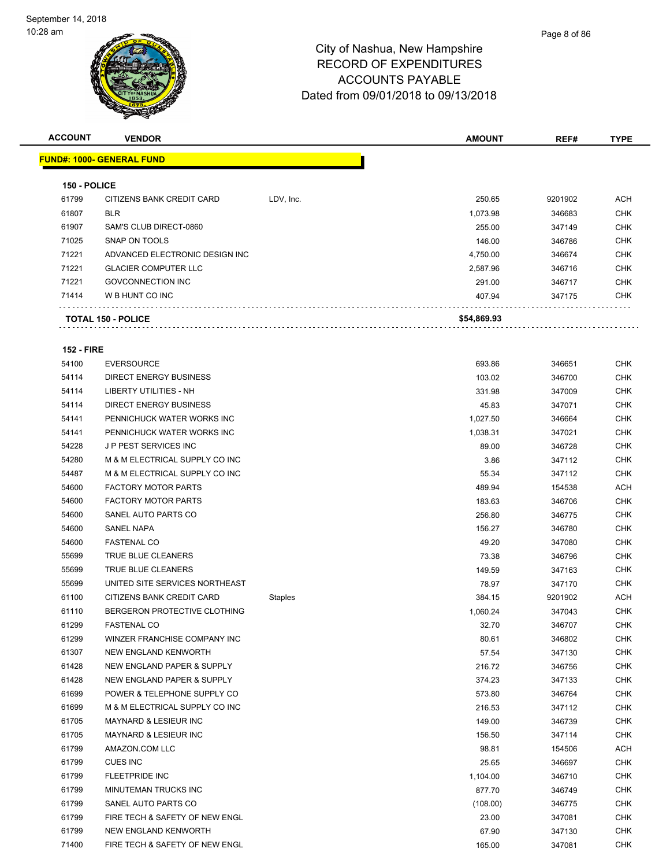

| <b>ACCOUNT</b>    | <b>VENDOR</b>                    |           | <b>AMOUNT</b> | REF#    | <b>TYPE</b> |
|-------------------|----------------------------------|-----------|---------------|---------|-------------|
|                   | <b>FUND#: 1000- GENERAL FUND</b> |           |               |         |             |
|                   |                                  |           |               |         |             |
| 150 - POLICE      |                                  |           |               |         |             |
| 61799             | CITIZENS BANK CREDIT CARD        | LDV, Inc. | 250.65        | 9201902 | <b>ACH</b>  |
| 61807             | <b>BLR</b>                       |           | 1,073.98      | 346683  | <b>CHK</b>  |
| 61907             | SAM'S CLUB DIRECT-0860           |           | 255.00        | 347149  | <b>CHK</b>  |
| 71025             | SNAP ON TOOLS                    |           | 146.00        | 346786  | <b>CHK</b>  |
| 71221             | ADVANCED ELECTRONIC DESIGN INC   |           | 4,750.00      | 346674  | <b>CHK</b>  |
| 71221             | <b>GLACIER COMPUTER LLC</b>      |           | 2,587.96      | 346716  | <b>CHK</b>  |
| 71221             | <b>GOVCONNECTION INC</b>         |           | 291.00        | 346717  | <b>CHK</b>  |
| 71414             | W B HUNT CO INC                  |           | 407.94        | 347175  | <b>CHK</b>  |
|                   | <b>TOTAL 150 - POLICE</b>        |           | \$54,869.93   |         |             |
| <b>152 - FIRE</b> |                                  |           |               |         |             |
| 54100             | <b>EVERSOURCE</b>                |           | 693.86        | 346651  | <b>CHK</b>  |
| 54114             | DIRECT ENERGY BUSINESS           |           | 103.02        | 346700  | <b>CHK</b>  |
| 54114             | <b>LIBERTY UTILITIES - NH</b>    |           | 331.98        | 347009  | <b>CHK</b>  |
| 54114             | <b>DIRECT ENERGY BUSINESS</b>    |           | 45.83         | 347071  | <b>CHK</b>  |
| 54141             | PENNICHUCK WATER WORKS INC       |           | 1,027.50      | 346664  | <b>CHK</b>  |
| 54141             | PENNICHUCK WATER WORKS INC       |           | 1,038.31      | 347021  | <b>CHK</b>  |
| 54228             | J P PEST SERVICES INC            |           | 89.00         | 346728  | <b>CHK</b>  |
| 54280             | M & M ELECTRICAL SUPPLY CO INC   |           | 3.86          | 347112  | <b>CHK</b>  |
| 54487             | M & M ELECTRICAL SUPPLY CO INC   |           | 55.34         | 347112  | <b>CHK</b>  |
| 54600             | <b>FACTORY MOTOR PARTS</b>       |           | 489.94        | 154538  | ACH         |
| 54600             | <b>FACTORY MOTOR PARTS</b>       |           | 183.63        | 346706  | <b>CHK</b>  |
| 54600             | SANEL AUTO PARTS CO              |           | 256.80        | 346775  | <b>CHK</b>  |
| 54600             | <b>SANEL NAPA</b>                |           | 156.27        | 346780  | <b>CHK</b>  |
| 54600             | <b>FASTENAL CO</b>               |           | 49.20         | 347080  | <b>CHK</b>  |
| 55699             | <b>TRUE BLUE CLEANERS</b>        |           | 73.38         | 346796  | <b>CHK</b>  |
| 55699             | TRUE BLUE CLEANERS               |           | 149.59        | 347163  | <b>CHK</b>  |
| 55699             | UNITED SITE SERVICES NORTHEAST   |           | 78.97         | 347170  | <b>CHK</b>  |
| 61100             | CITIZENS BANK CREDIT CARD        | Staples   | 384.15        | 9201902 | ACH         |
| 61110             | BERGERON PROTECTIVE CLOTHING     |           | 1,060.24      | 347043  | <b>CHK</b>  |
| 61299             | <b>FASTENAL CO</b>               |           | 32.70         | 346707  | <b>CHK</b>  |
| 61299             | WINZER FRANCHISE COMPANY INC     |           | 80.61         | 346802  | <b>CHK</b>  |
| 61307             | NEW ENGLAND KENWORTH             |           | 57.54         | 347130  | <b>CHK</b>  |
| 61428             | NEW ENGLAND PAPER & SUPPLY       |           | 216.72        | 346756  | <b>CHK</b>  |
| 61428             | NEW ENGLAND PAPER & SUPPLY       |           | 374.23        | 347133  | <b>CHK</b>  |
| 61699             | POWER & TELEPHONE SUPPLY CO      |           | 573.80        | 346764  | <b>CHK</b>  |
| 61699             | M & M ELECTRICAL SUPPLY CO INC   |           | 216.53        | 347112  | <b>CHK</b>  |
| 61705             | <b>MAYNARD &amp; LESIEUR INC</b> |           | 149.00        | 346739  | <b>CHK</b>  |
| 61705             | <b>MAYNARD &amp; LESIEUR INC</b> |           | 156.50        | 347114  | <b>CHK</b>  |
| 61799             | AMAZON.COM LLC                   |           | 98.81         | 154506  | ACH         |
| 61799             | <b>CUES INC</b>                  |           | 25.65         | 346697  | <b>CHK</b>  |

61799 FLEETPRIDE INC CHK MINUTEMAN TRUCKS INC 877.70 346749 CHK SANEL AUTO PARTS CO (108.00) 346775 CHK FIRE TECH & SAFETY OF NEW ENGL 23.00 347081 CHK NEW ENGLAND KENWORTH 67.90 347130 CHK The State of the Section of the Section of the Section of the Section of the Section of the Section of the Section of the Section of the Section of the Section of the Section of the Section of the Section of the Section of

Page 8 of 86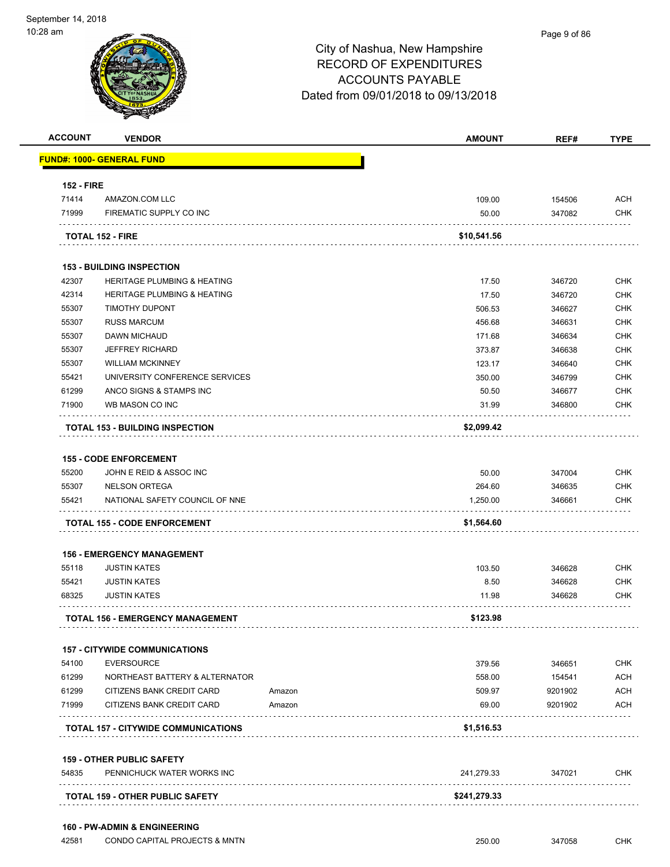

| <b>ACCOUNT</b>    | <b>VENDOR</b>                              |        | <b>AMOUNT</b> | REF#    | <b>TYPE</b> |
|-------------------|--------------------------------------------|--------|---------------|---------|-------------|
|                   | <b>FUND#: 1000- GENERAL FUND</b>           |        |               |         |             |
| <b>152 - FIRE</b> |                                            |        |               |         |             |
| 71414             | AMAZON.COM LLC                             |        | 109.00        | 154506  | ACH         |
| 71999             | FIREMATIC SUPPLY CO INC                    |        | 50.00         | 347082  | <b>CHK</b>  |
|                   | <b>TOTAL 152 - FIRE</b>                    |        | \$10,541.56   |         |             |
|                   | <b>153 - BUILDING INSPECTION</b>           |        |               |         |             |
| 42307             | <b>HERITAGE PLUMBING &amp; HEATING</b>     |        | 17.50         | 346720  | <b>CHK</b>  |
| 42314             | <b>HERITAGE PLUMBING &amp; HEATING</b>     |        | 17.50         | 346720  | <b>CHK</b>  |
| 55307             | TIMOTHY DUPONT                             |        | 506.53        | 346627  | <b>CHK</b>  |
| 55307             | <b>RUSS MARCUM</b>                         |        | 456.68        | 346631  | <b>CHK</b>  |
| 55307             | DAWN MICHAUD                               |        | 171.68        | 346634  | <b>CHK</b>  |
| 55307             | <b>JEFFREY RICHARD</b>                     |        | 373.87        | 346638  | <b>CHK</b>  |
| 55307             | <b>WILLIAM MCKINNEY</b>                    |        | 123.17        | 346640  | <b>CHK</b>  |
| 55421             | UNIVERSITY CONFERENCE SERVICES             |        | 350.00        | 346799  | <b>CHK</b>  |
| 61299             | ANCO SIGNS & STAMPS INC                    |        | 50.50         | 346677  | <b>CHK</b>  |
| 71900             | WB MASON CO INC                            |        | 31.99         | 346800  | CHK         |
|                   | <b>TOTAL 153 - BUILDING INSPECTION</b>     |        | \$2,099.42    |         |             |
|                   |                                            |        |               |         |             |
|                   | <b>155 - CODE ENFORCEMENT</b>              |        |               |         |             |
| 55200             | JOHN E REID & ASSOC INC                    |        | 50.00         | 347004  | <b>CHK</b>  |
| 55307             | <b>NELSON ORTEGA</b>                       |        | 264.60        | 346635  | <b>CHK</b>  |
| 55421             | NATIONAL SAFETY COUNCIL OF NNE             |        | 1,250.00      | 346661  | CHK         |
|                   | <b>TOTAL 155 - CODE ENFORCEMENT</b>        |        | \$1,564.60    |         |             |
|                   | <b>156 - EMERGENCY MANAGEMENT</b>          |        |               |         |             |
| 55118             | <b>JUSTIN KATES</b>                        |        | 103.50        | 346628  | <b>CHK</b>  |
| 55421             | <b>JUSTIN KATES</b>                        |        | 8.50          | 346628  | <b>CHK</b>  |
| 68325             | <b>JUSTIN KATES</b>                        |        | 11.98         | 346628  | CHK         |
|                   | <b>TOTAL 156 - EMERGENCY MANAGEMENT</b>    |        | \$123.98      |         |             |
|                   | <b>157 - CITYWIDE COMMUNICATIONS</b>       |        |               |         |             |
| 54100             | <b>EVERSOURCE</b>                          |        | 379.56        | 346651  | <b>CHK</b>  |
| 61299             | NORTHEAST BATTERY & ALTERNATOR             |        | 558.00        | 154541  | <b>ACH</b>  |
| 61299             | CITIZENS BANK CREDIT CARD                  | Amazon | 509.97        | 9201902 | ACH         |
| 71999             | CITIZENS BANK CREDIT CARD                  | Amazon | 69.00         | 9201902 | ACH         |
|                   | <b>TOTAL 157 - CITYWIDE COMMUNICATIONS</b> |        | \$1,516.53    |         |             |
|                   |                                            |        |               |         |             |
|                   | <b>159 - OTHER PUBLIC SAFETY</b>           |        |               |         |             |
| 54835             | PENNICHUCK WATER WORKS INC                 |        | 241,279.33    | 347021  | <b>CHK</b>  |
|                   | TOTAL 159 - OTHER PUBLIC SAFETY            |        | \$241,279.33  |         |             |
|                   |                                            |        |               |         |             |
|                   | <b>160 - PW-ADMIN &amp; ENGINEERING</b>    |        |               |         |             |

42581 CONDO CAPITAL PROJECTS & MNTN 250.00 347058 CHK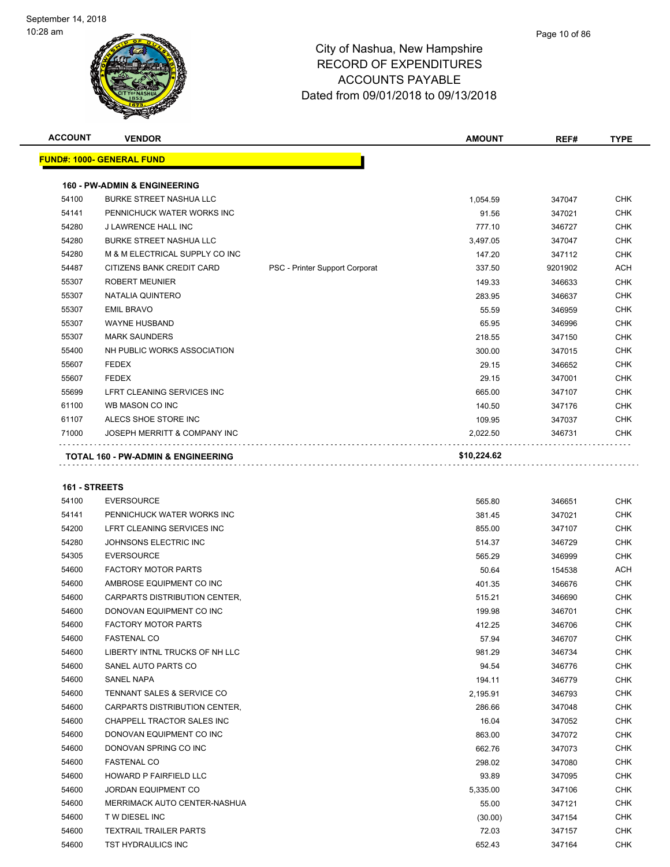

| <b>ACCOUNT</b> | <b>VENDOR</b>                                 |                                | <b>AMOUNT</b> | REF#    | <b>TYPE</b> |
|----------------|-----------------------------------------------|--------------------------------|---------------|---------|-------------|
|                | <b>FUND#: 1000- GENERAL FUND</b>              |                                |               |         |             |
|                | <b>160 - PW-ADMIN &amp; ENGINEERING</b>       |                                |               |         |             |
| 54100          | <b>BURKE STREET NASHUA LLC</b>                |                                | 1,054.59      | 347047  | <b>CHK</b>  |
| 54141          | PENNICHUCK WATER WORKS INC                    |                                | 91.56         | 347021  | <b>CHK</b>  |
| 54280          | J LAWRENCE HALL INC                           |                                | 777.10        | 346727  | <b>CHK</b>  |
| 54280          | <b>BURKE STREET NASHUA LLC</b>                |                                | 3,497.05      | 347047  | <b>CHK</b>  |
| 54280          | M & M ELECTRICAL SUPPLY CO INC                |                                | 147.20        | 347112  | <b>CHK</b>  |
| 54487          | CITIZENS BANK CREDIT CARD                     | PSC - Printer Support Corporat | 337.50        | 9201902 | <b>ACH</b>  |
| 55307          | <b>ROBERT MEUNIER</b>                         |                                | 149.33        | 346633  | <b>CHK</b>  |
| 55307          | NATALIA QUINTERO                              |                                | 283.95        | 346637  | <b>CHK</b>  |
| 55307          | <b>EMIL BRAVO</b>                             |                                | 55.59         | 346959  | <b>CHK</b>  |
| 55307          | <b>WAYNE HUSBAND</b>                          |                                | 65.95         | 346996  | <b>CHK</b>  |
| 55307          | <b>MARK SAUNDERS</b>                          |                                | 218.55        | 347150  | <b>CHK</b>  |
| 55400          | NH PUBLIC WORKS ASSOCIATION                   |                                | 300.00        | 347015  | <b>CHK</b>  |
| 55607          | <b>FEDEX</b>                                  |                                | 29.15         | 346652  | <b>CHK</b>  |
| 55607          | <b>FEDEX</b>                                  |                                | 29.15         | 347001  | <b>CHK</b>  |
| 55699          | LFRT CLEANING SERVICES INC                    |                                | 665.00        | 347107  | <b>CHK</b>  |
| 61100          | WB MASON CO INC                               |                                | 140.50        | 347176  | <b>CHK</b>  |
| 61107          | ALECS SHOE STORE INC                          |                                | 109.95        | 347037  | <b>CHK</b>  |
| 71000          | JOSEPH MERRITT & COMPANY INC                  |                                | 2,022.50      | 346731  | <b>CHK</b>  |
|                | <b>TOTAL 160 - PW-ADMIN &amp; ENGINEERING</b> |                                | \$10,224.62   |         |             |
|                |                                               |                                |               |         |             |

#### **161 - STREETS**

| 54100 | <b>EVERSOURCE</b>                     | 565.80   | 346651 | CHK        |
|-------|---------------------------------------|----------|--------|------------|
| 54141 | PENNICHUCK WATER WORKS INC            | 381.45   | 347021 | <b>CHK</b> |
| 54200 | LFRT CLEANING SERVICES INC            | 855.00   | 347107 | <b>CHK</b> |
| 54280 | JOHNSONS ELECTRIC INC                 | 514.37   | 346729 | <b>CHK</b> |
| 54305 | <b>EVERSOURCE</b>                     | 565.29   | 346999 | <b>CHK</b> |
| 54600 | <b>FACTORY MOTOR PARTS</b>            | 50.64    | 154538 | <b>ACH</b> |
| 54600 | AMBROSE EQUIPMENT CO INC              | 401.35   | 346676 | CHK        |
| 54600 | CARPARTS DISTRIBUTION CENTER.         | 515.21   | 346690 | <b>CHK</b> |
| 54600 | DONOVAN EQUIPMENT CO INC              | 199.98   | 346701 | <b>CHK</b> |
| 54600 | <b>FACTORY MOTOR PARTS</b>            | 412.25   | 346706 | <b>CHK</b> |
| 54600 | <b>FASTENAL CO</b>                    | 57.94    | 346707 | <b>CHK</b> |
| 54600 | LIBERTY INTNL TRUCKS OF NH LLC        | 981.29   | 346734 | <b>CHK</b> |
| 54600 | SANEL AUTO PARTS CO                   | 94.54    | 346776 | <b>CHK</b> |
| 54600 | SANEL NAPA                            | 194.11   | 346779 | <b>CHK</b> |
| 54600 | <b>TENNANT SALES &amp; SERVICE CO</b> | 2,195.91 | 346793 | <b>CHK</b> |
| 54600 | CARPARTS DISTRIBUTION CENTER,         | 286.66   | 347048 | <b>CHK</b> |
| 54600 | CHAPPELL TRACTOR SALES INC            | 16.04    | 347052 | <b>CHK</b> |
| 54600 | DONOVAN EQUIPMENT CO INC              | 863.00   | 347072 | CHK        |
| 54600 | DONOVAN SPRING CO INC                 | 662.76   | 347073 | <b>CHK</b> |
| 54600 | <b>FASTENAL CO</b>                    | 298.02   | 347080 | <b>CHK</b> |
| 54600 | <b>HOWARD P FAIRFIELD LLC</b>         | 93.89    | 347095 | <b>CHK</b> |
| 54600 | <b>JORDAN EQUIPMENT CO</b>            | 5,335.00 | 347106 | <b>CHK</b> |
| 54600 | MERRIMACK AUTO CENTER-NASHUA          | 55.00    | 347121 | CHK        |
| 54600 | <b>TW DIESEL INC</b>                  | (30.00)  | 347154 | <b>CHK</b> |
| 54600 | <b>TEXTRAIL TRAILER PARTS</b>         | 72.03    | 347157 | CHK        |
| 54600 | <b>TST HYDRAULICS INC</b>             | 652.43   | 347164 | <b>CHK</b> |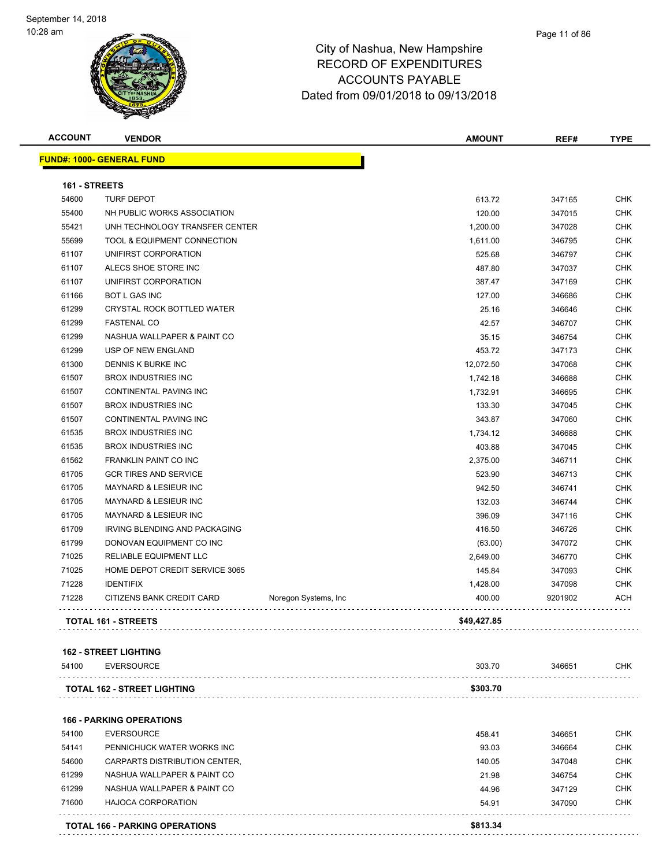| <b>ACCOUNT</b> | <b>VENDOR</b>                                     |                       | <b>AMOUNT</b> | REF#    | <b>TYPE</b> |
|----------------|---------------------------------------------------|-----------------------|---------------|---------|-------------|
|                | <b>FUND#: 1000- GENERAL FUND</b>                  |                       |               |         |             |
| 161 - STREETS  |                                                   |                       |               |         |             |
| 54600          | <b>TURF DEPOT</b>                                 |                       | 613.72        | 347165  | <b>CHK</b>  |
| 55400          | NH PUBLIC WORKS ASSOCIATION                       |                       | 120.00        | 347015  | <b>CHK</b>  |
| 55421          | UNH TECHNOLOGY TRANSFER CENTER                    |                       | 1,200.00      | 347028  | <b>CHK</b>  |
| 55699          | TOOL & EQUIPMENT CONNECTION                       |                       | 1,611.00      | 346795  | CHK         |
| 61107          | UNIFIRST CORPORATION                              |                       | 525.68        | 346797  | <b>CHK</b>  |
| 61107          | ALECS SHOE STORE INC                              |                       | 487.80        | 347037  | <b>CHK</b>  |
| 61107          | UNIFIRST CORPORATION                              |                       | 387.47        | 347169  | <b>CHK</b>  |
| 61166          | <b>BOT L GAS INC</b>                              |                       | 127.00        | 346686  | <b>CHK</b>  |
| 61299          | CRYSTAL ROCK BOTTLED WATER                        |                       | 25.16         | 346646  | <b>CHK</b>  |
| 61299          | <b>FASTENAL CO</b>                                |                       | 42.57         | 346707  | <b>CHK</b>  |
| 61299          | NASHUA WALLPAPER & PAINT CO                       |                       | 35.15         | 346754  | <b>CHK</b>  |
| 61299          | USP OF NEW ENGLAND                                |                       | 453.72        | 347173  | <b>CHK</b>  |
| 61300          | DENNIS K BURKE INC                                |                       | 12,072.50     | 347068  | <b>CHK</b>  |
| 61507          | <b>BROX INDUSTRIES INC</b>                        |                       | 1,742.18      | 346688  | <b>CHK</b>  |
| 61507          | CONTINENTAL PAVING INC                            |                       | 1,732.91      | 346695  | <b>CHK</b>  |
| 61507          | <b>BROX INDUSTRIES INC</b>                        |                       | 133.30        | 347045  | <b>CHK</b>  |
| 61507          | CONTINENTAL PAVING INC                            |                       | 343.87        | 347060  | <b>CHK</b>  |
| 61535          | <b>BROX INDUSTRIES INC</b>                        |                       | 1,734.12      | 346688  | <b>CHK</b>  |
| 61535          | <b>BROX INDUSTRIES INC</b>                        |                       | 403.88        | 347045  | <b>CHK</b>  |
| 61562          | FRANKLIN PAINT CO INC                             |                       | 2,375.00      | 346711  | <b>CHK</b>  |
| 61705          | <b>GCR TIRES AND SERVICE</b>                      |                       | 523.90        | 346713  | <b>CHK</b>  |
| 61705          | MAYNARD & LESIEUR INC                             |                       | 942.50        | 346741  | <b>CHK</b>  |
| 61705          | MAYNARD & LESIEUR INC                             |                       | 132.03        | 346744  | <b>CHK</b>  |
| 61705          | <b>MAYNARD &amp; LESIEUR INC</b>                  |                       | 396.09        | 347116  | <b>CHK</b>  |
| 61709          | IRVING BLENDING AND PACKAGING                     |                       | 416.50        | 346726  | <b>CHK</b>  |
| 61799          | DONOVAN EQUIPMENT CO INC                          |                       | (63.00)       | 347072  | CHK         |
| 71025          | RELIABLE EQUIPMENT LLC                            |                       | 2,649.00      | 346770  | <b>CHK</b>  |
| 71025          | HOME DEPOT CREDIT SERVICE 3065                    |                       | 145.84        | 347093  | <b>CHK</b>  |
| 71228          | <b>IDENTIFIX</b>                                  |                       | 1,428.00      | 347098  | <b>CHK</b>  |
| 71228          | CITIZENS BANK CREDIT CARD                         | Noregon Systems, Inc. | 400.00        | 9201902 | <b>ACH</b>  |
|                | <b>TOTAL 161 - STREETS</b>                        | .                     | \$49,427.85   |         |             |
|                |                                                   |                       |               |         |             |
| 54100          | <b>162 - STREET LIGHTING</b><br><b>EVERSOURCE</b> |                       | 303.70        | 346651  | CHK         |
|                |                                                   |                       |               |         |             |
|                | <b>TOTAL 162 - STREET LIGHTING</b>                |                       | \$303.70      |         |             |
|                | <b>166 - PARKING OPERATIONS</b>                   |                       |               |         |             |
|                |                                                   |                       |               |         |             |

|       | <b>TOTAL 166 - PARKING OPERATIONS</b> | \$813.34 |        |            |
|-------|---------------------------------------|----------|--------|------------|
| 71600 | HAJOCA CORPORATION                    | 54.91    | 347090 | <b>CHK</b> |
| 61299 | NASHUA WALLPAPER & PAINT CO           | 44.96    | 347129 | CHK        |
| 61299 | NASHUA WALLPAPER & PAINT CO           | 21.98    | 346754 | CHK        |
| 54600 | CARPARTS DISTRIBUTION CENTER.         | 140.05   | 347048 | CHK        |
| 54141 | PENNICHUCK WATER WORKS INC            | 93.03    | 346664 | CHK        |
| 54100 | EVERSOURCE                            | 458.41   | 346651 | CHK        |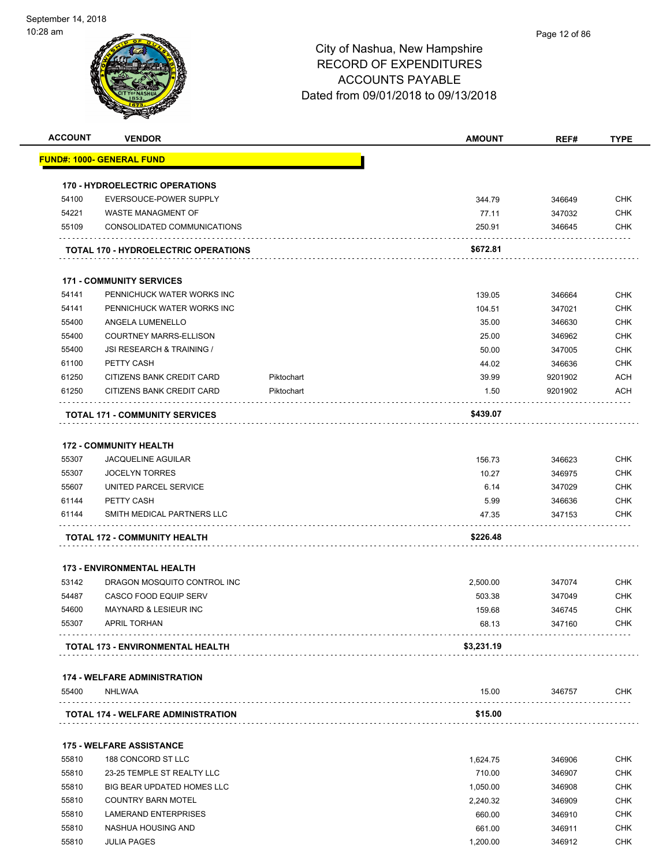

| <b>ACCOUNT</b> | <b>VENDOR</b>                                 |            | <b>AMOUNT</b>   | REF#             | <b>TYPE</b>              |
|----------------|-----------------------------------------------|------------|-----------------|------------------|--------------------------|
|                | <b>FUND#: 1000- GENERAL FUND</b>              |            |                 |                  |                          |
|                | <b>170 - HYDROELECTRIC OPERATIONS</b>         |            |                 |                  |                          |
| 54100          | EVERSOUCE-POWER SUPPLY                        |            | 344.79          | 346649           | <b>CHK</b>               |
| 54221          | WASTE MANAGMENT OF                            |            | 77.11           | 347032           | <b>CHK</b>               |
| 55109          | CONSOLIDATED COMMUNICATIONS                   |            | 250.91          | 346645           | <b>CHK</b>               |
|                | <b>TOTAL 170 - HYDROELECTRIC OPERATIONS</b>   |            | \$672.81        |                  |                          |
|                | <b>171 - COMMUNITY SERVICES</b>               |            |                 |                  |                          |
| 54141          | PENNICHUCK WATER WORKS INC                    |            | 139.05          | 346664           | <b>CHK</b>               |
| 54141          | PENNICHUCK WATER WORKS INC                    |            | 104.51          | 347021           | <b>CHK</b>               |
| 55400          | ANGELA LUMENELLO                              |            | 35.00           | 346630           | <b>CHK</b>               |
| 55400          | <b>COURTNEY MARRS-ELLISON</b>                 |            | 25.00           | 346962           | <b>CHK</b>               |
| 55400          | JSI RESEARCH & TRAINING /                     |            | 50.00           | 347005           | <b>CHK</b>               |
| 61100          | PETTY CASH                                    |            | 44.02           | 346636           | <b>CHK</b>               |
| 61250          | <b>CITIZENS BANK CREDIT CARD</b>              | Piktochart | 39.99           | 9201902          | <b>ACH</b>               |
| 61250          | CITIZENS BANK CREDIT CARD                     | Piktochart | 1.50            | 9201902          | ACH                      |
|                | <b>TOTAL 171 - COMMUNITY SERVICES</b>         |            | \$439.07        |                  |                          |
|                |                                               |            |                 |                  |                          |
|                | <b>172 - COMMUNITY HEALTH</b>                 |            |                 |                  |                          |
| 55307          | <b>JACQUELINE AGUILAR</b>                     |            | 156.73          | 346623           | <b>CHK</b>               |
| 55307          | <b>JOCELYN TORRES</b>                         |            | 10.27           | 346975           | <b>CHK</b>               |
| 55607          | UNITED PARCEL SERVICE                         |            | 6.14            | 347029           | <b>CHK</b>               |
| 61144<br>61144 | PETTY CASH<br>SMITH MEDICAL PARTNERS LLC      |            | 5.99<br>47.35   | 346636<br>347153 | <b>CHK</b><br>CHK        |
|                | <b>TOTAL 172 - COMMUNITY HEALTH</b>           |            | \$226.48        |                  |                          |
|                |                                               |            |                 |                  |                          |
|                | <b>173 - ENVIRONMENTAL HEALTH</b>             |            |                 |                  |                          |
| 53142          | DRAGON MOSQUITO CONTROL INC                   |            | 2,500.00        | 347074           | <b>CHK</b>               |
| 54487          | <b>CASCO FOOD EQUIP SERV</b>                  |            | 503.38          | 347049           | <b>CHK</b>               |
| 54600<br>55307 | MAYNARD & LESIEUR INC<br>APRIL TORHAN         |            | 159.68<br>68.13 | 346745<br>347160 | <b>CHK</b><br><b>CHK</b> |
|                | <b>TOTAL 173 - ENVIRONMENTAL HEALTH</b>       |            | \$3,231.19      |                  |                          |
|                |                                               |            |                 |                  |                          |
| 55400          | <b>174 - WELFARE ADMINISTRATION</b><br>NHLWAA |            | 15.00           | 346757           | <b>CHK</b>               |
|                |                                               |            |                 |                  |                          |
|                | <b>TOTAL 174 - WELFARE ADMINISTRATION</b>     |            | \$15.00         |                  |                          |
|                | <b>175 - WELFARE ASSISTANCE</b>               |            |                 |                  |                          |
| 55810          | 188 CONCORD ST LLC                            |            | 1,624.75        | 346906           | <b>CHK</b>               |
| 55810          | 23-25 TEMPLE ST REALTY LLC                    |            | 710.00          | 346907           | <b>CHK</b>               |
| 55810          | <b>BIG BEAR UPDATED HOMES LLC</b>             |            | 1,050.00        | 346908           | <b>CHK</b>               |
| 55810          | <b>COUNTRY BARN MOTEL</b>                     |            | 2,240.32        | 346909           | <b>CHK</b>               |
| 55810          | LAMERAND ENTERPRISES                          |            | 660.00          | 346910           | <b>CHK</b>               |
| 55810          | NASHUA HOUSING AND                            |            | 661.00          | 346911           | <b>CHK</b>               |
| 55810          | <b>JULIA PAGES</b>                            |            | 1,200.00        | 346912           | <b>CHK</b>               |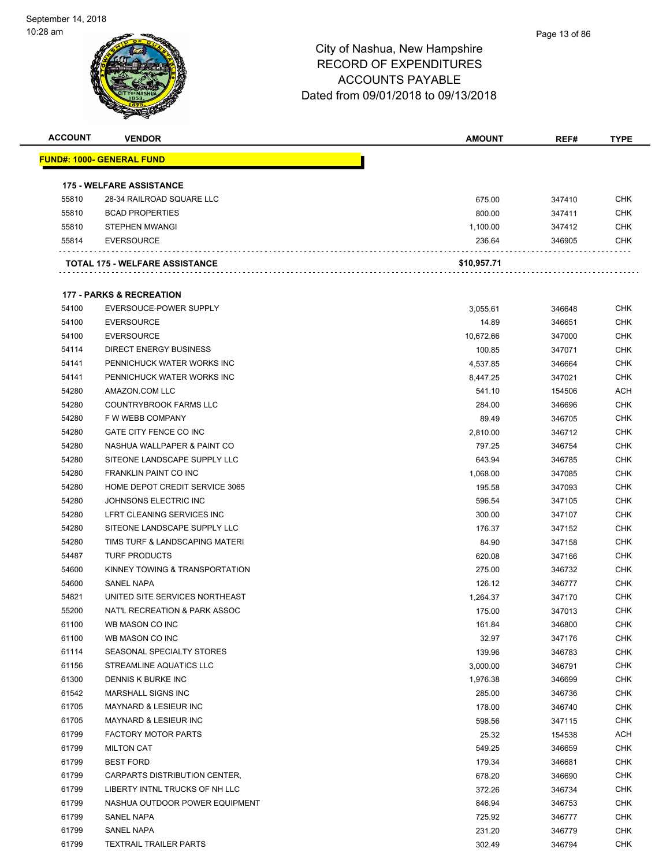| <b>ACCOUNT</b> | <b>VENDOR</b>                       | <b>AMOUNT</b> | REF#   | <b>TYPE</b> |
|----------------|-------------------------------------|---------------|--------|-------------|
|                | <u> FUND#: 1000- GENERAL FUND</u>   |               |        |             |
|                |                                     |               |        |             |
|                | <b>175 - WELFARE ASSISTANCE</b>     |               |        |             |
| 55810          | 28-34 RAILROAD SQUARE LLC           | 675.00        | 347410 | <b>CHK</b>  |
| 55810          | <b>BCAD PROPERTIES</b>              | 800.00        | 347411 | <b>CHK</b>  |
| 55810          | <b>STEPHEN MWANGI</b>               | 1,100.00      | 347412 | <b>CHK</b>  |
| 55814          | <b>EVERSOURCE</b>                   | 236.64        | 346905 | <b>CHK</b>  |
|                | TOTAL 175 - WELFARE ASSISTANCE      | \$10,957.71   |        |             |
|                | <b>177 - PARKS &amp; RECREATION</b> |               |        |             |
| 54100          | EVERSOUCE-POWER SUPPLY              | 3,055.61      | 346648 | <b>CHK</b>  |
| 54100          | <b>EVERSOURCE</b>                   | 14.89         | 346651 | <b>CHK</b>  |
| 54100          | <b>EVERSOURCE</b>                   | 10,672.66     | 347000 | <b>CHK</b>  |
| 54114          | <b>DIRECT ENERGY BUSINESS</b>       |               |        | <b>CHK</b>  |
|                | PENNICHUCK WATER WORKS INC          | 100.85        | 347071 |             |
| 54141          |                                     | 4,537.85      | 346664 | <b>CHK</b>  |
| 54141          | PENNICHUCK WATER WORKS INC          | 8,447.25      | 347021 | <b>CHK</b>  |
| 54280          | AMAZON.COM LLC                      | 541.10        | 154506 | ACH         |
| 54280          | <b>COUNTRYBROOK FARMS LLC</b>       | 284.00        | 346696 | <b>CHK</b>  |
| 54280          | F W WEBB COMPANY                    | 89.49         | 346705 | <b>CHK</b>  |
| 54280          | GATE CITY FENCE CO INC              | 2,810.00      | 346712 | <b>CHK</b>  |
| 54280          | NASHUA WALLPAPER & PAINT CO         | 797.25        | 346754 | <b>CHK</b>  |
| 54280          | SITEONE LANDSCAPE SUPPLY LLC        | 643.94        | 346785 | <b>CHK</b>  |
| 54280          | <b>FRANKLIN PAINT CO INC</b>        | 1,068.00      | 347085 | <b>CHK</b>  |
| 54280          | HOME DEPOT CREDIT SERVICE 3065      | 195.58        | 347093 | <b>CHK</b>  |
| 54280          | JOHNSONS ELECTRIC INC               | 596.54        | 347105 | <b>CHK</b>  |
| 54280          | LFRT CLEANING SERVICES INC          | 300.00        | 347107 | <b>CHK</b>  |
| 54280          | SITEONE LANDSCAPE SUPPLY LLC        | 176.37        | 347152 | <b>CHK</b>  |
| 54280          | TIMS TURF & LANDSCAPING MATERI      | 84.90         | 347158 | <b>CHK</b>  |
| 54487          | <b>TURF PRODUCTS</b>                | 620.08        | 347166 | <b>CHK</b>  |
| 54600          | KINNEY TOWING & TRANSPORTATION      | 275.00        | 346732 | <b>CHK</b>  |
| 54600          | <b>SANEL NAPA</b>                   | 126.12        | 346777 | <b>CHK</b>  |
| 54821          | UNITED SITE SERVICES NORTHEAST      | 1,264.37      | 347170 | <b>CHK</b>  |
| 55200          | NAT'L RECREATION & PARK ASSOC       | 175.00        | 347013 | <b>CHK</b>  |
| 61100          | WB MASON CO INC                     | 161.84        | 346800 | <b>CHK</b>  |
| 61100          | WB MASON CO INC                     | 32.97         | 347176 | <b>CHK</b>  |
| 61114          | SEASONAL SPECIALTY STORES           | 139.96        | 346783 | <b>CHK</b>  |
| 61156          | STREAMLINE AQUATICS LLC             | 3,000.00      | 346791 | <b>CHK</b>  |
| 61300          | DENNIS K BURKE INC                  | 1,976.38      | 346699 | CHK         |
| 61542          | MARSHALL SIGNS INC                  | 285.00        | 346736 | <b>CHK</b>  |
| 61705          | MAYNARD & LESIEUR INC               | 178.00        | 346740 | <b>CHK</b>  |
| 61705          | MAYNARD & LESIEUR INC               | 598.56        | 347115 | <b>CHK</b>  |
| 61799          | <b>FACTORY MOTOR PARTS</b>          | 25.32         | 154538 | <b>ACH</b>  |
| 61799          | <b>MILTON CAT</b>                   | 549.25        | 346659 | <b>CHK</b>  |
| 61799          | <b>BEST FORD</b>                    | 179.34        | 346681 | <b>CHK</b>  |
| 61799          | CARPARTS DISTRIBUTION CENTER,       | 678.20        | 346690 | <b>CHK</b>  |
| 61799          | LIBERTY INTNL TRUCKS OF NH LLC      | 372.26        | 346734 | <b>CHK</b>  |
| 61799          | NASHUA OUTDOOR POWER EQUIPMENT      | 846.94        | 346753 | <b>CHK</b>  |
| 61799          | SANEL NAPA                          | 725.92        | 346777 | <b>CHK</b>  |
| 61799          | SANEL NAPA                          | 231.20        | 346779 | <b>CHK</b>  |
| 61799          | <b>TEXTRAIL TRAILER PARTS</b>       | 302.49        | 346794 | <b>CHK</b>  |
|                |                                     |               |        |             |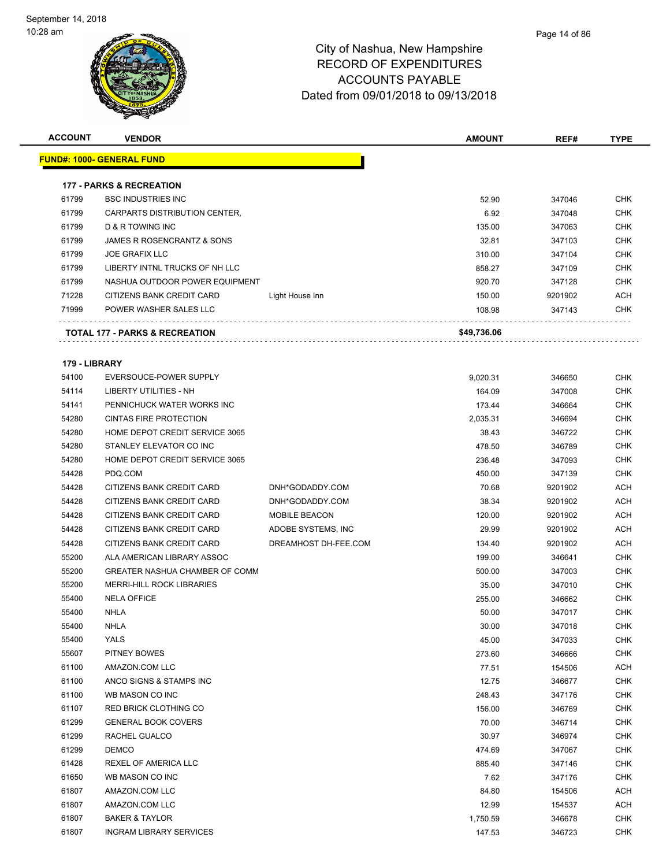

| <b>ACCOUNT</b> | <b>VENDOR</b>                         |                      | <b>AMOUNT</b> | REF#    | <b>TYPE</b> |
|----------------|---------------------------------------|----------------------|---------------|---------|-------------|
|                | <u> FUND#: 1000- GENERAL FUND</u>     |                      |               |         |             |
|                |                                       |                      |               |         |             |
|                | <b>177 - PARKS &amp; RECREATION</b>   |                      |               |         |             |
| 61799          | <b>BSC INDUSTRIES INC</b>             |                      | 52.90         | 347046  | <b>CHK</b>  |
| 61799          | CARPARTS DISTRIBUTION CENTER,         |                      | 6.92          | 347048  | <b>CHK</b>  |
| 61799          | D & R TOWING INC                      |                      | 135.00        | 347063  | <b>CHK</b>  |
| 61799          | JAMES R ROSENCRANTZ & SONS            |                      | 32.81         | 347103  | <b>CHK</b>  |
| 61799          | <b>JOE GRAFIX LLC</b>                 |                      | 310.00        | 347104  | <b>CHK</b>  |
| 61799          | LIBERTY INTNL TRUCKS OF NH LLC        |                      | 858.27        | 347109  | <b>CHK</b>  |
| 61799          | NASHUA OUTDOOR POWER EQUIPMENT        |                      | 920.70        | 347128  | <b>CHK</b>  |
| 71228          | CITIZENS BANK CREDIT CARD             | Light House Inn      | 150.00        | 9201902 | <b>ACH</b>  |
| 71999          | POWER WASHER SALES LLC                |                      | 108.98        | 347143  | <b>CHK</b>  |
|                | TOTAL 177 - PARKS & RECREATION        |                      | \$49,736.06   |         |             |
| 179 - LIBRARY  |                                       |                      |               |         |             |
| 54100          | EVERSOUCE-POWER SUPPLY                |                      | 9,020.31      | 346650  | <b>CHK</b>  |
| 54114          | LIBERTY UTILITIES - NH                |                      | 164.09        | 347008  | <b>CHK</b>  |
| 54141          | PENNICHUCK WATER WORKS INC            |                      | 173.44        | 346664  | <b>CHK</b>  |
| 54280          | <b>CINTAS FIRE PROTECTION</b>         |                      | 2.035.31      | 346694  | <b>CHK</b>  |
| 54280          | HOME DEPOT CREDIT SERVICE 3065        |                      | 38.43         | 346722  | <b>CHK</b>  |
| 54280          | STANLEY ELEVATOR CO INC               |                      | 478.50        | 346789  | <b>CHK</b>  |
| 54280          | HOME DEPOT CREDIT SERVICE 3065        |                      | 236.48        | 347093  | <b>CHK</b>  |
| 54428          | PDQ.COM                               |                      | 450.00        | 347139  | <b>CHK</b>  |
| 54428          | CITIZENS BANK CREDIT CARD             | DNH*GODADDY.COM      | 70.68         | 9201902 | ACH         |
| 54428          | CITIZENS BANK CREDIT CARD             | DNH*GODADDY.COM      | 38.34         | 9201902 | <b>ACH</b>  |
| 54428          | CITIZENS BANK CREDIT CARD             | <b>MOBILE BEACON</b> | 120.00        | 9201902 | <b>ACH</b>  |
| 54428          | CITIZENS BANK CREDIT CARD             | ADOBE SYSTEMS, INC   | 29.99         | 9201902 | <b>ACH</b>  |
| 54428          | CITIZENS BANK CREDIT CARD             | DREAMHOST DH-FEE.COM | 134.40        | 9201902 | <b>ACH</b>  |
| 55200          | ALA AMERICAN LIBRARY ASSOC            |                      | 199.00        | 346641  | <b>CHK</b>  |
| 55200          | <b>GREATER NASHUA CHAMBER OF COMM</b> |                      | 500.00        | 347003  | <b>CHK</b>  |
| 55200          | <b>MERRI-HILL ROCK LIBRARIES</b>      |                      | 35.00         | 347010  | <b>CHK</b>  |
| 55400          | <b>NELA OFFICE</b>                    |                      | 255.00        | 346662  | <b>CHK</b>  |
| 55400          | NHLA                                  |                      | 50.00         | 347017  | <b>CHK</b>  |
| 55400          | <b>NHLA</b>                           |                      | 30.00         | 347018  | <b>CHK</b>  |
| 55400          | YALS                                  |                      | 45.00         | 347033  | <b>CHK</b>  |
| 55607          | PITNEY BOWES                          |                      | 273.60        | 346666  | <b>CHK</b>  |
| 61100          | AMAZON.COM LLC                        |                      | 77.51         | 154506  | <b>ACH</b>  |
| 61100          | ANCO SIGNS & STAMPS INC               |                      | 12.75         | 346677  | <b>CHK</b>  |
| 61100          | WB MASON CO INC                       |                      | 248.43        | 347176  | <b>CHK</b>  |
| 61107          | <b>RED BRICK CLOTHING CO</b>          |                      | 156.00        | 346769  | <b>CHK</b>  |
| 61299          | <b>GENERAL BOOK COVERS</b>            |                      | 70.00         | 346714  | <b>CHK</b>  |
| 61299          | RACHEL GUALCO                         |                      | 30.97         | 346974  | <b>CHK</b>  |
| 61299          | <b>DEMCO</b>                          |                      | 474.69        | 347067  | <b>CHK</b>  |
| 61428          | REXEL OF AMERICA LLC                  |                      | 885.40        | 347146  | <b>CHK</b>  |
| 61650          | WB MASON CO INC                       |                      | 7.62          | 347176  | <b>CHK</b>  |
| 61807          | AMAZON.COM LLC                        |                      | 84.80         | 154506  | <b>ACH</b>  |
| 61807          | AMAZON.COM LLC                        |                      | 12.99         | 154537  | ACH         |
| 61807          | <b>BAKER &amp; TAYLOR</b>             |                      | 1,750.59      | 346678  | <b>CHK</b>  |
| 61807          | <b>INGRAM LIBRARY SERVICES</b>        |                      | 147.53        | 346723  | <b>CHK</b>  |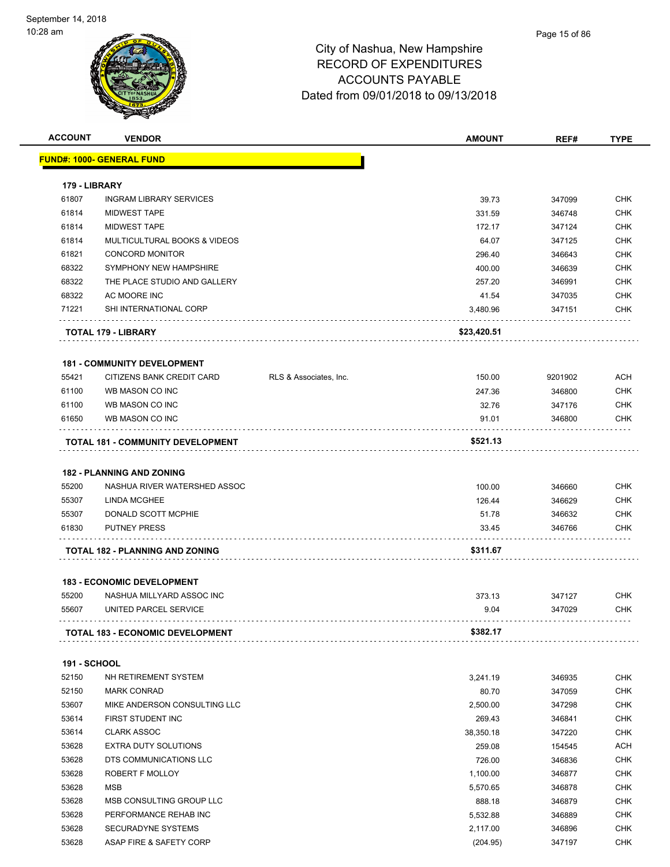| <b>ACCOUNT</b>      | <b>VENDOR</b>                            |                        | <b>AMOUNT</b> | REF#    | <b>TYPE</b> |
|---------------------|------------------------------------------|------------------------|---------------|---------|-------------|
|                     | <u> FUND#: 1000- GENERAL FUND</u>        |                        |               |         |             |
|                     |                                          |                        |               |         |             |
| 179 - LIBRARY       |                                          |                        |               |         |             |
| 61807               | <b>INGRAM LIBRARY SERVICES</b>           |                        | 39.73         | 347099  | <b>CHK</b>  |
| 61814               | <b>MIDWEST TAPE</b>                      |                        | 331.59        | 346748  | <b>CHK</b>  |
| 61814               | <b>MIDWEST TAPE</b>                      |                        | 172.17        | 347124  | <b>CHK</b>  |
| 61814               | MULTICULTURAL BOOKS & VIDEOS             |                        | 64.07         | 347125  | <b>CHK</b>  |
| 61821               | <b>CONCORD MONITOR</b>                   |                        | 296.40        | 346643  | <b>CHK</b>  |
| 68322               | SYMPHONY NEW HAMPSHIRE                   |                        | 400.00        | 346639  | <b>CHK</b>  |
| 68322               | THE PLACE STUDIO AND GALLERY             |                        | 257.20        | 346991  | <b>CHK</b>  |
| 68322               | AC MOORE INC                             |                        | 41.54         | 347035  | <b>CHK</b>  |
| 71221               | SHI INTERNATIONAL CORP                   |                        | 3,480.96      | 347151  | CHK         |
|                     | <b>TOTAL 179 - LIBRARY</b>               |                        | \$23,420.51   |         |             |
|                     | <b>181 - COMMUNITY DEVELOPMENT</b>       |                        |               |         |             |
| 55421               | CITIZENS BANK CREDIT CARD                | RLS & Associates, Inc. | 150.00        | 9201902 | <b>ACH</b>  |
| 61100               | WB MASON CO INC                          |                        | 247.36        | 346800  | <b>CHK</b>  |
| 61100               | WB MASON CO INC                          |                        | 32.76         | 347176  | <b>CHK</b>  |
| 61650               | WB MASON CO INC                          |                        | 91.01         | 346800  | <b>CHK</b>  |
|                     | <b>TOTAL 181 - COMMUNITY DEVELOPMENT</b> |                        | \$521.13      |         |             |
|                     |                                          |                        |               |         |             |
|                     | <b>182 - PLANNING AND ZONING</b>         |                        |               |         |             |
| 55200               | NASHUA RIVER WATERSHED ASSOC             |                        | 100.00        | 346660  | <b>CHK</b>  |
| 55307               | <b>LINDA MCGHEE</b>                      |                        | 126.44        | 346629  | <b>CHK</b>  |
| 55307               | DONALD SCOTT MCPHIE                      |                        | 51.78         | 346632  | <b>CHK</b>  |
| 61830               | <b>PUTNEY PRESS</b>                      |                        | 33.45         | 346766  | <b>CHK</b>  |
|                     | <b>TOTAL 182 - PLANNING AND ZONING</b>   |                        | \$311.67      |         |             |
|                     | <b>183 - ECONOMIC DEVELOPMENT</b>        |                        |               |         |             |
| 55200               | NASHUA MILLYARD ASSOC INC                |                        | 373.13        | 347127  | <b>CHK</b>  |
| 55607               | UNITED PARCEL SERVICE                    |                        | 9.04          | 347029  | <b>CHK</b>  |
|                     | <b>TOTAL 183 - ECONOMIC DEVELOPMENT</b>  |                        | \$382.17      |         |             |
|                     |                                          |                        |               |         |             |
| <b>191 - SCHOOL</b> |                                          |                        |               |         |             |
| 52150               | NH RETIREMENT SYSTEM                     |                        | 3,241.19      | 346935  | <b>CHK</b>  |
| 52150               | <b>MARK CONRAD</b>                       |                        | 80.70         | 347059  | <b>CHK</b>  |
| 53607               | MIKE ANDERSON CONSULTING LLC             |                        | 2,500.00      | 347298  | <b>CHK</b>  |
| 53614               | FIRST STUDENT INC                        |                        | 269.43        | 346841  | <b>CHK</b>  |
| 53614               | <b>CLARK ASSOC</b>                       |                        | 38,350.18     | 347220  | <b>CHK</b>  |
| 53628               | EXTRA DUTY SOLUTIONS                     |                        | 259.08        | 154545  | <b>ACH</b>  |
| 53628               | DTS COMMUNICATIONS LLC                   |                        | 726.00        | 346836  | <b>CHK</b>  |
| 53628               | ROBERT F MOLLOY                          |                        | 1,100.00      | 346877  | <b>CHK</b>  |
| 53628               | <b>MSB</b>                               |                        | 5,570.65      | 346878  | <b>CHK</b>  |
| 53628               | MSB CONSULTING GROUP LLC                 |                        | 888.18        | 346879  | <b>CHK</b>  |
| 53628               | PERFORMANCE REHAB INC                    |                        | 5,532.88      | 346889  | <b>CHK</b>  |
| 53628               | SECURADYNE SYSTEMS                       |                        | 2,117.00      | 346896  | <b>CHK</b>  |
| 53628               | ASAP FIRE & SAFETY CORP                  |                        | (204.95)      | 347197  | <b>CHK</b>  |
|                     |                                          |                        |               |         |             |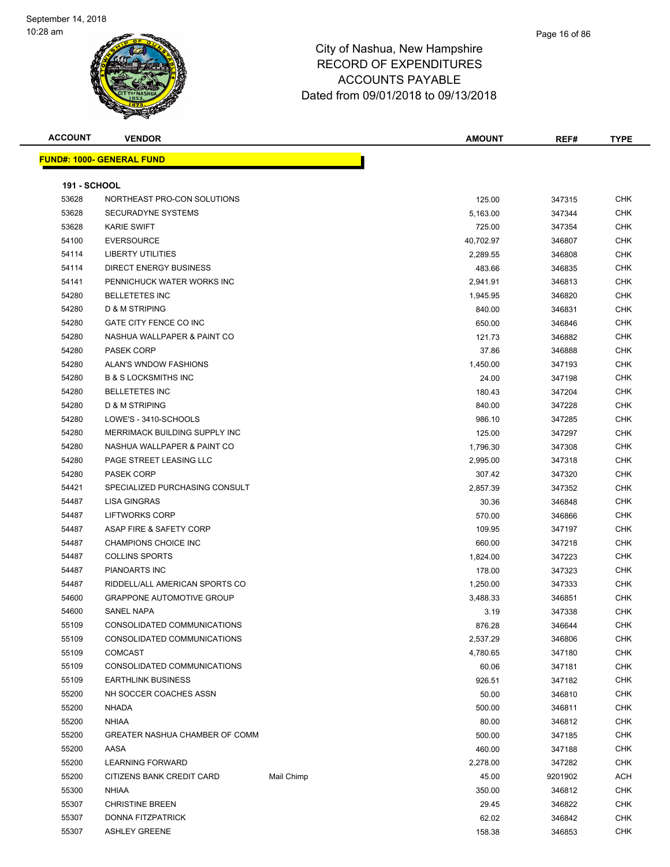#### Page 16 of 86

| <b>ACCOUNT</b>      | <b>VENDOR</b>                                      |            | AMOUNT            | REF#             | <b>TYPE</b>              |
|---------------------|----------------------------------------------------|------------|-------------------|------------------|--------------------------|
|                     | <b>FUND#: 1000- GENERAL FUND</b>                   |            |                   |                  |                          |
|                     |                                                    |            |                   |                  |                          |
| <b>191 - SCHOOL</b> |                                                    |            |                   |                  |                          |
| 53628               | NORTHEAST PRO-CON SOLUTIONS                        |            | 125.00            | 347315           | <b>CHK</b>               |
| 53628               | <b>SECURADYNE SYSTEMS</b>                          |            | 5,163.00          | 347344           | <b>CHK</b>               |
| 53628               | <b>KARIE SWIFT</b>                                 |            | 725.00            | 347354           | <b>CHK</b>               |
| 54100               | <b>EVERSOURCE</b>                                  |            | 40,702.97         | 346807           | <b>CHK</b>               |
| 54114               | <b>LIBERTY UTILITIES</b>                           |            | 2,289.55          | 346808           | <b>CHK</b>               |
| 54114               | <b>DIRECT ENERGY BUSINESS</b>                      |            | 483.66            | 346835           | <b>CHK</b>               |
| 54141               | PENNICHUCK WATER WORKS INC                         |            | 2,941.91          | 346813           | <b>CHK</b>               |
| 54280               | <b>BELLETETES INC</b><br><b>D &amp; M STRIPING</b> |            | 1,945.95          | 346820           | <b>CHK</b>               |
| 54280               |                                                    |            | 840.00            | 346831           | <b>CHK</b>               |
| 54280               | GATE CITY FENCE CO INC                             |            | 650.00            | 346846           | <b>CHK</b><br><b>CHK</b> |
| 54280               | NASHUA WALLPAPER & PAINT CO                        |            | 121.73            | 346882           | <b>CHK</b>               |
| 54280               | <b>PASEK CORP</b><br>ALAN'S WNDOW FASHIONS         |            | 37.86             | 346888           | <b>CHK</b>               |
| 54280               | <b>B &amp; S LOCKSMITHS INC</b>                    |            | 1,450.00<br>24.00 | 347193           | <b>CHK</b>               |
| 54280<br>54280      | <b>BELLETETES INC</b>                              |            |                   | 347198           | <b>CHK</b>               |
| 54280               | D & M STRIPING                                     |            | 180.43<br>840.00  | 347204<br>347228 | <b>CHK</b>               |
| 54280               | LOWE'S - 3410-SCHOOLS                              |            | 986.10            |                  | CHK                      |
| 54280               | MERRIMACK BUILDING SUPPLY INC                      |            | 125.00            | 347285<br>347297 | <b>CHK</b>               |
| 54280               | NASHUA WALLPAPER & PAINT CO                        |            | 1,796.30          | 347308           | <b>CHK</b>               |
| 54280               | PAGE STREET LEASING LLC                            |            | 2,995.00          | 347318           | <b>CHK</b>               |
| 54280               | <b>PASEK CORP</b>                                  |            | 307.42            | 347320           | CHK                      |
| 54421               | SPECIALIZED PURCHASING CONSULT                     |            | 2,857.39          | 347352           | <b>CHK</b>               |
| 54487               | <b>LISA GINGRAS</b>                                |            | 30.36             | 346848           | <b>CHK</b>               |
| 54487               | LIFTWORKS CORP                                     |            | 570.00            | 346866           | CHK                      |
| 54487               | ASAP FIRE & SAFETY CORP                            |            | 109.95            | 347197           | CHK                      |
| 54487               | CHAMPIONS CHOICE INC                               |            | 660.00            | 347218           | CHK                      |
| 54487               | <b>COLLINS SPORTS</b>                              |            | 1,824.00          | 347223           | <b>CHK</b>               |
| 54487               | PIANOARTS INC                                      |            | 178.00            | 347323           | CHK                      |
| 54487               | RIDDELL/ALL AMERICAN SPORTS CO                     |            | 1,250.00          | 347333           | <b>CHK</b>               |
| 54600               | <b>GRAPPONE AUTOMOTIVE GROUP</b>                   |            | 3,488.33          | 346851           | <b>CHK</b>               |
| 54600               | <b>SANEL NAPA</b>                                  |            | 3.19              | 347338           | <b>CHK</b>               |
| 55109               | CONSOLIDATED COMMUNICATIONS                        |            | 876.28            | 346644           | CHK                      |
| 55109               | CONSOLIDATED COMMUNICATIONS                        |            | 2,537.29          | 346806           | <b>CHK</b>               |
| 55109               | <b>COMCAST</b>                                     |            | 4,780.65          | 347180           | <b>CHK</b>               |
| 55109               | CONSOLIDATED COMMUNICATIONS                        |            | 60.06             | 347181           | <b>CHK</b>               |
| 55109               | <b>EARTHLINK BUSINESS</b>                          |            | 926.51            | 347182           | <b>CHK</b>               |
| 55200               | NH SOCCER COACHES ASSN                             |            | 50.00             | 346810           | <b>CHK</b>               |
| 55200               | <b>NHADA</b>                                       |            | 500.00            | 346811           | <b>CHK</b>               |
| 55200               | <b>NHIAA</b>                                       |            | 80.00             | 346812           | <b>CHK</b>               |
| 55200               | GREATER NASHUA CHAMBER OF COMM                     |            | 500.00            | 347185           | <b>CHK</b>               |
| 55200               | AASA                                               |            | 460.00            | 347188           | <b>CHK</b>               |
| 55200               | <b>LEARNING FORWARD</b>                            |            | 2,278.00          | 347282           | <b>CHK</b>               |
| 55200               | CITIZENS BANK CREDIT CARD                          | Mail Chimp | 45.00             | 9201902          | ACH                      |
| 55300               | <b>NHIAA</b>                                       |            | 350.00            | 346812           | <b>CHK</b>               |
| 55307               | <b>CHRISTINE BREEN</b>                             |            | 29.45             | 346822           | <b>CHK</b>               |
| 55307               | DONNA FITZPATRICK                                  |            | 62.02             | 346842           | <b>CHK</b>               |
| 55307               | <b>ASHLEY GREENE</b>                               |            | 158.38            | 346853           | <b>CHK</b>               |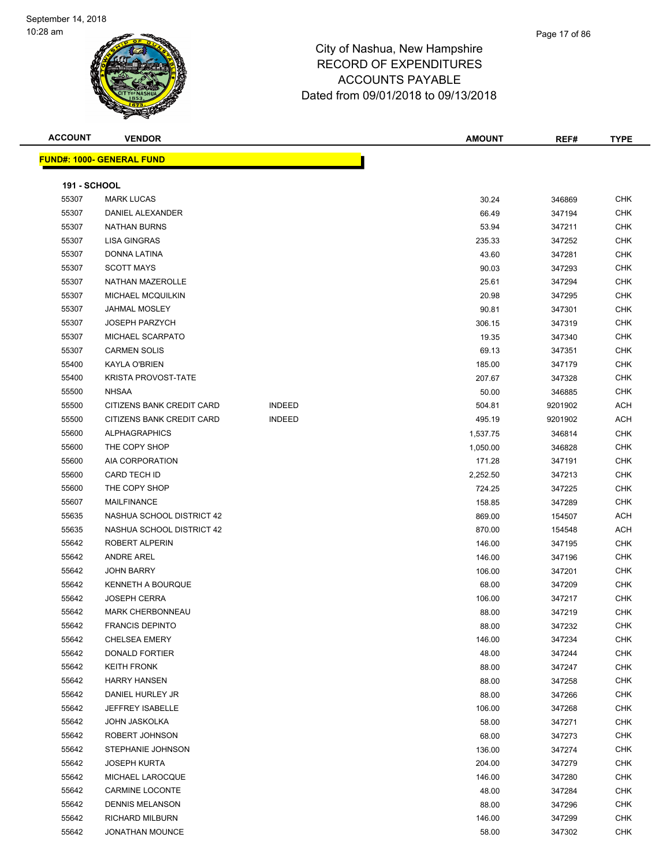**ACCOUNT VENDOR AMOUNT REF# TYPE FUND#: 1000- GENERAL FUND 191 - SCHOOL** MARK LUCAS 30.24 346869 CHK DANIEL ALEXANDER 66.49 347194 CHK NATHAN BURNS 53.94 347211 CHK LISA GINGRAS 235.33 347252 CHK DONNA LATINA 43.60 347281 CHK SCOTT MAYS 90.03 347293 CHK NATHAN MAZEROLLE 25.61 347294 CHK MICHAEL MCQUILKIN 20.98 347295 CHK JAHMAL MOSLEY 90.81 347301 CHK JOSEPH PARZYCH 306.15 347319 CHK MICHAEL SCARPATO 19.35 347340 CHK CARMEN SOLIS 69.13 347351 CHK KAYLA O'BRIEN 185.00 347179 CHK KRISTA PROVOST-TATE 207.67 347328 CHK NHSAA 50.00 346885 CHK 55500 CITIZENS BANK CREDIT CARD INDEED 504.81 9201902 ACH 55500 CITIZENS BANK CREDIT CARD INDEED 495.19 9201902 ACH ALPHAGRAPHICS 1,537.75 346814 CHK THE COPY SHOP 1,050.00 346828 CHK AIA CORPORATION 171.28 347191 CHK CARD TECH ID 2,252.50 347213 CHK 55600 THE COPY SHOP 724.25 347225 CHK MAILFINANCE 158.85 347289 CHK 55635 NASHUA SCHOOL DISTRICT 42 2000 154507 ACH 55635 NASHUA SCHOOL DISTRICT 42 870.00 154548 ACH ROBERT ALPERIN 146.00 347195 CHK ANDRE AREL 146.00 347196 CHK JOHN BARRY 106.00 347201 CHK KENNETH A BOURQUE 68.00 347209 CHK JOSEPH CERRA 106.00 347217 CHK MARK CHERBONNEAU 88.00 347219 CHK FRANCIS DEPINTO 88.00 347232 CHK CHELSEA EMERY 146.00 347234 CHK DONALD FORTIER 48.00 347244 CHK KEITH FRONK 88.00 347247 CHK HARRY HANSEN 88.00 347258 CHK DANIEL HURLEY JR 88.00 347266 CHK JEFFREY ISABELLE 106.00 347268 CHK JOHN JASKOLKA 58.00 347271 CHK ROBERT JOHNSON 68.00 347273 CHK STEPHANIE JOHNSON 136.00 347274 CHK JOSEPH KURTA 204.00 347279 CHK MICHAEL LAROCQUE 146.00 347280 CHK CARMINE LOCONTE 48.00 347284 CHK DENNIS MELANSON 88.00 347296 CHK RICHARD MILBURN 146.00 347299 CHK JONATHAN MOUNCE 58.00 347302 CHK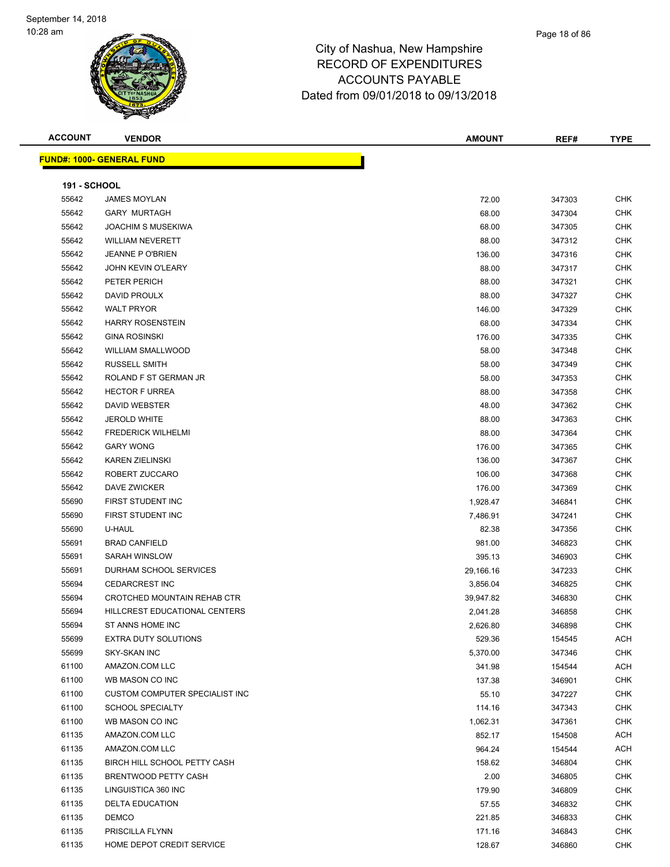| <b>ACCOUNT</b>      | <b>VENDOR</b>                    | <b>AMOUNT</b> | REF#   | <b>TYPE</b> |
|---------------------|----------------------------------|---------------|--------|-------------|
|                     | <b>FUND#: 1000- GENERAL FUND</b> |               |        |             |
|                     |                                  |               |        |             |
| <b>191 - SCHOOL</b> |                                  |               |        |             |
| 55642               | <b>JAMES MOYLAN</b>              | 72.00         | 347303 | <b>CHK</b>  |
| 55642               | <b>GARY MURTAGH</b>              | 68.00         | 347304 | <b>CHK</b>  |
| 55642               | <b>JOACHIM S MUSEKIWA</b>        | 68.00         | 347305 | <b>CHK</b>  |
| 55642               | <b>WILLIAM NEVERETT</b>          | 88.00         | 347312 | <b>CHK</b>  |
| 55642               | <b>JEANNE P O'BRIEN</b>          | 136.00        | 347316 | <b>CHK</b>  |
| 55642               | <b>JOHN KEVIN O'LEARY</b>        | 88.00         | 347317 | <b>CHK</b>  |
| 55642               | PETER PERICH                     | 88.00         | 347321 | CHK         |
| 55642               | DAVID PROULX                     | 88.00         | 347327 | <b>CHK</b>  |
| 55642               | <b>WALT PRYOR</b>                | 146.00        | 347329 | <b>CHK</b>  |
| 55642               | <b>HARRY ROSENSTEIN</b>          | 68.00         | 347334 | <b>CHK</b>  |
| 55642               | <b>GINA ROSINSKI</b>             | 176.00        | 347335 | <b>CHK</b>  |
| 55642               | <b>WILLIAM SMALLWOOD</b>         | 58.00         | 347348 | <b>CHK</b>  |
| 55642               | <b>RUSSELL SMITH</b>             | 58.00         | 347349 | <b>CHK</b>  |
| 55642               | ROLAND F ST GERMAN JR            | 58.00         | 347353 | <b>CHK</b>  |
| 55642               | <b>HECTOR F URREA</b>            | 88.00         | 347358 | <b>CHK</b>  |
| 55642               | <b>DAVID WEBSTER</b>             | 48.00         | 347362 | CHK         |
| 55642               | <b>JEROLD WHITE</b>              | 88.00         | 347363 | <b>CHK</b>  |
| 55642               | <b>FREDERICK WILHELMI</b>        | 88.00         | 347364 | <b>CHK</b>  |
| 55642               | <b>GARY WONG</b>                 | 176.00        | 347365 | <b>CHK</b>  |
| 55642               | <b>KAREN ZIELINSKI</b>           | 136.00        | 347367 | <b>CHK</b>  |
| 55642               | ROBERT ZUCCARO                   | 106.00        | 347368 | <b>CHK</b>  |
| 55642               | DAVE ZWICKER                     | 176.00        | 347369 | <b>CHK</b>  |
| 55690               | FIRST STUDENT INC                | 1,928.47      | 346841 | <b>CHK</b>  |
| 55690               | FIRST STUDENT INC                | 7,486.91      | 347241 | <b>CHK</b>  |
| 55690               | U-HAUL                           | 82.38         | 347356 | <b>CHK</b>  |
| 55691               | <b>BRAD CANFIELD</b>             | 981.00        | 346823 | <b>CHK</b>  |
| 55691               | <b>SARAH WINSLOW</b>             | 395.13        | 346903 | <b>CHK</b>  |
| 55691               | DURHAM SCHOOL SERVICES           | 29,166.16     | 347233 | <b>CHK</b>  |
| 55694               | <b>CEDARCREST INC</b>            | 3,856.04      | 346825 | <b>CHK</b>  |
| 55694               | CROTCHED MOUNTAIN REHAB CTR      | 39,947.82     | 346830 | <b>CHK</b>  |
| 55694               | HILLCREST EDUCATIONAL CENTERS    | 2,041.28      | 346858 | <b>CHK</b>  |
| 55694               | ST ANNS HOME INC                 | 2,626.80      | 346898 | CHK         |
| 55699               | <b>EXTRA DUTY SOLUTIONS</b>      | 529.36        | 154545 | ACH         |
| 55699               | <b>SKY-SKAN INC</b>              | 5,370.00      | 347346 | <b>CHK</b>  |
| 61100               | AMAZON.COM LLC                   | 341.98        | 154544 | ACH         |
| 61100               | WB MASON CO INC                  | 137.38        | 346901 | <b>CHK</b>  |
| 61100               | CUSTOM COMPUTER SPECIALIST INC   | 55.10         | 347227 | <b>CHK</b>  |
| 61100               | <b>SCHOOL SPECIALTY</b>          | 114.16        | 347343 | <b>CHK</b>  |
| 61100               | WB MASON CO INC                  | 1,062.31      | 347361 | <b>CHK</b>  |
| 61135               | AMAZON.COM LLC                   | 852.17        | 154508 | ACH         |
| 61135               | AMAZON.COM LLC                   | 964.24        | 154544 | ACH         |
| 61135               | BIRCH HILL SCHOOL PETTY CASH     | 158.62        | 346804 | <b>CHK</b>  |
| 61135               | BRENTWOOD PETTY CASH             | 2.00          | 346805 | <b>CHK</b>  |
| 61135               | LINGUISTICA 360 INC              | 179.90        | 346809 | <b>CHK</b>  |
| 61135               | <b>DELTA EDUCATION</b>           | 57.55         | 346832 | CHK         |
| 61135               | <b>DEMCO</b>                     | 221.85        | 346833 | <b>CHK</b>  |
| 61135               | PRISCILLA FLYNN                  | 171.16        | 346843 | <b>CHK</b>  |
| 61135               | HOME DEPOT CREDIT SERVICE        | 128.67        | 346860 | <b>CHK</b>  |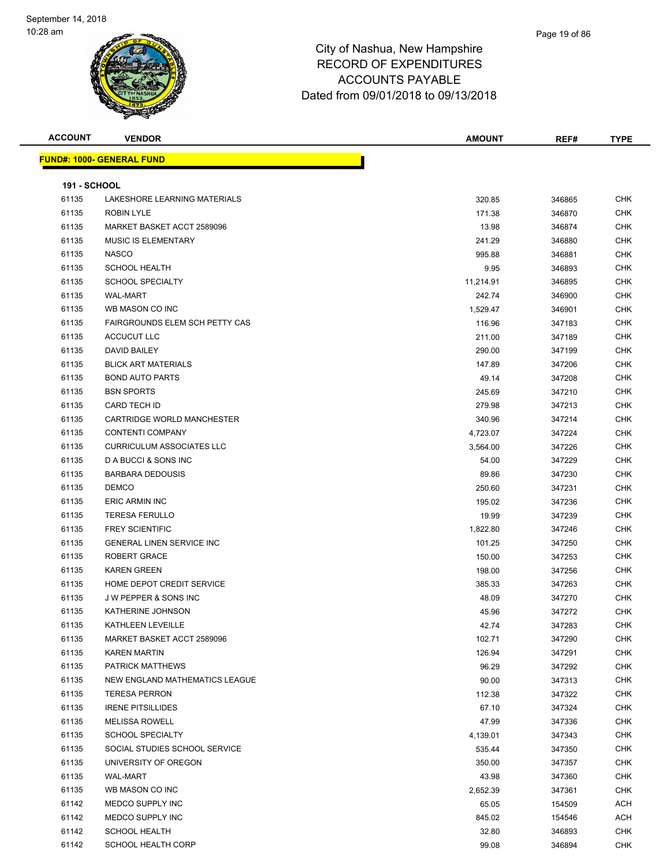

| <b>ACCOUNT</b>      | <b>VENDOR</b>                    | <b>AMOUNT</b> | REF#   | <b>TYPE</b> |
|---------------------|----------------------------------|---------------|--------|-------------|
|                     | <b>FUND#: 1000- GENERAL FUND</b> |               |        |             |
|                     |                                  |               |        |             |
| <b>191 - SCHOOL</b> |                                  |               |        |             |
| 61135               | LAKESHORE LEARNING MATERIALS     | 320.85        | 346865 | <b>CHK</b>  |
| 61135               | ROBIN LYLE                       | 171.38        | 346870 | <b>CHK</b>  |
| 61135               | MARKET BASKET ACCT 2589096       | 13.98         | 346874 | <b>CHK</b>  |
| 61135               | <b>MUSIC IS ELEMENTARY</b>       | 241.29        | 346880 | <b>CHK</b>  |
| 61135               | <b>NASCO</b>                     | 995.88        | 346881 | <b>CHK</b>  |
| 61135               | <b>SCHOOL HEALTH</b>             | 9.95          | 346893 | <b>CHK</b>  |
| 61135               | <b>SCHOOL SPECIALTY</b>          | 11,214.91     | 346895 | CHK         |
| 61135               | <b>WAL-MART</b>                  | 242.74        | 346900 | CHK         |
| 61135               | WB MASON CO INC                  | 1,529.47      | 346901 | <b>CHK</b>  |
| 61135               | FAIRGROUNDS ELEM SCH PETTY CAS   | 116.96        | 347183 | CHK         |
| 61135               | ACCUCUT LLC                      | 211.00        | 347189 | <b>CHK</b>  |
| 61135               | DAVID BAILEY                     | 290.00        | 347199 | <b>CHK</b>  |
| 61135               | <b>BLICK ART MATERIALS</b>       | 147.89        | 347206 | CHK         |
| 61135               | <b>BOND AUTO PARTS</b>           | 49.14         | 347208 | <b>CHK</b>  |
| 61135               | <b>BSN SPORTS</b>                | 245.69        | 347210 | CHK         |
| 61135               | <b>CARD TECH ID</b>              | 279.98        | 347213 | CHK         |
| 61135               | CARTRIDGE WORLD MANCHESTER       | 340.96        | 347214 | CHK         |
| 61135               | <b>CONTENTI COMPANY</b>          | 4,723.07      | 347224 | CHK         |
| 61135               | <b>CURRICULUM ASSOCIATES LLC</b> | 3,564.00      | 347226 | CHK         |
| 61135               | D A BUCCI & SONS INC             | 54.00         | 347229 | <b>CHK</b>  |
| 61135               | <b>BARBARA DEDOUSIS</b>          | 89.86         | 347230 | CHK         |
| 61135               | <b>DEMCO</b>                     | 250.60        | 347231 | <b>CHK</b>  |
| 61135               | ERIC ARMIN INC                   | 195.02        | 347236 | <b>CHK</b>  |
| 61135               | <b>TERESA FERULLO</b>            | 19.99         | 347239 | <b>CHK</b>  |
| 61135               | <b>FREY SCIENTIFIC</b>           | 1,822.80      | 347246 | <b>CHK</b>  |
| 61135               | <b>GENERAL LINEN SERVICE INC</b> | 101.25        | 347250 | CHK         |
| 61135               | <b>ROBERT GRACE</b>              | 150.00        | 347253 | CHK         |
| 61135               | <b>KAREN GREEN</b>               | 198.00        | 347256 | CHK         |
| 61135               | HOME DEPOT CREDIT SERVICE        | 385.33        | 347263 | CHK         |
| 61135               | <b>JW PEPPER &amp; SONS INC</b>  | 48.09         | 347270 | CHK         |
| 61135               | KATHERINE JOHNSON                | 45.96         | 347272 | <b>CHK</b>  |
| 61135               | KATHLEEN LEVEILLE                | 42.74         | 347283 | CHK         |
| 61135               | MARKET BASKET ACCT 2589096       | 102.71        | 347290 | <b>CHK</b>  |
| 61135               | <b>KAREN MARTIN</b>              | 126.94        | 347291 | <b>CHK</b>  |
| 61135               | <b>PATRICK MATTHEWS</b>          | 96.29         | 347292 | <b>CHK</b>  |
| 61135               | NEW ENGLAND MATHEMATICS LEAGUE   | 90.00         | 347313 | <b>CHK</b>  |
| 61135               | <b>TERESA PERRON</b>             | 112.38        | 347322 | <b>CHK</b>  |
| 61135               | <b>IRENE PITSILLIDES</b>         | 67.10         | 347324 | <b>CHK</b>  |
| 61135               | <b>MELISSA ROWELL</b>            | 47.99         | 347336 | <b>CHK</b>  |
| 61135               | <b>SCHOOL SPECIALTY</b>          | 4,139.01      | 347343 | CHK         |
| 61135               | SOCIAL STUDIES SCHOOL SERVICE    | 535.44        | 347350 | CHK         |
| 61135               | UNIVERSITY OF OREGON             | 350.00        | 347357 | <b>CHK</b>  |
| 61135               | <b>WAL-MART</b>                  | 43.98         | 347360 | <b>CHK</b>  |
| 61135               | WB MASON CO INC                  | 2,652.39      | 347361 | <b>CHK</b>  |
| 61142               | MEDCO SUPPLY INC                 | 65.05         | 154509 | ACH         |
| 61142               | MEDCO SUPPLY INC                 | 845.02        | 154546 | ACH         |
| 61142               | <b>SCHOOL HEALTH</b>             | 32.80         | 346893 | <b>CHK</b>  |
| 61142               | SCHOOL HEALTH CORP               | 99.08         | 346894 | <b>CHK</b>  |
|                     |                                  |               |        |             |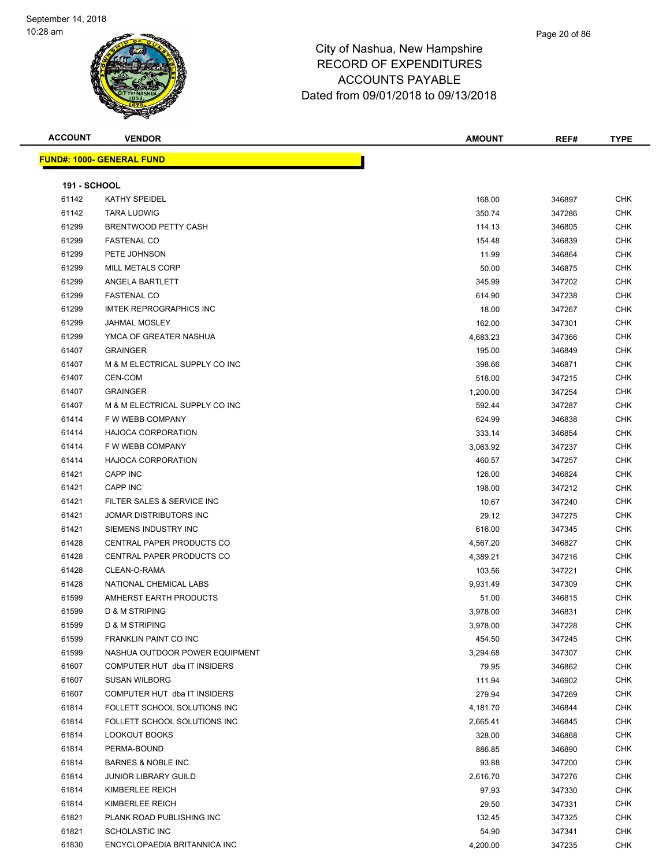#### Page 20 of 86

| <b>ACCOUNT</b><br><b>AMOUNT</b><br><b>VENDOR</b><br>REF#<br>TVDE<br>$ -$ |
|--------------------------------------------------------------------------|
|--------------------------------------------------------------------------|

| <b>CHK</b>               |
|--------------------------|
| CHK                      |
| <b>CHK</b>               |
| <b>CHK</b>               |
| CHK                      |
| CHK                      |
| CHK                      |
| CHK                      |
| <b>CHK</b>               |
| <b>CHK</b>               |
| <b>CHK</b>               |
| CHK                      |
| CHK                      |
| CHK                      |
| CHK                      |
| CHK                      |
| CHK                      |
| CHK                      |
| CHK                      |
| <b>CHK</b>               |
| <b>CHK</b>               |
| <b>CHK</b>               |
| CHK                      |
| CHK                      |
| CHK                      |
| CHK                      |
| CHK                      |
| CHK                      |
| CHK                      |
| CHK                      |
| CHK                      |
| <b>CHK</b>               |
| CHK                      |
| <b>CHK</b>               |
| <b>CHK</b>               |
| <b>CHK</b>               |
| <b>CHK</b>               |
| <b>CHK</b>               |
| <b>CHK</b>               |
| <b>CHK</b>               |
| CHK                      |
| <b>CHK</b>               |
| <b>CHK</b>               |
| <b>CHK</b>               |
| <b>CHK</b>               |
|                          |
| <b>CHK</b><br><b>CHK</b> |
| <b>CHK</b>               |
|                          |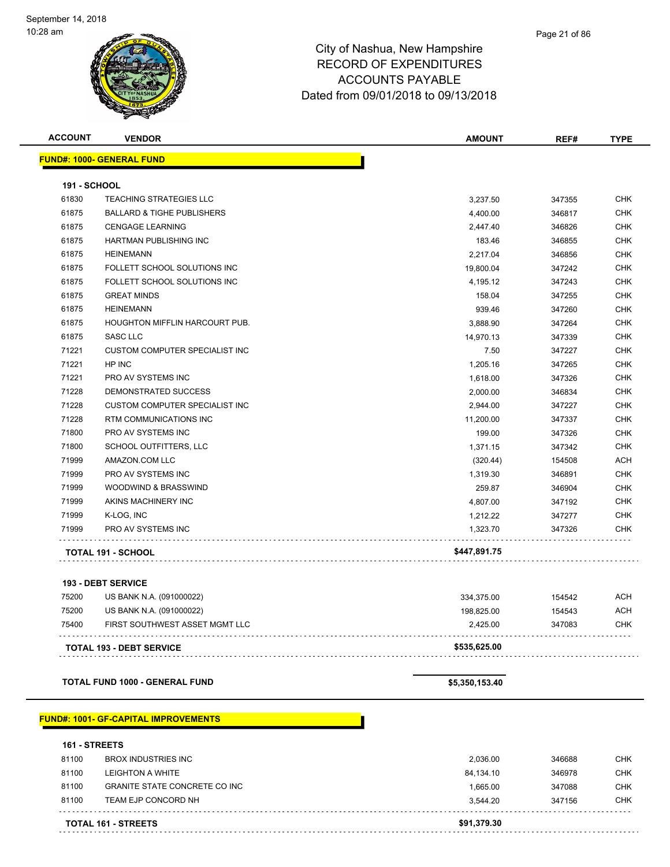# City of Nashua, New Hampshire RECORD OF EXPENDITURES ACCOUNTS PAYABLE

Dated from 09/01/2018 to 09/13/2018

| <b>ACCOUNT</b>      | <b>VENDOR</b>                         | AMOUNT       | REF#   | <b>TYPE</b> |
|---------------------|---------------------------------------|--------------|--------|-------------|
|                     | <b>FUND#: 1000- GENERAL FUND</b>      |              |        |             |
| <b>191 - SCHOOL</b> |                                       |              |        |             |
| 61830               | <b>TEACHING STRATEGIES LLC</b>        | 3,237.50     | 347355 | <b>CHK</b>  |
| 61875               | <b>BALLARD &amp; TIGHE PUBLISHERS</b> | 4,400.00     | 346817 | <b>CHK</b>  |
| 61875               | <b>CENGAGE LEARNING</b>               | 2,447.40     | 346826 | <b>CHK</b>  |
| 61875               | <b>HARTMAN PUBLISHING INC</b>         | 183.46       | 346855 | <b>CHK</b>  |
| 61875               | <b>HEINEMANN</b>                      | 2,217.04     | 346856 | <b>CHK</b>  |
| 61875               | FOLLETT SCHOOL SOLUTIONS INC          | 19,800.04    | 347242 | <b>CHK</b>  |
| 61875               | FOLLETT SCHOOL SOLUTIONS INC          | 4,195.12     | 347243 | <b>CHK</b>  |
| 61875               | <b>GREAT MINDS</b>                    | 158.04       | 347255 | <b>CHK</b>  |
| 61875               | <b>HEINEMANN</b>                      | 939.46       | 347260 | <b>CHK</b>  |
| 61875               | HOUGHTON MIFFLIN HARCOURT PUB.        | 3,888.90     | 347264 | <b>CHK</b>  |
| 61875               | <b>SASC LLC</b>                       | 14,970.13    | 347339 | <b>CHK</b>  |
| 71221               | <b>CUSTOM COMPUTER SPECIALIST INC</b> | 7.50         | 347227 | <b>CHK</b>  |
| 71221               | HP INC                                | 1,205.16     | 347265 | <b>CHK</b>  |
| 71221               | PRO AV SYSTEMS INC                    | 1,618.00     | 347326 | <b>CHK</b>  |
| 71228               | DEMONSTRATED SUCCESS                  | 2,000.00     | 346834 | <b>CHK</b>  |
| 71228               | <b>CUSTOM COMPUTER SPECIALIST INC</b> | 2,944.00     | 347227 | <b>CHK</b>  |
| 71228               | RTM COMMUNICATIONS INC                | 11,200.00    | 347337 | <b>CHK</b>  |
| 71800               | PRO AV SYSTEMS INC                    | 199.00       | 347326 | <b>CHK</b>  |
| 71800               | SCHOOL OUTFITTERS, LLC                | 1,371.15     | 347342 | <b>CHK</b>  |
| 71999               | AMAZON.COM LLC                        | (320.44)     | 154508 | <b>ACH</b>  |
| 71999               | PRO AV SYSTEMS INC                    | 1,319.30     | 346891 | <b>CHK</b>  |
| 71999               | WOODWIND & BRASSWIND                  | 259.87       | 346904 | <b>CHK</b>  |
| 71999               | AKINS MACHINERY INC                   | 4,807.00     | 347192 | <b>CHK</b>  |
| 71999               | K-LOG, INC                            | 1,212.22     | 347277 | <b>CHK</b>  |
| 71999               | PRO AV SYSTEMS INC                    | 1,323.70     | 347326 | <b>CHK</b>  |
|                     | <b>TOTAL 191 - SCHOOL</b>             | \$447,891.75 |        |             |
|                     | <b>193 - DEBT SERVICE</b>             |              |        |             |
| 75200               | US BANK N.A. (091000022)              | 334,375.00   | 154542 | <b>ACH</b>  |
| 75200               | US BANK N.A. (091000022)              | 198,825.00   | 154543 | <b>ACH</b>  |
| 75400               | FIRST SOUTHWEST ASSET MGMT LLC        | 2,425.00     | 347083 | <b>CHK</b>  |

**TOTAL FUND 1000 - GENERAL FUND \$5,350,153.40** 

#### **FUND#: 1001- GF-CAPITAL IMPROVEMENTS**

**161 - STREETS** 81100 BROX INDUSTRIES INC 2,036.00 346688 CHK 81100 LEIGHTON A WHITE **1200 CHK** 84,134.10 346978 CHK 81100 GRANITE STATE CONCRETE CO INC 1,665.00 347088 CHK 81100 TEAM EJP CONCORD NH 3,544.20 347156 CHK . . . . . . . . . . . . . . . . . . . . . . . . . . . . . . . . . **TOTAL 161 - STREETS \$91,379.30**

**TOTAL 193 - DEBT SERVICE \$535,625.00**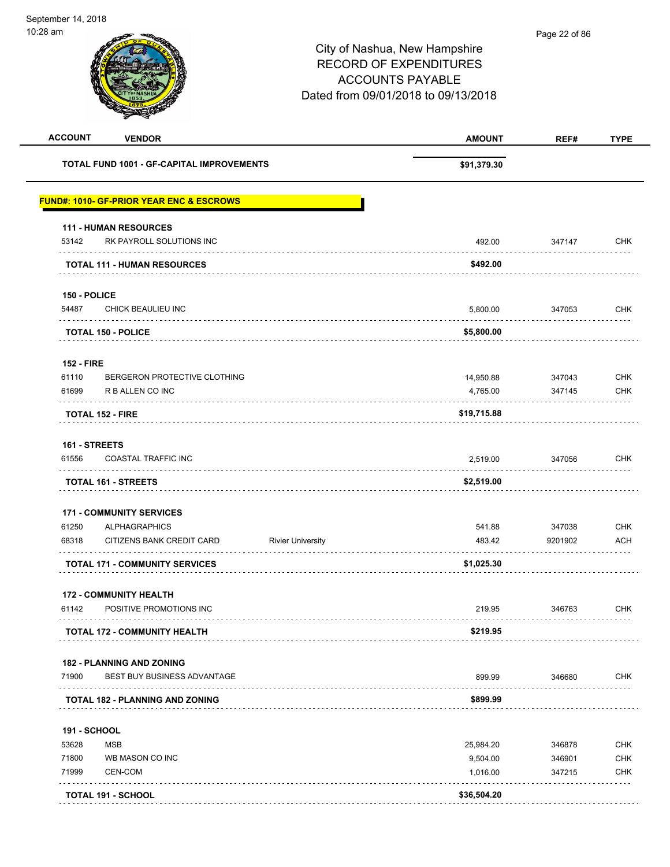| TOTAL FUND 1001 - GF-CAPITAL IMPROVEMENTS<br><b>FUND#: 1010- GF-PRIOR YEAR ENC &amp; ESCROWS</b><br><b>111 - HUMAN RESOURCES</b><br>RK PAYROLL SOLUTIONS INC<br>53142<br><b>TOTAL 111 - HUMAN RESOURCES</b><br>150 - POLICE<br>54487<br>CHICK BEAULIEU INC<br><b>TOTAL 150 - POLICE</b><br><b>152 - FIRE</b><br>BERGERON PROTECTIVE CLOTHING<br>61110<br>61699<br>R B ALLEN CO INC<br><b>TOTAL 152 - FIRE</b><br>161 - STREETS<br>61556<br>COASTAL TRAFFIC INC<br>TOTAL 161 - STREETS<br><b>171 - COMMUNITY SERVICES</b><br>61250<br><b>ALPHAGRAPHICS</b><br>68318<br>CITIZENS BANK CREDIT CARD<br><b>Rivier University</b> | \$91,379.30<br>492.00<br>\$492.00<br>5,800.00<br>\$5,800.00<br>14,950.88<br>4,765.00<br>\$19,715.88<br>2,519.00<br>\$2,519.00 | 347147<br>347053<br>347043<br>347145<br>347056 | <b>CHK</b><br><b>CHK</b><br><b>CHK</b><br><b>CHK</b><br><b>CHK</b> |
|-----------------------------------------------------------------------------------------------------------------------------------------------------------------------------------------------------------------------------------------------------------------------------------------------------------------------------------------------------------------------------------------------------------------------------------------------------------------------------------------------------------------------------------------------------------------------------------------------------------------------------|-------------------------------------------------------------------------------------------------------------------------------|------------------------------------------------|--------------------------------------------------------------------|
|                                                                                                                                                                                                                                                                                                                                                                                                                                                                                                                                                                                                                             |                                                                                                                               |                                                |                                                                    |
|                                                                                                                                                                                                                                                                                                                                                                                                                                                                                                                                                                                                                             |                                                                                                                               |                                                |                                                                    |
|                                                                                                                                                                                                                                                                                                                                                                                                                                                                                                                                                                                                                             |                                                                                                                               |                                                |                                                                    |
|                                                                                                                                                                                                                                                                                                                                                                                                                                                                                                                                                                                                                             |                                                                                                                               |                                                |                                                                    |
|                                                                                                                                                                                                                                                                                                                                                                                                                                                                                                                                                                                                                             |                                                                                                                               |                                                |                                                                    |
|                                                                                                                                                                                                                                                                                                                                                                                                                                                                                                                                                                                                                             |                                                                                                                               |                                                |                                                                    |
|                                                                                                                                                                                                                                                                                                                                                                                                                                                                                                                                                                                                                             |                                                                                                                               |                                                |                                                                    |
|                                                                                                                                                                                                                                                                                                                                                                                                                                                                                                                                                                                                                             |                                                                                                                               |                                                |                                                                    |
|                                                                                                                                                                                                                                                                                                                                                                                                                                                                                                                                                                                                                             |                                                                                                                               |                                                |                                                                    |
|                                                                                                                                                                                                                                                                                                                                                                                                                                                                                                                                                                                                                             |                                                                                                                               |                                                |                                                                    |
|                                                                                                                                                                                                                                                                                                                                                                                                                                                                                                                                                                                                                             |                                                                                                                               |                                                |                                                                    |
|                                                                                                                                                                                                                                                                                                                                                                                                                                                                                                                                                                                                                             |                                                                                                                               |                                                |                                                                    |
|                                                                                                                                                                                                                                                                                                                                                                                                                                                                                                                                                                                                                             |                                                                                                                               |                                                |                                                                    |
|                                                                                                                                                                                                                                                                                                                                                                                                                                                                                                                                                                                                                             |                                                                                                                               |                                                |                                                                    |
|                                                                                                                                                                                                                                                                                                                                                                                                                                                                                                                                                                                                                             |                                                                                                                               |                                                |                                                                    |
|                                                                                                                                                                                                                                                                                                                                                                                                                                                                                                                                                                                                                             |                                                                                                                               |                                                |                                                                    |
|                                                                                                                                                                                                                                                                                                                                                                                                                                                                                                                                                                                                                             | 541.88                                                                                                                        | 347038                                         | <b>CHK</b>                                                         |
|                                                                                                                                                                                                                                                                                                                                                                                                                                                                                                                                                                                                                             | 483.42                                                                                                                        | 9201902                                        | <b>ACH</b>                                                         |
| <b>TOTAL 171 - COMMUNITY SERVICES</b>                                                                                                                                                                                                                                                                                                                                                                                                                                                                                                                                                                                       | \$1,025.30                                                                                                                    |                                                |                                                                    |
| <b>172 - COMMUNITY HEALTH</b>                                                                                                                                                                                                                                                                                                                                                                                                                                                                                                                                                                                               |                                                                                                                               |                                                |                                                                    |
| 61142<br>POSITIVE PROMOTIONS INC<br>.                                                                                                                                                                                                                                                                                                                                                                                                                                                                                                                                                                                       | 219.95                                                                                                                        | 346763                                         | <b>CHK</b>                                                         |
| <b>TOTAL 172 - COMMUNITY HEALTH</b>                                                                                                                                                                                                                                                                                                                                                                                                                                                                                                                                                                                         | \$219.95                                                                                                                      |                                                |                                                                    |
| <b>182 - PLANNING AND ZONING</b>                                                                                                                                                                                                                                                                                                                                                                                                                                                                                                                                                                                            |                                                                                                                               |                                                |                                                                    |
| BEST BUY BUSINESS ADVANTAGE<br>71900                                                                                                                                                                                                                                                                                                                                                                                                                                                                                                                                                                                        | 899.99                                                                                                                        | 346680                                         | CHK                                                                |
| <b>TOTAL 182 - PLANNING AND ZONING</b>                                                                                                                                                                                                                                                                                                                                                                                                                                                                                                                                                                                      | \$899.99                                                                                                                      |                                                |                                                                    |
| <b>191 - SCHOOL</b>                                                                                                                                                                                                                                                                                                                                                                                                                                                                                                                                                                                                         |                                                                                                                               |                                                |                                                                    |
| 53628<br><b>MSB</b>                                                                                                                                                                                                                                                                                                                                                                                                                                                                                                                                                                                                         | 25,984.20                                                                                                                     | 346878                                         | <b>CHK</b>                                                         |
| 71800<br>WB MASON CO INC                                                                                                                                                                                                                                                                                                                                                                                                                                                                                                                                                                                                    | 9,504.00                                                                                                                      | 346901                                         | <b>CHK</b>                                                         |
| 71999<br>CEN-COM                                                                                                                                                                                                                                                                                                                                                                                                                                                                                                                                                                                                            | 1,016.00                                                                                                                      | 347215                                         | CHK                                                                |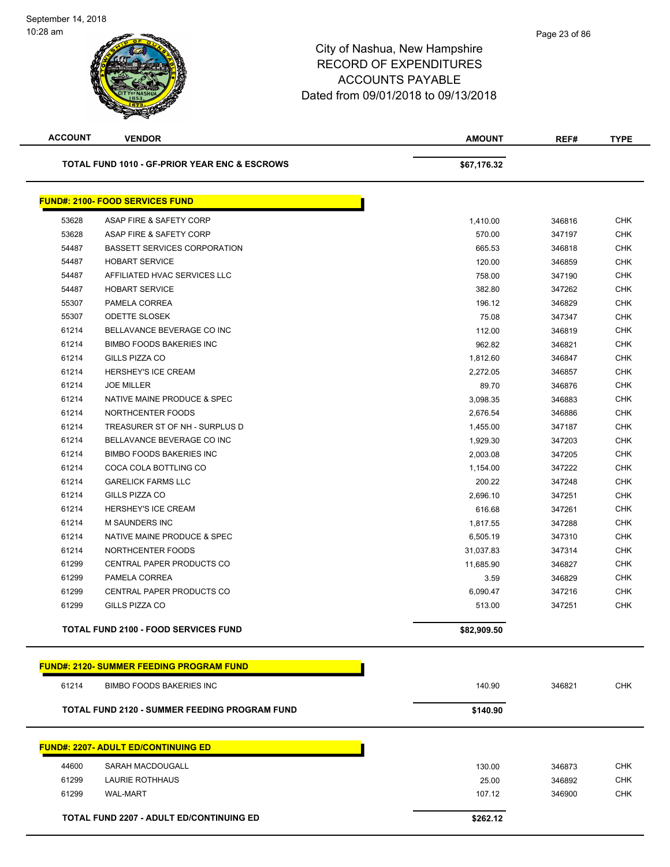| <b>ACCOUNT</b> | <b>VENDOR</b>                                            | <b>AMOUNT</b> | REF#   | <b>TYPE</b> |
|----------------|----------------------------------------------------------|---------------|--------|-------------|
|                | <b>TOTAL FUND 1010 - GF-PRIOR YEAR ENC &amp; ESCROWS</b> | \$67,176.32   |        |             |
|                | <b>FUND#: 2100- FOOD SERVICES FUND</b>                   |               |        |             |
| 53628          | ASAP FIRE & SAFETY CORP                                  | 1,410.00      | 346816 | <b>CHK</b>  |
| 53628          | ASAP FIRE & SAFETY CORP                                  | 570.00        | 347197 | <b>CHK</b>  |
| 54487          | <b>BASSETT SERVICES CORPORATION</b>                      | 665.53        | 346818 | <b>CHK</b>  |
| 54487          | <b>HOBART SERVICE</b>                                    | 120.00        | 346859 | <b>CHK</b>  |
| 54487          | AFFILIATED HVAC SERVICES LLC                             | 758.00        | 347190 | <b>CHK</b>  |
| 54487          | <b>HOBART SERVICE</b>                                    | 382.80        | 347262 | <b>CHK</b>  |
| 55307          | PAMELA CORREA                                            | 196.12        | 346829 | <b>CHK</b>  |
| 55307          | <b>ODETTE SLOSEK</b>                                     | 75.08         | 347347 | <b>CHK</b>  |
| 61214          | BELLAVANCE BEVERAGE CO INC                               | 112.00        | 346819 | <b>CHK</b>  |
| 61214          | <b>BIMBO FOODS BAKERIES INC</b>                          | 962.82        | 346821 | <b>CHK</b>  |
| 61214          | GILLS PIZZA CO                                           | 1,812.60      | 346847 | <b>CHK</b>  |
| 61214          | HERSHEY'S ICE CREAM                                      | 2,272.05      | 346857 | <b>CHK</b>  |
| 61214          | <b>JOE MILLER</b>                                        | 89.70         | 346876 | <b>CHK</b>  |
| 61214          | NATIVE MAINE PRODUCE & SPEC                              | 3,098.35      | 346883 | <b>CHK</b>  |
| 61214          | NORTHCENTER FOODS                                        | 2,676.54      | 346886 | <b>CHK</b>  |
| 61214          | TREASURER ST OF NH - SURPLUS D                           | 1,455.00      | 347187 | <b>CHK</b>  |
| 61214          | BELLAVANCE BEVERAGE CO INC                               | 1,929.30      | 347203 | <b>CHK</b>  |
| 61214          | <b>BIMBO FOODS BAKERIES INC</b>                          | 2,003.08      | 347205 | <b>CHK</b>  |
| 61214          | COCA COLA BOTTLING CO                                    | 1,154.00      | 347222 | <b>CHK</b>  |
| 61214          | <b>GARELICK FARMS LLC</b>                                | 200.22        | 347248 | <b>CHK</b>  |
| 61214          | GILLS PIZZA CO                                           | 2,696.10      | 347251 | <b>CHK</b>  |
| 61214          | HERSHEY'S ICE CREAM                                      | 616.68        | 347261 | <b>CHK</b>  |
| 61214          | M SAUNDERS INC                                           | 1,817.55      | 347288 | <b>CHK</b>  |
| 61214          | NATIVE MAINE PRODUCE & SPEC                              | 6,505.19      | 347310 | <b>CHK</b>  |
| 61214          | NORTHCENTER FOODS                                        | 31,037.83     | 347314 | CHK         |
| 61299          | CENTRAL PAPER PRODUCTS CO                                | 11,685.90     | 346827 | <b>CHK</b>  |
| 61299          | PAMELA CORREA                                            | 3.59          | 346829 | <b>CHK</b>  |
| 61299          | CENTRAL PAPER PRODUCTS CO                                | 6,090.47      | 347216 | <b>CHK</b>  |
| 61299          | GILLS PIZZA CO                                           | 513.00        | 347251 | <b>CHK</b>  |
|                | <b>TOTAL FUND 2100 - FOOD SERVICES FUND</b>              | \$82,909.50   |        |             |
|                | <b>FUND#: 2120- SUMMER FEEDING PROGRAM FUND</b>          |               |        |             |
| 61214          | BIMBO FOODS BAKERIES INC                                 | 140.90        | 346821 | <b>CHK</b>  |
|                | TOTAL FUND 2120 - SUMMER FEEDING PROGRAM FUND            | \$140.90      |        |             |
|                |                                                          |               |        |             |
|                | <b>FUND#: 2207- ADULT ED/CONTINUING ED</b>               |               |        |             |
| 44600          | SARAH MACDOUGALL                                         | 130.00        | 346873 | <b>CHK</b>  |
| 61299          | LAURIE ROTHHAUS                                          | 25.00         | 346892 | <b>CHK</b>  |
| 61299          | <b>WAL-MART</b>                                          | 107.12        | 346900 | <b>CHK</b>  |
|                | <b>TOTAL FUND 2207 - ADULT ED/CONTINUING ED</b>          | \$262.12      |        |             |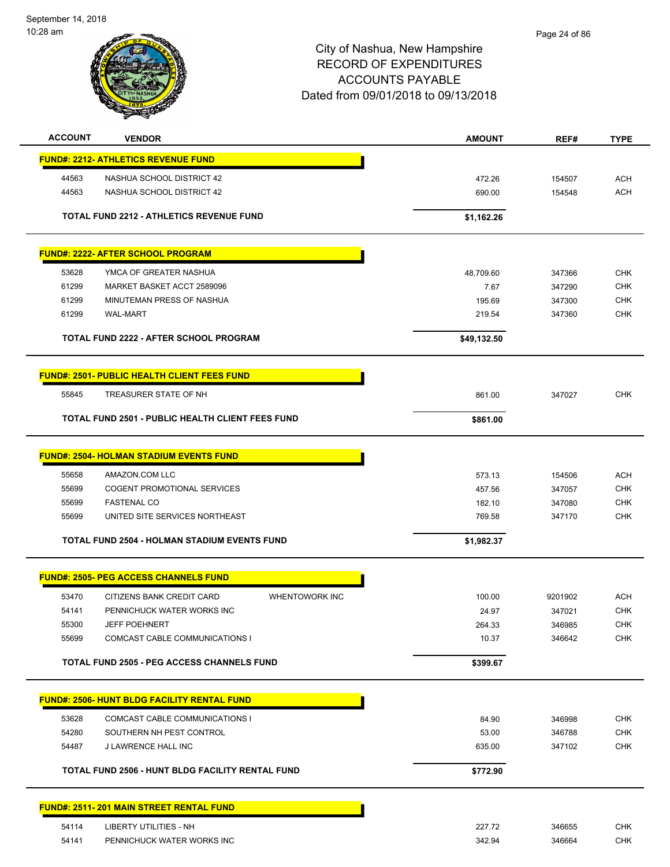September 14, 2018 10:28 am



| <b>ACCOUNT</b> | <b>VENDOR</b>                                           |                       | <b>AMOUNT</b>  | REF#             | <b>TYPE</b>              |
|----------------|---------------------------------------------------------|-----------------------|----------------|------------------|--------------------------|
|                | <b>FUND#: 2212- ATHLETICS REVENUE FUND</b>              |                       |                |                  |                          |
| 44563          | NASHUA SCHOOL DISTRICT 42                               |                       | 472.26         | 154507           | <b>ACH</b>               |
| 44563          | NASHUA SCHOOL DISTRICT 42                               |                       | 690.00         | 154548           | <b>ACH</b>               |
|                | <b>TOTAL FUND 2212 - ATHLETICS REVENUE FUND</b>         |                       | \$1,162.26     |                  |                          |
|                | <b>FUND#: 2222- AFTER SCHOOL PROGRAM</b>                |                       |                |                  |                          |
|                |                                                         |                       |                |                  |                          |
| 53628<br>61299 | YMCA OF GREATER NASHUA<br>MARKET BASKET ACCT 2589096    |                       | 48,709.60      | 347366           | <b>CHK</b><br><b>CHK</b> |
| 61299          | MINUTEMAN PRESS OF NASHUA                               |                       | 7.67<br>195.69 | 347290<br>347300 | <b>CHK</b>               |
| 61299          | <b>WAL-MART</b>                                         |                       | 219.54         | 347360           | <b>CHK</b>               |
|                |                                                         |                       |                |                  |                          |
|                | <b>TOTAL FUND 2222 - AFTER SCHOOL PROGRAM</b>           |                       | \$49,132.50    |                  |                          |
|                | <b>FUND#: 2501- PUBLIC HEALTH CLIENT FEES FUND</b>      |                       |                |                  |                          |
| 55845          | TREASURER STATE OF NH                                   |                       | 861.00         | 347027           | <b>CHK</b>               |
|                | <b>TOTAL FUND 2501 - PUBLIC HEALTH CLIENT FEES FUND</b> |                       | \$861.00       |                  |                          |
|                | <b>FUND#: 2504- HOLMAN STADIUM EVENTS FUND</b>          |                       |                |                  |                          |
| 55658          | AMAZON.COM LLC                                          |                       | 573.13         | 154506           | <b>ACH</b>               |
| 55699          | <b>COGENT PROMOTIONAL SERVICES</b>                      |                       | 457.56         | 347057           | <b>CHK</b>               |
| 55699          | <b>FASTENAL CO</b>                                      |                       | 182.10         | 347080           | <b>CHK</b>               |
| 55699          | UNITED SITE SERVICES NORTHEAST                          |                       | 769.58         | 347170           | <b>CHK</b>               |
|                | TOTAL FUND 2504 - HOLMAN STADIUM EVENTS FUND            |                       | \$1,982.37     |                  |                          |
|                |                                                         |                       |                |                  |                          |
|                | <b>FUND#: 2505- PEG ACCESS CHANNELS FUND</b>            |                       |                |                  |                          |
| 53470          | CITIZENS BANK CREDIT CARD                               | <b>WHENTOWORK INC</b> | 100.00         | 9201902          | <b>ACH</b>               |
| 54141          | PENNICHUCK WATER WORKS INC                              |                       | 24.97          | 347021           | <b>CHK</b>               |
| 55300          | <b>JEFF POEHNERT</b>                                    |                       | 264.33         | 346985           | <b>CHK</b>               |
| 55699          | COMCAST CABLE COMMUNICATIONS I                          |                       | 10.37          | 346642           | <b>CHK</b>               |
|                | <b>TOTAL FUND 2505 - PEG ACCESS CHANNELS FUND</b>       |                       | \$399.67       |                  |                          |
|                | <b>FUND#: 2506- HUNT BLDG FACILITY RENTAL FUND</b>      |                       |                |                  |                          |
| 53628          | COMCAST CABLE COMMUNICATIONS I                          |                       | 84.90          | 346998           | <b>CHK</b>               |
| 54280          | SOUTHERN NH PEST CONTROL                                |                       | 53.00          | 346788           | <b>CHK</b>               |
| 54487          | J LAWRENCE HALL INC                                     |                       | 635.00         | 347102           | <b>CHK</b>               |
|                | TOTAL FUND 2506 - HUNT BLDG FACILITY RENTAL FUND        |                       | \$772.90       |                  |                          |
|                |                                                         |                       |                |                  |                          |
|                | <b>FUND#: 2511-201 MAIN STREET RENTAL FUND</b>          |                       |                |                  |                          |
| 54114          | LIBERTY UTILITIES - NH                                  |                       | 227.72         | 346655           | <b>CHK</b>               |
| 54141          | PENNICHUCK WATER WORKS INC                              |                       | 342.94         | 346664           | CHK                      |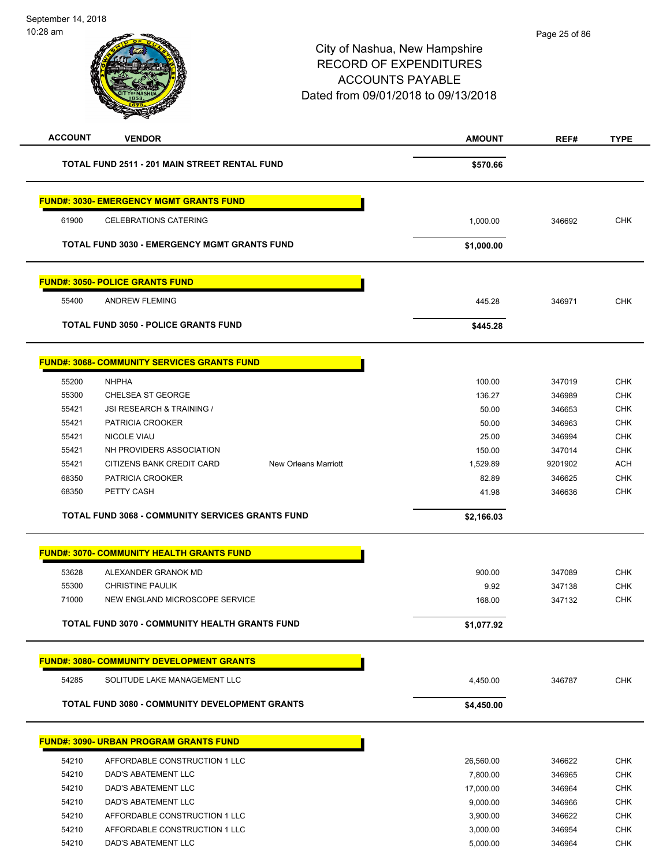| <b>ACCOUNT</b> | <b>VENDOR</b>                                            | <b>AMOUNT</b> | REF#    | <b>TYPE</b> |
|----------------|----------------------------------------------------------|---------------|---------|-------------|
|                | TOTAL FUND 2511 - 201 MAIN STREET RENTAL FUND            | \$570.66      |         |             |
|                | <b>FUND#: 3030- EMERGENCY MGMT GRANTS FUND</b>           |               |         |             |
| 61900          | <b>CELEBRATIONS CATERING</b>                             | 1,000.00      | 346692  | <b>CHK</b>  |
|                | <b>TOTAL FUND 3030 - EMERGENCY MGMT GRANTS FUND</b>      | \$1,000.00    |         |             |
|                | <b>FUND#: 3050- POLICE GRANTS FUND</b>                   |               |         |             |
| 55400          | <b>ANDREW FLEMING</b>                                    | 445.28        | 346971  | <b>CHK</b>  |
|                | <b>TOTAL FUND 3050 - POLICE GRANTS FUND</b>              | \$445.28      |         |             |
|                | <b>FUND#: 3068- COMMUNITY SERVICES GRANTS FUND</b>       |               |         |             |
| 55200          | <b>NHPHA</b>                                             | 100.00        | 347019  | <b>CHK</b>  |
| 55300          | CHELSEA ST GEORGE                                        | 136.27        | 346989  | <b>CHK</b>  |
| 55421          | JSI RESEARCH & TRAINING /                                | 50.00         | 346653  | <b>CHK</b>  |
| 55421          | <b>PATRICIA CROOKER</b>                                  | 50.00         | 346963  | <b>CHK</b>  |
| 55421          | <b>NICOLE VIAU</b>                                       | 25.00         | 346994  | <b>CHK</b>  |
| 55421          | NH PROVIDERS ASSOCIATION                                 | 150.00        | 347014  | <b>CHK</b>  |
| 55421          | CITIZENS BANK CREDIT CARD<br><b>New Orleans Marriott</b> | 1,529.89      | 9201902 | <b>ACH</b>  |
| 68350          | PATRICIA CROOKER                                         | 82.89         | 346625  | <b>CHK</b>  |
| 68350          | PETTY CASH                                               | 41.98         | 346636  | <b>CHK</b>  |
|                | <b>TOTAL FUND 3068 - COMMUNITY SERVICES GRANTS FUND</b>  | \$2,166.03    |         |             |
|                | <b>FUND#: 3070- COMMUNITY HEALTH GRANTS FUND</b>         |               |         |             |
| 53628          | ALEXANDER GRANOK MD                                      | 900.00        | 347089  | <b>CHK</b>  |
| 55300          | <b>CHRISTINE PAULIK</b>                                  | 9.92          | 347138  | <b>CHK</b>  |
| 71000          | NEW ENGLAND MICROSCOPE SERVICE                           | 168.00        | 347132  | <b>CHK</b>  |
|                | TOTAL FUND 3070 - COMMUNITY HEALTH GRANTS FUND           | \$1,077.92    |         |             |
|                | <b>FUND#: 3080- COMMUNITY DEVELOPMENT GRANTS</b>         |               |         |             |
| 54285          | SOLITUDE LAKE MANAGEMENT LLC                             | 4,450.00      | 346787  | <b>CHK</b>  |
|                | TOTAL FUND 3080 - COMMUNITY DEVELOPMENT GRANTS           | \$4,450.00    |         |             |
|                | <b>FUND#: 3090- URBAN PROGRAM GRANTS FUND</b>            |               |         |             |
| 54210          | AFFORDABLE CONSTRUCTION 1 LLC                            | 26,560.00     | 346622  | <b>CHK</b>  |
| 54210          | DAD'S ABATEMENT LLC                                      | 7,800.00      | 346965  | <b>CHK</b>  |
| 54210          | DAD'S ABATEMENT LLC                                      | 17,000.00     | 346964  | <b>CHK</b>  |
| 54210          | DAD'S ABATEMENT LLC                                      | 9,000.00      | 346966  | <b>CHK</b>  |
| 54210          | AFFORDABLE CONSTRUCTION 1 LLC                            | 3,900.00      | 346622  | <b>CHK</b>  |
| 54210          | AFFORDABLE CONSTRUCTION 1 LLC                            | 3,000.00      | 346954  | <b>CHK</b>  |
| 54210          | DAD'S ABATEMENT LLC                                      | 5,000.00      | 346964  | <b>CHK</b>  |
|                |                                                          |               |         |             |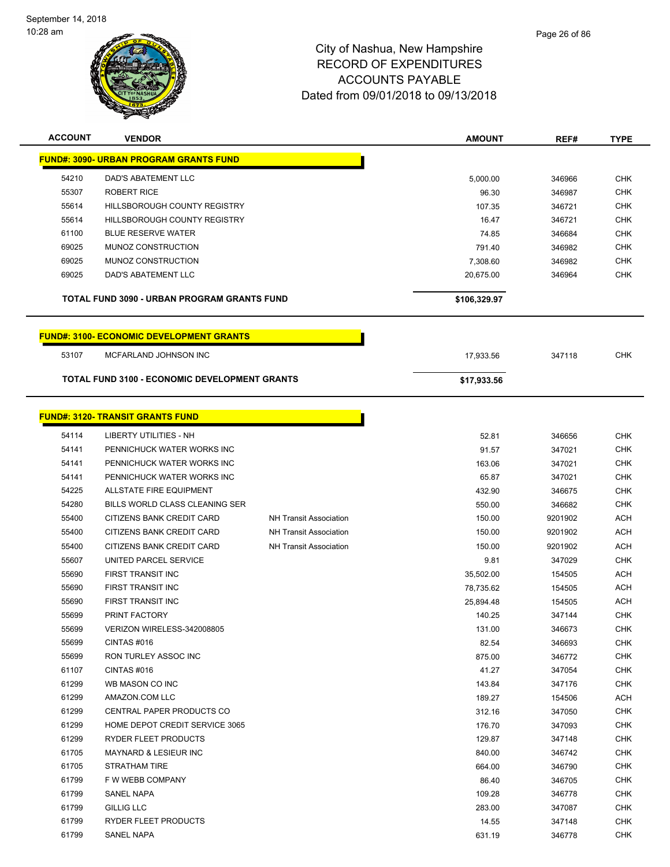

| <b>ACCOUNT</b> | <b>VENDOR</b>                                   |                               | <b>AMOUNT</b> | REF#    | <b>TYPE</b> |
|----------------|-------------------------------------------------|-------------------------------|---------------|---------|-------------|
|                | <u> FUND#: 3090- URBAN PROGRAM GRANTS FUND</u>  |                               |               |         |             |
| 54210          | DAD'S ABATEMENT LLC                             |                               | 5,000.00      | 346966  | <b>CHK</b>  |
| 55307          | <b>ROBERT RICE</b>                              |                               | 96.30         | 346987  | <b>CHK</b>  |
| 55614          | <b>HILLSBOROUGH COUNTY REGISTRY</b>             |                               | 107.35        | 346721  | <b>CHK</b>  |
| 55614          | HILLSBOROUGH COUNTY REGISTRY                    |                               | 16.47         | 346721  | <b>CHK</b>  |
| 61100          | <b>BLUE RESERVE WATER</b>                       |                               | 74.85         | 346684  | <b>CHK</b>  |
| 69025          | MUNOZ CONSTRUCTION                              |                               | 791.40        | 346982  | <b>CHK</b>  |
| 69025          | MUNOZ CONSTRUCTION                              |                               | 7,308.60      | 346982  | <b>CHK</b>  |
| 69025          | DAD'S ABATEMENT LLC                             |                               | 20,675.00     | 346964  | <b>CHK</b>  |
|                | TOTAL FUND 3090 - URBAN PROGRAM GRANTS FUND     |                               | \$106,329.97  |         |             |
|                | <b>FUND#: 3100- ECONOMIC DEVELOPMENT GRANTS</b> |                               |               |         |             |
| 53107          | MCFARLAND JOHNSON INC                           |                               | 17,933.56     | 347118  | <b>CHK</b>  |
|                | TOTAL FUND 3100 - ECONOMIC DEVELOPMENT GRANTS   |                               | \$17,933.56   |         |             |
|                |                                                 |                               |               |         |             |
|                | <b>FUND#: 3120- TRANSIT GRANTS FUND</b>         |                               |               |         |             |
| 54114          | <b>LIBERTY UTILITIES - NH</b>                   |                               | 52.81         | 346656  | <b>CHK</b>  |
| 54141          | PENNICHUCK WATER WORKS INC                      |                               | 91.57         | 347021  | <b>CHK</b>  |
| 54141          | PENNICHUCK WATER WORKS INC                      |                               | 163.06        | 347021  | <b>CHK</b>  |
| 54141          | PENNICHUCK WATER WORKS INC                      |                               | 65.87         | 347021  | <b>CHK</b>  |
| 54225          | ALLSTATE FIRE EQUIPMENT                         |                               | 432.90        | 346675  | <b>CHK</b>  |
| 54280          | BILLS WORLD CLASS CLEANING SER                  |                               | 550.00        | 346682  | <b>CHK</b>  |
| 55400          | CITIZENS BANK CREDIT CARD                       | <b>NH Transit Association</b> | 150.00        | 9201902 | <b>ACH</b>  |
| 55400          | CITIZENS BANK CREDIT CARD                       | <b>NH Transit Association</b> | 150.00        | 9201902 | <b>ACH</b>  |
| 55400          | CITIZENS BANK CREDIT CARD                       | <b>NH Transit Association</b> | 150.00        | 9201902 | <b>ACH</b>  |
| 55607          | UNITED PARCEL SERVICE                           |                               | 9.81          | 347029  | <b>CHK</b>  |
| 55690          | FIRST TRANSIT INC                               |                               | 35,502.00     | 154505  | <b>ACH</b>  |
| 55690          | FIRST TRANSIT INC                               |                               | 78,735.62     | 154505  | <b>ACH</b>  |
| 55690          | FIRST TRANSIT INC                               |                               | 25,894.48     | 154505  | <b>ACH</b>  |
| 55699          | PRINT FACTORY                                   |                               | 140.25        | 347144  | <b>CHK</b>  |
| 55699          | VERIZON WIRELESS-342008805                      |                               | 131.00        | 346673  | CHK         |
| 55699          | CINTAS#016                                      |                               | 82.54         | 346693  | <b>CHK</b>  |
| 55699          | <b>RON TURLEY ASSOC INC</b>                     |                               | 875.00        | 346772  | <b>CHK</b>  |
| 61107          | CINTAS#016                                      |                               | 41.27         | 347054  | <b>CHK</b>  |
| 61299          | WB MASON CO INC                                 |                               | 143.84        | 347176  | <b>CHK</b>  |
| 61299          | AMAZON.COM LLC                                  |                               | 189.27        | 154506  | <b>ACH</b>  |
| 61299          | CENTRAL PAPER PRODUCTS CO                       |                               | 312.16        | 347050  | CHK         |
| 61299          | HOME DEPOT CREDIT SERVICE 3065                  |                               | 176.70        | 347093  | <b>CHK</b>  |
| 61299          | <b>RYDER FLEET PRODUCTS</b>                     |                               | 129.87        | 347148  | <b>CHK</b>  |
| 61705          | MAYNARD & LESIEUR INC                           |                               | 840.00        | 346742  | <b>CHK</b>  |
| 61705          | STRATHAM TIRE                                   |                               | 664.00        | 346790  | <b>CHK</b>  |
| 61799          | F W WEBB COMPANY                                |                               | 86.40         | 346705  | <b>CHK</b>  |
| 61799          | SANEL NAPA                                      |                               | 109.28        | 346778  | <b>CHK</b>  |
| 61799          | <b>GILLIG LLC</b>                               |                               | 283.00        | 347087  | <b>CHK</b>  |
| 61799          | RYDER FLEET PRODUCTS                            |                               | 14.55         | 347148  | CHK         |
| 61799          | SANEL NAPA                                      |                               | 631.19        | 346778  | <b>CHK</b>  |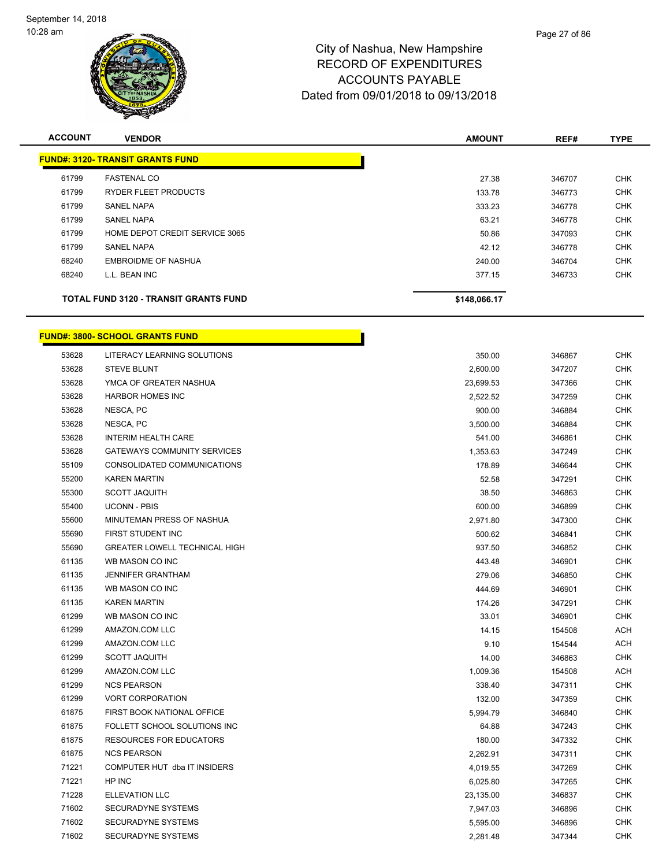

| <b>ACCOUNT</b> | <b>VENDOR</b>                                | <b>AMOUNT</b> | REF#   | <b>TYPE</b> |
|----------------|----------------------------------------------|---------------|--------|-------------|
|                | <b>FUND#: 3120- TRANSIT GRANTS FUND</b>      |               |        |             |
| 61799          | <b>FASTENAL CO</b>                           | 27.38         | 346707 | <b>CHK</b>  |
| 61799          | <b>RYDER FLEET PRODUCTS</b>                  | 133.78        | 346773 | <b>CHK</b>  |
| 61799          | <b>SANEL NAPA</b>                            | 333.23        | 346778 | <b>CHK</b>  |
| 61799          | <b>SANEL NAPA</b>                            | 63.21         | 346778 | <b>CHK</b>  |
| 61799          | HOME DEPOT CREDIT SERVICE 3065               | 50.86         | 347093 | <b>CHK</b>  |
| 61799          | <b>SANEL NAPA</b>                            | 42.12         | 346778 | <b>CHK</b>  |
| 68240          | <b>EMBROIDME OF NASHUA</b>                   | 240.00        | 346704 | <b>CHK</b>  |
| 68240          | L.L. BEAN INC                                | 377.15        | 346733 | <b>CHK</b>  |
|                | <b>TOTAL FUND 3120 - TRANSIT GRANTS FUND</b> | \$148,066.17  |        |             |

|       | <u> FUND#: 3800- SCHOOL GRANTS FUND</u> |           |        |            |
|-------|-----------------------------------------|-----------|--------|------------|
| 53628 | LITERACY LEARNING SOLUTIONS             | 350.00    | 346867 | <b>CHK</b> |
| 53628 | <b>STEVE BLUNT</b>                      | 2,600.00  | 347207 | <b>CHK</b> |
| 53628 | YMCA OF GREATER NASHUA                  | 23,699.53 | 347366 | <b>CHK</b> |
| 53628 | <b>HARBOR HOMES INC</b>                 | 2,522.52  | 347259 | <b>CHK</b> |
| 53628 | NESCA, PC                               | 900.00    | 346884 | <b>CHK</b> |
| 53628 | NESCA, PC                               | 3,500.00  | 346884 | <b>CHK</b> |
| 53628 | <b>INTERIM HEALTH CARE</b>              | 541.00    | 346861 | <b>CHK</b> |
| 53628 | <b>GATEWAYS COMMUNITY SERVICES</b>      | 1,353.63  | 347249 | <b>CHK</b> |
| 55109 | CONSOLIDATED COMMUNICATIONS             | 178.89    | 346644 | <b>CHK</b> |
| 55200 | <b>KAREN MARTIN</b>                     | 52.58     | 347291 | <b>CHK</b> |
| 55300 | <b>SCOTT JAQUITH</b>                    | 38.50     | 346863 | <b>CHK</b> |
| 55400 | <b>UCONN - PBIS</b>                     | 600.00    | 346899 | <b>CHK</b> |
| 55600 | MINUTEMAN PRESS OF NASHUA               | 2,971.80  | 347300 | <b>CHK</b> |
| 55690 | FIRST STUDENT INC                       | 500.62    | 346841 | <b>CHK</b> |
| 55690 | <b>GREATER LOWELL TECHNICAL HIGH</b>    | 937.50    | 346852 | <b>CHK</b> |
| 61135 | WB MASON CO INC                         | 443.48    | 346901 | <b>CHK</b> |
| 61135 | <b>JENNIFER GRANTHAM</b>                | 279.06    | 346850 | <b>CHK</b> |
| 61135 | WB MASON CO INC                         | 444.69    | 346901 | <b>CHK</b> |
| 61135 | <b>KAREN MARTIN</b>                     | 174.26    | 347291 | <b>CHK</b> |
| 61299 | WB MASON CO INC                         | 33.01     | 346901 | CHK        |
| 61299 | AMAZON.COM LLC                          | 14.15     | 154508 | ACH        |
| 61299 | AMAZON.COM LLC                          | 9.10      | 154544 | ACH        |
| 61299 | <b>SCOTT JAQUITH</b>                    | 14.00     | 346863 | CHK        |
| 61299 | AMAZON.COM LLC                          | 1,009.36  | 154508 | ACH        |
| 61299 | <b>NCS PEARSON</b>                      | 338.40    | 347311 | CHK        |
| 61299 | <b>VORT CORPORATION</b>                 | 132.00    | 347359 | CHK        |
| 61875 | FIRST BOOK NATIONAL OFFICE              | 5,994.79  | 346840 | CHK        |
| 61875 | FOLLETT SCHOOL SOLUTIONS INC            | 64.88     | 347243 | CHK        |
| 61875 | <b>RESOURCES FOR EDUCATORS</b>          | 180.00    | 347332 | <b>CHK</b> |
| 61875 | <b>NCS PEARSON</b>                      | 2,262.91  | 347311 | <b>CHK</b> |
| 71221 | COMPUTER HUT dba IT INSIDERS            | 4,019.55  | 347269 | <b>CHK</b> |
| 71221 | HP INC                                  | 6,025.80  | 347265 | CHK        |
| 71228 | <b>ELLEVATION LLC</b>                   | 23,135.00 | 346837 | <b>CHK</b> |
| 71602 | <b>SECURADYNE SYSTEMS</b>               | 7,947.03  | 346896 | <b>CHK</b> |
| 71602 | <b>SECURADYNE SYSTEMS</b>               | 5,595.00  | 346896 | <b>CHK</b> |
| 71602 | SECURADYNE SYSTEMS                      | 2,281.48  | 347344 | <b>CHK</b> |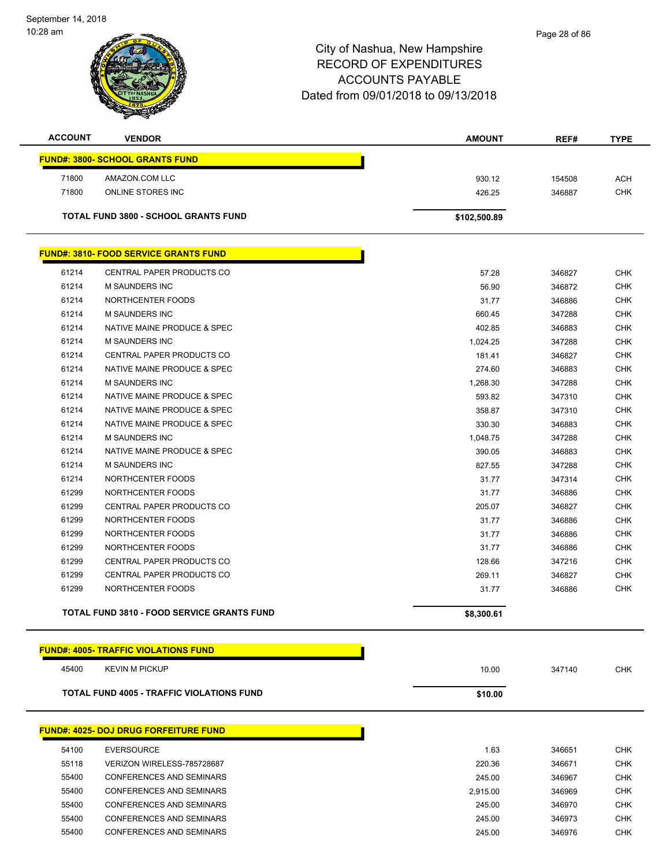September 14, 2018 10:28 am



| <b>ACCOUNT</b> | <b>VENDOR</b>                                     | <b>AMOUNT</b> | REF#   | <b>TYPE</b> |
|----------------|---------------------------------------------------|---------------|--------|-------------|
|                | <b>FUND#: 3800- SCHOOL GRANTS FUND</b>            |               |        |             |
| 71800          | AMAZON.COM LLC                                    | 930.12        | 154508 | <b>ACH</b>  |
| 71800          | ONLINE STORES INC                                 | 426.25        | 346887 | <b>CHK</b>  |
|                | <b>TOTAL FUND 3800 - SCHOOL GRANTS FUND</b>       | \$102,500.89  |        |             |
|                | <b>FUND#: 3810- FOOD SERVICE GRANTS FUND</b>      |               |        |             |
| 61214          | <b>CENTRAL PAPER PRODUCTS CO</b>                  | 57.28         | 346827 | <b>CHK</b>  |
| 61214          | M SAUNDERS INC                                    | 56.90         | 346872 | CHK         |
| 61214          | NORTHCENTER FOODS                                 | 31.77         | 346886 | <b>CHK</b>  |
| 61214          | <b>M SAUNDERS INC</b>                             | 660.45        | 347288 | <b>CHK</b>  |
| 61214          | NATIVE MAINE PRODUCE & SPEC                       | 402.85        | 346883 | <b>CHK</b>  |
| 61214          | <b>M SAUNDERS INC</b>                             | 1,024.25      | 347288 | <b>CHK</b>  |
| 61214          | CENTRAL PAPER PRODUCTS CO                         | 181.41        | 346827 | <b>CHK</b>  |
| 61214          | NATIVE MAINE PRODUCE & SPEC                       | 274.60        | 346883 | <b>CHK</b>  |
| 61214          | <b>M SAUNDERS INC</b>                             | 1,268.30      | 347288 | <b>CHK</b>  |
| 61214          | NATIVE MAINE PRODUCE & SPEC                       | 593.82        | 347310 | <b>CHK</b>  |
| 61214          | NATIVE MAINE PRODUCE & SPEC                       | 358.87        | 347310 | <b>CHK</b>  |
| 61214          | NATIVE MAINE PRODUCE & SPEC                       | 330.30        | 346883 | <b>CHK</b>  |
| 61214          | <b>M SAUNDERS INC</b>                             | 1,048.75      | 347288 | <b>CHK</b>  |
| 61214          | NATIVE MAINE PRODUCE & SPEC                       | 390.05        | 346883 | <b>CHK</b>  |
| 61214          | <b>M SAUNDERS INC</b>                             | 827.55        | 347288 | <b>CHK</b>  |
| 61214          | NORTHCENTER FOODS                                 | 31.77         | 347314 | <b>CHK</b>  |
| 61299          | NORTHCENTER FOODS                                 | 31.77         | 346886 | <b>CHK</b>  |
| 61299          | CENTRAL PAPER PRODUCTS CO                         | 205.07        | 346827 | <b>CHK</b>  |
| 61299          | NORTHCENTER FOODS                                 | 31.77         | 346886 | <b>CHK</b>  |
| 61299          | NORTHCENTER FOODS                                 | 31.77         | 346886 | <b>CHK</b>  |
| 61299          | NORTHCENTER FOODS                                 | 31.77         | 346886 | <b>CHK</b>  |
| 61299          | CENTRAL PAPER PRODUCTS CO                         | 128.66        | 347216 | <b>CHK</b>  |
| 61299          | CENTRAL PAPER PRODUCTS CO                         | 269.11        | 346827 | <b>CHK</b>  |
| 61299          | NORTHCENTER FOODS                                 | 31.77         | 346886 | <b>CHK</b>  |
|                | <b>TOTAL FUND 3810 - FOOD SERVICE GRANTS FUND</b> | \$8,300.61    |        |             |

|       | <b>FUND#: 4005- TRAFFIC VIOLATIONS FUND</b>      |         |        |     |
|-------|--------------------------------------------------|---------|--------|-----|
| 45400 | <b>KEVIN M PICKUP</b>                            | 10.00   | 347140 | СНК |
|       | <b>TOTAL FUND 4005 - TRAFFIC VIOLATIONS FUND</b> | \$10.00 |        |     |

|       | <b>FUND#: 4025- DOJ DRUG FORFEITURE FUND</b> |          |        |            |
|-------|----------------------------------------------|----------|--------|------------|
| 54100 | <b>EVERSOURCE</b>                            | 1.63     | 346651 | <b>CHK</b> |
| 55118 | VERIZON WIRELESS-785728687                   | 220.36   | 346671 | CHK        |
| 55400 | CONFERENCES AND SEMINARS                     | 245.00   | 346967 |            |
| 55400 | CONFERENCES AND SEMINARS                     | 2.915.00 | 346969 |            |
| 55400 | CONFERENCES AND SEMINARS                     | 245.00   | 346970 |            |
| 55400 | CONFERENCES AND SEMINARS                     | 245.00   | 346973 |            |
| 55400 | CONFERENCES AND SEMINARS                     | 245.00   | 346976 |            |
|       |                                              |          |        |            |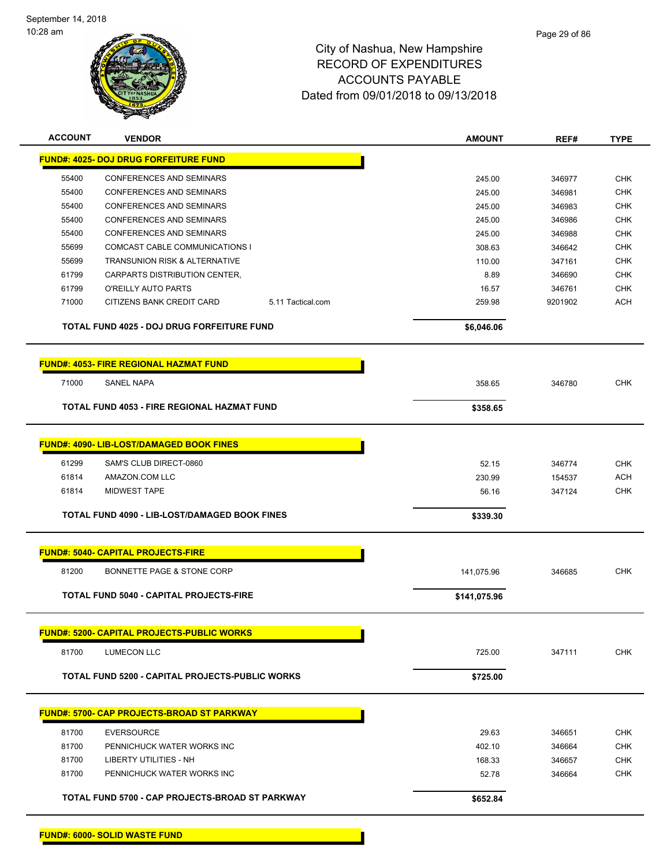

| <b>ACCOUNT</b> | <b>VENDOR</b>                                     |                   | <b>AMOUNT</b> | REF#    | <b>TYPE</b> |
|----------------|---------------------------------------------------|-------------------|---------------|---------|-------------|
|                | <b>FUND#: 4025- DOJ DRUG FORFEITURE FUND</b>      |                   |               |         |             |
| 55400          | <b>CONFERENCES AND SEMINARS</b>                   |                   | 245.00        | 346977  | <b>CHK</b>  |
| 55400          | CONFERENCES AND SEMINARS                          |                   | 245.00        | 346981  | <b>CHK</b>  |
| 55400          | <b>CONFERENCES AND SEMINARS</b>                   |                   | 245.00        | 346983  | <b>CHK</b>  |
| 55400          | <b>CONFERENCES AND SEMINARS</b>                   |                   | 245.00        | 346986  | <b>CHK</b>  |
| 55400          | CONFERENCES AND SEMINARS                          |                   | 245.00        | 346988  | <b>CHK</b>  |
| 55699          | COMCAST CABLE COMMUNICATIONS I                    |                   | 308.63        | 346642  | <b>CHK</b>  |
| 55699          | TRANSUNION RISK & ALTERNATIVE                     |                   | 110.00        | 347161  | <b>CHK</b>  |
| 61799          | CARPARTS DISTRIBUTION CENTER,                     |                   | 8.89          | 346690  | <b>CHK</b>  |
| 61799          | O'REILLY AUTO PARTS                               |                   | 16.57         | 346761  | <b>CHK</b>  |
| 71000          | CITIZENS BANK CREDIT CARD                         | 5.11 Tactical.com | 259.98        | 9201902 | <b>ACH</b>  |
|                | TOTAL FUND 4025 - DOJ DRUG FORFEITURE FUND        |                   | \$6,046.06    |         |             |
|                | <b>FUND#: 4053- FIRE REGIONAL HAZMAT FUND</b>     |                   |               |         |             |
| 71000          | <b>SANEL NAPA</b>                                 |                   | 358.65        | 346780  | <b>CHK</b>  |
|                | TOTAL FUND 4053 - FIRE REGIONAL HAZMAT FUND       |                   | \$358.65      |         |             |
|                |                                                   |                   |               |         |             |
|                | <b>FUND#: 4090- LIB-LOST/DAMAGED BOOK FINES</b>   |                   |               |         |             |
| 61299          | SAM'S CLUB DIRECT-0860                            |                   | 52.15         | 346774  | <b>CHK</b>  |
| 61814          | AMAZON.COM LLC                                    |                   | 230.99        | 154537  | <b>ACH</b>  |
| 61814          | <b>MIDWEST TAPE</b>                               |                   | 56.16         | 347124  | <b>CHK</b>  |
|                | TOTAL FUND 4090 - LIB-LOST/DAMAGED BOOK FINES     |                   | \$339.30      |         |             |
|                |                                                   |                   |               |         |             |
|                | <b>FUND#: 5040- CAPITAL PROJECTS-FIRE</b>         |                   |               |         |             |
| 81200          | BONNETTE PAGE & STONE CORP                        |                   | 141,075.96    | 346685  | <b>CHK</b>  |
|                | <b>TOTAL FUND 5040 - CAPITAL PROJECTS-FIRE</b>    |                   | \$141,075.96  |         |             |
|                |                                                   |                   |               |         |             |
|                | <b>FUND#: 5200- CAPITAL PROJECTS-PUBLIC WORKS</b> |                   |               |         |             |
| 81700          | <b>LUMECON LLC</b>                                |                   | 725.00        | 347111  | <b>CHK</b>  |
|                | TOTAL FUND 5200 - CAPITAL PROJECTS-PUBLIC WORKS   |                   | \$725.00      |         |             |
|                |                                                   |                   |               |         |             |
|                | <b>FUND#: 5700- CAP PROJECTS-BROAD ST PARKWAY</b> |                   |               |         |             |
| 81700          | <b>EVERSOURCE</b>                                 |                   | 29.63         | 346651  | <b>CHK</b>  |
| 81700          | PENNICHUCK WATER WORKS INC                        |                   | 402.10        | 346664  | <b>CHK</b>  |
| 81700          | LIBERTY UTILITIES - NH                            |                   | 168.33        | 346657  | <b>CHK</b>  |
| 81700          | PENNICHUCK WATER WORKS INC                        |                   | 52.78         | 346664  | <b>CHK</b>  |
|                | TOTAL FUND 5700 - CAP PROJECTS-BROAD ST PARKWAY   |                   | \$652.84      |         |             |
|                |                                                   |                   |               |         |             |

**FUND#: 6000- SOLID WASTE FUND**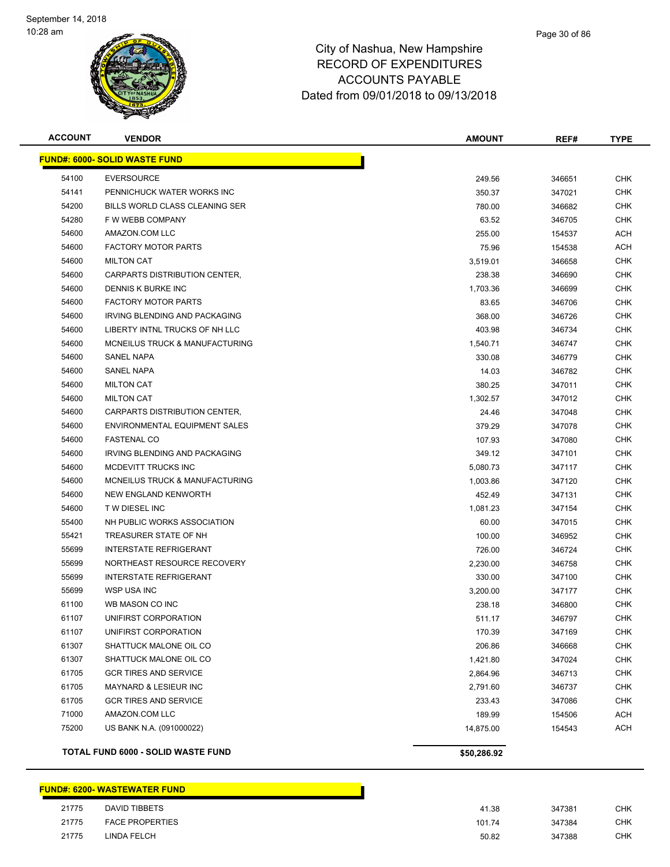

#### Page 30 of 86

# City of Nashua, New Hampshire RECORD OF EXPENDITURES ACCOUNTS PAYABLE Dated from 09/01/2018 to 09/13/2018

| <b>ACCOUNT</b> | <b>VENDOR</b>                        | <b>AMOUNT</b> | REF#   | TYPE       |
|----------------|--------------------------------------|---------------|--------|------------|
|                | <b>FUND#: 6000- SOLID WASTE FUND</b> |               |        |            |
| 54100          | EVERSOURCE                           | 249.56        | 346651 | <b>CHK</b> |
| 54141          | PENNICHUCK WATER WORKS INC           | 350.37        | 347021 | <b>CHK</b> |
| 54200          | BILLS WORLD CLASS CLEANING SER       | 780.00        | 346682 | <b>CHK</b> |
| 54280          | F W WEBB COMPANY                     | 63.52         | 346705 | <b>CHK</b> |
| 54600          | AMAZON.COM LLC                       | 255.00        | 154537 | <b>ACH</b> |
| 54600          | <b>FACTORY MOTOR PARTS</b>           | 75.96         | 154538 | ACH        |
| 54600          | <b>MILTON CAT</b>                    | 3,519.01      | 346658 | <b>CHK</b> |
| 54600          | <b>CARPARTS DISTRIBUTION CENTER.</b> | 238.38        | 346690 | <b>CHK</b> |
| 54600          | <b>DENNIS K BURKE INC</b>            | 1.703.36      | 346699 | <b>CHK</b> |
| 54600          | <b>FACTORY MOTOR PARTS</b>           | 83.65         | 346706 | <b>CHK</b> |
| 54600          | IRVING BLENDING AND PACKAGING        | 368.00        | 346726 | <b>CHK</b> |
| 54600          | LIBERTY INTNL TRUCKS OF NH LLC       | 403.98        | 346734 | <b>CHK</b> |
| 54600          | MCNEILUS TRUCK & MANUFACTURING       | 1,540.71      | 346747 | <b>CHK</b> |
| 54600          | <b>SANEL NAPA</b>                    | 330.08        | 346779 | <b>CHK</b> |
| 54600          | <b>SANEL NAPA</b>                    | 14.03         | 346782 | <b>CHK</b> |
| 54600          | <b>MILTON CAT</b>                    | 380.25        | 347011 | <b>CHK</b> |
| 54600          | <b>MILTON CAT</b>                    | 1,302.57      | 347012 | <b>CHK</b> |
| 54600          | CARPARTS DISTRIBUTION CENTER,        | 24.46         | 347048 | <b>CHK</b> |
| 54600          | ENVIRONMENTAL EQUIPMENT SALES        | 379.29        | 347078 | <b>CHK</b> |
| 54600          | <b>FASTENAL CO</b>                   | 107.93        | 347080 | <b>CHK</b> |
| 54600          | IRVING BLENDING AND PACKAGING        | 349.12        | 347101 | <b>CHK</b> |
| 54600          | MCDEVITT TRUCKS INC                  | 5,080.73      | 347117 | <b>CHK</b> |
| 54600          | MCNEILUS TRUCK & MANUFACTURING       | 1,003.86      | 347120 | <b>CHK</b> |
| 54600          | NEW ENGLAND KENWORTH                 | 452.49        | 347131 | <b>CHK</b> |
| 54600          | T W DIESEL INC                       | 1,081.23      | 347154 | <b>CHK</b> |
| 55400          | NH PUBLIC WORKS ASSOCIATION          | 60.00         | 347015 | <b>CHK</b> |
| 55421          | TREASURER STATE OF NH                | 100.00        | 346952 | <b>CHK</b> |
| 55699          | <b>INTERSTATE REFRIGERANT</b>        | 726.00        | 346724 | <b>CHK</b> |
| 55699          | NORTHEAST RESOURCE RECOVERY          | 2.230.00      | 346758 | <b>CHK</b> |
| 55699          | <b>INTERSTATE REFRIGERANT</b>        | 330.00        | 347100 | <b>CHK</b> |
| 55699          | <b>WSP USA INC</b>                   | 3,200.00      | 347177 | <b>CHK</b> |
| 61100          | WB MASON CO INC                      | 238.18        | 346800 | <b>CHK</b> |
| 61107          | UNIFIRST CORPORATION                 | 511.17        | 346797 | <b>CHK</b> |
| 61107          | UNIFIRST CORPORATION                 | 170.39        | 347169 | <b>CHK</b> |
| 61307          | SHATTUCK MALONE OIL CO               | 206.86        | 346668 | <b>CHK</b> |
| 61307          | SHATTUCK MALONE OIL CO               | 1,421.80      | 347024 | <b>CHK</b> |
| 61705          | <b>GCR TIRES AND SERVICE</b>         | 2,864.96      | 346713 | <b>CHK</b> |
| 61705          | MAYNARD & LESIEUR INC                | 2,791.60      | 346737 | <b>CHK</b> |
| 61705          | <b>GCR TIRES AND SERVICE</b>         | 233.43        | 347086 | <b>CHK</b> |
| 71000          | AMAZON.COM LLC                       | 189.99        | 154506 | <b>ACH</b> |
| 75200          | US BANK N.A. (091000022)             | 14,875.00     | 154543 | <b>ACH</b> |
|                | TOTAL FUND 6000 - SOLID WASTE FUND   | \$50,286.92   |        |            |

#### **FUND#: 6200- WASTEWATER FUND**

| 21775 | DAVID TIBBETS          | 41.38  | 347381 | СНК |
|-------|------------------------|--------|--------|-----|
| 21775 | <b>FACE PROPERTIES</b> | 101.74 | 347384 | СНК |
| 21775 | LINDA FELCH            | 50.82  | 347388 | СНК |
|       |                        |        |        |     |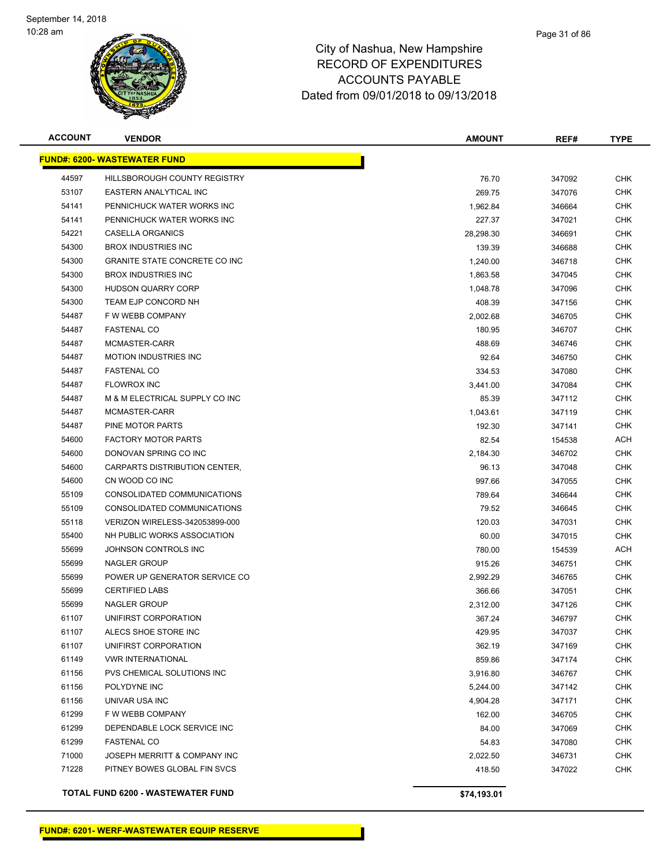

| <b>ACCOUNT</b> | <b>VENDOR</b>                            | <b>AMOUNT</b> | REF#   | <b>TYPE</b> |
|----------------|------------------------------------------|---------------|--------|-------------|
|                | <b>FUND#: 6200- WASTEWATER FUND</b>      |               |        |             |
| 44597          | HILLSBOROUGH COUNTY REGISTRY             | 76.70         | 347092 | <b>CHK</b>  |
| 53107          | <b>EASTERN ANALYTICAL INC</b>            | 269.75        | 347076 | <b>CHK</b>  |
| 54141          | PENNICHUCK WATER WORKS INC               | 1,962.84      | 346664 | <b>CHK</b>  |
| 54141          | PENNICHUCK WATER WORKS INC               | 227.37        | 347021 | <b>CHK</b>  |
| 54221          | <b>CASELLA ORGANICS</b>                  | 28,298.30     | 346691 | <b>CHK</b>  |
| 54300          | <b>BROX INDUSTRIES INC</b>               | 139.39        | 346688 | <b>CHK</b>  |
| 54300          | <b>GRANITE STATE CONCRETE CO INC</b>     | 1,240.00      | 346718 | <b>CHK</b>  |
| 54300          | <b>BROX INDUSTRIES INC</b>               | 1,863.58      | 347045 | <b>CHK</b>  |
| 54300          | <b>HUDSON QUARRY CORP</b>                | 1,048.78      | 347096 | <b>CHK</b>  |
| 54300          | TEAM EJP CONCORD NH                      | 408.39        | 347156 | <b>CHK</b>  |
| 54487          | F W WEBB COMPANY                         | 2,002.68      | 346705 | <b>CHK</b>  |
| 54487          | <b>FASTENAL CO</b>                       | 180.95        | 346707 | <b>CHK</b>  |
| 54487          | MCMASTER-CARR                            | 488.69        | 346746 | <b>CHK</b>  |
| 54487          | <b>MOTION INDUSTRIES INC</b>             | 92.64         | 346750 | <b>CHK</b>  |
| 54487          | <b>FASTENAL CO</b>                       | 334.53        | 347080 | <b>CHK</b>  |
| 54487          | <b>FLOWROX INC</b>                       | 3,441.00      | 347084 | <b>CHK</b>  |
| 54487          | M & M ELECTRICAL SUPPLY CO INC           | 85.39         | 347112 | <b>CHK</b>  |
| 54487          | MCMASTER-CARR                            | 1,043.61      | 347119 | <b>CHK</b>  |
| 54487          | PINE MOTOR PARTS                         | 192.30        | 347141 | <b>CHK</b>  |
| 54600          | <b>FACTORY MOTOR PARTS</b>               | 82.54         | 154538 | <b>ACH</b>  |
| 54600          | DONOVAN SPRING CO INC                    | 2,184.30      | 346702 | <b>CHK</b>  |
| 54600          | CARPARTS DISTRIBUTION CENTER,            | 96.13         | 347048 | <b>CHK</b>  |
| 54600          | CN WOOD CO INC                           | 997.66        | 347055 | <b>CHK</b>  |
| 55109          | CONSOLIDATED COMMUNICATIONS              | 789.64        | 346644 | <b>CHK</b>  |
| 55109          | CONSOLIDATED COMMUNICATIONS              | 79.52         | 346645 | <b>CHK</b>  |
| 55118          | VERIZON WIRELESS-342053899-000           | 120.03        | 347031 | <b>CHK</b>  |
| 55400          | NH PUBLIC WORKS ASSOCIATION              | 60.00         | 347015 | <b>CHK</b>  |
| 55699          | JOHNSON CONTROLS INC                     | 780.00        | 154539 | <b>ACH</b>  |
| 55699          | <b>NAGLER GROUP</b>                      | 915.26        | 346751 | <b>CHK</b>  |
| 55699          | POWER UP GENERATOR SERVICE CO            | 2,992.29      | 346765 | <b>CHK</b>  |
| 55699          | <b>CERTIFIED LABS</b>                    | 366.66        | 347051 | <b>CHK</b>  |
| 55699          | <b>NAGLER GROUP</b>                      | 2,312.00      | 347126 | <b>CHK</b>  |
| 61107          | UNIFIRST CORPORATION                     | 367.24        | 346797 | <b>CHK</b>  |
| 61107          | ALECS SHOE STORE INC                     | 429.95        | 347037 | <b>CHK</b>  |
| 61107          | UNIFIRST CORPORATION                     | 362.19        | 347169 | <b>CHK</b>  |
| 61149          | <b>VWR INTERNATIONAL</b>                 | 859.86        | 347174 | <b>CHK</b>  |
| 61156          | PVS CHEMICAL SOLUTIONS INC               | 3,916.80      | 346767 | <b>CHK</b>  |
| 61156          | POLYDYNE INC                             | 5,244.00      | 347142 | <b>CHK</b>  |
| 61156          | UNIVAR USA INC                           | 4,904.28      | 347171 | <b>CHK</b>  |
| 61299          | F W WEBB COMPANY                         | 162.00        | 346705 | <b>CHK</b>  |
| 61299          | DEPENDABLE LOCK SERVICE INC              | 84.00         | 347069 | <b>CHK</b>  |
| 61299          | <b>FASTENAL CO</b>                       | 54.83         | 347080 | <b>CHK</b>  |
| 71000          | JOSEPH MERRITT & COMPANY INC             | 2,022.50      | 346731 | <b>CHK</b>  |
| 71228          | PITNEY BOWES GLOBAL FIN SVCS             | 418.50        | 347022 | <b>CHK</b>  |
|                | <b>TOTAL FUND 6200 - WASTEWATER FUND</b> | \$74,193.01   |        |             |

**FUND#: 6201- WERF-WASTEWATER EQUIP RESERVE**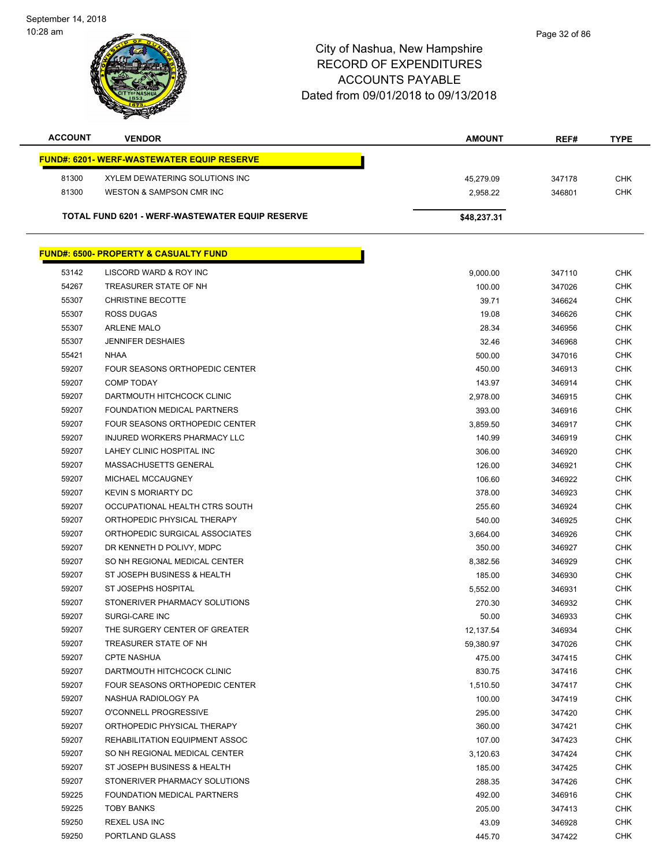September 14, 2018 10:28 am



| <b>ACCOUNT</b> | <b>VENDOR</b>                                      | <b>AMOUNT</b> | REF#   | <b>TYPE</b> |
|----------------|----------------------------------------------------|---------------|--------|-------------|
|                | <u> FUND#: 6201- WERF-WASTEWATER EQUIP RESERVE</u> |               |        |             |
| 81300          | XYLEM DEWATERING SOLUTIONS INC                     | 45,279.09     | 347178 | <b>CHK</b>  |
| 81300          | <b>WESTON &amp; SAMPSON CMR INC</b>                | 2,958.22      | 346801 | <b>CHK</b>  |
|                |                                                    |               |        |             |
|                | TOTAL FUND 6201 - WERF-WASTEWATER EQUIP RESERVE    | \$48,237.31   |        |             |
|                |                                                    |               |        |             |
|                | <b>FUND#: 6500- PROPERTY &amp; CASUALTY FUND</b>   |               |        |             |
| 53142          | LISCORD WARD & ROY INC                             | 9,000.00      | 347110 | <b>CHK</b>  |
| 54267          | TREASURER STATE OF NH                              | 100.00        | 347026 | <b>CHK</b>  |
| 55307          | <b>CHRISTINE BECOTTE</b>                           | 39.71         | 346624 | <b>CHK</b>  |
| 55307          | <b>ROSS DUGAS</b>                                  | 19.08         | 346626 | <b>CHK</b>  |
| 55307          | <b>ARLENE MALO</b>                                 | 28.34         | 346956 | <b>CHK</b>  |
| 55307          | <b>JENNIFER DESHAIES</b>                           | 32.46         | 346968 | <b>CHK</b>  |
| 55421          | <b>NHAA</b>                                        | 500.00        | 347016 | <b>CHK</b>  |
| 59207          | <b>FOUR SEASONS ORTHOPEDIC CENTER</b>              | 450.00        | 346913 | <b>CHK</b>  |
| 59207          | <b>COMP TODAY</b>                                  | 143.97        | 346914 | <b>CHK</b>  |
| 59207          | DARTMOUTH HITCHCOCK CLINIC                         | 2,978.00      | 346915 | <b>CHK</b>  |
| 59207          | FOUNDATION MEDICAL PARTNERS                        | 393.00        | 346916 | <b>CHK</b>  |
| 59207          | FOUR SEASONS ORTHOPEDIC CENTER                     | 3,859.50      | 346917 | <b>CHK</b>  |
| 59207          | INJURED WORKERS PHARMACY LLC                       | 140.99        | 346919 | <b>CHK</b>  |
| 59207          | LAHEY CLINIC HOSPITAL INC                          | 306.00        | 346920 | <b>CHK</b>  |
| 59207          | MASSACHUSETTS GENERAL                              | 126.00        | 346921 | <b>CHK</b>  |
| 59207          | MICHAEL MCCAUGNEY                                  | 106.60        | 346922 | <b>CHK</b>  |
| 59207          | <b>KEVIN S MORIARTY DC</b>                         | 378.00        | 346923 | <b>CHK</b>  |
| 59207          | OCCUPATIONAL HEALTH CTRS SOUTH                     | 255.60        | 346924 | <b>CHK</b>  |
| 59207          | ORTHOPEDIC PHYSICAL THERAPY                        | 540.00        | 346925 | <b>CHK</b>  |
| 59207          | ORTHOPEDIC SURGICAL ASSOCIATES                     | 3,664.00      | 346926 | <b>CHK</b>  |
| 59207          | DR KENNETH D POLIVY, MDPC                          | 350.00        | 346927 | <b>CHK</b>  |
| 59207          | SO NH REGIONAL MEDICAL CENTER                      | 8,382.56      | 346929 | <b>CHK</b>  |
| 59207          | ST JOSEPH BUSINESS & HEALTH                        | 185.00        | 346930 | <b>CHK</b>  |
| 59207          | ST JOSEPHS HOSPITAL                                | 5,552.00      | 346931 | <b>CHK</b>  |
| 59207          | STONERIVER PHARMACY SOLUTIONS                      | 270.30        | 346932 | <b>CHK</b>  |
| 59207          | SURGI-CARE INC                                     | 50.00         | 346933 | <b>CHK</b>  |
| 59207          | THE SURGERY CENTER OF GREATER                      | 12,137.54     | 346934 | <b>CHK</b>  |
| 59207          | TREASURER STATE OF NH                              | 59,380.97     | 347026 | <b>CHK</b>  |
| 59207          | <b>CPTE NASHUA</b>                                 | 475.00        | 347415 | <b>CHK</b>  |
| 59207          | DARTMOUTH HITCHCOCK CLINIC                         | 830.75        | 347416 | <b>CHK</b>  |
| 59207          | FOUR SEASONS ORTHOPEDIC CENTER                     | 1,510.50      | 347417 | <b>CHK</b>  |
| 59207          | NASHUA RADIOLOGY PA                                | 100.00        | 347419 | <b>CHK</b>  |
| 59207          | O'CONNELL PROGRESSIVE                              | 295.00        | 347420 | <b>CHK</b>  |
| 59207          | ORTHOPEDIC PHYSICAL THERAPY                        | 360.00        | 347421 | <b>CHK</b>  |
| 59207          | REHABILITATION EQUIPMENT ASSOC                     | 107.00        | 347423 | <b>CHK</b>  |
| 59207          | SO NH REGIONAL MEDICAL CENTER                      | 3,120.63      | 347424 | <b>CHK</b>  |
| 59207          | ST JOSEPH BUSINESS & HEALTH                        | 185.00        | 347425 | <b>CHK</b>  |
| 59207          | STONERIVER PHARMACY SOLUTIONS                      | 288.35        | 347426 | <b>CHK</b>  |
| 59225          | FOUNDATION MEDICAL PARTNERS                        | 492.00        | 346916 | <b>CHK</b>  |
| 59225          | <b>TOBY BANKS</b>                                  | 205.00        | 347413 | <b>CHK</b>  |
| 59250          | <b>REXEL USA INC</b>                               | 43.09         | 346928 | <b>CHK</b>  |
| 59250          | PORTLAND GLASS                                     | 445.70        | 347422 | <b>CHK</b>  |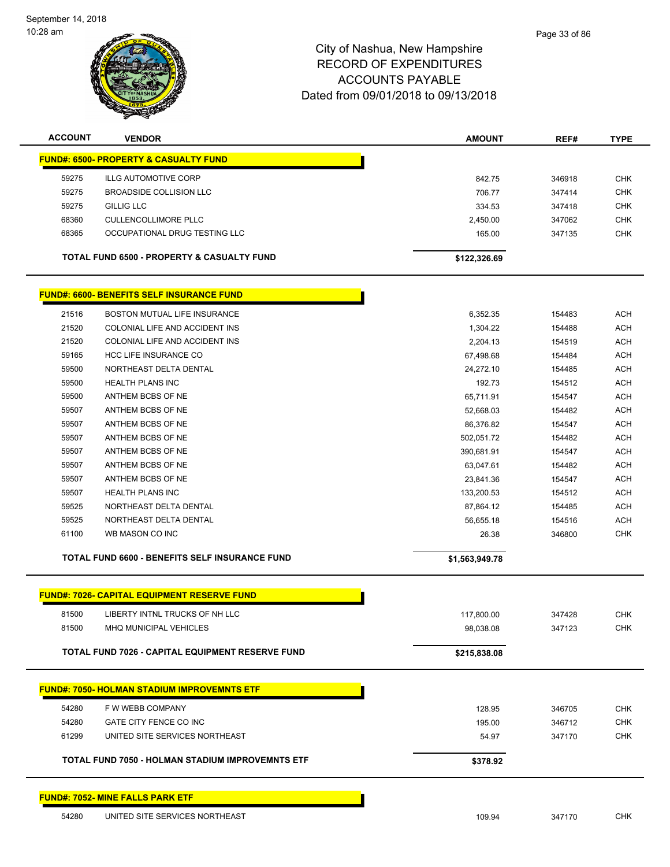

| <b>ACCOUNT</b> | <b>VENDOR</b>                                           | <b>AMOUNT</b>  | REF#   | <b>TYPE</b> |
|----------------|---------------------------------------------------------|----------------|--------|-------------|
|                | <b>FUND#: 6500- PROPERTY &amp; CASUALTY FUND</b>        |                |        |             |
| 59275          | ILLG AUTOMOTIVE CORP                                    | 842.75         | 346918 | <b>CHK</b>  |
| 59275          | <b>BROADSIDE COLLISION LLC</b>                          | 706.77         | 347414 | <b>CHK</b>  |
| 59275          | GILLIG LLC                                              | 334.53         | 347418 | <b>CHK</b>  |
| 68360          | <b>CULLENCOLLIMORE PLLC</b>                             | 2,450.00       | 347062 | <b>CHK</b>  |
| 68365          | OCCUPATIONAL DRUG TESTING LLC                           | 165.00         | 347135 | <b>CHK</b>  |
|                | TOTAL FUND 6500 - PROPERTY & CASUALTY FUND              | \$122,326.69   |        |             |
|                | <b>FUND#: 6600- BENEFITS SELF INSURANCE FUND</b>        |                |        |             |
| 21516          | BOSTON MUTUAL LIFE INSURANCE                            | 6,352.35       | 154483 | <b>ACH</b>  |
| 21520          | COLONIAL LIFE AND ACCIDENT INS                          | 1,304.22       | 154488 | <b>ACH</b>  |
| 21520          | COLONIAL LIFE AND ACCIDENT INS                          | 2,204.13       | 154519 | <b>ACH</b>  |
| 59165          | <b>HCC LIFE INSURANCE CO</b>                            | 67,498.68      | 154484 | <b>ACH</b>  |
| 59500          | NORTHEAST DELTA DENTAL                                  | 24,272.10      | 154485 | <b>ACH</b>  |
| 59500          | <b>HEALTH PLANS INC</b>                                 | 192.73         | 154512 | <b>ACH</b>  |
| 59500          | ANTHEM BCBS OF NE                                       | 65,711.91      | 154547 | <b>ACH</b>  |
| 59507          | ANTHEM BCBS OF NE                                       | 52,668.03      | 154482 | <b>ACH</b>  |
| 59507          | ANTHEM BCBS OF NE                                       | 86,376.82      | 154547 | <b>ACH</b>  |
| 59507          | ANTHEM BCBS OF NE                                       | 502,051.72     | 154482 | <b>ACH</b>  |
| 59507          | ANTHEM BCBS OF NE                                       | 390,681.91     | 154547 | <b>ACH</b>  |
| 59507          | ANTHEM BCBS OF NE                                       | 63,047.61      | 154482 | <b>ACH</b>  |
| 59507          | ANTHEM BCBS OF NE                                       | 23,841.36      | 154547 | <b>ACH</b>  |
| 59507          | <b>HEALTH PLANS INC</b>                                 | 133,200.53     | 154512 | <b>ACH</b>  |
| 59525          | NORTHEAST DELTA DENTAL                                  | 87,864.12      | 154485 | <b>ACH</b>  |
| 59525          | NORTHEAST DELTA DENTAL                                  | 56,655.18      | 154516 | <b>ACH</b>  |
| 61100          | WB MASON CO INC                                         | 26.38          | 346800 | <b>CHK</b>  |
|                | TOTAL FUND 6600 - BENEFITS SELF INSURANCE FUND          | \$1,563,949.78 |        |             |
|                |                                                         |                |        |             |
|                | <u> FUND#: 7026- CAPITAL EQUIPMENT RESERVE FUND</u>     |                |        |             |
| 81500          | LIBERTY INTNL TRUCKS OF NH LLC                          | 117,800.00     | 347428 | <b>CHK</b>  |
| 81500          | MHQ MUNICIPAL VEHICLES                                  | 98,038.08      | 347123 | <b>CHK</b>  |
|                | <b>TOTAL FUND 7026 - CAPITAL EQUIPMENT RESERVE FUND</b> | \$215,838.08   |        |             |
|                | <b>FUND#: 7050- HOLMAN STADIUM IMPROVEMNTS ETF</b>      |                |        |             |
| 54280          | F W WEBB COMPANY                                        | 128.95         | 346705 | <b>CHK</b>  |
| 54280          | GATE CITY FENCE CO INC                                  | 195.00         | 346712 | <b>CHK</b>  |
| 61299          | UNITED SITE SERVICES NORTHEAST                          | 54.97          | 347170 | <b>CHK</b>  |
|                | TOTAL FUND 7050 - HOLMAN STADIUM IMPROVEMNTS ETF        | \$378.92       |        |             |
|                | FUND#: 7052- MINE FALLS PARK ETF                        |                |        |             |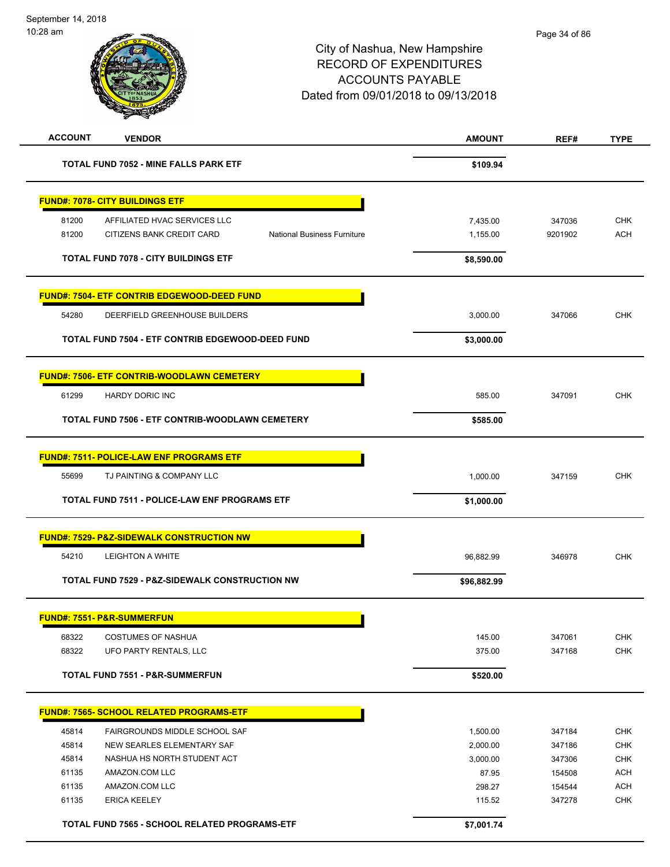| <b>ACCOUNT</b> | <b>VENDOR</b>                                                   | <b>AMOUNT</b> | REF#    | <b>TYPE</b> |
|----------------|-----------------------------------------------------------------|---------------|---------|-------------|
|                | <b>TOTAL FUND 7052 - MINE FALLS PARK ETF</b>                    | \$109.94      |         |             |
|                | <b>FUND#: 7078- CITY BUILDINGS ETF</b>                          |               |         |             |
| 81200          | AFFILIATED HVAC SERVICES LLC                                    | 7,435.00      | 347036  | <b>CHK</b>  |
| 81200          | CITIZENS BANK CREDIT CARD<br><b>National Business Furniture</b> | 1,155.00      | 9201902 | <b>ACH</b>  |
|                |                                                                 |               |         |             |
|                | <b>TOTAL FUND 7078 - CITY BUILDINGS ETF</b>                     | \$8,590.00    |         |             |
|                | <u> FUND#: 7504- ETF CONTRIB EDGEWOOD-DEED FUND</u>             |               |         |             |
| 54280          | DEERFIELD GREENHOUSE BUILDERS                                   | 3,000.00      | 347066  | <b>CHK</b>  |
|                | TOTAL FUND 7504 - ETF CONTRIB EDGEWOOD-DEED FUND                | \$3,000.00    |         |             |
|                | <u> FUND#: 7506- ETF CONTRIB-WOODLAWN CEMETERY</u>              |               |         |             |
| 61299          | <b>HARDY DORIC INC</b>                                          | 585.00        | 347091  | <b>CHK</b>  |
|                | TOTAL FUND 7506 - ETF CONTRIB-WOODLAWN CEMETERY                 | \$585.00      |         |             |
|                | <b>FUND#: 7511- POLICE-LAW ENF PROGRAMS ETF</b>                 |               |         |             |
| 55699          | TJ PAINTING & COMPANY LLC                                       | 1,000.00      | 347159  | <b>CHK</b>  |
|                | TOTAL FUND 7511 - POLICE-LAW ENF PROGRAMS ETF                   | \$1,000.00    |         |             |
|                |                                                                 |               |         |             |
|                | <b>FUND#: 7529- P&amp;Z-SIDEWALK CONSTRUCTION NW</b>            |               |         |             |
| 54210          | <b>LEIGHTON A WHITE</b>                                         | 96,882.99     | 346978  | <b>CHK</b>  |
|                | TOTAL FUND 7529 - P&Z-SIDEWALK CONSTRUCTION NW                  | \$96,882.99   |         |             |
|                | <b>FUND#: 7551- P&amp;R-SUMMERFUN</b>                           |               |         |             |
| 68322          | <b>COSTUMES OF NASHUA</b>                                       | 145.00        | 347061  | <b>CHK</b>  |
| 68322          | UFO PARTY RENTALS, LLC                                          | 375.00        | 347168  | CHK         |
|                | TOTAL FUND 7551 - P&R-SUMMERFUN                                 | \$520.00      |         |             |
|                | FUND#: 7565- SCHOOL RELATED PROGRAMS-ETF                        |               |         |             |
| 45814          | FAIRGROUNDS MIDDLE SCHOOL SAF                                   | 1,500.00      | 347184  | <b>CHK</b>  |
| 45814          | NEW SEARLES ELEMENTARY SAF                                      | 2,000.00      | 347186  | <b>CHK</b>  |
| 45814          | NASHUA HS NORTH STUDENT ACT                                     | 3,000.00      | 347306  | CHK         |
| 61135          | AMAZON.COM LLC                                                  | 87.95         | 154508  | <b>ACH</b>  |
| 61135          | AMAZON.COM LLC                                                  | 298.27        | 154544  | <b>ACH</b>  |
| 61135          | <b>ERICA KEELEY</b>                                             | 115.52        | 347278  | <b>CHK</b>  |
|                | TOTAL FUND 7565 - SCHOOL RELATED PROGRAMS-ETF                   | \$7,001.74    |         |             |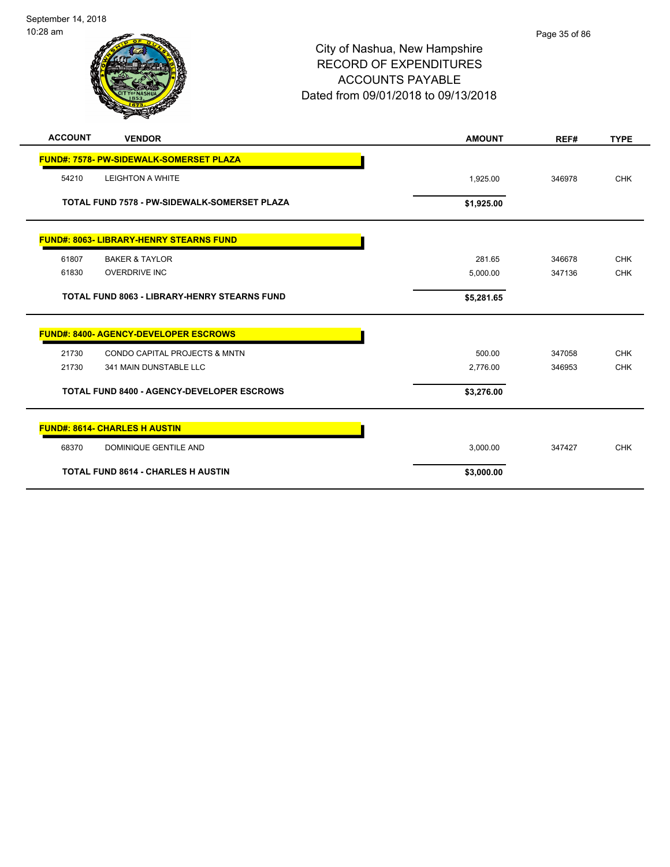September 14, 2018 10:28 am

| <b>ACCOUNT</b> | <b>VENDOR</b>                                       | <b>AMOUNT</b> | REF#   | <b>TYPE</b> |
|----------------|-----------------------------------------------------|---------------|--------|-------------|
|                | <b>FUND#: 7578- PW-SIDEWALK-SOMERSET PLAZA</b>      |               |        |             |
| 54210          | <b>LEIGHTON A WHITE</b>                             | 1,925.00      | 346978 | <b>CHK</b>  |
|                | TOTAL FUND 7578 - PW-SIDEWALK-SOMERSET PLAZA        | \$1,925.00    |        |             |
|                | <b>FUND#: 8063- LIBRARY-HENRY STEARNS FUND</b>      |               |        |             |
| 61807          | <b>BAKER &amp; TAYLOR</b>                           | 281.65        | 346678 | <b>CHK</b>  |
| 61830          | <b>OVERDRIVE INC</b>                                | 5,000.00      | 347136 | <b>CHK</b>  |
|                | <b>TOTAL FUND 8063 - LIBRARY-HENRY STEARNS FUND</b> | \$5,281.65    |        |             |
|                | <b>FUND#: 8400- AGENCY-DEVELOPER ESCROWS</b>        |               |        |             |
| 21730          | CONDO CAPITAL PROJECTS & MNTN                       | 500.00        | 347058 | <b>CHK</b>  |
| 21730          | 341 MAIN DUNSTABLE LLC                              | 2,776.00      | 346953 | <b>CHK</b>  |
|                | <b>TOTAL FUND 8400 - AGENCY-DEVELOPER ESCROWS</b>   | \$3,276.00    |        |             |
|                | <b>FUND#: 8614- CHARLES H AUSTIN</b>                |               |        |             |
| 68370          | <b>DOMINIQUE GENTILE AND</b>                        | 3,000.00      | 347427 | <b>CHK</b>  |
|                | <b>TOTAL FUND 8614 - CHARLES H AUSTIN</b>           | \$3,000.00    |        |             |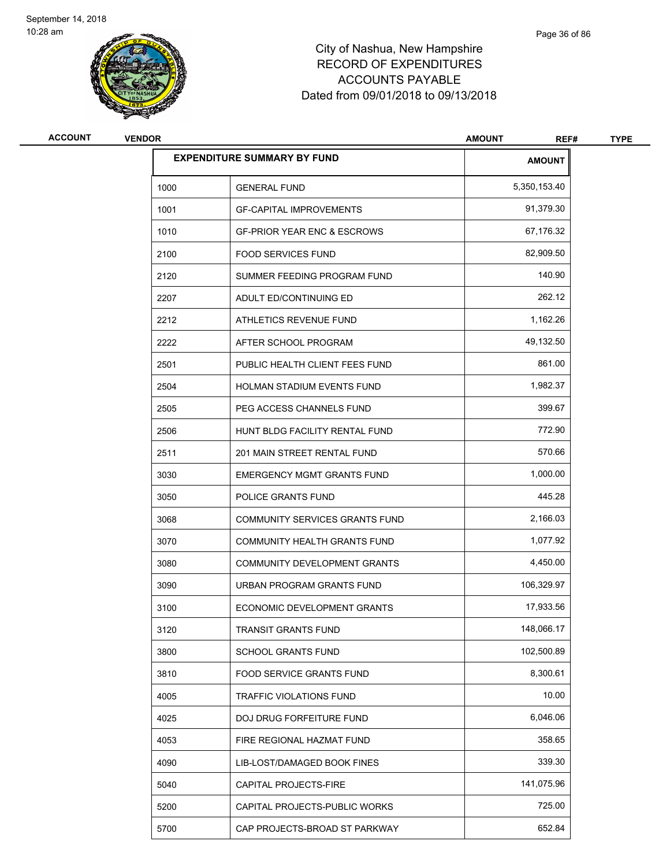

| <b>ACCOUNT</b> | <b>VENDOR</b>                      |                                        | <b>AMOUNT</b><br>REF# | <b>TYPE</b> |
|----------------|------------------------------------|----------------------------------------|-----------------------|-------------|
|                | <b>EXPENDITURE SUMMARY BY FUND</b> |                                        | <b>AMOUNT</b>         |             |
|                | 1000                               | <b>GENERAL FUND</b>                    | 5,350,153.40          |             |
|                | 1001                               | <b>GF-CAPITAL IMPROVEMENTS</b>         | 91,379.30             |             |
|                | 1010                               | <b>GF-PRIOR YEAR ENC &amp; ESCROWS</b> | 67,176.32             |             |
|                | 2100                               | <b>FOOD SERVICES FUND</b>              | 82,909.50             |             |
|                | 2120                               | SUMMER FEEDING PROGRAM FUND            | 140.90                |             |
|                | 2207                               | ADULT ED/CONTINUING ED                 | 262.12                |             |
|                | 2212                               | ATHLETICS REVENUE FUND                 | 1,162.26              |             |
|                | 2222                               | AFTER SCHOOL PROGRAM                   | 49,132.50             |             |
|                | 2501                               | PUBLIC HEALTH CLIENT FEES FUND         | 861.00                |             |
|                | 2504                               | <b>HOLMAN STADIUM EVENTS FUND</b>      | 1,982.37              |             |
|                | 2505                               | PEG ACCESS CHANNELS FUND               | 399.67                |             |
|                | 2506                               | HUNT BLDG FACILITY RENTAL FUND         | 772.90                |             |
|                | 2511                               | 201 MAIN STREET RENTAL FUND            | 570.66                |             |
|                | 3030                               | <b>EMERGENCY MGMT GRANTS FUND</b>      | 1,000.00              |             |
|                | 3050                               | POLICE GRANTS FUND                     | 445.28                |             |
|                | 3068                               | COMMUNITY SERVICES GRANTS FUND         | 2,166.03              |             |
|                | 3070                               | COMMUNITY HEALTH GRANTS FUND           | 1,077.92              |             |
|                | 3080                               | COMMUNITY DEVELOPMENT GRANTS           | 4,450.00              |             |
|                | 3090                               | URBAN PROGRAM GRANTS FUND              | 106,329.97            |             |
|                | 3100                               | ECONOMIC DEVELOPMENT GRANTS            | 17,933.56             |             |
|                | 3120                               | TRANSIT GRANTS FUND                    | 148,066.17            |             |
|                | 3800                               | SCHOOL GRANTS FUND                     | 102,500.89            |             |
|                | 3810                               | FOOD SERVICE GRANTS FUND               | 8,300.61              |             |
|                | 4005                               | <b>TRAFFIC VIOLATIONS FUND</b>         | 10.00                 |             |
|                | 4025                               | DOJ DRUG FORFEITURE FUND               | 6,046.06              |             |
|                | 4053                               | FIRE REGIONAL HAZMAT FUND              | 358.65                |             |
|                | 4090                               | LIB-LOST/DAMAGED BOOK FINES            | 339.30                |             |
|                | 5040                               | CAPITAL PROJECTS-FIRE                  | 141,075.96            |             |
|                | 5200                               | CAPITAL PROJECTS-PUBLIC WORKS          | 725.00                |             |
|                | 5700                               | CAP PROJECTS-BROAD ST PARKWAY          | 652.84                |             |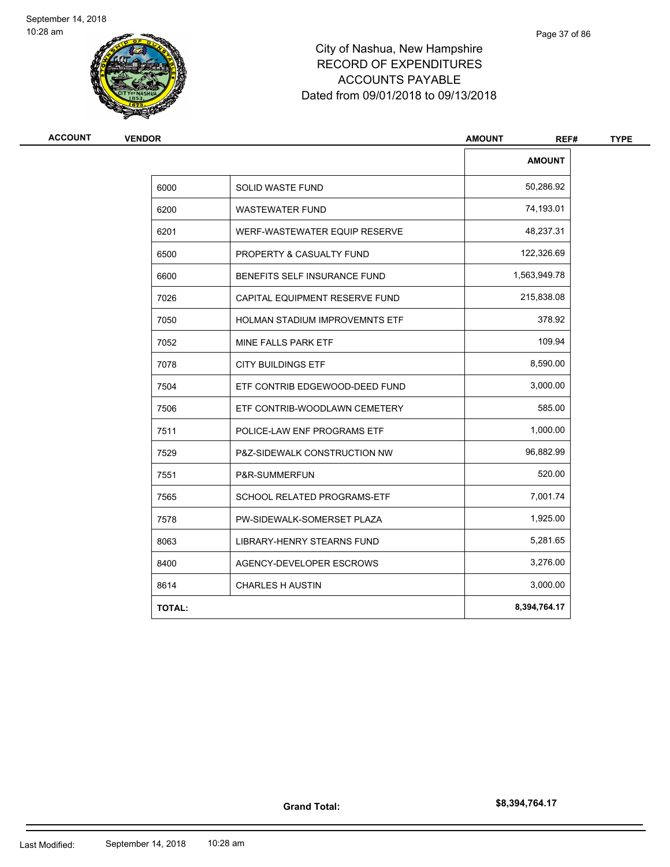

# City of Nashua, New Hampshire RECORD OF EXPENDITURES ACCOUNTS PAYABLE Dated from 09/01/2018 to 09/13/2018

| <b>VENDOR</b> |                                       | <b>AMOUNT</b><br>REF# |  |
|---------------|---------------------------------------|-----------------------|--|
|               |                                       | <b>AMOUNT</b>         |  |
| 6000          | SOLID WASTE FUND                      | 50,286.92             |  |
| 6200          | <b>WASTEWATER FUND</b>                | 74,193.01             |  |
| 6201          | WERF-WASTEWATER EQUIP RESERVE         | 48,237.31             |  |
| 6500          | PROPERTY & CASUALTY FUND              | 122,326.69            |  |
| 6600          | BENEFITS SELF INSURANCE FUND          | 1,563,949.78          |  |
| 7026          | CAPITAL EQUIPMENT RESERVE FUND        | 215,838.08            |  |
| 7050          | <b>HOLMAN STADIUM IMPROVEMNTS ETF</b> | 378.92                |  |
| 7052          | MINE FALLS PARK ETF                   | 109.94                |  |
| 7078          | <b>CITY BUILDINGS ETF</b>             | 8,590.00              |  |
| 7504          | ETF CONTRIB EDGEWOOD-DEED FUND        | 3,000.00              |  |
| 7506          | ETF CONTRIB-WOODLAWN CEMETERY         | 585.00                |  |
| 7511          | POLICE-LAW ENF PROGRAMS ETF           | 1,000.00              |  |
| 7529          | P&Z-SIDEWALK CONSTRUCTION NW          | 96,882.99             |  |
| 7551          | P&R-SUMMERFUN                         | 520.00                |  |
| 7565          | SCHOOL RELATED PROGRAMS-ETF           | 7,001.74              |  |
| 7578          | PW-SIDEWALK-SOMERSET PLAZA            | 1,925.00              |  |
| 8063          | LIBRARY-HENRY STEARNS FUND            | 5,281.65              |  |
| 8400          | AGENCY-DEVELOPER ESCROWS              | 3,276.00              |  |
| 8614          | <b>CHARLES H AUSTIN</b>               | 3,000.00              |  |
| <b>TOTAL:</b> |                                       | 8,394,764.17          |  |

**Grand Total:**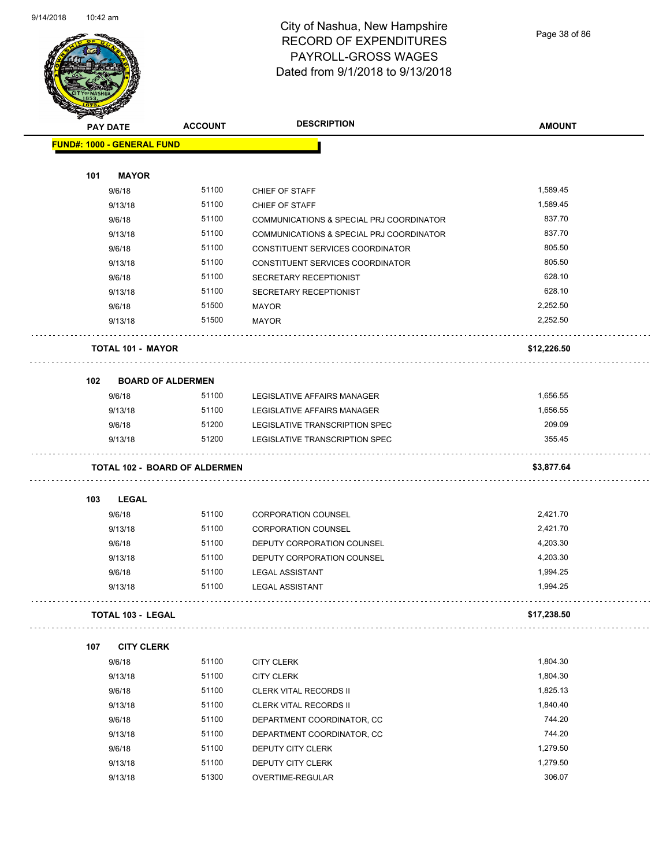

Page 38 of 86

|     | <b>PAY DATE</b>                   | <b>ACCOUNT</b>                       | <b>DESCRIPTION</b>                       | <b>AMOUNT</b> |
|-----|-----------------------------------|--------------------------------------|------------------------------------------|---------------|
|     | <b>FUND#: 1000 - GENERAL FUND</b> |                                      |                                          |               |
|     |                                   |                                      |                                          |               |
| 101 | <b>MAYOR</b>                      |                                      |                                          |               |
|     | 9/6/18                            | 51100                                | CHIEF OF STAFF                           | 1,589.45      |
|     | 9/13/18                           | 51100                                | CHIEF OF STAFF                           | 1,589.45      |
|     | 9/6/18                            | 51100                                | COMMUNICATIONS & SPECIAL PRJ COORDINATOR | 837.70        |
|     | 9/13/18                           | 51100                                | COMMUNICATIONS & SPECIAL PRJ COORDINATOR | 837.70        |
|     | 9/6/18                            | 51100                                | CONSTITUENT SERVICES COORDINATOR         | 805.50        |
|     | 9/13/18                           | 51100                                | CONSTITUENT SERVICES COORDINATOR         | 805.50        |
|     | 9/6/18                            | 51100                                | SECRETARY RECEPTIONIST                   | 628.10        |
|     | 9/13/18                           | 51100                                | SECRETARY RECEPTIONIST                   | 628.10        |
|     | 9/6/18                            | 51500                                | <b>MAYOR</b>                             | 2,252.50      |
|     | 9/13/18                           | 51500                                | <b>MAYOR</b>                             | 2,252.50      |
|     | <b>TOTAL 101 - MAYOR</b>          |                                      |                                          | \$12,226.50   |
| 102 | <b>BOARD OF ALDERMEN</b>          |                                      |                                          |               |
|     | 9/6/18                            | 51100                                | LEGISLATIVE AFFAIRS MANAGER              | 1,656.55      |
|     | 9/13/18                           | 51100                                | LEGISLATIVE AFFAIRS MANAGER              | 1,656.55      |
|     | 9/6/18                            | 51200                                | LEGISLATIVE TRANSCRIPTION SPEC           | 209.09        |
|     | 9/13/18                           | 51200                                | LEGISLATIVE TRANSCRIPTION SPEC           | 355.45        |
|     |                                   | <b>TOTAL 102 - BOARD OF ALDERMEN</b> |                                          | \$3,877.64    |
| 103 | LEGAL                             |                                      |                                          |               |
|     | 9/6/18                            | 51100                                | <b>CORPORATION COUNSEL</b>               | 2,421.70      |
|     | 9/13/18                           | 51100                                | <b>CORPORATION COUNSEL</b>               | 2,421.70      |
|     | 9/6/18                            | 51100                                | DEPUTY CORPORATION COUNSEL               | 4,203.30      |
|     | 9/13/18                           | 51100                                | DEPUTY CORPORATION COUNSEL               | 4,203.30      |
|     | 9/6/18                            | 51100                                | <b>LEGAL ASSISTANT</b>                   | 1,994.25      |
|     | 9/13/18                           | 51100                                | <b>LEGAL ASSISTANT</b>                   | 1,994.25      |
|     | <b>TOTAL 103 - LEGAL</b>          |                                      |                                          | \$17,238.50   |
| 107 | <b>CITY CLERK</b>                 |                                      |                                          |               |
|     | 9/6/18                            | 51100                                | <b>CITY CLERK</b>                        | 1,804.30      |
|     | 9/13/18                           | 51100                                | <b>CITY CLERK</b>                        | 1,804.30      |
|     | 9/6/18                            | 51100                                | <b>CLERK VITAL RECORDS II</b>            | 1,825.13      |
|     | 9/13/18                           | 51100                                | CLERK VITAL RECORDS II                   | 1,840.40      |
|     | 9/6/18                            | 51100                                | DEPARTMENT COORDINATOR, CC               | 744.20        |
|     | 9/13/18                           | 51100                                | DEPARTMENT COORDINATOR, CC               | 744.20        |
|     | 9/6/18                            | 51100                                | DEPUTY CITY CLERK                        | 1,279.50      |
|     | 9/13/18                           | 51100                                | DEPUTY CITY CLERK                        | 1,279.50      |
|     | 9/13/18                           | 51300                                | OVERTIME-REGULAR                         | 306.07        |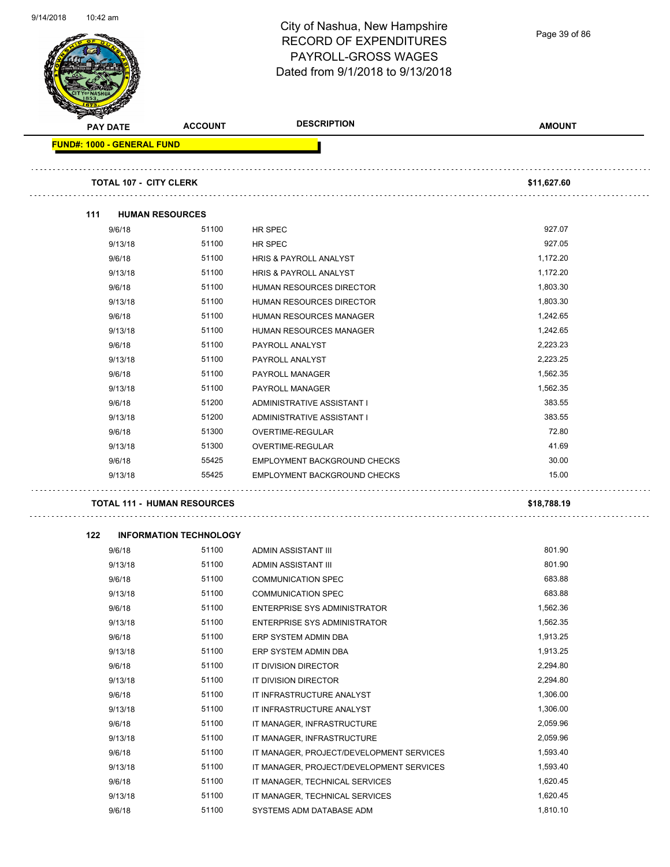|     | <b>PAY DATE</b>                   | <b>ACCOUNT</b>                     | <b>DESCRIPTION</b>                  | <b>AMOUNT</b> |
|-----|-----------------------------------|------------------------------------|-------------------------------------|---------------|
|     | <b>FUND#: 1000 - GENERAL FUND</b> |                                    |                                     |               |
|     | <b>TOTAL 107 - CITY CLERK</b>     |                                    |                                     | \$11,627.60   |
| 111 | <b>HUMAN RESOURCES</b>            |                                    |                                     |               |
|     | 9/6/18                            | 51100                              | HR SPEC                             | 927.07        |
|     | 9/13/18                           | 51100                              | HR SPEC                             | 927.05        |
|     | 9/6/18                            | 51100                              | <b>HRIS &amp; PAYROLL ANALYST</b>   | 1,172.20      |
|     | 9/13/18                           | 51100                              | <b>HRIS &amp; PAYROLL ANALYST</b>   | 1,172.20      |
|     | 9/6/18                            | 51100                              | HUMAN RESOURCES DIRECTOR            | 1,803.30      |
|     | 9/13/18                           | 51100                              | <b>HUMAN RESOURCES DIRECTOR</b>     | 1,803.30      |
|     | 9/6/18                            | 51100                              | HUMAN RESOURCES MANAGER             | 1,242.65      |
|     | 9/13/18                           | 51100                              | HUMAN RESOURCES MANAGER             | 1,242.65      |
|     | 9/6/18                            | 51100                              | PAYROLL ANALYST                     | 2,223.23      |
|     | 9/13/18                           | 51100                              | PAYROLL ANALYST                     | 2,223.25      |
|     | 9/6/18                            | 51100                              | <b>PAYROLL MANAGER</b>              | 1,562.35      |
|     | 9/13/18                           | 51100                              | PAYROLL MANAGER                     | 1,562.35      |
|     | 9/6/18                            | 51200                              | ADMINISTRATIVE ASSISTANT I          | 383.55        |
|     | 9/13/18                           | 51200                              | ADMINISTRATIVE ASSISTANT I          | 383.55        |
|     | 9/6/18                            | 51300                              | OVERTIME-REGULAR                    | 72.80         |
|     | 9/13/18                           | 51300                              | OVERTIME-REGULAR                    | 41.69         |
|     | 9/6/18                            | 55425                              | <b>EMPLOYMENT BACKGROUND CHECKS</b> | 30.00         |
|     | 9/13/18                           | 55425                              | EMPLOYMENT BACKGROUND CHECKS        | 15.00         |
|     |                                   | <b>TOTAL 111 - HUMAN RESOURCES</b> |                                     | \$18,788.19   |
| 122 |                                   | <b>INFORMATION TECHNOLOGY</b>      |                                     |               |
|     | 9/6/18                            | 51100                              | ADMIN ASSISTANT III                 | 801.90        |
|     | 9/13/18                           | 51100                              | ADMIN ASSISTANT III                 | 801.90        |
|     | 9/6/18                            | 51100                              | <b>COMMUNICATION SPEC</b>           | 683.88        |
|     | 9/13/18                           | 51100                              | <b>COMMUNICATION SPEC</b>           | 683.88        |
|     | 9/6/18                            | 51100                              | ENTERPRISE SYS ADMINISTRATOR        | 1,562.36      |
|     | 9/13/18                           | 51100                              | <b>ENTERPRISE SYS ADMINISTRATOR</b> | 1,562.35      |
|     | 9/6/18                            | 51100                              | ERP SYSTEM ADMIN DBA                | 1,913.25      |
|     | 9/13/18                           | 51100                              | ERP SYSTEM ADMIN DBA                | 1,913.25      |

| 9/13/18 | 51100 | ADMIN ASSISTANT III                      | 801.90   |
|---------|-------|------------------------------------------|----------|
| 9/6/18  | 51100 | <b>COMMUNICATION SPEC</b>                | 683.88   |
| 9/13/18 | 51100 | <b>COMMUNICATION SPEC</b>                | 683.88   |
| 9/6/18  | 51100 | ENTERPRISE SYS ADMINISTRATOR             | 1,562.36 |
| 9/13/18 | 51100 | <b>ENTERPRISE SYS ADMINISTRATOR</b>      | 1,562.35 |
| 9/6/18  | 51100 | ERP SYSTEM ADMIN DBA                     | 1,913.25 |
| 9/13/18 | 51100 | ERP SYSTEM ADMIN DBA                     | 1,913.25 |
| 9/6/18  | 51100 | IT DIVISION DIRECTOR                     | 2,294.80 |
| 9/13/18 | 51100 | IT DIVISION DIRECTOR                     | 2,294.80 |
| 9/6/18  | 51100 | IT INFRASTRUCTURE ANALYST                | 1,306.00 |
| 9/13/18 | 51100 | IT INFRASTRUCTURE ANALYST                | 1,306.00 |
| 9/6/18  | 51100 | IT MANAGER, INFRASTRUCTURE               | 2,059.96 |
| 9/13/18 | 51100 | IT MANAGER, INFRASTRUCTURE               | 2,059.96 |
| 9/6/18  | 51100 | IT MANAGER, PROJECT/DEVELOPMENT SERVICES | 1,593.40 |
| 9/13/18 | 51100 | IT MANAGER, PROJECT/DEVELOPMENT SERVICES | 1,593.40 |
| 9/6/18  | 51100 | IT MANAGER, TECHNICAL SERVICES           | 1,620.45 |
| 9/13/18 | 51100 | IT MANAGER, TECHNICAL SERVICES           | 1,620.45 |

9/6/18 51100 SYSTEMS ADM DATABASE ADM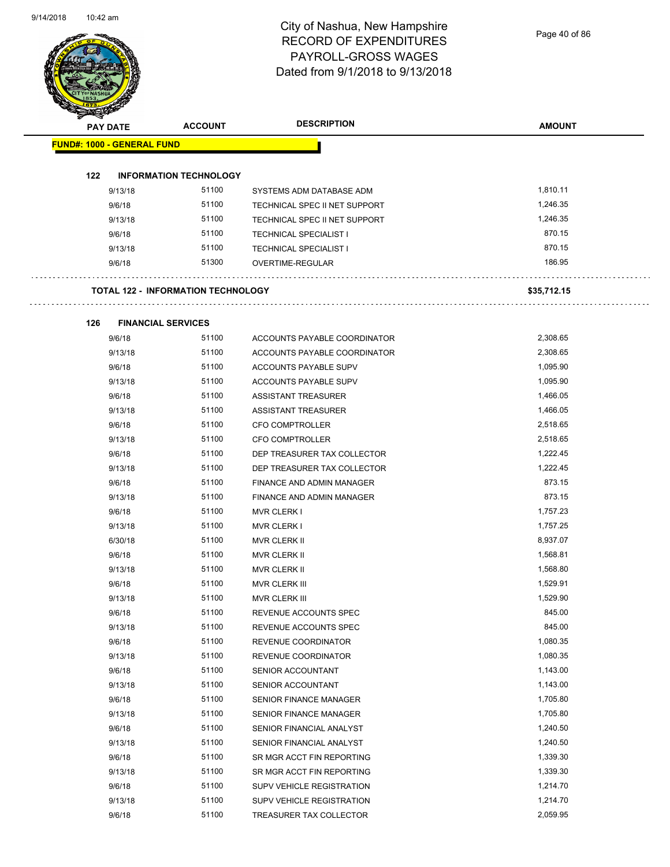Page 40 of 86

| <b>PAY DATE</b>                   | <b>ACCOUNT</b>                            | <b>DESCRIPTION</b>               | <b>AMOUNT</b> |
|-----------------------------------|-------------------------------------------|----------------------------------|---------------|
| <b>FUND#: 1000 - GENERAL FUND</b> |                                           |                                  |               |
|                                   |                                           |                                  |               |
| 122<br>9/13/18                    | <b>INFORMATION TECHNOLOGY</b><br>51100    | SYSTEMS ADM DATABASE ADM         | 1,810.11      |
| 9/6/18                            | 51100                                     | TECHNICAL SPEC II NET SUPPORT    | 1,246.35      |
| 9/13/18                           | 51100                                     | TECHNICAL SPEC II NET SUPPORT    | 1,246.35      |
| 9/6/18                            | 51100                                     | <b>TECHNICAL SPECIALIST I</b>    | 870.15        |
| 9/13/18                           | 51100                                     | <b>TECHNICAL SPECIALIST I</b>    | 870.15        |
| 9/6/18                            | 51300                                     | OVERTIME-REGULAR                 | 186.95        |
|                                   | <b>TOTAL 122 - INFORMATION TECHNOLOGY</b> |                                  | \$35,712.15   |
|                                   |                                           |                                  |               |
| 126<br>9/6/18                     | <b>FINANCIAL SERVICES</b><br>51100        | ACCOUNTS PAYABLE COORDINATOR     | 2,308.65      |
| 9/13/18                           | 51100                                     | ACCOUNTS PAYABLE COORDINATOR     | 2,308.65      |
| 9/6/18                            | 51100                                     | <b>ACCOUNTS PAYABLE SUPV</b>     | 1,095.90      |
| 9/13/18                           | 51100                                     | <b>ACCOUNTS PAYABLE SUPV</b>     | 1,095.90      |
| 9/6/18                            | 51100                                     | ASSISTANT TREASURER              | 1,466.05      |
| 9/13/18                           | 51100                                     | ASSISTANT TREASURER              | 1,466.05      |
| 9/6/18                            | 51100                                     | <b>CFO COMPTROLLER</b>           | 2,518.65      |
| 9/13/18                           | 51100                                     | <b>CFO COMPTROLLER</b>           | 2,518.65      |
| 9/6/18                            | 51100                                     | DEP TREASURER TAX COLLECTOR      | 1,222.45      |
| 9/13/18                           | 51100                                     | DEP TREASURER TAX COLLECTOR      | 1,222.45      |
| 9/6/18                            | 51100                                     | FINANCE AND ADMIN MANAGER        | 873.15        |
| 9/13/18                           | 51100                                     | FINANCE AND ADMIN MANAGER        | 873.15        |
| 9/6/18                            | 51100                                     | <b>MVR CLERK I</b>               | 1,757.23      |
| 9/13/18                           | 51100                                     | <b>MVR CLERK I</b>               | 1,757.25      |
| 6/30/18                           | 51100                                     | MVR CLERK II                     | 8,937.07      |
| 9/6/18                            | 51100                                     | MVR CLERK II                     | 1,568.81      |
| 9/13/18                           | 51100                                     | MVR CLERK II                     | 1,568.80      |
| 9/6/18                            | 51100                                     | MVR CLERK III                    | 1,529.91      |
| 9/13/18                           | 51100                                     | MVR CLERK III                    | 1,529.90      |
| 9/6/18                            | 51100                                     | REVENUE ACCOUNTS SPEC            | 845.00        |
| 9/13/18                           | 51100                                     | REVENUE ACCOUNTS SPEC            | 845.00        |
| 9/6/18                            | 51100                                     | REVENUE COORDINATOR              | 1,080.35      |
| 9/13/18                           | 51100                                     | REVENUE COORDINATOR              | 1,080.35      |
| 9/6/18                            | 51100                                     | SENIOR ACCOUNTANT                | 1,143.00      |
| 9/13/18                           | 51100                                     | SENIOR ACCOUNTANT                | 1,143.00      |
| 9/6/18                            | 51100                                     | SENIOR FINANCE MANAGER           | 1,705.80      |
| 9/13/18                           | 51100                                     | SENIOR FINANCE MANAGER           | 1,705.80      |
| 9/6/18                            | 51100                                     | SENIOR FINANCIAL ANALYST         | 1,240.50      |
| 9/13/18                           | 51100                                     | SENIOR FINANCIAL ANALYST         | 1,240.50      |
| 9/6/18                            | 51100                                     | SR MGR ACCT FIN REPORTING        | 1,339.30      |
| 9/13/18                           | 51100                                     | SR MGR ACCT FIN REPORTING        | 1,339.30      |
| 9/6/18                            | 51100                                     | <b>SUPV VEHICLE REGISTRATION</b> | 1,214.70      |
| 9/13/18                           | 51100                                     | SUPV VEHICLE REGISTRATION        | 1,214.70      |
| 9/6/18                            | 51100                                     | TREASURER TAX COLLECTOR          | 2,059.95      |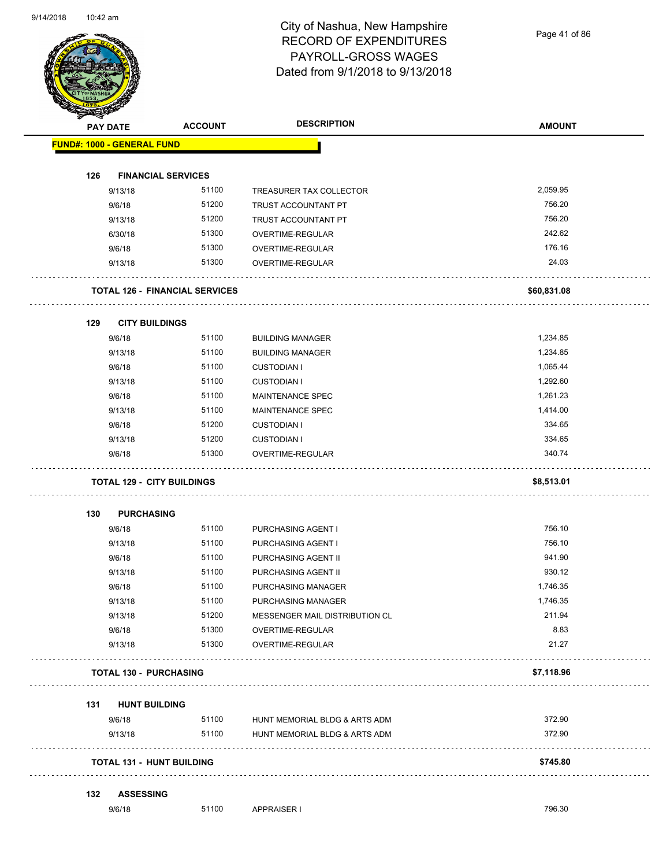Page 41 of 86

| <b>PAY DATE</b>                   | <b>ACCOUNT</b>                        | <b>DESCRIPTION</b>                   | <b>AMOUNT</b> |
|-----------------------------------|---------------------------------------|--------------------------------------|---------------|
| <b>FUND#: 1000 - GENERAL FUND</b> |                                       |                                      |               |
| 126                               | <b>FINANCIAL SERVICES</b>             |                                      |               |
| 9/13/18                           | 51100                                 | TREASURER TAX COLLECTOR              | 2,059.95      |
| 9/6/18                            | 51200                                 | TRUST ACCOUNTANT PT                  | 756.20        |
| 9/13/18                           | 51200                                 | TRUST ACCOUNTANT PT                  | 756.20        |
| 6/30/18                           | 51300                                 | OVERTIME-REGULAR                     | 242.62        |
| 9/6/18                            | 51300                                 | OVERTIME-REGULAR                     | 176.16        |
| 9/13/18                           | 51300                                 | OVERTIME-REGULAR                     | 24.03         |
|                                   | <b>TOTAL 126 - FINANCIAL SERVICES</b> |                                      | \$60,831.08   |
| 129<br><b>CITY BUILDINGS</b>      |                                       |                                      |               |
| 9/6/18                            | 51100                                 | <b>BUILDING MANAGER</b>              | 1,234.85      |
| 9/13/18                           | 51100                                 | <b>BUILDING MANAGER</b>              | 1,234.85      |
| 9/6/18                            | 51100                                 | <b>CUSTODIAN I</b>                   | 1,065.44      |
| 9/13/18                           | 51100                                 | <b>CUSTODIAN I</b>                   | 1,292.60      |
| 9/6/18                            | 51100                                 | MAINTENANCE SPEC                     | 1,261.23      |
| 9/13/18                           | 51100                                 | MAINTENANCE SPEC                     | 1,414.00      |
| 9/6/18                            | 51200                                 | <b>CUSTODIAN I</b>                   | 334.65        |
| 9/13/18                           | 51200                                 | <b>CUSTODIAN I</b>                   | 334.65        |
| 9/6/18                            | 51300                                 | OVERTIME-REGULAR                     | 340.74        |
| <b>TOTAL 129 - CITY BUILDINGS</b> |                                       |                                      | \$8,513.01    |
| <b>PURCHASING</b><br>130          |                                       |                                      |               |
| 9/6/18                            | 51100                                 | PURCHASING AGENT I                   | 756.10        |
| 9/13/18                           | 51100                                 | PURCHASING AGENT I                   | 756.10        |
| 9/6/18                            | 51100                                 | PURCHASING AGENT II                  | 941.90        |
| 9/13/18                           | 51100                                 | PURCHASING AGENT II                  | 930.12        |
| 9/6/18                            | 51100                                 | PURCHASING MANAGER                   | 1,746.35      |
| 9/13/18                           | 51100                                 | PURCHASING MANAGER                   | 1,746.35      |
| 9/13/18                           | 51200                                 | MESSENGER MAIL DISTRIBUTION CL       | 211.94        |
| 9/6/18<br>9/13/18                 | 51300<br>51300                        | OVERTIME-REGULAR<br>OVERTIME-REGULAR | 8.83<br>21.27 |
| TOTAL 130 - PURCHASING            |                                       |                                      | \$7,118.96    |
| <b>HUNT BUILDING</b><br>131       |                                       |                                      |               |
| 9/6/18                            | 51100                                 | HUNT MEMORIAL BLDG & ARTS ADM        | 372.90        |
| 9/13/18                           | 51100                                 | HUNT MEMORIAL BLDG & ARTS ADM        | 372.90        |
| <b>TOTAL 131 - HUNT BUILDING</b>  |                                       |                                      | \$745.80      |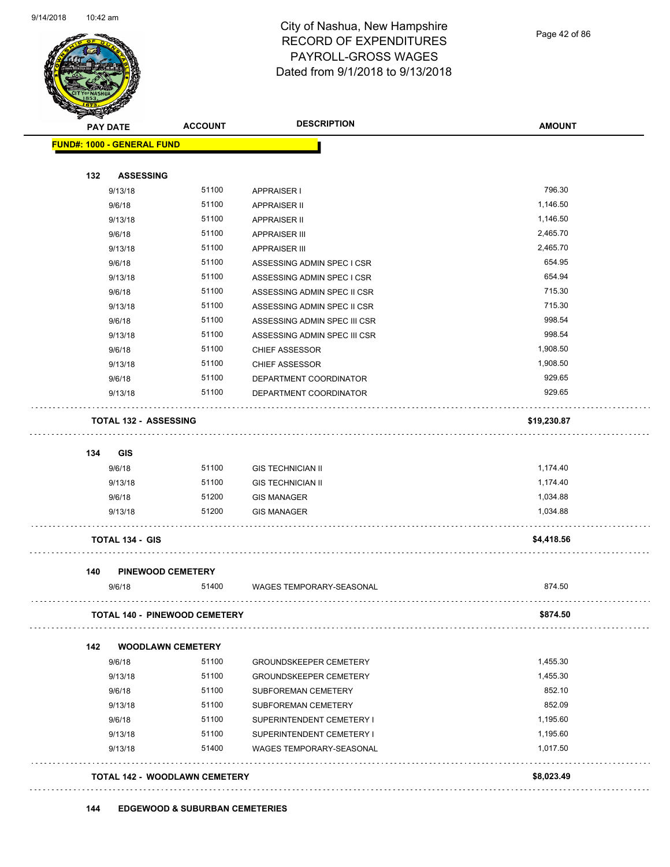

Page 42 of 86

|     | PAY DATE                          | <b>ACCOUNT</b>                       | <b>DESCRIPTION</b>            | <b>AMOUNT</b> |
|-----|-----------------------------------|--------------------------------------|-------------------------------|---------------|
|     | <b>FUND#: 1000 - GENERAL FUND</b> |                                      |                               |               |
| 132 | <b>ASSESSING</b>                  |                                      |                               |               |
|     | 9/13/18                           | 51100                                | <b>APPRAISER I</b>            | 796.30        |
|     | 9/6/18                            | 51100                                | <b>APPRAISER II</b>           | 1,146.50      |
|     | 9/13/18                           | 51100                                | <b>APPRAISER II</b>           | 1,146.50      |
|     | 9/6/18                            | 51100                                | <b>APPRAISER III</b>          | 2,465.70      |
|     | 9/13/18                           | 51100                                | <b>APPRAISER III</b>          | 2,465.70      |
|     | 9/6/18                            | 51100                                | ASSESSING ADMIN SPEC I CSR    | 654.95        |
|     | 9/13/18                           | 51100                                | ASSESSING ADMIN SPEC I CSR    | 654.94        |
|     | 9/6/18                            | 51100                                | ASSESSING ADMIN SPEC II CSR   | 715.30        |
|     | 9/13/18                           | 51100                                | ASSESSING ADMIN SPEC II CSR   | 715.30        |
|     | 9/6/18                            | 51100                                | ASSESSING ADMIN SPEC III CSR  | 998.54        |
|     | 9/13/18                           | 51100                                | ASSESSING ADMIN SPEC III CSR  | 998.54        |
|     | 9/6/18                            | 51100                                | <b>CHIEF ASSESSOR</b>         | 1,908.50      |
|     | 9/13/18                           | 51100                                | <b>CHIEF ASSESSOR</b>         | 1,908.50      |
|     | 9/6/18                            | 51100                                | DEPARTMENT COORDINATOR        | 929.65        |
|     | 9/13/18                           | 51100                                | DEPARTMENT COORDINATOR        | 929.65        |
|     | <b>TOTAL 132 - ASSESSING</b>      |                                      |                               | \$19,230.87   |
|     |                                   |                                      |                               |               |
| 134 | <b>GIS</b>                        |                                      |                               |               |
|     | 9/6/18                            | 51100                                | <b>GIS TECHNICIAN II</b>      | 1,174.40      |
|     | 9/13/18                           | 51100                                | <b>GIS TECHNICIAN II</b>      | 1,174.40      |
|     | 9/6/18                            | 51200                                | <b>GIS MANAGER</b>            | 1,034.88      |
|     | 9/13/18                           | 51200                                | <b>GIS MANAGER</b>            | 1,034.88      |
|     |                                   |                                      |                               |               |
|     | <b>TOTAL 134 - GIS</b>            |                                      |                               | \$4,418.56    |
| 140 |                                   | <b>PINEWOOD CEMETERY</b>             |                               |               |
|     | 9/6/18                            | 51400                                | WAGES TEMPORARY-SEASONAL      | 874.50        |
|     |                                   | <b>TOTAL 140 - PINEWOOD CEMETERY</b> |                               | \$874.50      |
|     |                                   |                                      |                               |               |
| 142 |                                   | <b>WOODLAWN CEMETERY</b>             |                               |               |
|     | 9/6/18                            | 51100                                | <b>GROUNDSKEEPER CEMETERY</b> | 1,455.30      |
|     | 9/13/18                           | 51100                                | <b>GROUNDSKEEPER CEMETERY</b> | 1,455.30      |
|     | 9/6/18                            | 51100                                | SUBFOREMAN CEMETERY           | 852.10        |
|     | 9/13/18                           | 51100                                | SUBFOREMAN CEMETERY           | 852.09        |
|     | 9/6/18                            | 51100                                | SUPERINTENDENT CEMETERY I     | 1,195.60      |
|     | 9/13/18                           | 51100                                | SUPERINTENDENT CEMETERY I     | 1,195.60      |
|     | 9/13/18                           | 51400                                | WAGES TEMPORARY-SEASONAL      | 1,017.50      |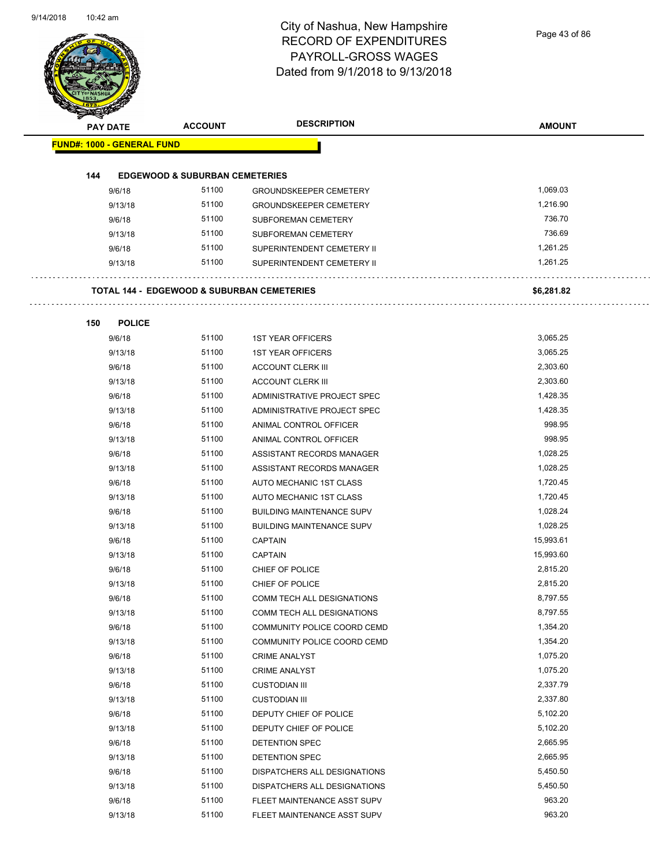Page 43 of 86

| <b>PAY DATE</b>                   | <b>ACCOUNT</b>                                        | <b>DESCRIPTION</b>               | <b>AMOUNT</b> |
|-----------------------------------|-------------------------------------------------------|----------------------------------|---------------|
| <b>FUND#: 1000 - GENERAL FUND</b> |                                                       |                                  |               |
|                                   |                                                       |                                  |               |
| 144                               | <b>EDGEWOOD &amp; SUBURBAN CEMETERIES</b>             |                                  |               |
| 9/6/18                            | 51100                                                 | <b>GROUNDSKEEPER CEMETERY</b>    | 1,069.03      |
| 9/13/18                           | 51100                                                 | <b>GROUNDSKEEPER CEMETERY</b>    | 1,216.90      |
| 9/6/18                            | 51100                                                 | SUBFOREMAN CEMETERY              | 736.70        |
| 9/13/18                           | 51100                                                 | SUBFOREMAN CEMETERY              | 736.69        |
| 9/6/18                            | 51100                                                 | SUPERINTENDENT CEMETERY II       | 1,261.25      |
| 9/13/18                           | 51100                                                 | SUPERINTENDENT CEMETERY II       | 1,261.25      |
|                                   | <b>TOTAL 144 - EDGEWOOD &amp; SUBURBAN CEMETERIES</b> |                                  | \$6,281.82    |
| 150<br><b>POLICE</b>              |                                                       |                                  |               |
| 9/6/18                            | 51100                                                 | <b>1ST YEAR OFFICERS</b>         | 3,065.25      |
| 9/13/18                           | 51100                                                 | <b>1ST YEAR OFFICERS</b>         | 3,065.25      |
| 9/6/18                            | 51100                                                 | <b>ACCOUNT CLERK III</b>         | 2,303.60      |
| 9/13/18                           | 51100                                                 | <b>ACCOUNT CLERK III</b>         | 2,303.60      |
| 9/6/18                            | 51100                                                 | ADMINISTRATIVE PROJECT SPEC      | 1,428.35      |
| 9/13/18                           | 51100                                                 | ADMINISTRATIVE PROJECT SPEC      | 1,428.35      |
| 9/6/18                            | 51100                                                 | ANIMAL CONTROL OFFICER           | 998.95        |
| 9/13/18                           | 51100                                                 | ANIMAL CONTROL OFFICER           | 998.95        |
| 9/6/18                            | 51100                                                 | ASSISTANT RECORDS MANAGER        | 1,028.25      |
| 9/13/18                           | 51100                                                 | ASSISTANT RECORDS MANAGER        | 1,028.25      |
| 9/6/18                            | 51100                                                 | AUTO MECHANIC 1ST CLASS          | 1,720.45      |
| 9/13/18                           | 51100                                                 | AUTO MECHANIC 1ST CLASS          | 1,720.45      |
| 9/6/18                            | 51100                                                 | <b>BUILDING MAINTENANCE SUPV</b> | 1,028.24      |
| 9/13/18                           | 51100                                                 | <b>BUILDING MAINTENANCE SUPV</b> | 1,028.25      |
| 9/6/18                            | 51100                                                 | <b>CAPTAIN</b>                   | 15,993.61     |
| 9/13/18                           | 51100                                                 | <b>CAPTAIN</b>                   | 15,993.60     |
| 9/6/18                            | 51100                                                 | CHIEF OF POLICE                  | 2.815.20      |
| 9/13/18                           | 51100                                                 | CHIEF OF POLICE                  | 2,815.20      |
| 9/6/18                            | 51100                                                 | COMM TECH ALL DESIGNATIONS       | 8,797.55      |
| 9/13/18                           | 51100                                                 | COMM TECH ALL DESIGNATIONS       | 8,797.55      |
| 9/6/18                            | 51100                                                 | COMMUNITY POLICE COORD CEMD      | 1,354.20      |
| 9/13/18                           | 51100                                                 | COMMUNITY POLICE COORD CEMD      | 1,354.20      |
| 9/6/18                            | 51100                                                 | <b>CRIME ANALYST</b>             | 1,075.20      |
| 9/13/18                           | 51100                                                 | <b>CRIME ANALYST</b>             | 1,075.20      |
| 9/6/18                            | 51100                                                 | <b>CUSTODIAN III</b>             | 2,337.79      |
| 9/13/18                           | 51100                                                 | <b>CUSTODIAN III</b>             | 2,337.80      |
| 9/6/18                            | 51100                                                 | DEPUTY CHIEF OF POLICE           | 5,102.20      |
| 9/13/18                           | 51100                                                 | DEPUTY CHIEF OF POLICE           | 5,102.20      |
| 9/6/18                            | 51100                                                 | DETENTION SPEC                   | 2,665.95      |
| 9/13/18                           | 51100                                                 | DETENTION SPEC                   | 2,665.95      |
| 9/6/18                            | 51100                                                 | DISPATCHERS ALL DESIGNATIONS     | 5,450.50      |
| 9/13/18                           | 51100                                                 | DISPATCHERS ALL DESIGNATIONS     | 5,450.50      |
| 9/6/18                            | 51100                                                 | FLEET MAINTENANCE ASST SUPV      | 963.20        |
| 9/13/18                           | 51100                                                 | FLEET MAINTENANCE ASST SUPV      | 963.20        |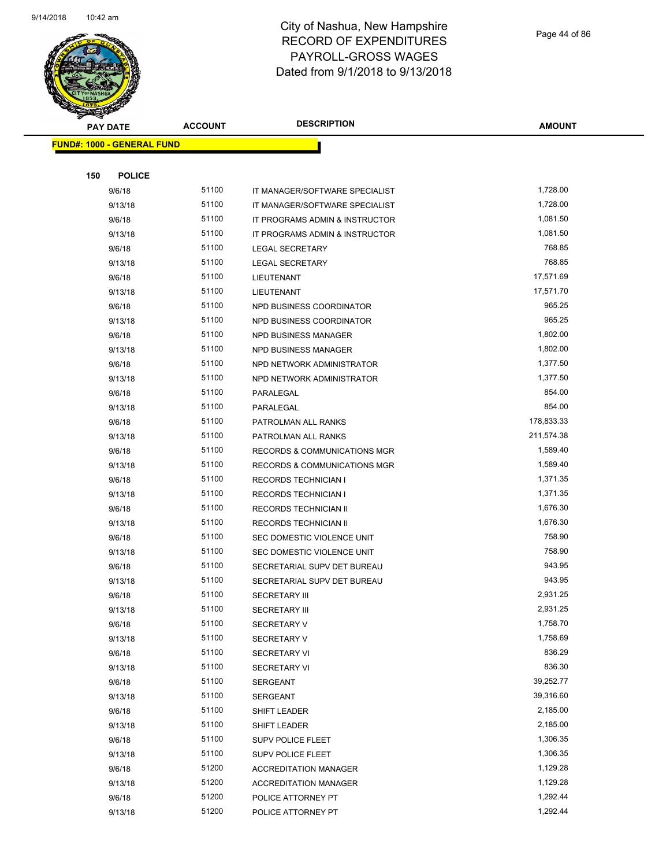

Page 44 of 86

| <b>REAL AREA</b>                  |                |                                         |               |
|-----------------------------------|----------------|-----------------------------------------|---------------|
| <b>PAY DATE</b>                   | <b>ACCOUNT</b> | <b>DESCRIPTION</b>                      | <b>AMOUNT</b> |
| <b>FUND#: 1000 - GENERAL FUND</b> |                |                                         |               |
|                                   |                |                                         |               |
| 150<br><b>POLICE</b>              |                |                                         |               |
| 9/6/18                            | 51100          | IT MANAGER/SOFTWARE SPECIALIST          | 1,728.00      |
| 9/13/18                           | 51100          | IT MANAGER/SOFTWARE SPECIALIST          | 1,728.00      |
| 9/6/18                            | 51100          | IT PROGRAMS ADMIN & INSTRUCTOR          | 1,081.50      |
| 9/13/18                           | 51100          | IT PROGRAMS ADMIN & INSTRUCTOR          | 1,081.50      |
| 9/6/18                            | 51100          | <b>LEGAL SECRETARY</b>                  | 768.85        |
| 9/13/18                           | 51100          | <b>LEGAL SECRETARY</b>                  | 768.85        |
| 9/6/18                            | 51100          | LIEUTENANT                              | 17,571.69     |
| 9/13/18                           | 51100          | LIEUTENANT                              | 17,571.70     |
| 9/6/18                            | 51100          | NPD BUSINESS COORDINATOR                | 965.25        |
| 9/13/18                           | 51100          | NPD BUSINESS COORDINATOR                | 965.25        |
| 9/6/18                            | 51100          | NPD BUSINESS MANAGER                    | 1,802.00      |
| 9/13/18                           | 51100          | NPD BUSINESS MANAGER                    | 1,802.00      |
| 9/6/18                            | 51100          | NPD NETWORK ADMINISTRATOR               | 1,377.50      |
| 9/13/18                           | 51100          | NPD NETWORK ADMINISTRATOR               | 1,377.50      |
| 9/6/18                            | 51100          | PARALEGAL                               | 854.00        |
| 9/13/18                           | 51100          | PARALEGAL                               | 854.00        |
| 9/6/18                            | 51100          | PATROLMAN ALL RANKS                     | 178,833.33    |
| 9/13/18                           | 51100          | PATROLMAN ALL RANKS                     | 211,574.38    |
| 9/6/18                            | 51100          | RECORDS & COMMUNICATIONS MGR            | 1,589.40      |
| 9/13/18                           | 51100          | <b>RECORDS &amp; COMMUNICATIONS MGR</b> | 1,589.40      |
| 9/6/18                            | 51100          | <b>RECORDS TECHNICIAN I</b>             | 1,371.35      |
| 9/13/18                           | 51100          | <b>RECORDS TECHNICIAN I</b>             | 1,371.35      |
| 9/6/18                            | 51100          | RECORDS TECHNICIAN II                   | 1,676.30      |
| 9/13/18                           | 51100          | RECORDS TECHNICIAN II                   | 1,676.30      |
| 9/6/18                            | 51100          | SEC DOMESTIC VIOLENCE UNIT              | 758.90        |
| 9/13/18                           | 51100          | SEC DOMESTIC VIOLENCE UNIT              | 758.90        |
| 9/6/18                            | 51100          | SECRETARIAL SUPV DET BUREAU             | 943.95        |
| 9/13/18                           | 51100          | SECRETARIAL SUPV DET BUREAU             | 943.95        |
| 9/6/18                            | 51100          | <b>SECRETARY III</b>                    | 2,931.25      |
| 9/13/18                           | 51100          | <b>SECRETARY III</b>                    | 2,931.25      |
| 9/6/18                            | 51100          | SECRETARY V                             | 1,758.70      |
| 9/13/18                           | 51100          | SECRETARY V                             | 1,758.69      |
| 9/6/18                            | 51100          | <b>SECRETARY VI</b>                     | 836.29        |
| 9/13/18                           | 51100          | <b>SECRETARY VI</b>                     | 836.30        |
| 9/6/18                            | 51100          | SERGEANT                                | 39,252.77     |
| 9/13/18                           | 51100          | SERGEANT                                | 39,316.60     |
| 9/6/18                            | 51100          | SHIFT LEADER                            | 2,185.00      |
| 9/13/18                           | 51100          | SHIFT LEADER                            | 2,185.00      |
| 9/6/18                            | 51100          | SUPV POLICE FLEET                       | 1,306.35      |
| 9/13/18                           | 51100          | SUPV POLICE FLEET                       | 1,306.35      |
| 9/6/18                            | 51200          | <b>ACCREDITATION MANAGER</b>            | 1,129.28      |
| 9/13/18                           | 51200          | <b>ACCREDITATION MANAGER</b>            | 1,129.28      |
| 9/6/18                            | 51200          | POLICE ATTORNEY PT                      | 1,292.44      |
| 9/13/18                           | 51200          | POLICE ATTORNEY PT                      | 1,292.44      |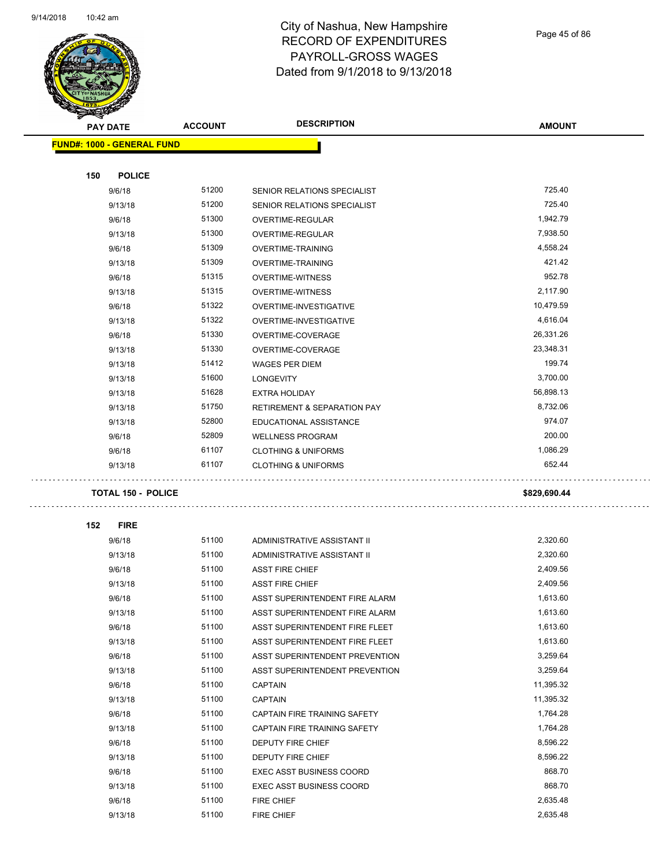

Page 45 of 86

| <b>PAY DATE</b>                   |                           | <b>ACCOUNT</b> | <b>DESCRIPTION</b>                                               | <b>AMOUNT</b> |
|-----------------------------------|---------------------------|----------------|------------------------------------------------------------------|---------------|
| <b>FUND#: 1000 - GENERAL FUND</b> |                           |                |                                                                  |               |
|                                   |                           |                |                                                                  |               |
| 150                               | <b>POLICE</b>             |                |                                                                  |               |
|                                   | 9/6/18                    | 51200          | SENIOR RELATIONS SPECIALIST                                      | 725.40        |
|                                   | 9/13/18                   | 51200          | SENIOR RELATIONS SPECIALIST                                      | 725.40        |
|                                   | 9/6/18                    | 51300          | OVERTIME-REGULAR                                                 | 1,942.79      |
|                                   | 9/13/18                   | 51300          | OVERTIME-REGULAR                                                 | 7,938.50      |
|                                   | 9/6/18                    | 51309          | <b>OVERTIME-TRAINING</b>                                         | 4,558.24      |
|                                   | 9/13/18                   | 51309          | <b>OVERTIME-TRAINING</b>                                         | 421.42        |
|                                   | 9/6/18                    | 51315          | <b>OVERTIME-WITNESS</b>                                          | 952.78        |
|                                   | 9/13/18                   | 51315          | <b>OVERTIME-WITNESS</b>                                          | 2,117.90      |
|                                   | 9/6/18                    | 51322          | OVERTIME-INVESTIGATIVE                                           | 10,479.59     |
|                                   | 9/13/18                   | 51322          | OVERTIME-INVESTIGATIVE                                           | 4,616.04      |
|                                   | 9/6/18                    | 51330          | OVERTIME-COVERAGE                                                | 26,331.26     |
|                                   | 9/13/18                   | 51330          | OVERTIME-COVERAGE                                                | 23,348.31     |
|                                   | 9/13/18                   | 51412          | <b>WAGES PER DIEM</b>                                            | 199.74        |
|                                   | 9/13/18                   | 51600          | <b>LONGEVITY</b>                                                 | 3,700.00      |
|                                   | 9/13/18                   | 51628          | <b>EXTRA HOLIDAY</b>                                             | 56,898.13     |
|                                   | 9/13/18                   | 51750          | <b>RETIREMENT &amp; SEPARATION PAY</b>                           | 8,732.06      |
|                                   | 9/13/18                   | 52800          | EDUCATIONAL ASSISTANCE                                           | 974.07        |
|                                   | 9/6/18                    | 52809          | <b>WELLNESS PROGRAM</b>                                          | 200.00        |
|                                   | 9/6/18                    | 61107          | <b>CLOTHING &amp; UNIFORMS</b>                                   | 1,086.29      |
|                                   | 9/13/18                   | 61107          | <b>CLOTHING &amp; UNIFORMS</b>                                   | 652.44        |
|                                   |                           |                |                                                                  |               |
|                                   | <b>TOTAL 150 - POLICE</b> |                |                                                                  | \$829,690.44  |
| 152                               | <b>FIRE</b>               |                |                                                                  |               |
|                                   | 9/6/18                    | 51100          | ADMINISTRATIVE ASSISTANT II                                      | 2,320.60      |
|                                   | 9/13/18                   | 51100          | ADMINISTRATIVE ASSISTANT II                                      | 2,320.60      |
|                                   | 9/6/18                    | 51100          | <b>ASST FIRE CHIEF</b>                                           | 2,409.56      |
|                                   | 9/13/18                   | 51100          | <b>ASST FIRE CHIEF</b>                                           | 2,409.56      |
|                                   | 9/6/18                    | 51100          | ASST SUPERINTENDENT FIRE ALARM                                   | 1,613.60      |
|                                   |                           | 51100          |                                                                  | 1,613.60      |
|                                   | 9/13/18                   | 51100          | ASST SUPERINTENDENT FIRE ALARM<br>ASST SUPERINTENDENT FIRE FLEET | 1,613.60      |
|                                   | 9/6/18                    | 51100          |                                                                  | 1,613.60      |
|                                   | 9/13/18                   | 51100          | ASST SUPERINTENDENT FIRE FLEET                                   | 3,259.64      |
|                                   | 9/6/18                    |                | ASST SUPERINTENDENT PREVENTION                                   |               |
|                                   | 9/13/18                   | 51100          | ASST SUPERINTENDENT PREVENTION                                   | 3,259.64      |
|                                   | 9/6/18                    | 51100          | <b>CAPTAIN</b>                                                   | 11,395.32     |
|                                   | 9/13/18                   | 51100          | <b>CAPTAIN</b>                                                   | 11,395.32     |
|                                   | 9/6/18                    | 51100          | CAPTAIN FIRE TRAINING SAFETY                                     | 1,764.28      |
|                                   | 9/13/18                   | 51100          | CAPTAIN FIRE TRAINING SAFETY                                     | 1,764.28      |
|                                   | 9/6/18                    | 51100          | DEPUTY FIRE CHIEF                                                | 8,596.22      |
|                                   | 9/13/18                   | 51100          | DEPUTY FIRE CHIEF                                                | 8,596.22      |
|                                   | 9/6/18                    | 51100          | EXEC ASST BUSINESS COORD                                         | 868.70        |
|                                   | 9/13/18                   | 51100          | <b>EXEC ASST BUSINESS COORD</b>                                  | 868.70        |
|                                   | 9/6/18                    | 51100          | FIRE CHIEF                                                       | 2,635.48      |
|                                   | 9/13/18                   | 51100          | FIRE CHIEF                                                       | 2,635.48      |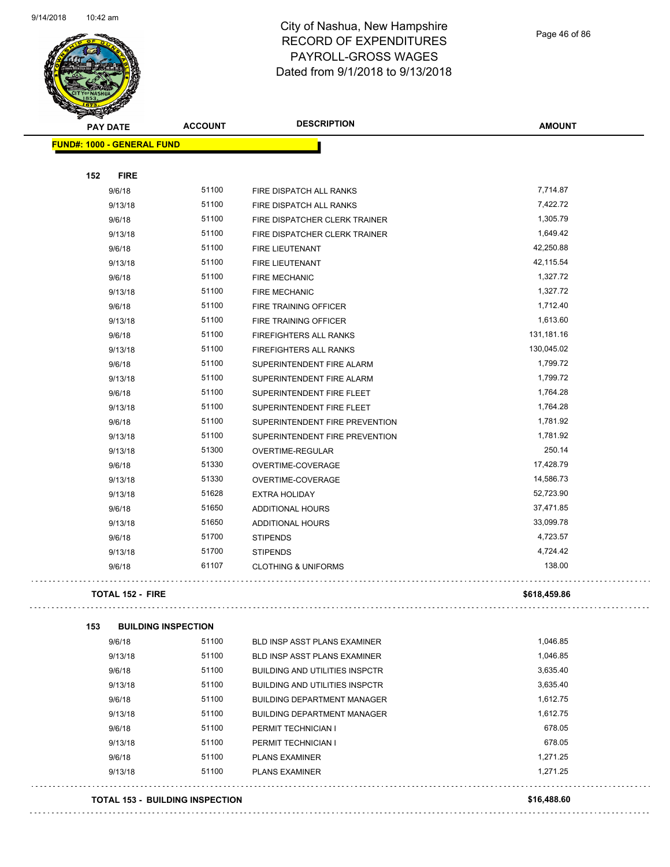

Page 46 of 86

| <b>Constitution</b><br><b>PAY DATE</b> | <b>ACCOUNT</b>                         | <b>DESCRIPTION</b>                                     | <b>AMOUNT</b>        |
|----------------------------------------|----------------------------------------|--------------------------------------------------------|----------------------|
| <b>FUND#: 1000 - GENERAL FUND</b>      |                                        |                                                        |                      |
| 152<br><b>FIRE</b>                     |                                        |                                                        |                      |
| 9/6/18                                 | 51100                                  | FIRE DISPATCH ALL RANKS                                | 7,714.87             |
| 9/13/18                                | 51100                                  | FIRE DISPATCH ALL RANKS                                | 7,422.72             |
| 9/6/18                                 | 51100                                  | FIRE DISPATCHER CLERK TRAINER                          | 1,305.79             |
| 9/13/18                                | 51100                                  | FIRE DISPATCHER CLERK TRAINER                          | 1,649.42             |
| 9/6/18                                 | 51100                                  | FIRE LIEUTENANT                                        | 42,250.88            |
| 9/13/18                                | 51100                                  | <b>FIRE LIEUTENANT</b>                                 | 42,115.54            |
| 9/6/18                                 | 51100                                  | <b>FIRE MECHANIC</b>                                   | 1,327.72             |
| 9/13/18                                | 51100                                  | <b>FIRE MECHANIC</b>                                   | 1,327.72             |
| 9/6/18                                 | 51100                                  | FIRE TRAINING OFFICER                                  | 1,712.40             |
| 9/13/18                                | 51100                                  |                                                        | 1,613.60             |
|                                        | 51100                                  | FIRE TRAINING OFFICER<br><b>FIREFIGHTERS ALL RANKS</b> | 131,181.16           |
| 9/6/18                                 | 51100                                  |                                                        | 130,045.02           |
| 9/13/18                                |                                        | FIREFIGHTERS ALL RANKS                                 |                      |
| 9/6/18<br>9/13/18                      | 51100                                  | SUPERINTENDENT FIRE ALARM<br>SUPERINTENDENT FIRE ALARM | 1,799.72             |
|                                        | 51100                                  |                                                        | 1,799.72<br>1,764.28 |
| 9/6/18                                 | 51100                                  | SUPERINTENDENT FIRE FLEET                              | 1,764.28             |
| 9/13/18                                | 51100                                  | SUPERINTENDENT FIRE FLEET                              | 1,781.92             |
| 9/6/18                                 | 51100                                  | SUPERINTENDENT FIRE PREVENTION                         |                      |
| 9/13/18                                | 51100                                  | SUPERINTENDENT FIRE PREVENTION                         | 1,781.92             |
| 9/13/18                                | 51300                                  | OVERTIME-REGULAR                                       | 250.14               |
| 9/6/18                                 | 51330                                  | OVERTIME-COVERAGE                                      | 17,428.79            |
| 9/13/18                                | 51330                                  | OVERTIME-COVERAGE                                      | 14,586.73            |
| 9/13/18                                | 51628                                  | <b>EXTRA HOLIDAY</b>                                   | 52,723.90            |
| 9/6/18                                 | 51650                                  | <b>ADDITIONAL HOURS</b>                                | 37,471.85            |
| 9/13/18                                | 51650                                  | ADDITIONAL HOURS                                       | 33,099.78            |
| 9/6/18                                 | 51700                                  | <b>STIPENDS</b>                                        | 4,723.57             |
| 9/13/18                                | 51700                                  | <b>STIPENDS</b>                                        | 4,724.42             |
| 9/6/18                                 | 61107                                  | <b>CLOTHING &amp; UNIFORMS</b>                         | 138.00               |
| <b>TOTAL 152 - FIRE</b>                |                                        |                                                        | \$618,459.86         |
| 153                                    | <b>BUILDING INSPECTION</b>             |                                                        |                      |
| 9/6/18                                 | 51100                                  | BLD INSP ASST PLANS EXAMINER                           | 1,046.85             |
| 9/13/18                                | 51100                                  | <b>BLD INSP ASST PLANS EXAMINER</b>                    | 1,046.85             |
| 9/6/18                                 | 51100                                  | <b>BUILDING AND UTILITIES INSPCTR</b>                  | 3,635.40             |
| 9/13/18                                | 51100                                  | <b>BUILDING AND UTILITIES INSPCTR</b>                  | 3,635.40             |
| 9/6/18                                 | 51100                                  | <b>BUILDING DEPARTMENT MANAGER</b>                     | 1,612.75             |
| 9/13/18                                | 51100                                  | <b>BUILDING DEPARTMENT MANAGER</b>                     | 1,612.75             |
| 9/6/18                                 | 51100                                  | PERMIT TECHNICIAN I                                    | 678.05               |
| 9/13/18                                | 51100                                  | PERMIT TECHNICIAN I                                    | 678.05               |
| 9/6/18                                 | 51100                                  | <b>PLANS EXAMINER</b>                                  | 1,271.25             |
| 9/13/18                                | 51100                                  | <b>PLANS EXAMINER</b>                                  | 1,271.25             |
|                                        | <b>TOTAL 153 - BUILDING INSPECTION</b> |                                                        | \$16,488.60          |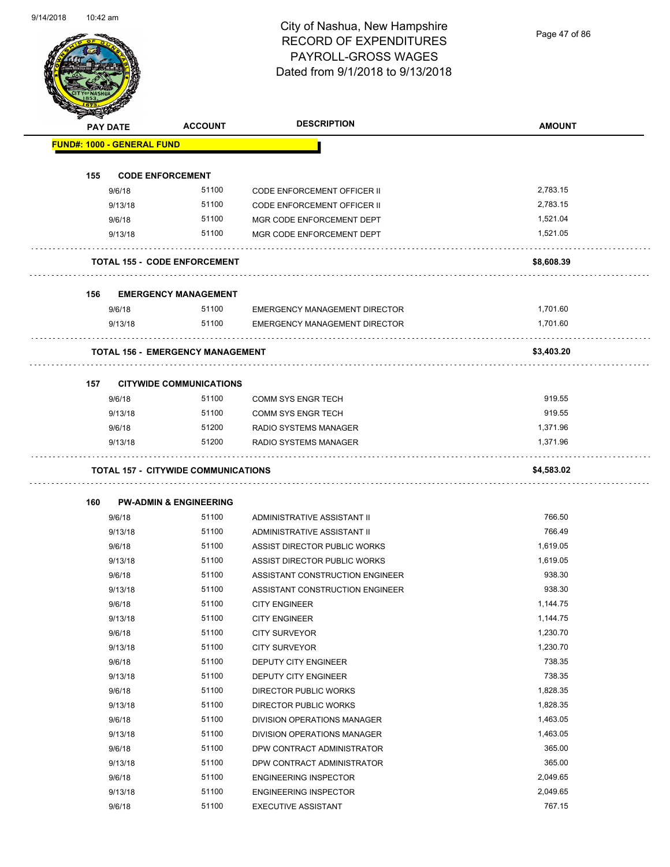Page 47 of 86

| <b>PAY DATE</b>                   | <b>ACCOUNT</b>                             | <b>DESCRIPTION</b>                                      | <b>AMOUNT</b> |
|-----------------------------------|--------------------------------------------|---------------------------------------------------------|---------------|
| <b>FUND#: 1000 - GENERAL FUND</b> |                                            |                                                         |               |
| 155                               | <b>CODE ENFORCEMENT</b>                    |                                                         |               |
| 9/6/18                            | 51100                                      | <b>CODE ENFORCEMENT OFFICER II</b>                      | 2,783.15      |
| 9/13/18                           | 51100                                      | CODE ENFORCEMENT OFFICER II                             | 2,783.15      |
| 9/6/18                            | 51100                                      | MGR CODE ENFORCEMENT DEPT                               | 1,521.04      |
| 9/13/18                           | 51100                                      | MGR CODE ENFORCEMENT DEPT                               | 1,521.05      |
|                                   | <b>TOTAL 155 - CODE ENFORCEMENT</b>        |                                                         | \$8,608.39    |
|                                   |                                            |                                                         |               |
| 156                               | <b>EMERGENCY MANAGEMENT</b>                |                                                         |               |
| 9/6/18                            | 51100                                      | <b>EMERGENCY MANAGEMENT DIRECTOR</b>                    | 1,701.60      |
| 9/13/18                           | 51100                                      | EMERGENCY MANAGEMENT DIRECTOR                           | 1,701.60      |
|                                   | <b>TOTAL 156 - EMERGENCY MANAGEMENT</b>    |                                                         | \$3,403.20    |
| 157                               | <b>CITYWIDE COMMUNICATIONS</b>             |                                                         |               |
| 9/6/18                            | 51100                                      | <b>COMM SYS ENGR TECH</b>                               | 919.55        |
| 9/13/18                           | 51100                                      | <b>COMM SYS ENGR TECH</b>                               | 919.55        |
| 9/6/18                            | 51200                                      | RADIO SYSTEMS MANAGER                                   | 1,371.96      |
| 9/13/18                           | 51200                                      | RADIO SYSTEMS MANAGER                                   | 1,371.96      |
|                                   | <b>TOTAL 157 - CITYWIDE COMMUNICATIONS</b> |                                                         | \$4,583.02    |
|                                   |                                            |                                                         |               |
| 160<br>9/6/18                     | <b>PW-ADMIN &amp; ENGINEERING</b><br>51100 | ADMINISTRATIVE ASSISTANT II                             | 766.50        |
| 9/13/18                           | 51100                                      | ADMINISTRATIVE ASSISTANT II                             | 766.49        |
| 9/6/18                            | 51100                                      | ASSIST DIRECTOR PUBLIC WORKS                            | 1,619.05      |
| 9/13/18                           | 51100                                      | ASSIST DIRECTOR PUBLIC WORKS                            | 1,619.05      |
| 9/6/18                            | 51100                                      | ASSISTANT CONSTRUCTION ENGINEER                         | 938.30        |
| 9/13/18                           | 51100                                      |                                                         | 938.30        |
| 9/6/18                            | 51100                                      | ASSISTANT CONSTRUCTION ENGINEER<br><b>CITY ENGINEER</b> | 1,144.75      |
| 9/13/18                           | 51100                                      | <b>CITY ENGINEER</b>                                    | 1,144.75      |
| 9/6/18                            | 51100                                      | <b>CITY SURVEYOR</b>                                    | 1,230.70      |
| 9/13/18                           | 51100                                      | <b>CITY SURVEYOR</b>                                    | 1,230.70      |
| 9/6/18                            | 51100                                      | DEPUTY CITY ENGINEER                                    | 738.35        |
| 9/13/18                           | 51100                                      | DEPUTY CITY ENGINEER                                    | 738.35        |
| 9/6/18                            | 51100                                      | DIRECTOR PUBLIC WORKS                                   | 1,828.35      |
| 9/13/18                           | 51100                                      | DIRECTOR PUBLIC WORKS                                   | 1,828.35      |
| 9/6/18                            | 51100                                      | DIVISION OPERATIONS MANAGER                             | 1,463.05      |
| 9/13/18                           | 51100                                      | DIVISION OPERATIONS MANAGER                             | 1,463.05      |
| 9/6/18                            | 51100                                      | DPW CONTRACT ADMINISTRATOR                              | 365.00        |
| 9/13/18                           | 51100                                      | DPW CONTRACT ADMINISTRATOR                              | 365.00        |
| 9/6/18                            | 51100                                      | <b>ENGINEERING INSPECTOR</b>                            | 2,049.65      |
| 9/13/18                           | 51100                                      | <b>ENGINEERING INSPECTOR</b>                            | 2,049.65      |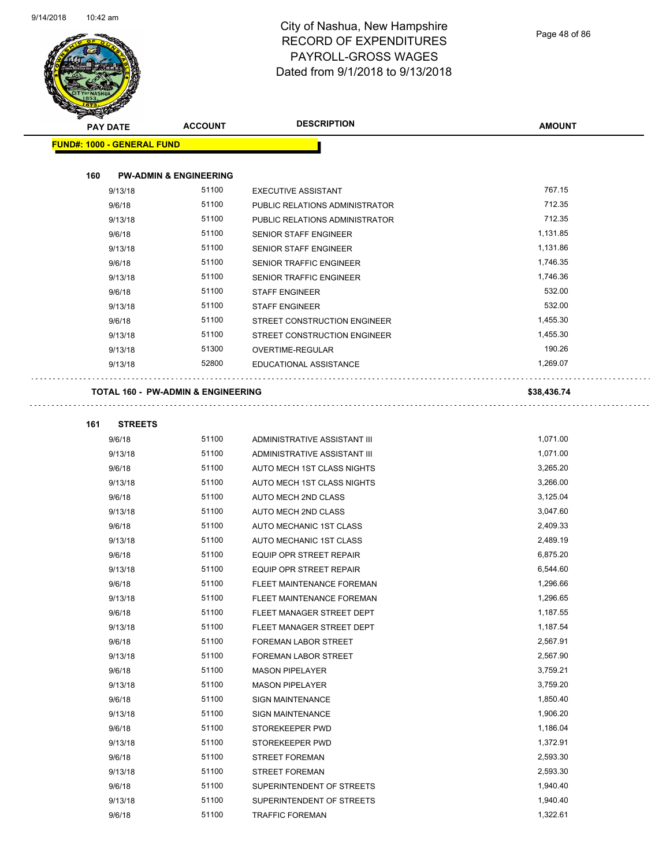

Page 48 of 86

| <b>STARTING CARDS</b> |                                   |                                               |                                |               |
|-----------------------|-----------------------------------|-----------------------------------------------|--------------------------------|---------------|
|                       | <b>PAY DATE</b>                   | <b>ACCOUNT</b>                                | <b>DESCRIPTION</b>             | <b>AMOUNT</b> |
|                       | <b>FUND#: 1000 - GENERAL FUND</b> |                                               |                                |               |
|                       |                                   |                                               |                                |               |
| 160                   |                                   | <b>PW-ADMIN &amp; ENGINEERING</b>             |                                |               |
|                       | 9/13/18                           | 51100                                         | <b>EXECUTIVE ASSISTANT</b>     | 767.15        |
|                       | 9/6/18                            | 51100                                         | PUBLIC RELATIONS ADMINISTRATOR | 712.35        |
|                       | 9/13/18                           | 51100                                         | PUBLIC RELATIONS ADMINISTRATOR | 712.35        |
|                       | 9/6/18                            | 51100                                         | <b>SENIOR STAFF ENGINEER</b>   | 1,131.85      |
|                       | 9/13/18                           | 51100                                         | <b>SENIOR STAFF ENGINEER</b>   | 1,131.86      |
|                       | 9/6/18                            | 51100                                         | SENIOR TRAFFIC ENGINEER        | 1,746.35      |
|                       | 9/13/18                           | 51100                                         | SENIOR TRAFFIC ENGINEER        | 1,746.36      |
|                       | 9/6/18                            | 51100                                         | <b>STAFF ENGINEER</b>          | 532.00        |
|                       | 9/13/18                           | 51100                                         | <b>STAFF ENGINEER</b>          | 532.00        |
|                       | 9/6/18                            | 51100                                         | STREET CONSTRUCTION ENGINEER   | 1,455.30      |
|                       | 9/13/18                           | 51100                                         | STREET CONSTRUCTION ENGINEER   | 1,455.30      |
|                       | 9/13/18                           | 51300                                         | OVERTIME-REGULAR               | 190.26        |
|                       | 9/13/18                           | 52800                                         | EDUCATIONAL ASSISTANCE         | 1,269.07      |
|                       |                                   |                                               |                                |               |
|                       |                                   | <b>TOTAL 160 - PW-ADMIN &amp; ENGINEERING</b> |                                | \$38,436.74   |
|                       |                                   |                                               |                                |               |
| 161                   | <b>STREETS</b>                    |                                               |                                |               |
|                       | 9/6/18                            | 51100                                         | ADMINISTRATIVE ASSISTANT III   | 1,071.00      |
|                       | 9/13/18                           | 51100                                         | ADMINISTRATIVE ASSISTANT III   | 1,071.00      |
|                       | 9/6/18                            | 51100                                         | AUTO MECH 1ST CLASS NIGHTS     | 3,265.20      |
|                       | 9/13/18                           | 51100                                         | AUTO MECH 1ST CLASS NIGHTS     | 3,266.00      |
|                       | 9/6/18                            | 51100                                         | AUTO MECH 2ND CLASS            | 3,125.04      |
|                       | 9/13/18                           | 51100                                         | AUTO MECH 2ND CLASS            | 3,047.60      |
|                       | 9/6/18                            | 51100                                         | AUTO MECHANIC 1ST CLASS        | 2,409.33      |
|                       | 9/13/18                           | 51100                                         | AUTO MECHANIC 1ST CLASS        | 2,489.19      |
|                       | 9/6/18                            | 51100                                         | EQUIP OPR STREET REPAIR        | 6,875.20      |
|                       | 9/13/18                           | 51100                                         | EQUIP OPR STREET REPAIR        | 6,544.60      |
|                       | 9/6/18                            | 51100                                         | FLEET MAINTENANCE FOREMAN      | 1,296.66      |
|                       | 9/13/18                           | 51100                                         | FLEET MAINTENANCE FOREMAN      | 1,296.65      |
|                       | 9/6/18                            | 51100                                         | FLEET MANAGER STREET DEPT      | 1,187.55      |
|                       | 9/13/18                           | 51100                                         | FLEET MANAGER STREET DEPT      | 1,187.54      |
|                       | 9/6/18                            | 51100                                         | FOREMAN LABOR STREET           | 2,567.91      |
|                       | 9/13/18                           | 51100                                         | FOREMAN LABOR STREET           | 2,567.90      |
|                       | 9/6/18                            | 51100                                         | <b>MASON PIPELAYER</b>         | 3,759.21      |
|                       | 9/13/18                           | 51100                                         | <b>MASON PIPELAYER</b>         | 3,759.20      |
|                       | 9/6/18                            | 51100                                         | <b>SIGN MAINTENANCE</b>        | 1,850.40      |
|                       | 9/13/18                           | 51100                                         | <b>SIGN MAINTENANCE</b>        | 1,906.20      |
|                       | 9/6/18                            | 51100                                         | STOREKEEPER PWD                | 1,186.04      |
|                       | 9/13/18                           | 51100                                         | STOREKEEPER PWD                | 1,372.91      |
|                       | 9/6/18                            | 51100                                         | <b>STREET FOREMAN</b>          | 2,593.30      |
|                       | 9/13/18                           | 51100                                         | <b>STREET FOREMAN</b>          | 2,593.30      |
|                       | 9/6/18                            | 51100                                         | SUPERINTENDENT OF STREETS      | 1,940.40      |
|                       | 9/13/18                           | 51100                                         | SUPERINTENDENT OF STREETS      | 1,940.40      |
|                       | 9/6/18                            | 51100                                         | <b>TRAFFIC FOREMAN</b>         | 1,322.61      |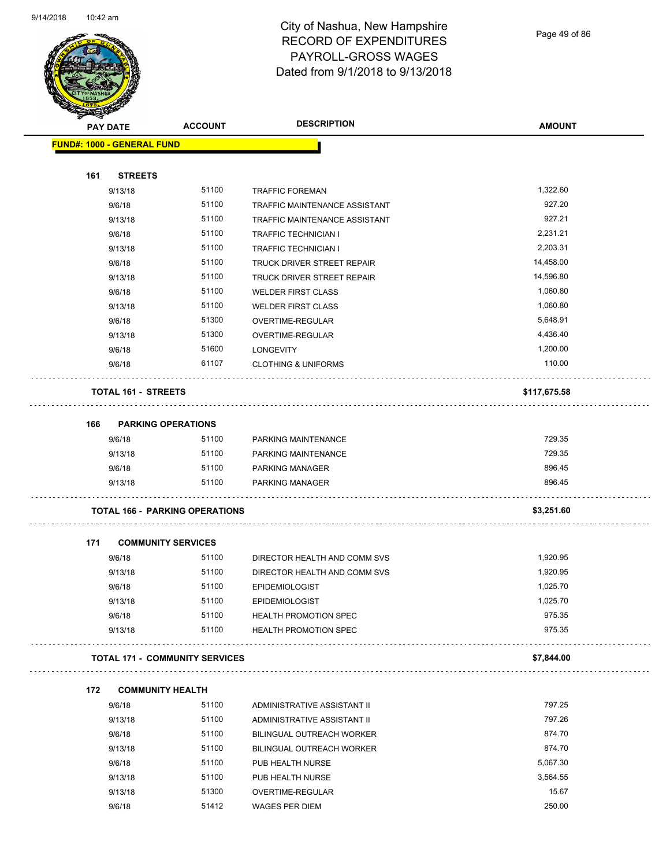

Page 49 of 86

|                                   |                                       | <b>DESCRIPTION</b>                |               |
|-----------------------------------|---------------------------------------|-----------------------------------|---------------|
| <b>PAY DATE</b>                   | <b>ACCOUNT</b>                        |                                   | <b>AMOUNT</b> |
| <b>FUND#: 1000 - GENERAL FUND</b> |                                       |                                   |               |
| <b>STREETS</b><br>161             |                                       |                                   |               |
| 9/13/18                           | 51100                                 | <b>TRAFFIC FOREMAN</b>            | 1,322.60      |
| 9/6/18                            | 51100                                 | TRAFFIC MAINTENANCE ASSISTANT     | 927.20        |
| 9/13/18                           | 51100                                 | TRAFFIC MAINTENANCE ASSISTANT     | 927.21        |
| 9/6/18                            | 51100                                 | <b>TRAFFIC TECHNICIAN I</b>       | 2,231.21      |
| 9/13/18                           | 51100                                 | <b>TRAFFIC TECHNICIAN I</b>       | 2,203.31      |
| 9/6/18                            | 51100                                 | <b>TRUCK DRIVER STREET REPAIR</b> | 14,458.00     |
| 9/13/18                           | 51100                                 | TRUCK DRIVER STREET REPAIR        | 14,596.80     |
| 9/6/18                            | 51100                                 | <b>WELDER FIRST CLASS</b>         | 1,060.80      |
| 9/13/18                           | 51100                                 | <b>WELDER FIRST CLASS</b>         | 1,060.80      |
| 9/6/18                            | 51300                                 | <b>OVERTIME-REGULAR</b>           | 5,648.91      |
| 9/13/18                           | 51300                                 | OVERTIME-REGULAR                  | 4,436.40      |
| 9/6/18                            | 51600                                 | <b>LONGEVITY</b>                  | 1,200.00      |
| 9/6/18                            | 61107                                 | <b>CLOTHING &amp; UNIFORMS</b>    | 110.00        |
| <b>TOTAL 161 - STREETS</b>        |                                       |                                   | \$117,675.58  |
| 166                               | <b>PARKING OPERATIONS</b>             |                                   |               |
| 9/6/18                            | 51100                                 | PARKING MAINTENANCE               | 729.35        |
| 9/13/18                           | 51100                                 | PARKING MAINTENANCE               | 729.35        |
| 9/6/18                            | 51100                                 | <b>PARKING MANAGER</b>            | 896.45        |
| 9/13/18                           | 51100                                 | <b>PARKING MANAGER</b>            | 896.45        |
|                                   | <b>TOTAL 166 - PARKING OPERATIONS</b> |                                   | \$3,251.60    |
| 171                               | <b>COMMUNITY SERVICES</b>             |                                   |               |
| 9/6/18                            | 51100                                 | DIRECTOR HEALTH AND COMM SVS      | 1,920.95      |
| 9/13/18                           | 51100                                 | DIRECTOR HEALTH AND COMM SVS      | 1,920.95      |
| 9/6/18                            | 51100                                 | <b>EPIDEMIOLOGIST</b>             | 1,025.70      |
| 9/13/18                           | 51100                                 | <b>EPIDEMIOLOGIST</b>             | 1,025.70      |
| 9/6/18                            | 51100                                 | <b>HEALTH PROMOTION SPEC</b>      | 975.35        |
| 9/13/18                           | 51100                                 | <b>HEALTH PROMOTION SPEC</b>      | 975.35        |
|                                   | <b>TOTAL 171 - COMMUNITY SERVICES</b> |                                   | \$7,844.00    |
| 172                               | <b>COMMUNITY HEALTH</b>               |                                   |               |
| 9/6/18                            | 51100                                 | ADMINISTRATIVE ASSISTANT II       | 797.25        |
| 9/13/18                           | 51100                                 | ADMINISTRATIVE ASSISTANT II       | 797.26        |
| 9/6/18                            | 51100                                 | BILINGUAL OUTREACH WORKER         | 874.70        |
| 9/13/18                           | 51100                                 | BILINGUAL OUTREACH WORKER         | 874.70        |
| 9/6/18                            | 51100                                 | PUB HEALTH NURSE                  | 5,067.30      |
| 9/13/18                           | 51100                                 | PUB HEALTH NURSE                  | 3,564.55      |
| 9/13/18                           | 51300                                 | OVERTIME-REGULAR                  | 15.67         |
| 9/6/18                            | 51412                                 | WAGES PER DIEM                    | 250.00        |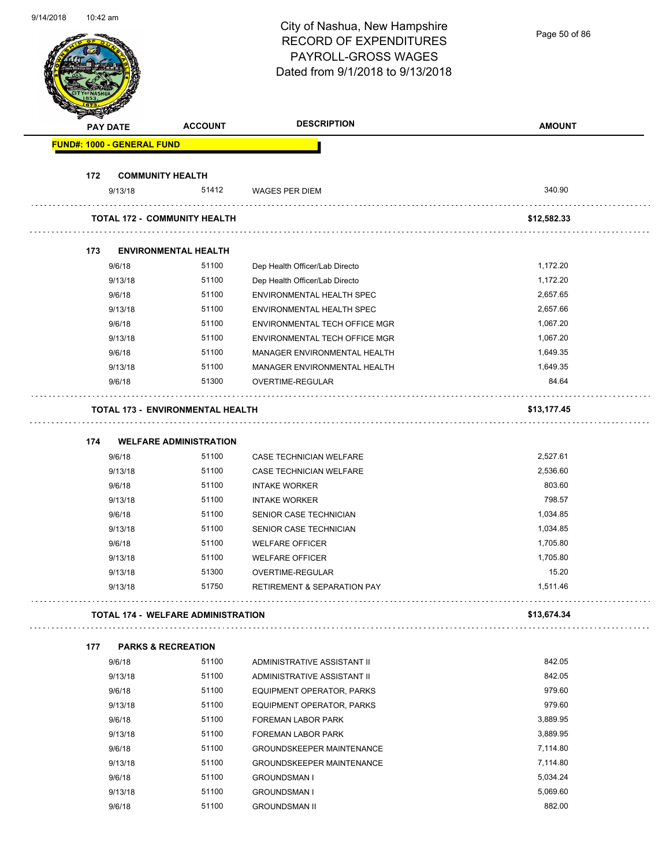| 91 147 ZU 10 | TU.42 ann       |                                           |                | City of Nashua, New Hampshire<br><b>RECORD OF EXPENDITURES</b><br>PAYROLL-GROSS WAGES | Page 50 of 86      |
|--------------|-----------------|-------------------------------------------|----------------|---------------------------------------------------------------------------------------|--------------------|
|              |                 |                                           |                | Dated from 9/1/2018 to 9/13/2018                                                      |                    |
|              | <b>PAY DATE</b> |                                           | <b>ACCOUNT</b> | <b>DESCRIPTION</b>                                                                    | <b>AMOUNT</b>      |
|              |                 | <b>FUND#: 1000 - GENERAL FUND</b>         |                |                                                                                       |                    |
|              |                 |                                           |                |                                                                                       |                    |
|              | 172             | <b>COMMUNITY HEALTH</b><br>9/13/18        | 51412          | <b>WAGES PER DIEM</b>                                                                 | 340.90             |
|              |                 |                                           |                |                                                                                       |                    |
|              |                 | <b>TOTAL 172 - COMMUNITY HEALTH</b>       |                |                                                                                       | \$12,582.33        |
|              | 173             | <b>ENVIRONMENTAL HEALTH</b>               |                |                                                                                       |                    |
|              | 9/6/18          |                                           | 51100          | Dep Health Officer/Lab Directo                                                        | 1,172.20           |
|              | 9/13/18         |                                           | 51100          | Dep Health Officer/Lab Directo                                                        | 1,172.20           |
|              | 9/6/18          |                                           | 51100          | ENVIRONMENTAL HEALTH SPEC                                                             | 2,657.65           |
|              |                 | 9/13/18                                   | 51100          | ENVIRONMENTAL HEALTH SPEC                                                             | 2,657.66           |
|              | 9/6/18          |                                           | 51100          | ENVIRONMENTAL TECH OFFICE MGR                                                         | 1,067.20           |
|              |                 | 9/13/18                                   | 51100          | ENVIRONMENTAL TECH OFFICE MGR                                                         | 1,067.20           |
|              | 9/6/18          |                                           | 51100          | MANAGER ENVIRONMENTAL HEALTH                                                          | 1,649.35           |
|              |                 | 9/13/18                                   | 51100          | MANAGER ENVIRONMENTAL HEALTH                                                          | 1,649.35           |
|              | 9/6/18          |                                           | 51300          | OVERTIME-REGULAR                                                                      | 84.64              |
|              |                 | <b>TOTAL 173 - ENVIRONMENTAL HEALTH</b>   |                |                                                                                       | \$13,177.45        |
|              |                 |                                           |                |                                                                                       |                    |
|              | 174             | <b>WELFARE ADMINISTRATION</b>             |                |                                                                                       |                    |
|              | 9/6/18          |                                           | 51100          | CASE TECHNICIAN WELFARE                                                               | 2,527.61           |
|              | 9/6/18          | 9/13/18                                   | 51100<br>51100 | CASE TECHNICIAN WELFARE                                                               | 2,536.60<br>803.60 |
|              |                 | 9/13/18                                   | 51100          | <b>INTAKE WORKER</b><br><b>INTAKE WORKER</b>                                          | 798.57             |
|              | 9/6/18          |                                           | 51100          | SENIOR CASE TECHNICIAN                                                                | 1,034.85           |
|              |                 | 9/13/18                                   | 51100          | SENIOR CASE TECHNICIAN                                                                | 1,034.85           |
|              | 9/6/18          |                                           | 51100          | <b>WELFARE OFFICER</b>                                                                | 1,705.80           |
|              |                 | 9/13/18                                   | 51100          | <b>WELFARE OFFICER</b>                                                                | 1,705.80           |
|              |                 | 9/13/18                                   | 51300          | OVERTIME-REGULAR                                                                      | 15.20              |
|              |                 | 9/13/18                                   | 51750          | <b>RETIREMENT &amp; SEPARATION PAY</b>                                                | 1,511.46           |
|              |                 | <b>TOTAL 174 - WELFARE ADMINISTRATION</b> |                |                                                                                       | \$13,674.34        |
|              | 177             | <b>PARKS &amp; RECREATION</b>             |                |                                                                                       |                    |
|              | 9/6/18          |                                           | 51100          | ADMINISTRATIVE ASSISTANT II                                                           | 842.05             |
|              |                 | 9/13/18                                   | 51100          | ADMINISTRATIVE ASSISTANT II                                                           | 842.05             |
|              | 9/6/18          |                                           | 51100          | EQUIPMENT OPERATOR, PARKS                                                             | 979.60             |
|              |                 | 9/13/18                                   | 51100          | EQUIPMENT OPERATOR, PARKS                                                             | 979.60             |
|              | 9/6/18          |                                           | 51100          | FOREMAN LABOR PARK                                                                    | 3,889.95           |
|              |                 | 9/13/18                                   | 51100          | FOREMAN LABOR PARK                                                                    | 3,889.95           |
|              | 9/6/18          |                                           | 51100          | <b>GROUNDSKEEPER MAINTENANCE</b>                                                      | 7,114.80           |
|              |                 | 9/13/18                                   | 51100          | <b>GROUNDSKEEPER MAINTENANCE</b>                                                      | 7,114.80           |
|              | 9/6/18          |                                           | 51100          | <b>GROUNDSMAN I</b>                                                                   | 5,034.24           |
|              |                 | 9/13/18                                   | 51100          | <b>GROUNDSMAN I</b>                                                                   | 5,069.60           |
|              | 9/6/18          |                                           | 51100          | <b>GROUNDSMAN II</b>                                                                  | 882.00             |

9/14/2018 10:42 am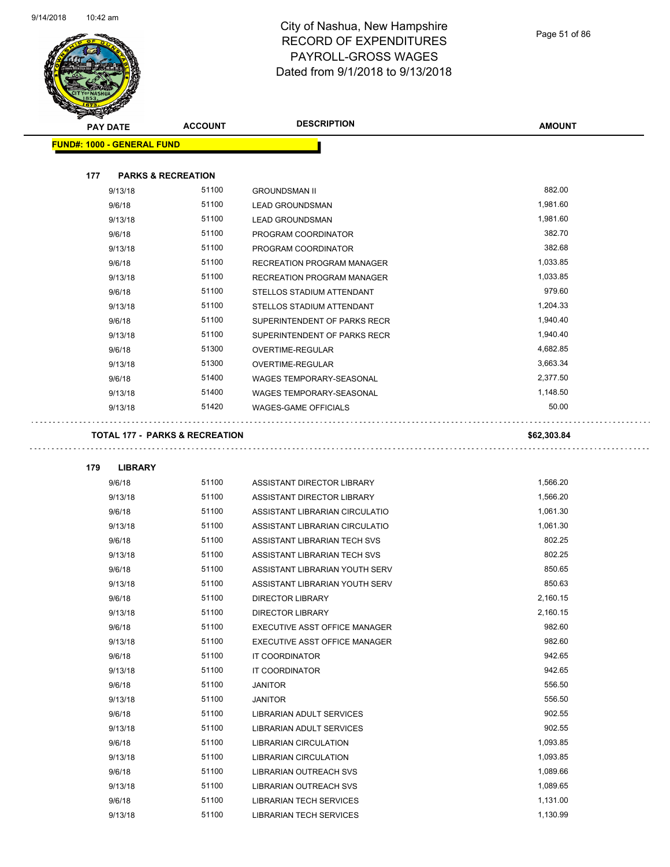$\overline{\phantom{a}}$ 



#### City of Nashua, New Hampshire RECORD OF EXPENDITURES PAYROLL-GROSS WAGES Dated from 9/1/2018 to 9/13/2018

.,

| <b>STARTER</b> |                                   |                                           |                                |               |
|----------------|-----------------------------------|-------------------------------------------|--------------------------------|---------------|
|                | <b>PAY DATE</b>                   | <b>ACCOUNT</b>                            | <b>DESCRIPTION</b>             | <b>AMOUNT</b> |
|                | <b>FUND#: 1000 - GENERAL FUND</b> |                                           |                                |               |
|                |                                   |                                           |                                |               |
| 177            | <b>PARKS &amp; RECREATION</b>     |                                           |                                |               |
|                | 9/13/18                           | 51100                                     | <b>GROUNDSMAN II</b>           | 882.00        |
|                | 9/6/18                            | 51100                                     | <b>LEAD GROUNDSMAN</b>         | 1,981.60      |
|                | 9/13/18                           | 51100                                     | <b>LEAD GROUNDSMAN</b>         | 1,981.60      |
|                | 9/6/18                            | 51100                                     | PROGRAM COORDINATOR            | 382.70        |
|                | 9/13/18                           | 51100                                     | PROGRAM COORDINATOR            | 382.68        |
|                | 9/6/18                            | 51100                                     | RECREATION PROGRAM MANAGER     | 1,033.85      |
|                | 9/13/18                           | 51100                                     | RECREATION PROGRAM MANAGER     | 1,033.85      |
|                | 9/6/18                            | 51100                                     | STELLOS STADIUM ATTENDANT      | 979.60        |
|                | 9/13/18                           | 51100                                     | STELLOS STADIUM ATTENDANT      | 1,204.33      |
|                | 9/6/18                            | 51100                                     | SUPERINTENDENT OF PARKS RECR   | 1,940.40      |
|                | 9/13/18                           | 51100                                     | SUPERINTENDENT OF PARKS RECR   | 1,940.40      |
|                | 9/6/18                            | 51300                                     | OVERTIME-REGULAR               | 4,682.85      |
|                | 9/13/18                           | 51300                                     | <b>OVERTIME-REGULAR</b>        | 3,663.34      |
|                | 9/6/18                            | 51400                                     | WAGES TEMPORARY-SEASONAL       | 2,377.50      |
|                | 9/13/18                           | 51400                                     | WAGES TEMPORARY-SEASONAL       | 1,148.50      |
|                | 9/13/18                           | 51420                                     | <b>WAGES-GAME OFFICIALS</b>    | 50.00         |
|                |                                   |                                           |                                |               |
|                |                                   | <b>TOTAL 177 - PARKS &amp; RECREATION</b> |                                | \$62,303.84   |
|                |                                   |                                           |                                |               |
| 179            | <b>LIBRARY</b>                    |                                           |                                |               |
|                | 9/6/18                            | 51100                                     | ASSISTANT DIRECTOR LIBRARY     | 1,566.20      |
|                | 9/13/18                           | 51100                                     | ASSISTANT DIRECTOR LIBRARY     | 1,566.20      |
|                | 9/6/18                            | 51100                                     | ASSISTANT LIBRARIAN CIRCULATIO | 1,061.30      |
|                | 9/13/18                           | 51100                                     | ASSISTANT LIBRARIAN CIRCULATIO | 1,061.30      |
|                | 9/6/18                            | 51100                                     | ASSISTANT LIBRARIAN TECH SVS   | 802.25        |
|                | 9/13/18                           | 51100                                     | ASSISTANT LIBRARIAN TECH SVS   | 802.25        |
|                | 9/6/18                            | 51100                                     | ASSISTANT LIBRARIAN YOUTH SERV | 850.65        |
|                | 9/13/18                           | 51100                                     | ASSISTANT LIBRARIAN YOUTH SERV | 850.63        |
|                | 9/6/18                            | 51100                                     | DIRECTOR LIBRARY               | 2,160.15      |
|                | 9/13/18                           | 51100                                     | <b>DIRECTOR LIBRARY</b>        | 2,160.15      |
|                | 9/6/18                            | 51100                                     | EXECUTIVE ASST OFFICE MANAGER  | 982.60        |
|                | 9/13/18                           | 51100                                     | EXECUTIVE ASST OFFICE MANAGER  | 982.60        |
|                | 9/6/18                            | 51100                                     | IT COORDINATOR                 | 942.65        |
|                | 9/13/18                           | 51100                                     | IT COORDINATOR                 | 942.65        |
|                | 9/6/18                            | 51100                                     | <b>JANITOR</b>                 | 556.50        |
|                | 9/13/18                           | 51100                                     | <b>JANITOR</b>                 | 556.50        |
|                | 9/6/18                            | 51100                                     | LIBRARIAN ADULT SERVICES       | 902.55        |
|                | 9/13/18                           | 51100                                     | LIBRARIAN ADULT SERVICES       | 902.55        |
|                | 9/6/18                            | 51100                                     | LIBRARIAN CIRCULATION          | 1,093.85      |
|                | 9/13/18                           | 51100                                     | LIBRARIAN CIRCULATION          | 1,093.85      |
|                | 9/6/18                            | 51100                                     | LIBRARIAN OUTREACH SVS         | 1,089.66      |
|                | 9/13/18                           | 51100                                     | LIBRARIAN OUTREACH SVS         | 1,089.65      |
|                | 9/6/18                            | 51100                                     | LIBRARIAN TECH SERVICES        | 1,131.00      |

9/13/18 51100 LIBRARIAN TECH SERVICES 1,130.99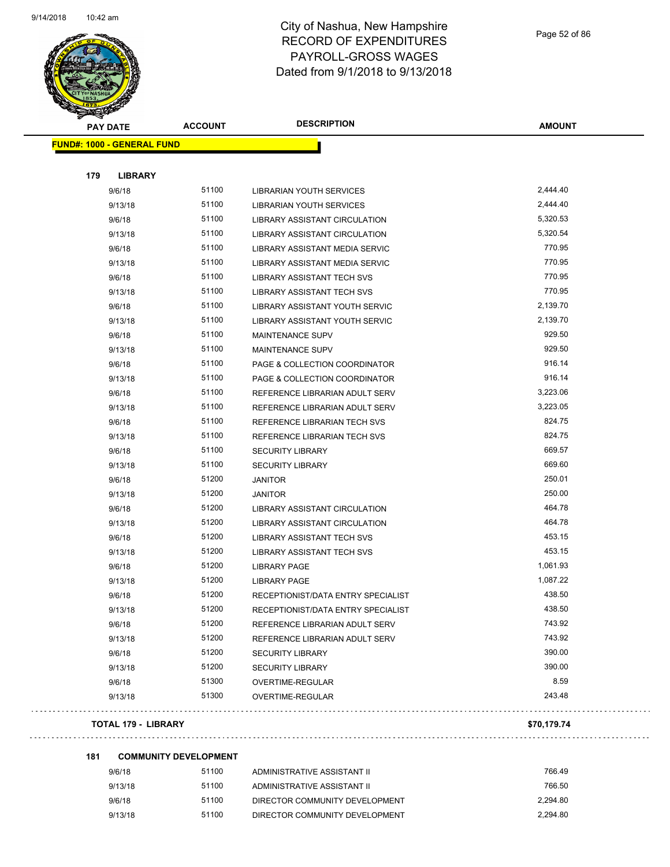

Page 52 of 86

| <b>CERTIFY</b><br><b>PAY DATE</b> | <b>ACCOUNT</b> | <b>DESCRIPTION</b>                   | <b>AMOUNT</b> |
|-----------------------------------|----------------|--------------------------------------|---------------|
| <b>FUND#: 1000 - GENERAL FUND</b> |                |                                      |               |
| 179<br><b>LIBRARY</b>             |                |                                      |               |
| 9/6/18                            | 51100          | <b>LIBRARIAN YOUTH SERVICES</b>      | 2,444.40      |
| 9/13/18                           | 51100          | LIBRARIAN YOUTH SERVICES             | 2,444.40      |
| 9/6/18                            | 51100          | <b>LIBRARY ASSISTANT CIRCULATION</b> | 5,320.53      |
| 9/13/18                           | 51100          | LIBRARY ASSISTANT CIRCULATION        | 5,320.54      |
| 9/6/18                            | 51100          | LIBRARY ASSISTANT MEDIA SERVIC       | 770.95        |
| 9/13/18                           | 51100          | LIBRARY ASSISTANT MEDIA SERVIC       | 770.95        |
| 9/6/18                            | 51100          | LIBRARY ASSISTANT TECH SVS           | 770.95        |
| 9/13/18                           | 51100          | LIBRARY ASSISTANT TECH SVS           | 770.95        |
| 9/6/18                            | 51100          | LIBRARY ASSISTANT YOUTH SERVIC       | 2,139.70      |
| 9/13/18                           | 51100          | LIBRARY ASSISTANT YOUTH SERVIC       | 2,139.70      |
| 9/6/18                            | 51100          | <b>MAINTENANCE SUPV</b>              | 929.50        |
| 9/13/18                           | 51100          | <b>MAINTENANCE SUPV</b>              | 929.50        |
| 9/6/18                            | 51100          | PAGE & COLLECTION COORDINATOR        | 916.14        |
| 9/13/18                           | 51100          | PAGE & COLLECTION COORDINATOR        | 916.14        |
| 9/6/18                            | 51100          | REFERENCE LIBRARIAN ADULT SERV       | 3,223.06      |
| 9/13/18                           | 51100          | REFERENCE LIBRARIAN ADULT SERV       | 3,223.05      |
| 9/6/18                            | 51100          | REFERENCE LIBRARIAN TECH SVS         | 824.75        |
| 9/13/18                           | 51100          | REFERENCE LIBRARIAN TECH SVS         | 824.75        |
| 9/6/18                            | 51100          | <b>SECURITY LIBRARY</b>              | 669.57        |
| 9/13/18                           | 51100          | <b>SECURITY LIBRARY</b>              | 669.60        |
| 9/6/18                            | 51200          | <b>JANITOR</b>                       | 250.01        |
| 9/13/18                           | 51200          | <b>JANITOR</b>                       | 250.00        |
| 9/6/18                            | 51200          | LIBRARY ASSISTANT CIRCULATION        | 464.78        |
| 9/13/18                           | 51200          | LIBRARY ASSISTANT CIRCULATION        | 464.78        |
| 9/6/18                            | 51200          | <b>LIBRARY ASSISTANT TECH SVS</b>    | 453.15        |
| 9/13/18                           | 51200          | <b>LIBRARY ASSISTANT TECH SVS</b>    | 453.15        |
| 9/6/18                            | 51200          | <b>LIBRARY PAGE</b>                  | 1,061.93      |
| 9/13/18                           | 51200          | <b>LIBRARY PAGE</b>                  | 1,087.22      |
| 9/6/18                            | 51200          | RECEPTIONIST/DATA ENTRY SPECIALIST   | 438.50        |
| 9/13/18                           | 51200          | RECEPTIONIST/DATA ENTRY SPECIALIST   | 438.50        |
| 9/6/18                            | 51200          | REFERENCE LIBRARIAN ADULT SERV       | 743.92        |
| 9/13/18                           | 51200          | REFERENCE LIBRARIAN ADULT SERV       | 743.92        |
| 9/6/18                            | 51200          | <b>SECURITY LIBRARY</b>              | 390.00        |
| 9/13/18                           | 51200          | <b>SECURITY LIBRARY</b>              | 390.00        |
| 9/6/18                            | 51300          | OVERTIME-REGULAR                     | 8.59          |
| 9/13/18                           | 51300          | <b>OVERTIME-REGULAR</b>              | 243.48        |
| <b>TOTAL 179 - LIBRARY</b>        |                |                                      | \$70,179.74   |

. . . . . . . . . . . . . . . .

. . .

#### **181 COMMUNITY DEVELOPMENT**

| 9/6/18  | 51100 | ADMINISTRATIVE ASSISTANT II    | 766.49   |
|---------|-------|--------------------------------|----------|
| 9/13/18 | 51100 | ADMINISTRATIVE ASSISTANT II    | 766.50   |
| 9/6/18  | 51100 | DIRECTOR COMMUNITY DEVELOPMENT | 2.294.80 |
| 9/13/18 | 51100 | DIRECTOR COMMUNITY DEVELOPMENT | 2.294.80 |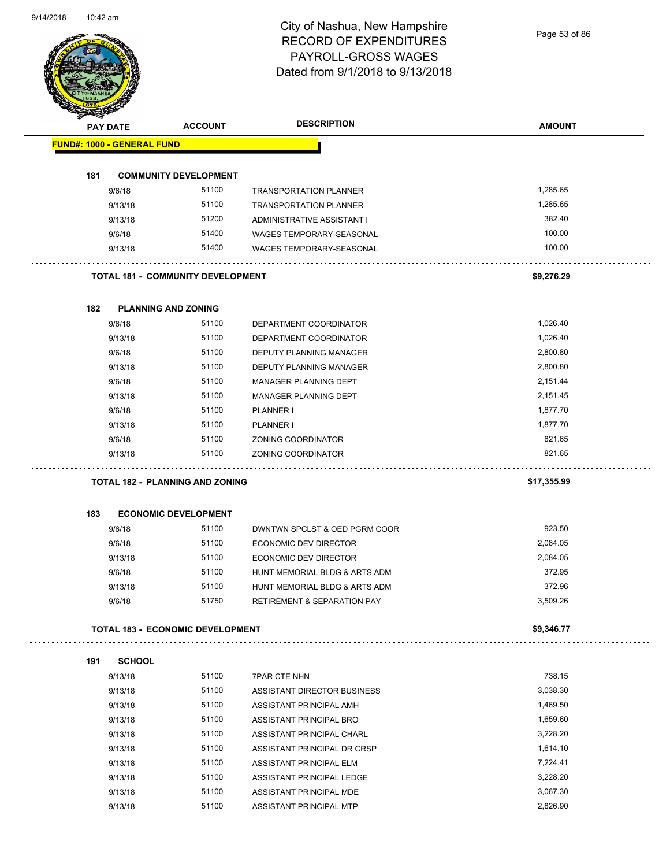Page 53 of 86

|     | <b>PAY DATE</b>                   | <b>ACCOUNT</b>                           | <b>DESCRIPTION</b>                                            | <b>AMOUNT</b>    |
|-----|-----------------------------------|------------------------------------------|---------------------------------------------------------------|------------------|
|     | <b>FUND#: 1000 - GENERAL FUND</b> |                                          |                                                               |                  |
|     |                                   |                                          |                                                               |                  |
| 181 |                                   | <b>COMMUNITY DEVELOPMENT</b>             |                                                               |                  |
|     | 9/6/18                            | 51100                                    | <b>TRANSPORTATION PLANNER</b>                                 | 1,285.65         |
|     | 9/13/18                           | 51100                                    | <b>TRANSPORTATION PLANNER</b>                                 | 1,285.65         |
|     | 9/13/18                           | 51200                                    | ADMINISTRATIVE ASSISTANT I<br><b>WAGES TEMPORARY-SEASONAL</b> | 382.40<br>100.00 |
|     | 9/6/18                            | 51400<br>51400                           |                                                               | 100.00           |
|     | 9/13/18                           |                                          | WAGES TEMPORARY-SEASONAL                                      |                  |
|     |                                   | <b>TOTAL 181 - COMMUNITY DEVELOPMENT</b> |                                                               | \$9,276.29       |
|     |                                   |                                          |                                                               |                  |
| 182 | 9/6/18                            | <b>PLANNING AND ZONING</b><br>51100      | DEPARTMENT COORDINATOR                                        | 1,026.40         |
|     | 9/13/18                           | 51100                                    | DEPARTMENT COORDINATOR                                        | 1,026.40         |
|     | 9/6/18                            | 51100                                    | DEPUTY PLANNING MANAGER                                       | 2,800.80         |
|     | 9/13/18                           | 51100                                    | DEPUTY PLANNING MANAGER                                       | 2,800.80         |
|     | 9/6/18                            | 51100                                    | MANAGER PLANNING DEPT                                         | 2,151.44         |
|     | 9/13/18                           | 51100                                    | MANAGER PLANNING DEPT                                         | 2,151.45         |
|     | 9/6/18                            | 51100                                    | PLANNER I                                                     | 1,877.70         |
|     | 9/13/18                           | 51100                                    | PLANNER I                                                     | 1,877.70         |
|     | 9/6/18                            | 51100                                    | ZONING COORDINATOR                                            | 821.65           |
|     | 9/13/18                           | 51100                                    | ZONING COORDINATOR                                            | 821.65           |
|     |                                   | <b>TOTAL 182 - PLANNING AND ZONING</b>   |                                                               | \$17,355.99      |
|     |                                   |                                          |                                                               |                  |
| 183 |                                   | <b>ECONOMIC DEVELOPMENT</b>              |                                                               |                  |
|     | 9/6/18                            | 51100                                    | DWNTWN SPCLST & OED PGRM COOR                                 | 923.50           |
|     | 9/6/18                            | 51100                                    | ECONOMIC DEV DIRECTOR                                         | 2.084.05         |
|     | 9/13/18                           | 51100                                    | <b>ECONOMIC DEV DIRECTOR</b>                                  | 2,084.05         |
|     | 9/6/18                            | 51100                                    | HUNT MEMORIAL BLDG & ARTS ADM                                 | 372.95           |
|     | 9/13/18                           | 51100                                    | HUNT MEMORIAL BLDG & ARTS ADM                                 | 372.96           |
|     | 9/6/18                            | 51750                                    | <b>RETIREMENT &amp; SEPARATION PAY</b>                        | 3,509.26         |
|     |                                   | <b>TOTAL 183 - ECONOMIC DEVELOPMENT</b>  |                                                               | \$9,346.77<br>.  |
| 191 | <b>SCHOOL</b>                     |                                          |                                                               |                  |
|     | 9/13/18                           | 51100                                    | <b>7PAR CTE NHN</b>                                           | 738.15           |
|     | 9/13/18                           | 51100                                    | ASSISTANT DIRECTOR BUSINESS                                   | 3,038.30         |
|     | 9/13/18                           | 51100                                    | ASSISTANT PRINCIPAL AMH                                       | 1,469.50         |
|     | 9/13/18                           | 51100                                    | ASSISTANT PRINCIPAL BRO                                       | 1,659.60         |
|     | 9/13/18                           | 51100                                    | ASSISTANT PRINCIPAL CHARL                                     | 3,228.20         |
|     | 9/13/18                           | 51100                                    | ASSISTANT PRINCIPAL DR CRSP                                   | 1,614.10         |
|     | 9/13/18                           | 51100                                    | ASSISTANT PRINCIPAL ELM                                       | 7,224.41         |
|     |                                   |                                          |                                                               |                  |
|     |                                   | 51100                                    |                                                               | 3,228.20         |
|     | 9/13/18<br>9/13/18                | 51100                                    | ASSISTANT PRINCIPAL LEDGE<br>ASSISTANT PRINCIPAL MDE          | 3,067.30         |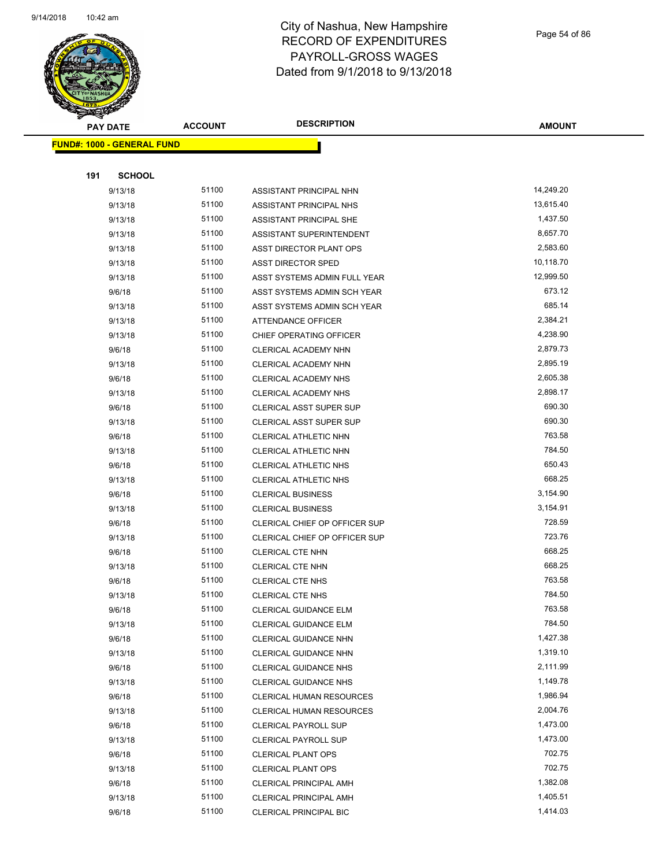

Page 54 of 86

| <b>Anta</b><br><b>PAY DATE</b>    | <b>ACCOUNT</b> | <b>DESCRIPTION</b>              | <b>AMOUNT</b> |
|-----------------------------------|----------------|---------------------------------|---------------|
| <b>FUND#: 1000 - GENERAL FUND</b> |                |                                 |               |
|                                   |                |                                 |               |
| 191<br><b>SCHOOL</b>              |                |                                 |               |
| 9/13/18                           | 51100          | ASSISTANT PRINCIPAL NHN         | 14,249.20     |
| 9/13/18                           | 51100          | ASSISTANT PRINCIPAL NHS         | 13,615.40     |
| 9/13/18                           | 51100          | ASSISTANT PRINCIPAL SHE         | 1,437.50      |
| 9/13/18                           | 51100          | ASSISTANT SUPERINTENDENT        | 8,657.70      |
| 9/13/18                           | 51100          | ASST DIRECTOR PLANT OPS         | 2,583.60      |
| 9/13/18                           | 51100          | <b>ASST DIRECTOR SPED</b>       | 10,118.70     |
| 9/13/18                           | 51100          | ASST SYSTEMS ADMIN FULL YEAR    | 12,999.50     |
| 9/6/18                            | 51100          | ASST SYSTEMS ADMIN SCH YEAR     | 673.12        |
| 9/13/18                           | 51100          | ASST SYSTEMS ADMIN SCH YEAR     | 685.14        |
| 9/13/18                           | 51100          | <b>ATTENDANCE OFFICER</b>       | 2,384.21      |
| 9/13/18                           | 51100          | CHIEF OPERATING OFFICER         | 4,238.90      |
| 9/6/18                            | 51100          | CLERICAL ACADEMY NHN            | 2,879.73      |
| 9/13/18                           | 51100          | CLERICAL ACADEMY NHN            | 2,895.19      |
| 9/6/18                            | 51100          | CLERICAL ACADEMY NHS            | 2,605.38      |
| 9/13/18                           | 51100          | CLERICAL ACADEMY NHS            | 2,898.17      |
| 9/6/18                            | 51100          | <b>CLERICAL ASST SUPER SUP</b>  | 690.30        |
| 9/13/18                           | 51100          | <b>CLERICAL ASST SUPER SUP</b>  | 690.30        |
| 9/6/18                            | 51100          | CLERICAL ATHLETIC NHN           | 763.58        |
| 9/13/18                           | 51100          | CLERICAL ATHLETIC NHN           | 784.50        |
| 9/6/18                            | 51100          | CLERICAL ATHLETIC NHS           | 650.43        |
| 9/13/18                           | 51100          | CLERICAL ATHLETIC NHS           | 668.25        |
| 9/6/18                            | 51100          | <b>CLERICAL BUSINESS</b>        | 3,154.90      |
| 9/13/18                           | 51100          | <b>CLERICAL BUSINESS</b>        | 3,154.91      |
| 9/6/18                            | 51100          | CLERICAL CHIEF OP OFFICER SUP   | 728.59        |
| 9/13/18                           | 51100          | CLERICAL CHIEF OP OFFICER SUP   | 723.76        |
| 9/6/18                            | 51100          | CLERICAL CTE NHN                | 668.25        |
| 9/13/18                           | 51100          | CLERICAL CTE NHN                | 668.25        |
| 9/6/18                            | 51100          | <b>CLERICAL CTE NHS</b>         | 763.58        |
| 9/13/18                           | 51100          | <b>CLERICAL CTE NHS</b>         | 784.50        |
| 9/6/18                            | 51100          | CLERICAL GUIDANCE ELM           | 763.58        |
| 9/13/18                           | 51100          | CLERICAL GUIDANCE ELM           | 784.50        |
| 9/6/18                            | 51100          | CLERICAL GUIDANCE NHN           | 1,427.38      |
| 9/13/18                           | 51100          | CLERICAL GUIDANCE NHN           | 1,319.10      |
| 9/6/18                            | 51100          | <b>CLERICAL GUIDANCE NHS</b>    | 2,111.99      |
| 9/13/18                           | 51100          | CLERICAL GUIDANCE NHS           | 1,149.78      |
| 9/6/18                            | 51100          | <b>CLERICAL HUMAN RESOURCES</b> | 1,986.94      |
| 9/13/18                           | 51100          | CLERICAL HUMAN RESOURCES        | 2,004.76      |
| 9/6/18                            | 51100          | <b>CLERICAL PAYROLL SUP</b>     | 1,473.00      |
| 9/13/18                           | 51100          | CLERICAL PAYROLL SUP            | 1,473.00      |
| 9/6/18                            | 51100          | <b>CLERICAL PLANT OPS</b>       | 702.75        |
| 9/13/18                           | 51100          | <b>CLERICAL PLANT OPS</b>       | 702.75        |
| 9/6/18                            | 51100          | <b>CLERICAL PRINCIPAL AMH</b>   | 1,382.08      |
| 9/13/18                           | 51100          | CLERICAL PRINCIPAL AMH          | 1,405.51      |
| 9/6/18                            | 51100          | <b>CLERICAL PRINCIPAL BIC</b>   | 1,414.03      |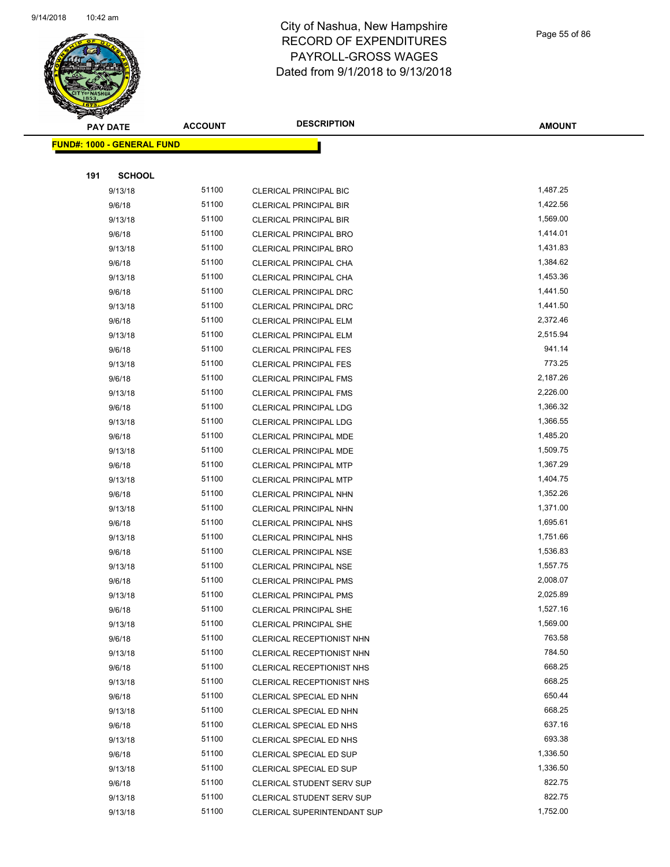

Page 55 of 86

| T<br>$\tilde{\phantom{a}}$<br><b>PAY DATE</b> | <b>ACCOUNT</b> | <b>DESCRIPTION</b>                                            | <b>AMOUNT</b>        |
|-----------------------------------------------|----------------|---------------------------------------------------------------|----------------------|
| <b>FUND#: 1000 - GENERAL FUND</b>             |                |                                                               |                      |
|                                               |                |                                                               |                      |
| 191<br><b>SCHOOL</b>                          |                |                                                               |                      |
| 9/13/18                                       | 51100          | <b>CLERICAL PRINCIPAL BIC</b>                                 | 1,487.25             |
| 9/6/18                                        | 51100          | CLERICAL PRINCIPAL BIR                                        | 1,422.56             |
| 9/13/18                                       | 51100          | <b>CLERICAL PRINCIPAL BIR</b>                                 | 1,569.00             |
| 9/6/18                                        | 51100          | <b>CLERICAL PRINCIPAL BRO</b>                                 | 1,414.01             |
| 9/13/18                                       | 51100          | CLERICAL PRINCIPAL BRO                                        | 1,431.83             |
| 9/6/18                                        | 51100          | CLERICAL PRINCIPAL CHA                                        | 1,384.62             |
| 9/13/18                                       | 51100          | CLERICAL PRINCIPAL CHA                                        | 1,453.36             |
| 9/6/18                                        | 51100          | CLERICAL PRINCIPAL DRC                                        | 1,441.50             |
| 9/13/18                                       | 51100          | <b>CLERICAL PRINCIPAL DRC</b>                                 | 1,441.50             |
| 9/6/18                                        | 51100          | CLERICAL PRINCIPAL ELM                                        | 2,372.46             |
| 9/13/18                                       | 51100          | CLERICAL PRINCIPAL ELM                                        | 2,515.94             |
| 9/6/18                                        | 51100          | <b>CLERICAL PRINCIPAL FES</b>                                 | 941.14               |
| 9/13/18                                       | 51100          | <b>CLERICAL PRINCIPAL FES</b>                                 | 773.25               |
| 9/6/18                                        | 51100          | <b>CLERICAL PRINCIPAL FMS</b>                                 | 2,187.26             |
| 9/13/18                                       | 51100          | <b>CLERICAL PRINCIPAL FMS</b>                                 | 2,226.00             |
| 9/6/18                                        | 51100          | <b>CLERICAL PRINCIPAL LDG</b>                                 | 1,366.32             |
| 9/13/18                                       | 51100          | CLERICAL PRINCIPAL LDG                                        | 1,366.55             |
| 9/6/18                                        | 51100          | CLERICAL PRINCIPAL MDE                                        | 1,485.20             |
| 9/13/18                                       | 51100          | CLERICAL PRINCIPAL MDE                                        | 1,509.75             |
| 9/6/18                                        | 51100          | CLERICAL PRINCIPAL MTP                                        | 1,367.29             |
| 9/13/18                                       | 51100          | <b>CLERICAL PRINCIPAL MTP</b>                                 | 1,404.75             |
| 9/6/18                                        | 51100          | CLERICAL PRINCIPAL NHN                                        | 1,352.26             |
| 9/13/18                                       | 51100          | CLERICAL PRINCIPAL NHN                                        | 1,371.00             |
| 9/6/18                                        | 51100          | <b>CLERICAL PRINCIPAL NHS</b>                                 | 1,695.61             |
| 9/13/18                                       | 51100          | CLERICAL PRINCIPAL NHS                                        | 1,751.66             |
| 9/6/18                                        | 51100          | <b>CLERICAL PRINCIPAL NSE</b>                                 | 1,536.83             |
| 9/13/18                                       | 51100          | CLERICAL PRINCIPAL NSE                                        | 1,557.75             |
| 9/6/18                                        | 51100          | <b>CLERICAL PRINCIPAL PMS</b>                                 | 2,008.07             |
| 9/13/18                                       | 51100          | <b>CLERICAL PRINCIPAL PMS</b>                                 | 2,025.89             |
| 9/6/18                                        | 51100          | CLERICAL PRINCIPAL SHE                                        | 1,527.16             |
| 9/13/18                                       | 51100          | <b>CLERICAL PRINCIPAL SHE</b>                                 | 1,569.00             |
| 9/6/18                                        | 51100          | CLERICAL RECEPTIONIST NHN                                     | 763.58               |
| 9/13/18                                       | 51100          | CLERICAL RECEPTIONIST NHN                                     | 784.50               |
| 9/6/18                                        | 51100          | CLERICAL RECEPTIONIST NHS                                     | 668.25               |
| 9/13/18                                       | 51100          | CLERICAL RECEPTIONIST NHS                                     | 668.25               |
| 9/6/18                                        | 51100          | CLERICAL SPECIAL ED NHN                                       | 650.44               |
| 9/13/18                                       | 51100          | CLERICAL SPECIAL ED NHN                                       | 668.25<br>637.16     |
| 9/6/18                                        | 51100          | CLERICAL SPECIAL ED NHS                                       |                      |
| 9/13/18                                       | 51100          | CLERICAL SPECIAL ED NHS                                       | 693.38               |
| 9/6/18                                        | 51100<br>51100 | CLERICAL SPECIAL ED SUP                                       | 1,336.50<br>1,336.50 |
| 9/13/18                                       | 51100          | CLERICAL SPECIAL ED SUP                                       | 822.75               |
| 9/6/18<br>9/13/18                             | 51100          | <b>CLERICAL STUDENT SERV SUP</b><br>CLERICAL STUDENT SERV SUP | 822.75               |
| 9/13/18                                       | 51100          | CLERICAL SUPERINTENDANT SUP                                   | 1,752.00             |
|                                               |                |                                                               |                      |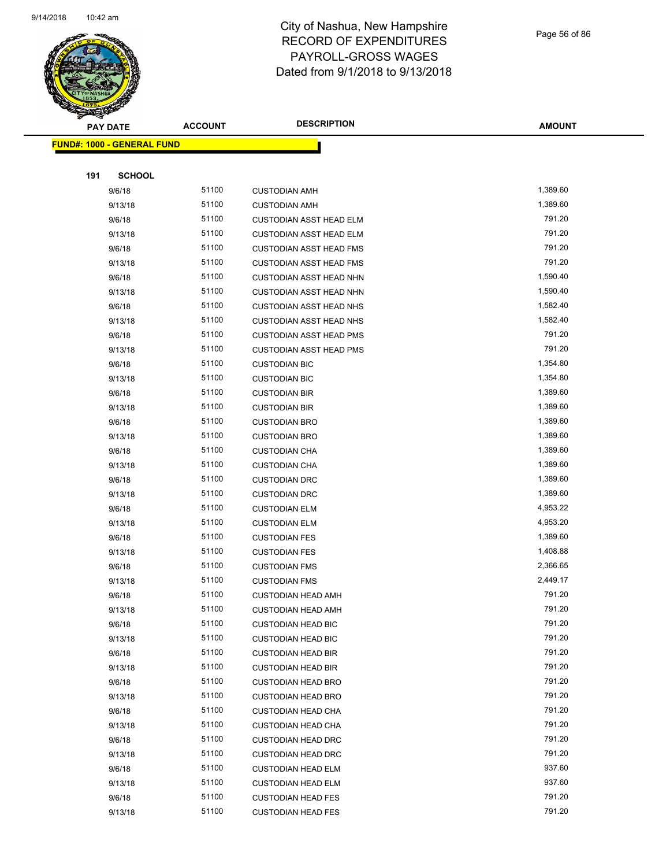

Page 56 of 86

| <b>SANGAN</b>                     |                |                                |               |
|-----------------------------------|----------------|--------------------------------|---------------|
| <b>PAY DATE</b>                   | <b>ACCOUNT</b> | <b>DESCRIPTION</b>             | <b>AMOUNT</b> |
| <b>FUND#: 1000 - GENERAL FUND</b> |                |                                |               |
|                                   |                |                                |               |
| 191<br><b>SCHOOL</b>              |                |                                |               |
| 9/6/18                            | 51100          | <b>CUSTODIAN AMH</b>           | 1,389.60      |
| 9/13/18                           | 51100          | <b>CUSTODIAN AMH</b>           | 1,389.60      |
| 9/6/18                            | 51100          | CUSTODIAN ASST HEAD ELM        | 791.20        |
| 9/13/18                           | 51100          | <b>CUSTODIAN ASST HEAD ELM</b> | 791.20        |
| 9/6/18                            | 51100          | <b>CUSTODIAN ASST HEAD FMS</b> | 791.20        |
| 9/13/18                           | 51100          | <b>CUSTODIAN ASST HEAD FMS</b> | 791.20        |
| 9/6/18                            | 51100          | <b>CUSTODIAN ASST HEAD NHN</b> | 1,590.40      |
| 9/13/18                           | 51100          | <b>CUSTODIAN ASST HEAD NHN</b> | 1,590.40      |
| 9/6/18                            | 51100          | <b>CUSTODIAN ASST HEAD NHS</b> | 1,582.40      |
| 9/13/18                           | 51100          | <b>CUSTODIAN ASST HEAD NHS</b> | 1,582.40      |
| 9/6/18                            | 51100          | <b>CUSTODIAN ASST HEAD PMS</b> | 791.20        |
| 9/13/18                           | 51100          | <b>CUSTODIAN ASST HEAD PMS</b> | 791.20        |
| 9/6/18                            | 51100          | <b>CUSTODIAN BIC</b>           | 1,354.80      |
| 9/13/18                           | 51100          | <b>CUSTODIAN BIC</b>           | 1,354.80      |
| 9/6/18                            | 51100          | <b>CUSTODIAN BIR</b>           | 1,389.60      |
| 9/13/18                           | 51100          | <b>CUSTODIAN BIR</b>           | 1,389.60      |
| 9/6/18                            | 51100          | <b>CUSTODIAN BRO</b>           | 1,389.60      |
| 9/13/18                           | 51100          | <b>CUSTODIAN BRO</b>           | 1,389.60      |
| 9/6/18                            | 51100          | <b>CUSTODIAN CHA</b>           | 1,389.60      |
| 9/13/18                           | 51100          | <b>CUSTODIAN CHA</b>           | 1,389.60      |
| 9/6/18                            | 51100          | <b>CUSTODIAN DRC</b>           | 1,389.60      |
| 9/13/18                           | 51100          | <b>CUSTODIAN DRC</b>           | 1,389.60      |
| 9/6/18                            | 51100          | <b>CUSTODIAN ELM</b>           | 4,953.22      |
| 9/13/18                           | 51100          | <b>CUSTODIAN ELM</b>           | 4,953.20      |
| 9/6/18                            | 51100          | <b>CUSTODIAN FES</b>           | 1,389.60      |
| 9/13/18                           | 51100          | <b>CUSTODIAN FES</b>           | 1,408.88      |
| 9/6/18                            | 51100          | <b>CUSTODIAN FMS</b>           | 2,366.65      |
| 9/13/18                           | 51100          | <b>CUSTODIAN FMS</b>           | 2,449.17      |
| 9/6/18                            | 51100          | <b>CUSTODIAN HEAD AMH</b>      | 791.20        |
| 9/13/18                           | 51100          | <b>CUSTODIAN HEAD AMH</b>      | 791.20        |
| 9/6/18                            | 51100          | <b>CUSTODIAN HEAD BIC</b>      | 791.20        |
| 9/13/18                           | 51100          | <b>CUSTODIAN HEAD BIC</b>      | 791.20        |
| 9/6/18                            | 51100          | <b>CUSTODIAN HEAD BIR</b>      | 791.20        |
| 9/13/18                           | 51100          | <b>CUSTODIAN HEAD BIR</b>      | 791.20        |
| 9/6/18                            | 51100          | <b>CUSTODIAN HEAD BRO</b>      | 791.20        |
| 9/13/18                           | 51100          | <b>CUSTODIAN HEAD BRO</b>      | 791.20        |
| 9/6/18                            | 51100          | <b>CUSTODIAN HEAD CHA</b>      | 791.20        |
| 9/13/18                           | 51100          | <b>CUSTODIAN HEAD CHA</b>      | 791.20        |
| 9/6/18                            | 51100          | <b>CUSTODIAN HEAD DRC</b>      | 791.20        |
| 9/13/18                           | 51100          | <b>CUSTODIAN HEAD DRC</b>      | 791.20        |
| 9/6/18                            | 51100          | <b>CUSTODIAN HEAD ELM</b>      | 937.60        |
| 9/13/18                           | 51100          | <b>CUSTODIAN HEAD ELM</b>      | 937.60        |
| 9/6/18                            | 51100          | <b>CUSTODIAN HEAD FES</b>      | 791.20        |
| 9/13/18                           | 51100          | <b>CUSTODIAN HEAD FES</b>      | 791.20        |
|                                   |                |                                |               |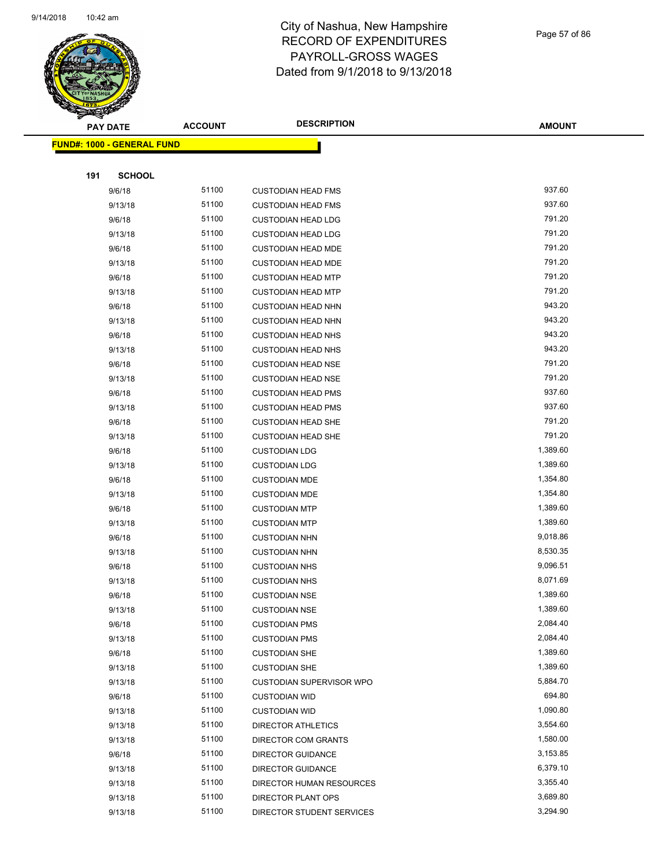

Page 57 of 86

| ॼ<br><b>PAY DATE</b>       | <b>ACCOUNT</b> | <b>DESCRIPTION</b>              | <b>AMOUNT</b> |
|----------------------------|----------------|---------------------------------|---------------|
| FUND#: 1000 - GENERAL FUND |                |                                 |               |
|                            |                |                                 |               |
| 191<br><b>SCHOOL</b>       |                |                                 |               |
| 9/6/18                     | 51100          | <b>CUSTODIAN HEAD FMS</b>       | 937.60        |
| 9/13/18                    | 51100          | <b>CUSTODIAN HEAD FMS</b>       | 937.60        |
| 9/6/18                     | 51100          | <b>CUSTODIAN HEAD LDG</b>       | 791.20        |
| 9/13/18                    | 51100          | <b>CUSTODIAN HEAD LDG</b>       | 791.20        |
| 9/6/18                     | 51100          | <b>CUSTODIAN HEAD MDE</b>       | 791.20        |
| 9/13/18                    | 51100          | <b>CUSTODIAN HEAD MDE</b>       | 791.20        |
| 9/6/18                     | 51100          | <b>CUSTODIAN HEAD MTP</b>       | 791.20        |
| 9/13/18                    | 51100          | <b>CUSTODIAN HEAD MTP</b>       | 791.20        |
| 9/6/18                     | 51100          | <b>CUSTODIAN HEAD NHN</b>       | 943.20        |
| 9/13/18                    | 51100          | <b>CUSTODIAN HEAD NHN</b>       | 943.20        |
| 9/6/18                     | 51100          | <b>CUSTODIAN HEAD NHS</b>       | 943.20        |
| 9/13/18                    | 51100          | <b>CUSTODIAN HEAD NHS</b>       | 943.20        |
| 9/6/18                     | 51100          | <b>CUSTODIAN HEAD NSE</b>       | 791.20        |
| 9/13/18                    | 51100          | <b>CUSTODIAN HEAD NSE</b>       | 791.20        |
| 9/6/18                     | 51100          | <b>CUSTODIAN HEAD PMS</b>       | 937.60        |
| 9/13/18                    | 51100          | <b>CUSTODIAN HEAD PMS</b>       | 937.60        |
| 9/6/18                     | 51100          | <b>CUSTODIAN HEAD SHE</b>       | 791.20        |
| 9/13/18                    | 51100          | <b>CUSTODIAN HEAD SHE</b>       | 791.20        |
| 9/6/18                     | 51100          | <b>CUSTODIAN LDG</b>            | 1,389.60      |
| 9/13/18                    | 51100          | <b>CUSTODIAN LDG</b>            | 1,389.60      |
| 9/6/18                     | 51100          | <b>CUSTODIAN MDE</b>            | 1,354.80      |
| 9/13/18                    | 51100          | <b>CUSTODIAN MDE</b>            | 1,354.80      |
| 9/6/18                     | 51100          | <b>CUSTODIAN MTP</b>            | 1,389.60      |
| 9/13/18                    | 51100          | <b>CUSTODIAN MTP</b>            | 1,389.60      |
| 9/6/18                     | 51100          | <b>CUSTODIAN NHN</b>            | 9,018.86      |
| 9/13/18                    | 51100          | <b>CUSTODIAN NHN</b>            | 8,530.35      |
| 9/6/18                     | 51100          | <b>CUSTODIAN NHS</b>            | 9,096.51      |
| 9/13/18                    | 51100          | <b>CUSTODIAN NHS</b>            | 8,071.69      |
| 9/6/18                     | 51100          | <b>CUSTODIAN NSE</b>            | 1,389.60      |
| 9/13/18                    | 51100          | <b>CUSTODIAN NSE</b>            | 1,389.60      |
| 9/6/18                     | 51100          | <b>CUSTODIAN PMS</b>            | 2,084.40      |
| 9/13/18                    | 51100          | <b>CUSTODIAN PMS</b>            | 2,084.40      |
| 9/6/18                     | 51100          | <b>CUSTODIAN SHE</b>            | 1,389.60      |
| 9/13/18                    | 51100          | <b>CUSTODIAN SHE</b>            | 1,389.60      |
| 9/13/18                    | 51100          | <b>CUSTODIAN SUPERVISOR WPO</b> | 5,884.70      |
| 9/6/18                     | 51100          | <b>CUSTODIAN WID</b>            | 694.80        |
| 9/13/18                    | 51100          | <b>CUSTODIAN WID</b>            | 1,090.80      |
| 9/13/18                    | 51100          | DIRECTOR ATHLETICS              | 3,554.60      |
| 9/13/18                    | 51100          | DIRECTOR COM GRANTS             | 1,580.00      |
| 9/6/18                     | 51100          | <b>DIRECTOR GUIDANCE</b>        | 3,153.85      |
| 9/13/18                    | 51100          | DIRECTOR GUIDANCE               | 6,379.10      |
| 9/13/18                    | 51100          | DIRECTOR HUMAN RESOURCES        | 3,355.40      |
| 9/13/18                    | 51100          | DIRECTOR PLANT OPS              | 3,689.80      |
| 9/13/18                    | 51100          | DIRECTOR STUDENT SERVICES       | 3,294.90      |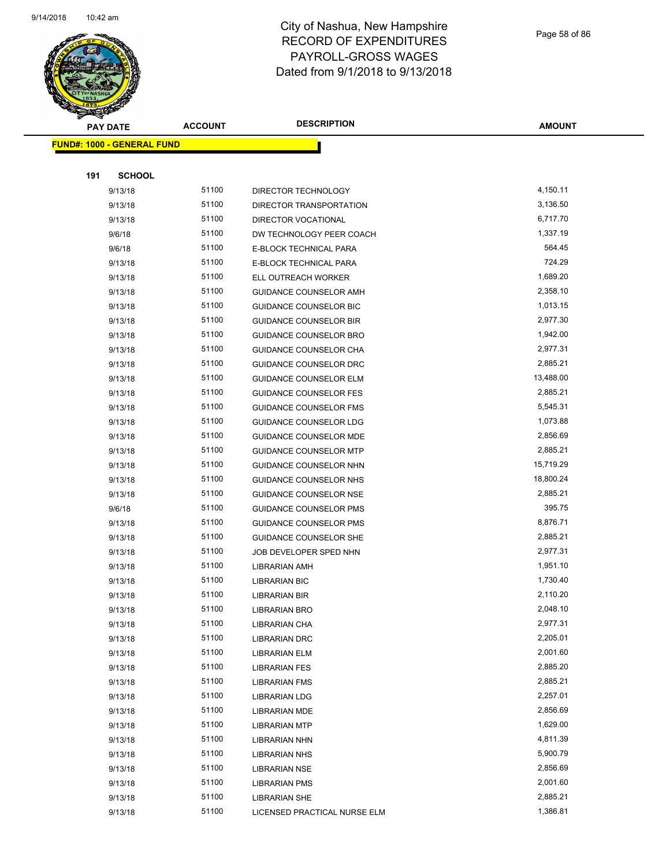$\overline{\phantom{0}}$ 



#### City of Nashua, New Hampshire RECORD OF EXPENDITURES PAYROLL-GROSS WAGES Dated from 9/1/2018 to 9/13/2018

Page 58 of 86

| T<br>æ.<br><b>PAY DATE</b>        | <b>ACCOUNT</b> | <b>DESCRIPTION</b>                    | <b>AMOUNT</b>        |
|-----------------------------------|----------------|---------------------------------------|----------------------|
| <b>FUND#: 1000 - GENERAL FUND</b> |                |                                       |                      |
|                                   |                |                                       |                      |
| 191<br><b>SCHOOL</b>              |                |                                       |                      |
| 9/13/18                           | 51100          | DIRECTOR TECHNOLOGY                   | 4,150.11             |
| 9/13/18                           | 51100          | DIRECTOR TRANSPORTATION               | 3,136.50             |
| 9/13/18                           | 51100          | DIRECTOR VOCATIONAL                   | 6,717.70             |
| 9/6/18                            | 51100          | DW TECHNOLOGY PEER COACH              | 1,337.19             |
| 9/6/18                            | 51100          | E-BLOCK TECHNICAL PARA                | 564.45               |
| 9/13/18                           | 51100          | E-BLOCK TECHNICAL PARA                | 724.29               |
| 9/13/18                           | 51100          | ELL OUTREACH WORKER                   | 1,689.20             |
| 9/13/18                           | 51100          | GUIDANCE COUNSELOR AMH                | 2,358.10             |
| 9/13/18                           | 51100          | <b>GUIDANCE COUNSELOR BIC</b>         | 1,013.15             |
| 9/13/18                           | 51100          | <b>GUIDANCE COUNSELOR BIR</b>         | 2,977.30             |
| 9/13/18                           | 51100          | <b>GUIDANCE COUNSELOR BRO</b>         | 1,942.00             |
| 9/13/18                           | 51100          | GUIDANCE COUNSELOR CHA                | 2,977.31             |
| 9/13/18                           | 51100          | <b>GUIDANCE COUNSELOR DRC</b>         | 2,885.21             |
| 9/13/18                           | 51100          | <b>GUIDANCE COUNSELOR ELM</b>         | 13,488.00            |
| 9/13/18                           | 51100          | <b>GUIDANCE COUNSELOR FES</b>         | 2,885.21             |
| 9/13/18                           | 51100          | <b>GUIDANCE COUNSELOR FMS</b>         | 5,545.31             |
| 9/13/18                           | 51100          | <b>GUIDANCE COUNSELOR LDG</b>         | 1,073.88             |
| 9/13/18                           | 51100          | GUIDANCE COUNSELOR MDE                | 2,856.69             |
| 9/13/18                           | 51100          | <b>GUIDANCE COUNSELOR MTP</b>         | 2,885.21             |
| 9/13/18                           | 51100          | GUIDANCE COUNSELOR NHN                | 15,719.29            |
| 9/13/18                           | 51100          | GUIDANCE COUNSELOR NHS                | 18,800.24            |
| 9/13/18                           | 51100          | <b>GUIDANCE COUNSELOR NSE</b>         | 2,885.21             |
| 9/6/18                            | 51100          | <b>GUIDANCE COUNSELOR PMS</b>         | 395.75               |
| 9/13/18                           | 51100          | <b>GUIDANCE COUNSELOR PMS</b>         | 8,876.71             |
| 9/13/18                           | 51100          | <b>GUIDANCE COUNSELOR SHE</b>         | 2,885.21             |
| 9/13/18                           | 51100          | JOB DEVELOPER SPED NHN                | 2,977.31             |
| 9/13/18                           | 51100          | LIBRARIAN AMH                         | 1,951.10             |
| 9/13/18                           | 51100          | <b>LIBRARIAN BIC</b>                  | 1,730.40             |
| 9/13/18                           | 51100<br>51100 | LIBRARIAN BIR                         | 2,110.20<br>2,048.10 |
| 9/13/18                           | 51100          | <b>LIBRARIAN BRO</b>                  | 2,977.31             |
| 9/13/18<br>9/13/18                | 51100          | LIBRARIAN CHA<br><b>LIBRARIAN DRC</b> | 2,205.01             |
| 9/13/18                           | 51100          | <b>LIBRARIAN ELM</b>                  | 2,001.60             |
| 9/13/18                           | 51100          | <b>LIBRARIAN FES</b>                  | 2,885.20             |
| 9/13/18                           | 51100          | <b>LIBRARIAN FMS</b>                  | 2,885.21             |
| 9/13/18                           | 51100          | <b>LIBRARIAN LDG</b>                  | 2,257.01             |
| 9/13/18                           | 51100          | <b>LIBRARIAN MDE</b>                  | 2,856.69             |
| 9/13/18                           | 51100          | <b>LIBRARIAN MTP</b>                  | 1,629.00             |
| 9/13/18                           | 51100          | LIBRARIAN NHN                         | 4,811.39             |
| 9/13/18                           | 51100          | <b>LIBRARIAN NHS</b>                  | 5,900.79             |
| 9/13/18                           | 51100          | <b>LIBRARIAN NSE</b>                  | 2,856.69             |
| 9/13/18                           | 51100          | <b>LIBRARIAN PMS</b>                  | 2,001.60             |
| 9/13/18                           | 51100          | <b>LIBRARIAN SHE</b>                  | 2,885.21             |
| 9/13/18                           | 51100          | LICENSED PRACTICAL NURSE ELM          | 1,386.81             |
|                                   |                |                                       |                      |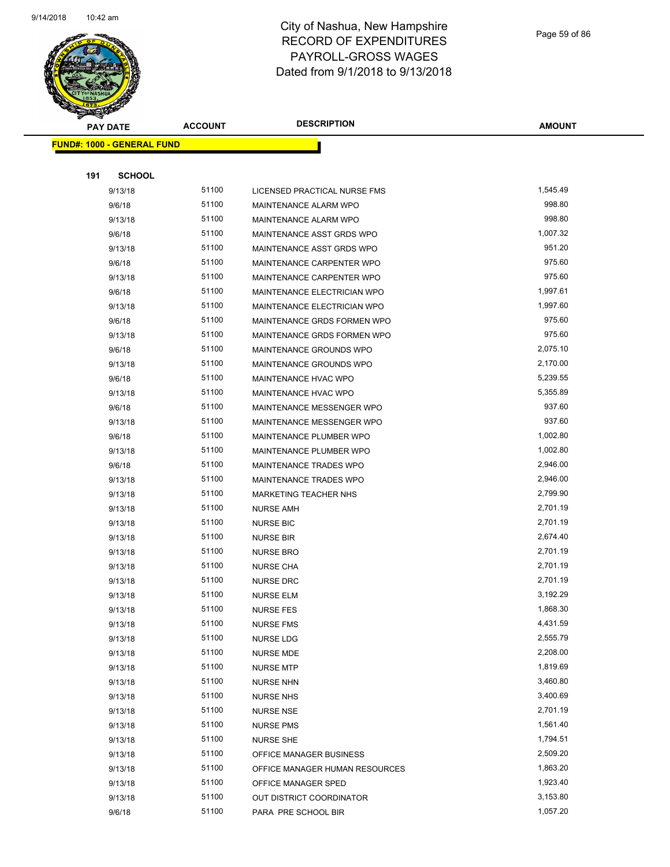

Page 59 of 86

| <b>Andri</b><br><b>PAY DATE</b>   | <b>ACCOUNT</b> | <b>DESCRIPTION</b>             | <b>AMOUNT</b> |
|-----------------------------------|----------------|--------------------------------|---------------|
| <b>FUND#: 1000 - GENERAL FUND</b> |                |                                |               |
|                                   |                |                                |               |
| 191<br><b>SCHOOL</b>              |                |                                |               |
| 9/13/18                           | 51100          | LICENSED PRACTICAL NURSE FMS   | 1,545.49      |
| 9/6/18                            | 51100          | MAINTENANCE ALARM WPO          | 998.80        |
| 9/13/18                           | 51100          | MAINTENANCE ALARM WPO          | 998.80        |
| 9/6/18                            | 51100          | MAINTENANCE ASST GRDS WPO      | 1,007.32      |
| 9/13/18                           | 51100          | MAINTENANCE ASST GRDS WPO      | 951.20        |
| 9/6/18                            | 51100          | MAINTENANCE CARPENTER WPO      | 975.60        |
| 9/13/18                           | 51100          | MAINTENANCE CARPENTER WPO      | 975.60        |
| 9/6/18                            | 51100          | MAINTENANCE ELECTRICIAN WPO    | 1,997.61      |
| 9/13/18                           | 51100          | MAINTENANCE ELECTRICIAN WPO    | 1,997.60      |
| 9/6/18                            | 51100          | MAINTENANCE GRDS FORMEN WPO    | 975.60        |
| 9/13/18                           | 51100          | MAINTENANCE GRDS FORMEN WPO    | 975.60        |
| 9/6/18                            | 51100          | MAINTENANCE GROUNDS WPO        | 2,075.10      |
| 9/13/18                           | 51100          | MAINTENANCE GROUNDS WPO        | 2,170.00      |
| 9/6/18                            | 51100          | MAINTENANCE HVAC WPO           | 5,239.55      |
| 9/13/18                           | 51100          | MAINTENANCE HVAC WPO           | 5,355.89      |
| 9/6/18                            | 51100          | MAINTENANCE MESSENGER WPO      | 937.60        |
| 9/13/18                           | 51100          | MAINTENANCE MESSENGER WPO      | 937.60        |
| 9/6/18                            | 51100          | MAINTENANCE PLUMBER WPO        | 1,002.80      |
| 9/13/18                           | 51100          | MAINTENANCE PLUMBER WPO        | 1,002.80      |
| 9/6/18                            | 51100          | MAINTENANCE TRADES WPO         | 2,946.00      |
| 9/13/18                           | 51100          | MAINTENANCE TRADES WPO         | 2,946.00      |
| 9/13/18                           | 51100          | <b>MARKETING TEACHER NHS</b>   | 2,799.90      |
| 9/13/18                           | 51100          | <b>NURSE AMH</b>               | 2,701.19      |
| 9/13/18                           | 51100          | <b>NURSE BIC</b>               | 2,701.19      |
| 9/13/18                           | 51100          | <b>NURSE BIR</b>               | 2,674.40      |
| 9/13/18                           | 51100          | <b>NURSE BRO</b>               | 2,701.19      |
| 9/13/18                           | 51100          | <b>NURSE CHA</b>               | 2,701.19      |
| 9/13/18                           | 51100          | <b>NURSE DRC</b>               | 2,701.19      |
| 9/13/18                           | 51100          | <b>NURSE ELM</b>               | 3,192.29      |
| 9/13/18                           | 51100          | <b>NURSE FES</b>               | 1,868.30      |
| 9/13/18                           | 51100          | <b>NURSE FMS</b>               | 4,431.59      |
| 9/13/18                           | 51100          | NURSE LDG                      | 2,555.79      |
| 9/13/18                           | 51100          | NURSE MDE                      | 2,208.00      |
| 9/13/18                           | 51100          | <b>NURSE MTP</b>               | 1,819.69      |
| 9/13/18                           | 51100          | <b>NURSE NHN</b>               | 3,460.80      |
| 9/13/18                           | 51100          | <b>NURSE NHS</b>               | 3,400.69      |
| 9/13/18                           | 51100          | <b>NURSE NSE</b>               | 2,701.19      |
| 9/13/18                           | 51100          | <b>NURSE PMS</b>               | 1,561.40      |
| 9/13/18                           | 51100          | <b>NURSE SHE</b>               | 1,794.51      |
| 9/13/18                           | 51100          | OFFICE MANAGER BUSINESS        | 2,509.20      |
| 9/13/18                           | 51100          | OFFICE MANAGER HUMAN RESOURCES | 1,863.20      |
| 9/13/18                           | 51100          | OFFICE MANAGER SPED            | 1,923.40      |
| 9/13/18                           | 51100          | OUT DISTRICT COORDINATOR       | 3,153.80      |
| 9/6/18                            | 51100          | PARA PRE SCHOOL BIR            | 1,057.20      |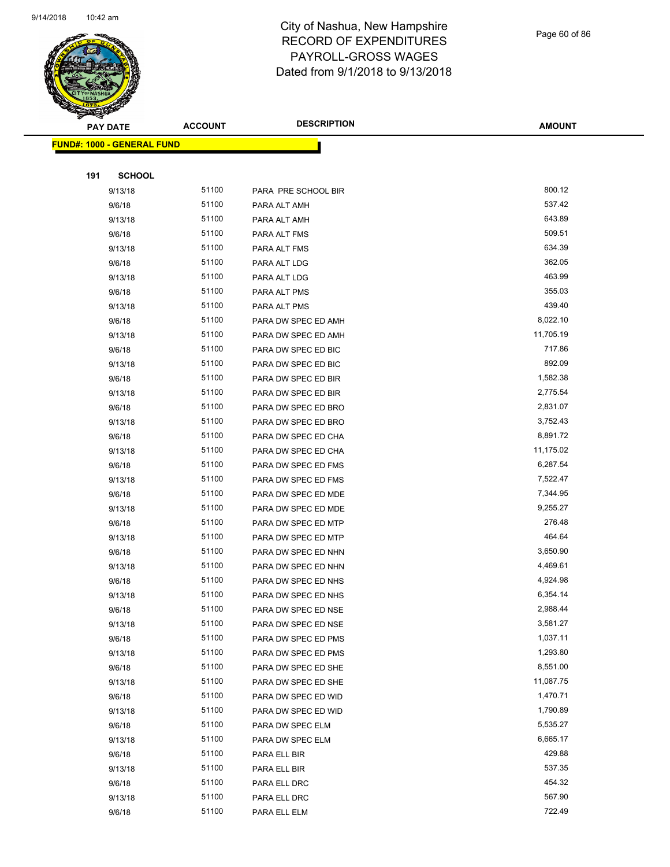

Page 60 of 86

| <b>Anthony</b>                    | <b>ACCOUNT</b> | <b>DESCRIPTION</b>  | <b>AMOUNT</b> |
|-----------------------------------|----------------|---------------------|---------------|
| <b>PAY DATE</b>                   |                |                     |               |
| <b>FUND#: 1000 - GENERAL FUND</b> |                |                     |               |
|                                   |                |                     |               |
| 191<br><b>SCHOOL</b>              |                |                     |               |
| 9/13/18                           | 51100          | PARA PRE SCHOOL BIR | 800.12        |
| 9/6/18                            | 51100          | PARA ALT AMH        | 537.42        |
| 9/13/18                           | 51100          | PARA ALT AMH        | 643.89        |
| 9/6/18                            | 51100          | PARA ALT FMS        | 509.51        |
| 9/13/18                           | 51100          | PARA ALT FMS        | 634.39        |
| 9/6/18                            | 51100          | PARA ALT LDG        | 362.05        |
| 9/13/18                           | 51100          | PARA ALT LDG        | 463.99        |
| 9/6/18                            | 51100          | PARA ALT PMS        | 355.03        |
| 9/13/18                           | 51100          | PARA ALT PMS        | 439.40        |
| 9/6/18                            | 51100          | PARA DW SPEC ED AMH | 8,022.10      |
| 9/13/18                           | 51100          | PARA DW SPEC ED AMH | 11,705.19     |
| 9/6/18                            | 51100          | PARA DW SPEC ED BIC | 717.86        |
| 9/13/18                           | 51100          | PARA DW SPEC ED BIC | 892.09        |
| 9/6/18                            | 51100          | PARA DW SPEC ED BIR | 1,582.38      |
| 9/13/18                           | 51100          | PARA DW SPEC ED BIR | 2,775.54      |
| 9/6/18                            | 51100          | PARA DW SPEC ED BRO | 2,831.07      |
| 9/13/18                           | 51100          | PARA DW SPEC ED BRO | 3,752.43      |
| 9/6/18                            | 51100          | PARA DW SPEC ED CHA | 8,891.72      |
| 9/13/18                           | 51100          | PARA DW SPEC ED CHA | 11,175.02     |
| 9/6/18                            | 51100          | PARA DW SPEC ED FMS | 6,287.54      |
| 9/13/18                           | 51100          | PARA DW SPEC ED FMS | 7,522.47      |
| 9/6/18                            | 51100          | PARA DW SPEC ED MDE | 7,344.95      |
| 9/13/18                           | 51100          | PARA DW SPEC ED MDE | 9,255.27      |
| 9/6/18                            | 51100          | PARA DW SPEC ED MTP | 276.48        |
| 9/13/18                           | 51100          | PARA DW SPEC ED MTP | 464.64        |
| 9/6/18                            | 51100          | PARA DW SPEC ED NHN | 3,650.90      |
| 9/13/18                           | 51100          | PARA DW SPEC ED NHN | 4,469.61      |
| 9/6/18                            | 51100          | PARA DW SPEC ED NHS | 4,924.98      |
| 9/13/18                           | 51100          | PARA DW SPEC ED NHS | 6,354.14      |
| 9/6/18                            | 51100          | PARA DW SPEC ED NSE | 2,988.44      |
| 9/13/18                           | 51100          | PARA DW SPEC ED NSE | 3,581.27      |
| 9/6/18                            | 51100          | PARA DW SPEC ED PMS | 1,037.11      |
| 9/13/18                           | 51100          | PARA DW SPEC ED PMS | 1,293.80      |
| 9/6/18                            | 51100          | PARA DW SPEC ED SHE | 8,551.00      |
| 9/13/18                           | 51100          | PARA DW SPEC ED SHE | 11,087.75     |
| 9/6/18                            | 51100          | PARA DW SPEC ED WID | 1,470.71      |
| 9/13/18                           | 51100          | PARA DW SPEC ED WID | 1,790.89      |
| 9/6/18                            | 51100          | PARA DW SPEC ELM    | 5,535.27      |
| 9/13/18                           | 51100          | PARA DW SPEC ELM    | 6,665.17      |
| 9/6/18                            | 51100          | PARA ELL BIR        | 429.88        |
| 9/13/18                           | 51100          | PARA ELL BIR        | 537.35        |
| 9/6/18                            | 51100          | PARA ELL DRC        | 454.32        |
| 9/13/18                           | 51100          | PARA ELL DRC        | 567.90        |
| 9/6/18                            | 51100          | PARA ELL ELM        | 722.49        |
|                                   |                |                     |               |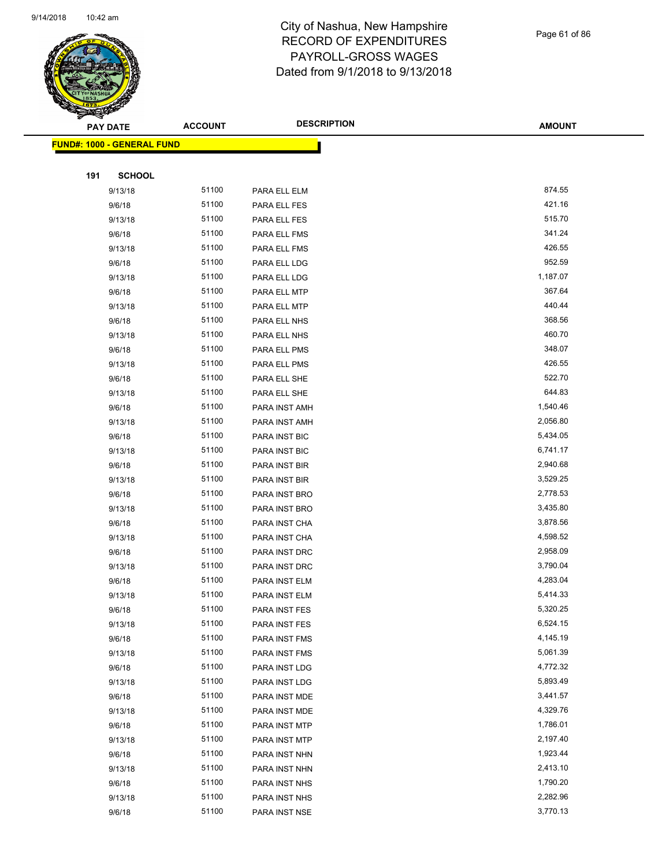

Page 61 of 86

| <b>STARBAN</b> | <b>PAY DATE</b>                   | <b>ACCOUNT</b> | <b>DESCRIPTION</b> | <b>AMOUNT</b> |
|----------------|-----------------------------------|----------------|--------------------|---------------|
|                | <b>FUND#: 1000 - GENERAL FUND</b> |                |                    |               |
|                |                                   |                |                    |               |
| 191            | <b>SCHOOL</b>                     |                |                    |               |
|                | 9/13/18                           | 51100          | PARA ELL ELM       | 874.55        |
|                | 9/6/18                            | 51100          | PARA ELL FES       | 421.16        |
|                | 9/13/18                           | 51100          | PARA ELL FES       | 515.70        |
|                | 9/6/18                            | 51100          | PARA ELL FMS       | 341.24        |
|                | 9/13/18                           | 51100          | PARA ELL FMS       | 426.55        |
|                | 9/6/18                            | 51100          | PARA ELL LDG       | 952.59        |
|                | 9/13/18                           | 51100          | PARA ELL LDG       | 1,187.07      |
|                | 9/6/18                            | 51100          | PARA ELL MTP       | 367.64        |
|                | 9/13/18                           | 51100          | PARA ELL MTP       | 440.44        |
|                | 9/6/18                            | 51100          | PARA ELL NHS       | 368.56        |
|                | 9/13/18                           | 51100          | PARA ELL NHS       | 460.70        |
|                | 9/6/18                            | 51100          | PARA ELL PMS       | 348.07        |
|                | 9/13/18                           | 51100          | PARA ELL PMS       | 426.55        |
|                | 9/6/18                            | 51100          | PARA ELL SHE       | 522.70        |
|                | 9/13/18                           | 51100          | PARA ELL SHE       | 644.83        |
|                | 9/6/18                            | 51100          | PARA INST AMH      | 1,540.46      |
|                | 9/13/18                           | 51100          | PARA INST AMH      | 2,056.80      |
|                | 9/6/18                            | 51100          | PARA INST BIC      | 5,434.05      |
|                | 9/13/18                           | 51100          | PARA INST BIC      | 6,741.17      |
|                | 9/6/18                            | 51100          | PARA INST BIR      | 2,940.68      |
|                | 9/13/18                           | 51100          | PARA INST BIR      | 3,529.25      |
|                | 9/6/18                            | 51100          | PARA INST BRO      | 2,778.53      |
|                | 9/13/18                           | 51100          | PARA INST BRO      | 3,435.80      |
|                | 9/6/18                            | 51100          | PARA INST CHA      | 3,878.56      |
|                | 9/13/18                           | 51100          | PARA INST CHA      | 4,598.52      |
|                | 9/6/18                            | 51100          | PARA INST DRC      | 2,958.09      |
|                | 9/13/18                           | 51100          | PARA INST DRC      | 3,790.04      |
|                | 9/6/18                            | 51100          | PARA INST ELM      | 4,283.04      |
|                | 9/13/18                           | 51100          | PARA INST ELM      | 5,414.33      |
|                | 9/6/18                            | 51100          | PARA INST FES      | 5,320.25      |
|                | 9/13/18                           | 51100          | PARA INST FES      | 6,524.15      |
|                | 9/6/18                            | 51100          | PARA INST FMS      | 4,145.19      |
|                | 9/13/18                           | 51100          | PARA INST FMS      | 5,061.39      |
|                | 9/6/18                            | 51100          | PARA INST LDG      | 4,772.32      |
|                | 9/13/18                           | 51100          | PARA INST LDG      | 5,893.49      |
|                | 9/6/18                            | 51100          | PARA INST MDE      | 3,441.57      |
|                | 9/13/18                           | 51100          | PARA INST MDE      | 4,329.76      |
|                | 9/6/18                            | 51100          | PARA INST MTP      | 1,786.01      |
|                | 9/13/18                           | 51100          | PARA INST MTP      | 2,197.40      |
|                | 9/6/18                            | 51100          | PARA INST NHN      | 1,923.44      |
|                | 9/13/18                           | 51100          | PARA INST NHN      | 2,413.10      |
|                | 9/6/18                            | 51100          | PARA INST NHS      | 1,790.20      |
|                | 9/13/18                           | 51100          | PARA INST NHS      | 2,282.96      |
|                | 9/6/18                            | 51100          | PARA INST NSE      | 3,770.13      |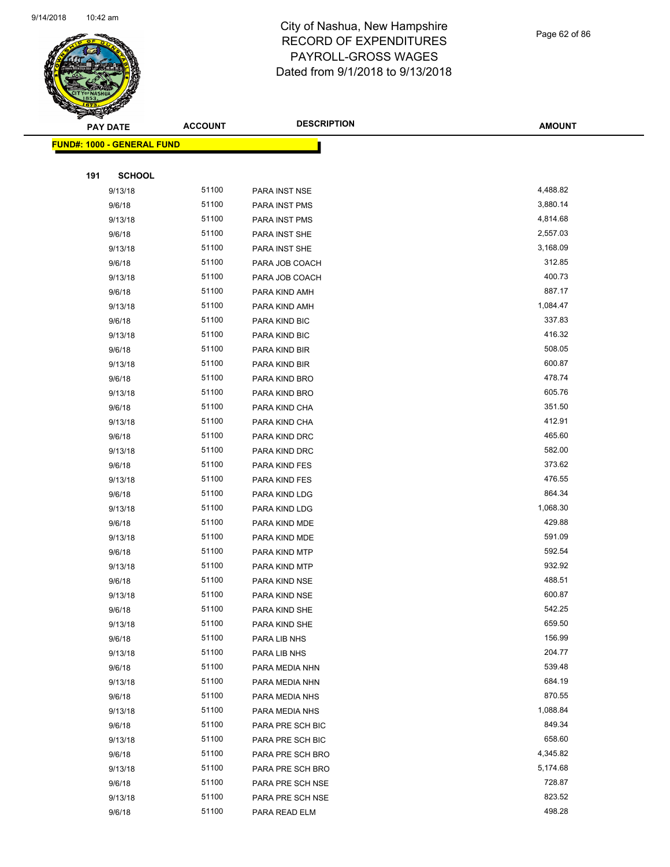

Page 62 of 86

| <b>PARTIES REPORT</b>             |                |                    |               |
|-----------------------------------|----------------|--------------------|---------------|
| <b>PAY DATE</b>                   | <b>ACCOUNT</b> | <b>DESCRIPTION</b> | <b>AMOUNT</b> |
| <b>FUND#: 1000 - GENERAL FUND</b> |                |                    |               |
|                                   |                |                    |               |
| 191<br><b>SCHOOL</b>              |                |                    |               |
| 9/13/18                           | 51100          | PARA INST NSE      | 4,488.82      |
| 9/6/18                            | 51100          | PARA INST PMS      | 3,880.14      |
| 9/13/18                           | 51100          | PARA INST PMS      | 4,814.68      |
| 9/6/18                            | 51100          | PARA INST SHE      | 2,557.03      |
| 9/13/18                           | 51100          | PARA INST SHE      | 3,168.09      |
| 9/6/18                            | 51100          | PARA JOB COACH     | 312.85        |
| 9/13/18                           | 51100          | PARA JOB COACH     | 400.73        |
| 9/6/18                            | 51100          | PARA KIND AMH      | 887.17        |
| 9/13/18                           | 51100          | PARA KIND AMH      | 1,084.47      |
| 9/6/18                            | 51100          | PARA KIND BIC      | 337.83        |
| 9/13/18                           | 51100          | PARA KIND BIC      | 416.32        |
| 9/6/18                            | 51100          | PARA KIND BIR      | 508.05        |
| 9/13/18                           | 51100          | PARA KIND BIR      | 600.87        |
| 9/6/18                            | 51100          | PARA KIND BRO      | 478.74        |
| 9/13/18                           | 51100          | PARA KIND BRO      | 605.76        |
| 9/6/18                            | 51100          | PARA KIND CHA      | 351.50        |
| 9/13/18                           | 51100          | PARA KIND CHA      | 412.91        |
| 9/6/18                            | 51100          | PARA KIND DRC      | 465.60        |
| 9/13/18                           | 51100          | PARA KIND DRC      | 582.00        |
| 9/6/18                            | 51100          | PARA KIND FES      | 373.62        |
| 9/13/18                           | 51100          | PARA KIND FES      | 476.55        |
| 9/6/18                            | 51100          | PARA KIND LDG      | 864.34        |
| 9/13/18                           | 51100          | PARA KIND LDG      | 1,068.30      |
| 9/6/18                            | 51100          | PARA KIND MDE      | 429.88        |
| 9/13/18                           | 51100          | PARA KIND MDE      | 591.09        |
| 9/6/18                            | 51100          | PARA KIND MTP      | 592.54        |
| 9/13/18                           | 51100          | PARA KIND MTP      | 932.92        |
| 9/6/18                            | 51100          | PARA KIND NSE      | 488.51        |
| 9/13/18                           | 51100          | PARA KIND NSE      | 600.87        |
| 9/6/18                            | 51100          | PARA KIND SHE      | 542.25        |
| 9/13/18                           | 51100          | PARA KIND SHE      | 659.50        |
| 9/6/18                            | 51100          | PARA LIB NHS       | 156.99        |
| 9/13/18                           | 51100          | PARA LIB NHS       | 204.77        |
| 9/6/18                            | 51100          | PARA MEDIA NHN     | 539.48        |
| 9/13/18                           | 51100          | PARA MEDIA NHN     | 684.19        |
| 9/6/18                            | 51100          | PARA MEDIA NHS     | 870.55        |
| 9/13/18                           | 51100          | PARA MEDIA NHS     | 1,088.84      |
| 9/6/18                            | 51100          | PARA PRE SCH BIC   | 849.34        |
| 9/13/18                           | 51100          | PARA PRE SCH BIC   | 658.60        |
| 9/6/18                            | 51100          | PARA PRE SCH BRO   | 4,345.82      |
| 9/13/18                           | 51100          | PARA PRE SCH BRO   | 5,174.68      |
| 9/6/18                            | 51100          | PARA PRE SCH NSE   | 728.87        |
| 9/13/18                           | 51100          | PARA PRE SCH NSE   | 823.52        |
| 9/6/18                            | 51100          | PARA READ ELM      | 498.28        |
|                                   |                |                    |               |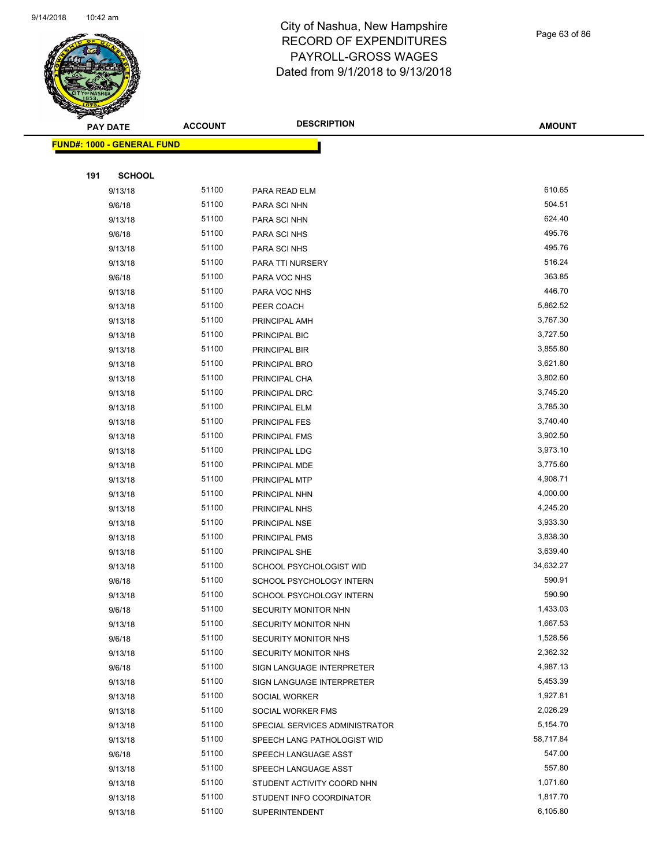

Page 63 of 86

| <b>START AREA</b>                 |                |                                |               |  |
|-----------------------------------|----------------|--------------------------------|---------------|--|
| <b>PAY DATE</b>                   | <b>ACCOUNT</b> | <b>DESCRIPTION</b>             | <b>AMOUNT</b> |  |
| <b>FUND#: 1000 - GENERAL FUND</b> |                |                                |               |  |
|                                   |                |                                |               |  |
| 191                               | <b>SCHOOL</b>  |                                |               |  |
| 9/13/18                           | 51100          | PARA READ ELM                  | 610.65        |  |
| 9/6/18                            | 51100          | PARA SCI NHN                   | 504.51        |  |
| 9/13/18                           | 51100          | PARA SCI NHN                   | 624.40        |  |
| 9/6/18                            | 51100          | PARA SCI NHS                   | 495.76        |  |
| 9/13/18                           | 51100          | PARA SCI NHS                   | 495.76        |  |
| 9/13/18                           | 51100          | PARA TTI NURSERY               | 516.24        |  |
| 9/6/18                            | 51100          | PARA VOC NHS                   | 363.85        |  |
| 9/13/18                           | 51100          | PARA VOC NHS                   | 446.70        |  |
| 9/13/18                           | 51100          | PEER COACH                     | 5,862.52      |  |
| 9/13/18                           | 51100          | PRINCIPAL AMH                  | 3,767.30      |  |
| 9/13/18                           | 51100          | PRINCIPAL BIC                  | 3,727.50      |  |
| 9/13/18                           | 51100          | PRINCIPAL BIR                  | 3,855.80      |  |
| 9/13/18                           | 51100          | PRINCIPAL BRO                  | 3,621.80      |  |
| 9/13/18                           | 51100          | PRINCIPAL CHA                  | 3,802.60      |  |
| 9/13/18                           | 51100          | PRINCIPAL DRC                  | 3,745.20      |  |
| 9/13/18                           | 51100          | PRINCIPAL ELM                  | 3,785.30      |  |
| 9/13/18                           | 51100          | <b>PRINCIPAL FES</b>           | 3,740.40      |  |
| 9/13/18                           | 51100          | PRINCIPAL FMS                  | 3,902.50      |  |
| 9/13/18                           | 51100          | PRINCIPAL LDG                  | 3,973.10      |  |
| 9/13/18                           | 51100          | PRINCIPAL MDE                  | 3,775.60      |  |
| 9/13/18                           | 51100          | PRINCIPAL MTP                  | 4,908.71      |  |
| 9/13/18                           | 51100          | PRINCIPAL NHN                  | 4,000.00      |  |
| 9/13/18                           | 51100          | PRINCIPAL NHS                  | 4,245.20      |  |
| 9/13/18                           | 51100          | PRINCIPAL NSE                  | 3,933.30      |  |
| 9/13/18                           | 51100          | PRINCIPAL PMS                  | 3,838.30      |  |
| 9/13/18                           | 51100          | PRINCIPAL SHE                  | 3,639.40      |  |
| 9/13/18                           | 51100          | SCHOOL PSYCHOLOGIST WID        | 34,632.27     |  |
| 9/6/18                            | 51100          | SCHOOL PSYCHOLOGY INTERN       | 590.91        |  |
| 9/13/18                           | 51100          | SCHOOL PSYCHOLOGY INTERN       | 590.90        |  |
| 9/6/18                            | 51100          | SECURITY MONITOR NHN           | 1,433.03      |  |
| 9/13/18                           | 51100          | SECURITY MONITOR NHN           | 1,667.53      |  |
| 9/6/18                            | 51100          | <b>SECURITY MONITOR NHS</b>    | 1,528.56      |  |
| 9/13/18                           | 51100          | SECURITY MONITOR NHS           | 2,362.32      |  |
| 9/6/18                            | 51100          | SIGN LANGUAGE INTERPRETER      | 4,987.13      |  |
| 9/13/18                           | 51100          | SIGN LANGUAGE INTERPRETER      | 5,453.39      |  |
| 9/13/18                           | 51100          | SOCIAL WORKER                  | 1,927.81      |  |
| 9/13/18                           | 51100          | SOCIAL WORKER FMS              | 2,026.29      |  |
| 9/13/18                           | 51100          | SPECIAL SERVICES ADMINISTRATOR | 5,154.70      |  |
| 9/13/18                           | 51100          | SPEECH LANG PATHOLOGIST WID    | 58,717.84     |  |
| 9/6/18                            | 51100          | SPEECH LANGUAGE ASST           | 547.00        |  |
| 9/13/18                           | 51100          | SPEECH LANGUAGE ASST           | 557.80        |  |
| 9/13/18                           | 51100          | STUDENT ACTIVITY COORD NHN     | 1,071.60      |  |
| 9/13/18                           | 51100          | STUDENT INFO COORDINATOR       | 1,817.70      |  |
| 9/13/18                           | 51100          | <b>SUPERINTENDENT</b>          | 6,105.80      |  |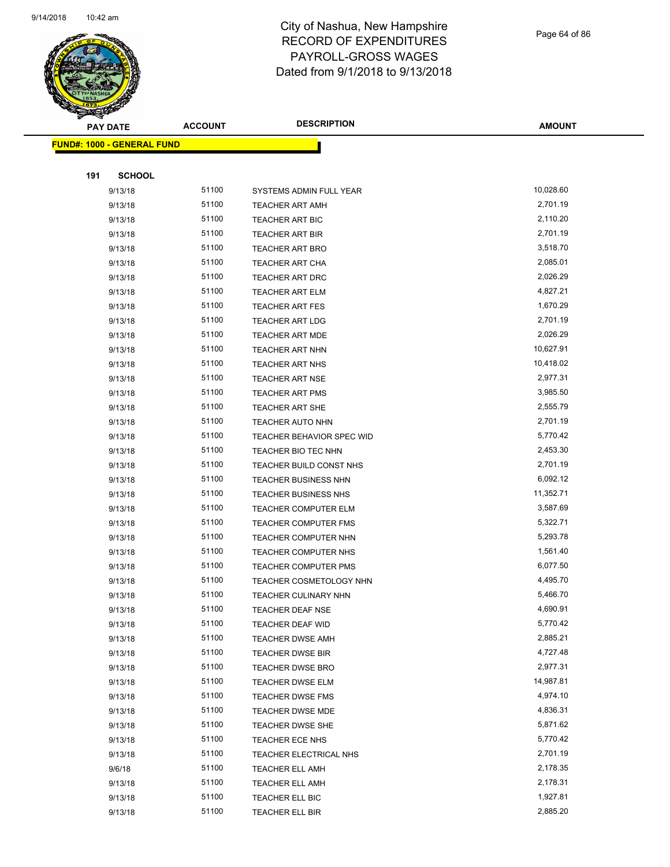

Page 64 of 86

| <b>SANGAL</b>                     |                |                                  |               |
|-----------------------------------|----------------|----------------------------------|---------------|
| <b>PAY DATE</b>                   | <b>ACCOUNT</b> | <b>DESCRIPTION</b>               | <b>AMOUNT</b> |
| <b>FUND#: 1000 - GENERAL FUND</b> |                |                                  |               |
|                                   |                |                                  |               |
| 191<br><b>SCHOOL</b>              |                |                                  |               |
| 9/13/18                           | 51100          | SYSTEMS ADMIN FULL YEAR          | 10,028.60     |
| 9/13/18                           | 51100          | <b>TEACHER ART AMH</b>           | 2,701.19      |
| 9/13/18                           | 51100          | TEACHER ART BIC                  | 2,110.20      |
| 9/13/18                           | 51100          | TEACHER ART BIR                  | 2,701.19      |
| 9/13/18                           | 51100          | <b>TEACHER ART BRO</b>           | 3,518.70      |
| 9/13/18                           | 51100          | <b>TEACHER ART CHA</b>           | 2,085.01      |
| 9/13/18                           | 51100          | TEACHER ART DRC                  | 2,026.29      |
| 9/13/18                           | 51100          | <b>TEACHER ART ELM</b>           | 4,827.21      |
| 9/13/18                           | 51100          | <b>TEACHER ART FES</b>           | 1,670.29      |
| 9/13/18                           | 51100          | <b>TEACHER ART LDG</b>           | 2,701.19      |
| 9/13/18                           | 51100          | TEACHER ART MDE                  | 2,026.29      |
| 9/13/18                           | 51100          | <b>TEACHER ART NHN</b>           | 10,627.91     |
| 9/13/18                           | 51100          | <b>TEACHER ART NHS</b>           | 10,418.02     |
| 9/13/18                           | 51100          | <b>TEACHER ART NSE</b>           | 2,977.31      |
| 9/13/18                           | 51100          | <b>TEACHER ART PMS</b>           | 3,985.50      |
| 9/13/18                           | 51100          | <b>TEACHER ART SHE</b>           | 2,555.79      |
| 9/13/18                           | 51100          | <b>TEACHER AUTO NHN</b>          | 2,701.19      |
| 9/13/18                           | 51100          | <b>TEACHER BEHAVIOR SPEC WID</b> | 5,770.42      |
| 9/13/18                           | 51100          | TEACHER BIO TEC NHN              | 2,453.30      |
| 9/13/18                           | 51100          | TEACHER BUILD CONST NHS          | 2,701.19      |
| 9/13/18                           | 51100          | <b>TEACHER BUSINESS NHN</b>      | 6,092.12      |
| 9/13/18                           | 51100          | TEACHER BUSINESS NHS             | 11,352.71     |
| 9/13/18                           | 51100          | TEACHER COMPUTER ELM             | 3,587.69      |
| 9/13/18                           | 51100          | TEACHER COMPUTER FMS             | 5,322.71      |
| 9/13/18                           | 51100          | <b>TEACHER COMPUTER NHN</b>      | 5,293.78      |
| 9/13/18                           | 51100          | TEACHER COMPUTER NHS             | 1,561.40      |
| 9/13/18                           | 51100          | <b>TEACHER COMPUTER PMS</b>      | 6,077.50      |
| 9/13/18                           | 51100          | TEACHER COSMETOLOGY NHN          | 4,495.70      |
| 9/13/18                           | 51100          | <b>TEACHER CULINARY NHN</b>      | 5,466.70      |
| 9/13/18                           | 51100          | TEACHER DEAF NSE                 | 4,690.91      |
| 9/13/18                           | 51100          | TEACHER DEAF WID                 | 5,770.42      |
| 9/13/18                           | 51100          | <b>TEACHER DWSE AMH</b>          | 2,885.21      |
| 9/13/18                           | 51100          | TEACHER DWSE BIR                 | 4,727.48      |
| 9/13/18                           | 51100          | TEACHER DWSE BRO                 | 2,977.31      |
| 9/13/18                           | 51100          | TEACHER DWSE ELM                 | 14,987.81     |
| 9/13/18                           | 51100          | TEACHER DWSE FMS                 | 4,974.10      |
| 9/13/18                           | 51100          | TEACHER DWSE MDE                 | 4,836.31      |
| 9/13/18                           | 51100          | TEACHER DWSE SHE                 | 5,871.62      |
| 9/13/18                           | 51100          | TEACHER ECE NHS                  | 5,770.42      |
| 9/13/18                           | 51100          | TEACHER ELECTRICAL NHS           | 2,701.19      |
| 9/6/18                            | 51100          | <b>TEACHER ELL AMH</b>           | 2,178.35      |
| 9/13/18                           | 51100          | TEACHER ELL AMH                  | 2,178.31      |
| 9/13/18                           | 51100          | TEACHER ELL BIC                  | 1,927.81      |
| 9/13/18                           | 51100          | TEACHER ELL BIR                  | 2,885.20      |
|                                   |                |                                  |               |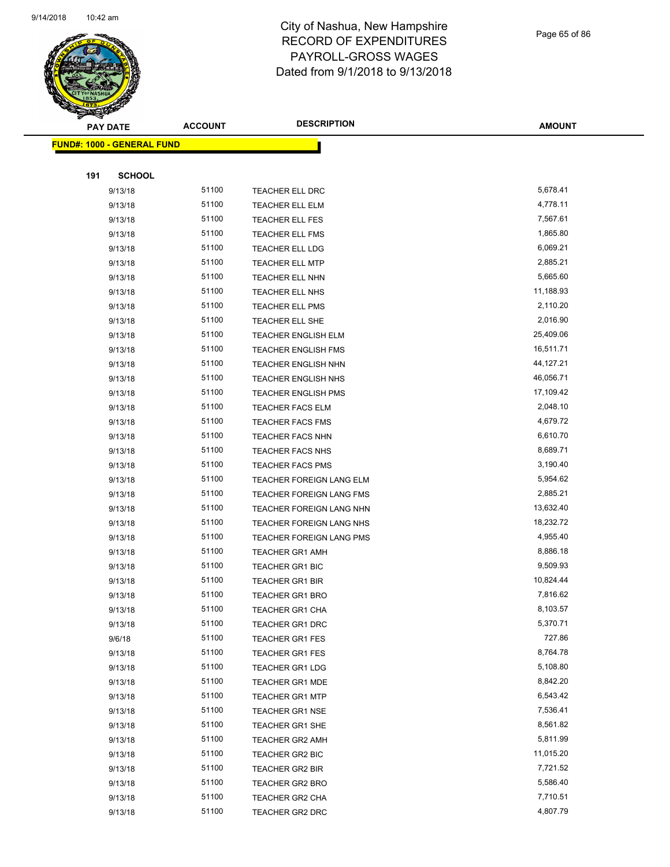

Page 65 of 86

| <b>PAY DATE</b>                   | <b>ACCOUNT</b> | <b>DESCRIPTION</b>         | <b>AMOUNT</b> |
|-----------------------------------|----------------|----------------------------|---------------|
| <b>FUND#: 1000 - GENERAL FUND</b> |                |                            |               |
|                                   |                |                            |               |
| 191<br><b>SCHOOL</b>              |                |                            |               |
| 9/13/18                           | 51100          | TEACHER ELL DRC            | 5,678.41      |
| 9/13/18                           | 51100          | <b>TEACHER ELL ELM</b>     | 4,778.11      |
| 9/13/18                           | 51100          | TEACHER ELL FES            | 7,567.61      |
| 9/13/18                           | 51100          | <b>TEACHER ELL FMS</b>     | 1,865.80      |
| 9/13/18                           | 51100          | TEACHER ELL LDG            | 6,069.21      |
| 9/13/18                           | 51100          | <b>TEACHER ELL MTP</b>     | 2,885.21      |
| 9/13/18                           | 51100          | <b>TEACHER ELL NHN</b>     | 5,665.60      |
| 9/13/18                           | 51100          | TEACHER ELL NHS            | 11,188.93     |
| 9/13/18                           | 51100          | <b>TEACHER ELL PMS</b>     | 2,110.20      |
| 9/13/18                           | 51100          | <b>TEACHER ELL SHE</b>     | 2,016.90      |
| 9/13/18                           | 51100          | <b>TEACHER ENGLISH ELM</b> | 25,409.06     |
| 9/13/18                           | 51100          | <b>TEACHER ENGLISH FMS</b> | 16,511.71     |
| 9/13/18                           | 51100          | TEACHER ENGLISH NHN        | 44,127.21     |
| 9/13/18                           | 51100          | TEACHER ENGLISH NHS        | 46,056.71     |
| 9/13/18                           | 51100          | TEACHER ENGLISH PMS        | 17,109.42     |
| 9/13/18                           | 51100          | <b>TEACHER FACS ELM</b>    | 2,048.10      |
| 9/13/18                           | 51100          | <b>TEACHER FACS FMS</b>    | 4,679.72      |
| 9/13/18                           | 51100          | TEACHER FACS NHN           | 6,610.70      |
| 9/13/18                           | 51100          | TEACHER FACS NHS           | 8,689.71      |
| 9/13/18                           | 51100          | <b>TEACHER FACS PMS</b>    | 3,190.40      |
| 9/13/18                           | 51100          | TEACHER FOREIGN LANG ELM   | 5,954.62      |
| 9/13/18                           | 51100          | TEACHER FOREIGN LANG FMS   | 2,885.21      |
| 9/13/18                           | 51100          | TEACHER FOREIGN LANG NHN   | 13,632.40     |
| 9/13/18                           | 51100          | TEACHER FOREIGN LANG NHS   | 18,232.72     |
| 9/13/18                           | 51100          | TEACHER FOREIGN LANG PMS   | 4,955.40      |
| 9/13/18                           | 51100          | <b>TEACHER GR1 AMH</b>     | 8,886.18      |
| 9/13/18                           | 51100          | <b>TEACHER GR1 BIC</b>     | 9,509.93      |
| 9/13/18                           | 51100          | <b>TEACHER GR1 BIR</b>     | 10,824.44     |
| 9/13/18                           | 51100          | <b>TEACHER GR1 BRO</b>     | 7,816.62      |
| 9/13/18                           | 51100          | TEACHER GR1 CHA            | 8,103.57      |
| 9/13/18                           | 51100          | TEACHER GR1 DRC            | 5,370.71      |
| 9/6/18                            | 51100          | <b>TEACHER GR1 FES</b>     | 727.86        |
| 9/13/18                           | 51100          | <b>TEACHER GR1 FES</b>     | 8,764.78      |
| 9/13/18                           | 51100          | <b>TEACHER GR1 LDG</b>     | 5,108.80      |
| 9/13/18                           | 51100          | TEACHER GR1 MDE            | 8,842.20      |
| 9/13/18                           | 51100          | <b>TEACHER GR1 MTP</b>     | 6,543.42      |
| 9/13/18                           | 51100          | <b>TEACHER GR1 NSE</b>     | 7,536.41      |
| 9/13/18                           | 51100          | TEACHER GR1 SHE            | 8,561.82      |
| 9/13/18                           | 51100          | TEACHER GR2 AMH            | 5,811.99      |
| 9/13/18                           | 51100          | TEACHER GR2 BIC            | 11,015.20     |
| 9/13/18                           | 51100          | <b>TEACHER GR2 BIR</b>     | 7,721.52      |
| 9/13/18                           | 51100          | <b>TEACHER GR2 BRO</b>     | 5,586.40      |
| 9/13/18                           | 51100          | TEACHER GR2 CHA            | 7,710.51      |
| 9/13/18                           | 51100          | TEACHER GR2 DRC            | 4,807.79      |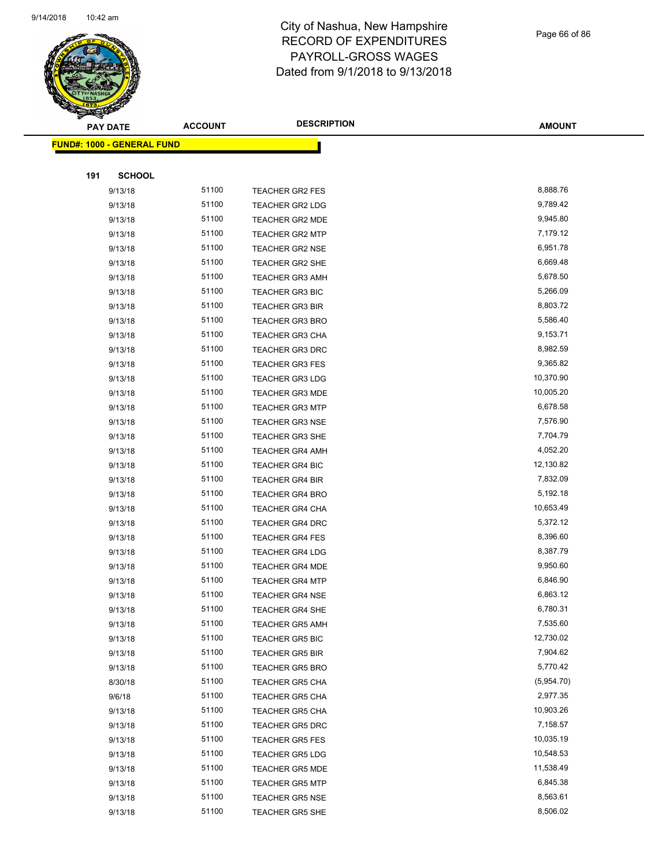

Page 66 of 86

| T<br>$\tilde{\phantom{a}}$<br><b>PAY DATE</b> | <b>ACCOUNT</b> | <b>DESCRIPTION</b>     | <b>AMOUNT</b> |
|-----------------------------------------------|----------------|------------------------|---------------|
| <b>FUND#: 1000 - GENERAL FUND</b>             |                |                        |               |
|                                               |                |                        |               |
| 191<br><b>SCHOOL</b>                          |                |                        |               |
| 9/13/18                                       | 51100          | <b>TEACHER GR2 FES</b> | 8,888.76      |
| 9/13/18                                       | 51100          | TEACHER GR2 LDG        | 9,789.42      |
| 9/13/18                                       | 51100          | <b>TEACHER GR2 MDE</b> | 9,945.80      |
| 9/13/18                                       | 51100          | <b>TEACHER GR2 MTP</b> | 7,179.12      |
| 9/13/18                                       | 51100          | <b>TEACHER GR2 NSE</b> | 6,951.78      |
| 9/13/18                                       | 51100          | <b>TEACHER GR2 SHE</b> | 6,669.48      |
| 9/13/18                                       | 51100          | <b>TEACHER GR3 AMH</b> | 5,678.50      |
| 9/13/18                                       | 51100          | <b>TEACHER GR3 BIC</b> | 5,266.09      |
| 9/13/18                                       | 51100          | <b>TEACHER GR3 BIR</b> | 8,803.72      |
| 9/13/18                                       | 51100          | <b>TEACHER GR3 BRO</b> | 5,586.40      |
| 9/13/18                                       | 51100          | <b>TEACHER GR3 CHA</b> | 9,153.71      |
| 9/13/18                                       | 51100          | TEACHER GR3 DRC        | 8,982.59      |
| 9/13/18                                       | 51100          | <b>TEACHER GR3 FES</b> | 9,365.82      |
| 9/13/18                                       | 51100          | <b>TEACHER GR3 LDG</b> | 10,370.90     |
| 9/13/18                                       | 51100          | <b>TEACHER GR3 MDE</b> | 10,005.20     |
| 9/13/18                                       | 51100          | <b>TEACHER GR3 MTP</b> | 6,678.58      |
| 9/13/18                                       | 51100          | <b>TEACHER GR3 NSE</b> | 7,576.90      |
| 9/13/18                                       | 51100          | <b>TEACHER GR3 SHE</b> | 7,704.79      |
| 9/13/18                                       | 51100          | <b>TEACHER GR4 AMH</b> | 4,052.20      |
| 9/13/18                                       | 51100          | <b>TEACHER GR4 BIC</b> | 12,130.82     |
| 9/13/18                                       | 51100          | <b>TEACHER GR4 BIR</b> | 7,832.09      |
| 9/13/18                                       | 51100          | <b>TEACHER GR4 BRO</b> | 5,192.18      |
| 9/13/18                                       | 51100          | <b>TEACHER GR4 CHA</b> | 10,653.49     |
| 9/13/18                                       | 51100          | TEACHER GR4 DRC        | 5,372.12      |
| 9/13/18                                       | 51100          | <b>TEACHER GR4 FES</b> | 8,396.60      |
| 9/13/18                                       | 51100          | <b>TEACHER GR4 LDG</b> | 8,387.79      |
| 9/13/18                                       | 51100          | <b>TEACHER GR4 MDE</b> | 9,950.60      |
| 9/13/18                                       | 51100          | <b>TEACHER GR4 MTP</b> | 6,846.90      |
| 9/13/18                                       | 51100          | <b>TEACHER GR4 NSE</b> | 6,863.12      |
| 9/13/18                                       | 51100          | TEACHER GR4 SHE        | 6,780.31      |
| 9/13/18                                       | 51100          | <b>TEACHER GR5 AMH</b> | 7,535.60      |
| 9/13/18                                       | 51100          | TEACHER GR5 BIC        | 12,730.02     |
| 9/13/18                                       | 51100          | <b>TEACHER GR5 BIR</b> | 7,904.62      |
| 9/13/18                                       | 51100          | <b>TEACHER GR5 BRO</b> | 5,770.42      |
| 8/30/18                                       | 51100          | TEACHER GR5 CHA        | (5,954.70)    |
| 9/6/18                                        | 51100          | TEACHER GR5 CHA        | 2,977.35      |
| 9/13/18                                       | 51100          | TEACHER GR5 CHA        | 10,903.26     |
| 9/13/18                                       | 51100          | <b>TEACHER GR5 DRC</b> | 7,158.57      |
| 9/13/18                                       | 51100          | <b>TEACHER GR5 FES</b> | 10,035.19     |
| 9/13/18                                       | 51100          | <b>TEACHER GR5 LDG</b> | 10,548.53     |
| 9/13/18                                       | 51100          | <b>TEACHER GR5 MDE</b> | 11,538.49     |
| 9/13/18                                       | 51100          | <b>TEACHER GR5 MTP</b> | 6,845.38      |
| 9/13/18                                       | 51100          | <b>TEACHER GR5 NSE</b> | 8,563.61      |
| 9/13/18                                       | 51100          | <b>TEACHER GR5 SHE</b> | 8,506.02      |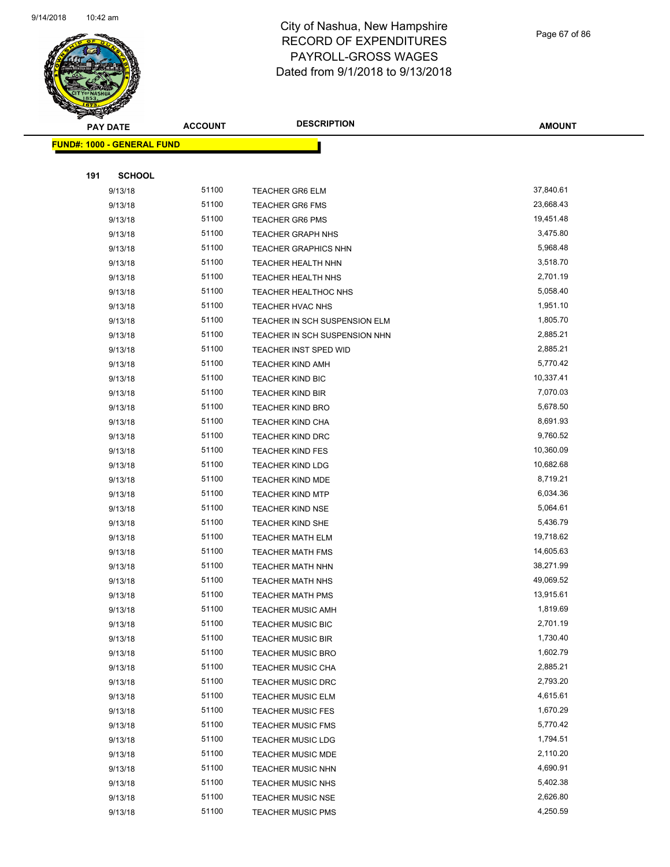

Page 67 of 86

| <b>PAY DATE</b>                   | <b>ACCOUNT</b> | <b>DESCRIPTION</b>                                   | <b>AMOUNT</b>        |
|-----------------------------------|----------------|------------------------------------------------------|----------------------|
| <b>FUND#: 1000 - GENERAL FUND</b> |                |                                                      |                      |
|                                   |                |                                                      |                      |
| 191                               | <b>SCHOOL</b>  |                                                      |                      |
| 9/13/18                           | 51100          | <b>TEACHER GR6 ELM</b>                               | 37,840.61            |
| 9/13/18                           | 51100          | <b>TEACHER GR6 FMS</b>                               | 23,668.43            |
| 9/13/18                           | 51100          | <b>TEACHER GR6 PMS</b>                               | 19,451.48            |
| 9/13/18                           | 51100          | <b>TEACHER GRAPH NHS</b>                             | 3,475.80             |
| 9/13/18                           | 51100          | <b>TEACHER GRAPHICS NHN</b>                          | 5,968.48             |
| 9/13/18                           | 51100          | TEACHER HEALTH NHN                                   | 3,518.70             |
| 9/13/18                           | 51100          | <b>TEACHER HEALTH NHS</b>                            | 2,701.19             |
| 9/13/18                           | 51100          | TEACHER HEALTHOC NHS                                 | 5,058.40             |
| 9/13/18                           | 51100          | <b>TEACHER HVAC NHS</b>                              | 1,951.10             |
| 9/13/18                           | 51100          | TEACHER IN SCH SUSPENSION ELM                        | 1,805.70             |
| 9/13/18                           | 51100          | TEACHER IN SCH SUSPENSION NHN                        | 2,885.21             |
| 9/13/18                           | 51100          | TEACHER INST SPED WID                                | 2,885.21             |
| 9/13/18                           | 51100          | <b>TEACHER KIND AMH</b>                              | 5,770.42             |
| 9/13/18                           | 51100          | TEACHER KIND BIC                                     | 10,337.41            |
| 9/13/18                           | 51100          | <b>TEACHER KIND BIR</b>                              | 7,070.03             |
| 9/13/18                           | 51100          | <b>TEACHER KIND BRO</b>                              | 5,678.50             |
| 9/13/18                           | 51100          | TEACHER KIND CHA                                     | 8,691.93             |
| 9/13/18                           | 51100          | <b>TEACHER KIND DRC</b>                              | 9,760.52             |
| 9/13/18                           | 51100          | <b>TEACHER KIND FES</b>                              | 10,360.09            |
| 9/13/18                           | 51100          | <b>TEACHER KIND LDG</b>                              | 10,682.68            |
| 9/13/18                           | 51100          | <b>TEACHER KIND MDE</b>                              | 8,719.21             |
| 9/13/18                           | 51100          | <b>TEACHER KIND MTP</b>                              | 6,034.36             |
| 9/13/18                           | 51100          | <b>TEACHER KIND NSE</b>                              | 5,064.61             |
| 9/13/18                           | 51100          | TEACHER KIND SHE                                     | 5,436.79             |
| 9/13/18                           | 51100          | <b>TEACHER MATH ELM</b>                              | 19,718.62            |
| 9/13/18                           | 51100          | <b>TEACHER MATH FMS</b>                              | 14,605.63            |
| 9/13/18                           | 51100          | TEACHER MATH NHN                                     | 38,271.99            |
| 9/13/18                           | 51100          | <b>TEACHER MATH NHS</b>                              | 49,069.52            |
| 9/13/18                           | 51100          | TEACHER MATH PMS                                     | 13,915.61            |
| 9/13/18                           | 51100          | TEACHER MUSIC AMH                                    | 1,819.69             |
| 9/13/18                           | 51100          | <b>TEACHER MUSIC BIC</b>                             | 2,701.19             |
| 9/13/18                           | 51100          | <b>TEACHER MUSIC BIR</b>                             | 1,730.40             |
| 9/13/18<br>9/13/18                | 51100<br>51100 | <b>TEACHER MUSIC BRO</b><br><b>TEACHER MUSIC CHA</b> | 1,602.79<br>2,885.21 |
|                                   | 51100          |                                                      | 2,793.20             |
| 9/13/18<br>9/13/18                | 51100          | <b>TEACHER MUSIC DRC</b>                             | 4,615.61             |
| 9/13/18                           | 51100          | <b>TEACHER MUSIC ELM</b><br><b>TEACHER MUSIC FES</b> | 1,670.29             |
| 9/13/18                           | 51100          | <b>TEACHER MUSIC FMS</b>                             | 5,770.42             |
| 9/13/18                           | 51100          | <b>TEACHER MUSIC LDG</b>                             | 1,794.51             |
| 9/13/18                           | 51100          | <b>TEACHER MUSIC MDE</b>                             | 2,110.20             |
| 9/13/18                           | 51100          | <b>TEACHER MUSIC NHN</b>                             | 4,690.91             |
| 9/13/18                           | 51100          | <b>TEACHER MUSIC NHS</b>                             | 5,402.38             |
| 9/13/18                           | 51100          | TEACHER MUSIC NSE                                    | 2,626.80             |
| 9/13/18                           | 51100          | <b>TEACHER MUSIC PMS</b>                             | 4,250.59             |
|                                   |                |                                                      |                      |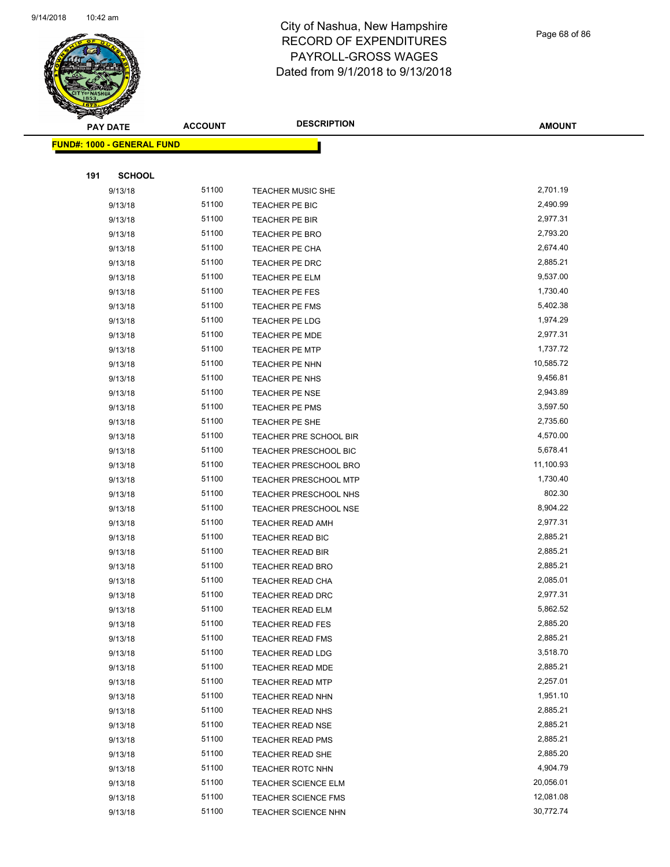

Page 68 of 86

| <b>STATERS</b>                    |                |                              |               |
|-----------------------------------|----------------|------------------------------|---------------|
| <b>PAY DATE</b>                   | <b>ACCOUNT</b> | <b>DESCRIPTION</b>           | <b>AMOUNT</b> |
| <b>FUND#: 1000 - GENERAL FUND</b> |                |                              |               |
|                                   |                |                              |               |
| <b>SCHOOL</b><br>191              |                |                              |               |
| 9/13/18                           | 51100          | <b>TEACHER MUSIC SHE</b>     | 2,701.19      |
| 9/13/18                           | 51100          | TEACHER PE BIC               | 2,490.99      |
| 9/13/18                           | 51100          | TEACHER PE BIR               | 2,977.31      |
| 9/13/18                           | 51100          | TEACHER PE BRO               | 2,793.20      |
| 9/13/18                           | 51100          | <b>TEACHER PE CHA</b>        | 2,674.40      |
| 9/13/18                           | 51100          | TEACHER PE DRC               | 2,885.21      |
| 9/13/18                           | 51100          | TEACHER PE ELM               | 9,537.00      |
| 9/13/18                           | 51100          | TEACHER PE FES               | 1,730.40      |
| 9/13/18                           | 51100          | TEACHER PE FMS               | 5,402.38      |
| 9/13/18                           | 51100          | TEACHER PE LDG               | 1,974.29      |
| 9/13/18                           | 51100          | TEACHER PE MDE               | 2,977.31      |
| 9/13/18                           | 51100          | <b>TEACHER PE MTP</b>        | 1,737.72      |
| 9/13/18                           | 51100          | TEACHER PE NHN               | 10,585.72     |
| 9/13/18                           | 51100          | TEACHER PE NHS               | 9,456.81      |
| 9/13/18                           | 51100          | TEACHER PE NSE               | 2,943.89      |
| 9/13/18                           | 51100          | TEACHER PE PMS               | 3,597.50      |
| 9/13/18                           | 51100          | <b>TEACHER PE SHE</b>        | 2,735.60      |
| 9/13/18                           | 51100          | TEACHER PRE SCHOOL BIR       | 4,570.00      |
| 9/13/18                           | 51100          | <b>TEACHER PRESCHOOL BIC</b> | 5,678.41      |
| 9/13/18                           | 51100          | TEACHER PRESCHOOL BRO        | 11,100.93     |
| 9/13/18                           | 51100          | <b>TEACHER PRESCHOOL MTP</b> | 1,730.40      |
| 9/13/18                           | 51100          | TEACHER PRESCHOOL NHS        | 802.30        |
| 9/13/18                           | 51100          | TEACHER PRESCHOOL NSE        | 8,904.22      |
| 9/13/18                           | 51100          | <b>TEACHER READ AMH</b>      | 2,977.31      |
| 9/13/18                           | 51100          | TEACHER READ BIC             | 2,885.21      |
| 9/13/18                           | 51100          | <b>TEACHER READ BIR</b>      | 2,885.21      |
| 9/13/18                           | 51100          | <b>TEACHER READ BRO</b>      | 2,885.21      |
| 9/13/18                           | 51100          | <b>TEACHER READ CHA</b>      | 2,085.01      |
| 9/13/18                           | 51100          | <b>TEACHER READ DRC</b>      | 2,977.31      |
| 9/13/18                           | 51100          | TEACHER READ ELM             | 5,862.52      |
| 9/13/18                           | 51100          | <b>TEACHER READ FES</b>      | 2,885.20      |
| 9/13/18                           | 51100          | <b>TEACHER READ FMS</b>      | 2,885.21      |
| 9/13/18                           | 51100          | <b>TEACHER READ LDG</b>      | 3,518.70      |
| 9/13/18                           | 51100          | TEACHER READ MDE             | 2,885.21      |
| 9/13/18                           | 51100          | <b>TEACHER READ MTP</b>      | 2,257.01      |
| 9/13/18                           | 51100          | <b>TEACHER READ NHN</b>      | 1,951.10      |
| 9/13/18                           | 51100          | <b>TEACHER READ NHS</b>      | 2,885.21      |
| 9/13/18                           | 51100          | <b>TEACHER READ NSE</b>      | 2,885.21      |
| 9/13/18                           | 51100          | <b>TEACHER READ PMS</b>      | 2,885.21      |
| 9/13/18                           | 51100          | <b>TEACHER READ SHE</b>      | 2,885.20      |
| 9/13/18                           | 51100          | <b>TEACHER ROTC NHN</b>      | 4,904.79      |
| 9/13/18                           | 51100          | <b>TEACHER SCIENCE ELM</b>   | 20,056.01     |
| 9/13/18                           | 51100          | TEACHER SCIENCE FMS          | 12,081.08     |
| 9/13/18                           | 51100          | <b>TEACHER SCIENCE NHN</b>   | 30,772.74     |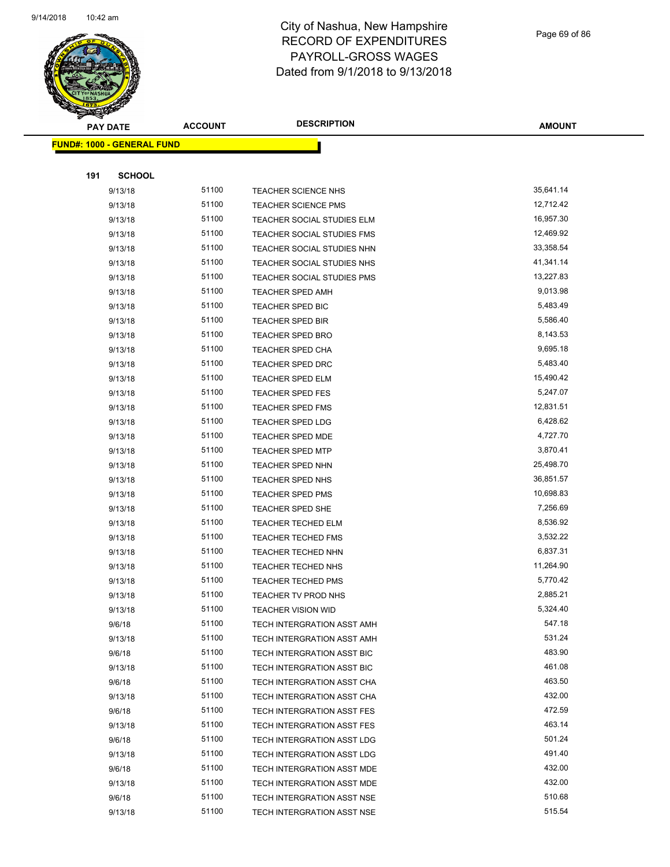

Page 69 of 86

| $\mathbb{Z}$<br><b>PAY DATE</b>   | <b>ACCOUNT</b> | <b>DESCRIPTION</b>         | <b>AMOUNT</b>    |
|-----------------------------------|----------------|----------------------------|------------------|
| <b>FUND#: 1000 - GENERAL FUND</b> |                |                            |                  |
|                                   |                |                            |                  |
| 191<br><b>SCHOOL</b>              |                |                            |                  |
| 9/13/18                           | 51100          | TEACHER SCIENCE NHS        | 35,641.14        |
| 9/13/18                           | 51100          | <b>TEACHER SCIENCE PMS</b> | 12,712.42        |
| 9/13/18                           | 51100          | TEACHER SOCIAL STUDIES ELM | 16,957.30        |
| 9/13/18                           | 51100          | TEACHER SOCIAL STUDIES FMS | 12,469.92        |
| 9/13/18                           | 51100          | TEACHER SOCIAL STUDIES NHN | 33,358.54        |
| 9/13/18                           | 51100          | TEACHER SOCIAL STUDIES NHS | 41,341.14        |
| 9/13/18                           | 51100          | TEACHER SOCIAL STUDIES PMS | 13,227.83        |
| 9/13/18                           | 51100          | <b>TEACHER SPED AMH</b>    | 9,013.98         |
| 9/13/18                           | 51100          | <b>TEACHER SPED BIC</b>    | 5,483.49         |
| 9/13/18                           | 51100          | TEACHER SPED BIR           | 5,586.40         |
| 9/13/18                           | 51100          | <b>TEACHER SPED BRO</b>    | 8,143.53         |
| 9/13/18                           | 51100          | TEACHER SPED CHA           | 9,695.18         |
| 9/13/18                           | 51100          | TEACHER SPED DRC           | 5,483.40         |
| 9/13/18                           | 51100          | <b>TEACHER SPED ELM</b>    | 15,490.42        |
| 9/13/18                           | 51100          | <b>TEACHER SPED FES</b>    | 5,247.07         |
| 9/13/18                           | 51100          | <b>TEACHER SPED FMS</b>    | 12,831.51        |
| 9/13/18                           | 51100          | <b>TEACHER SPED LDG</b>    | 6,428.62         |
| 9/13/18                           | 51100          | <b>TEACHER SPED MDE</b>    | 4,727.70         |
| 9/13/18                           | 51100          | <b>TEACHER SPED MTP</b>    | 3,870.41         |
| 9/13/18                           | 51100          | <b>TEACHER SPED NHN</b>    | 25,498.70        |
| 9/13/18                           | 51100          | <b>TEACHER SPED NHS</b>    | 36,851.57        |
| 9/13/18                           | 51100          | <b>TEACHER SPED PMS</b>    | 10,698.83        |
| 9/13/18                           | 51100          | TEACHER SPED SHE           | 7,256.69         |
| 9/13/18                           | 51100          | <b>TEACHER TECHED ELM</b>  | 8,536.92         |
| 9/13/18                           | 51100          | <b>TEACHER TECHED FMS</b>  | 3,532.22         |
| 9/13/18                           | 51100          | TEACHER TECHED NHN         | 6,837.31         |
| 9/13/18                           | 51100          | TEACHER TECHED NHS         | 11,264.90        |
| 9/13/18                           | 51100          | <b>TEACHER TECHED PMS</b>  | 5,770.42         |
| 9/13/18                           | 51100          | TEACHER TV PROD NHS        | 2,885.21         |
| 9/13/18                           | 51100          | <b>TEACHER VISION WID</b>  | 5,324.40         |
| 9/6/18                            | 51100          | TECH INTERGRATION ASST AMH | 547.18           |
| 9/13/18                           | 51100          | TECH INTERGRATION ASST AMH | 531.24           |
| 9/6/18                            | 51100          | TECH INTERGRATION ASST BIC | 483.90           |
| 9/13/18                           | 51100          | TECH INTERGRATION ASST BIC | 461.08           |
| 9/6/18                            | 51100          | TECH INTERGRATION ASST CHA | 463.50           |
| 9/13/18                           | 51100          | TECH INTERGRATION ASST CHA | 432.00           |
| 9/6/18                            | 51100          | TECH INTERGRATION ASST FES | 472.59           |
| 9/13/18                           | 51100          | TECH INTERGRATION ASST FES | 463.14           |
| 9/6/18                            | 51100          | TECH INTERGRATION ASST LDG | 501.24           |
| 9/13/18                           | 51100<br>51100 | TECH INTERGRATION ASST LDG | 491.40           |
| 9/6/18                            | 51100          | TECH INTERGRATION ASST MDE | 432.00<br>432.00 |
| 9/13/18                           | 51100          | TECH INTERGRATION ASST MDE | 510.68           |
| 9/6/18<br>9/13/18                 | 51100          | TECH INTERGRATION ASST NSE | 515.54           |
|                                   |                | TECH INTERGRATION ASST NSE |                  |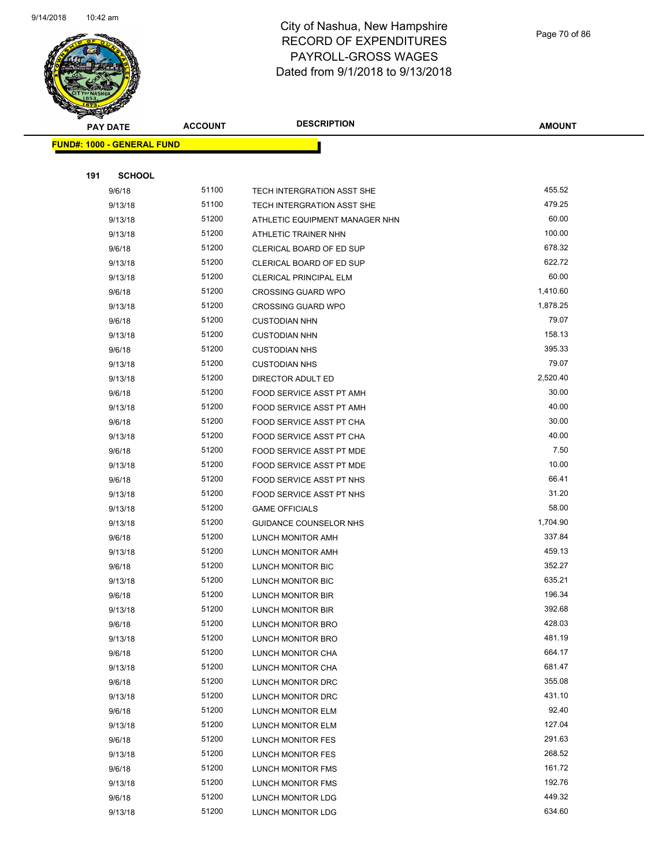

| <b>PAY DATE</b>                   | <b>ACCOUNT</b> | <b>DESCRIPTION</b>                     | <b>AMOUNT</b>    |
|-----------------------------------|----------------|----------------------------------------|------------------|
| <b>FUND#: 1000 - GENERAL FUND</b> |                |                                        |                  |
|                                   |                |                                        |                  |
| 191<br><b>SCHOOL</b>              |                |                                        |                  |
| 9/6/18                            | 51100          | TECH INTERGRATION ASST SHE             | 455.52           |
| 9/13/18                           | 51100          | TECH INTERGRATION ASST SHE             | 479.25           |
| 9/13/18                           | 51200          | ATHLETIC EQUIPMENT MANAGER NHN         | 60.00            |
| 9/13/18                           | 51200          | ATHLETIC TRAINER NHN                   | 100.00           |
| 9/6/18                            | 51200          | CLERICAL BOARD OF ED SUP               | 678.32           |
| 9/13/18                           | 51200          | CLERICAL BOARD OF ED SUP               | 622.72           |
| 9/13/18                           | 51200          | <b>CLERICAL PRINCIPAL ELM</b>          | 60.00            |
| 9/6/18                            | 51200          | <b>CROSSING GUARD WPO</b>              | 1,410.60         |
| 9/13/18                           | 51200          | <b>CROSSING GUARD WPO</b>              | 1,878.25         |
| 9/6/18                            | 51200          | <b>CUSTODIAN NHN</b>                   | 79.07            |
| 9/13/18                           | 51200          | <b>CUSTODIAN NHN</b>                   | 158.13           |
| 9/6/18                            | 51200          | <b>CUSTODIAN NHS</b>                   | 395.33           |
| 9/13/18                           | 51200          | <b>CUSTODIAN NHS</b>                   | 79.07            |
| 9/13/18                           | 51200          | DIRECTOR ADULT ED                      | 2,520.40         |
| 9/6/18                            | 51200          | FOOD SERVICE ASST PT AMH               | 30.00            |
| 9/13/18                           | 51200          | FOOD SERVICE ASST PT AMH               | 40.00            |
| 9/6/18                            | 51200          | FOOD SERVICE ASST PT CHA               | 30.00            |
| 9/13/18                           | 51200          | FOOD SERVICE ASST PT CHA               | 40.00            |
| 9/6/18                            | 51200          | FOOD SERVICE ASST PT MDE               | 7.50             |
| 9/13/18                           | 51200          | FOOD SERVICE ASST PT MDE               | 10.00            |
| 9/6/18                            | 51200          | FOOD SERVICE ASST PT NHS               | 66.41            |
| 9/13/18                           | 51200          | FOOD SERVICE ASST PT NHS               | 31.20            |
| 9/13/18                           | 51200          | <b>GAME OFFICIALS</b>                  | 58.00            |
| 9/13/18                           | 51200          | <b>GUIDANCE COUNSELOR NHS</b>          | 1,704.90         |
| 9/6/18                            | 51200          | LUNCH MONITOR AMH                      | 337.84           |
| 9/13/18                           | 51200          | LUNCH MONITOR AMH                      | 459.13           |
| 9/6/18                            | 51200          | LUNCH MONITOR BIC                      | 352.27           |
| 9/13/18                           | 51200          | <b>LUNCH MONITOR BIC</b>               | 635.21           |
| 9/6/18                            | 51200          | LUNCH MONITOR BIR                      | 196.34           |
| 9/13/18                           | 51200          | LUNCH MONITOR BIR                      | 392.68           |
| 9/6/18                            | 51200          | LUNCH MONITOR BRO                      | 428.03           |
| 9/13/18                           | 51200          | LUNCH MONITOR BRO                      | 481.19           |
| 9/6/18                            | 51200          | LUNCH MONITOR CHA                      | 664.17           |
| 9/13/18                           | 51200          | LUNCH MONITOR CHA                      | 681.47           |
| 9/6/18                            | 51200<br>51200 | LUNCH MONITOR DRC                      | 355.08<br>431.10 |
| 9/13/18<br>9/6/18                 | 51200          | LUNCH MONITOR DRC                      | 92.40            |
| 9/13/18                           | 51200          | LUNCH MONITOR ELM<br>LUNCH MONITOR ELM | 127.04           |
| 9/6/18                            | 51200          | LUNCH MONITOR FES                      | 291.63           |
| 9/13/18                           | 51200          | LUNCH MONITOR FES                      | 268.52           |
| 9/6/18                            | 51200          | LUNCH MONITOR FMS                      | 161.72           |
| 9/13/18                           | 51200          | LUNCH MONITOR FMS                      | 192.76           |
| 9/6/18                            | 51200          | LUNCH MONITOR LDG                      | 449.32           |
| 9/13/18                           | 51200          | LUNCH MONITOR LDG                      | 634.60           |
|                                   |                |                                        |                  |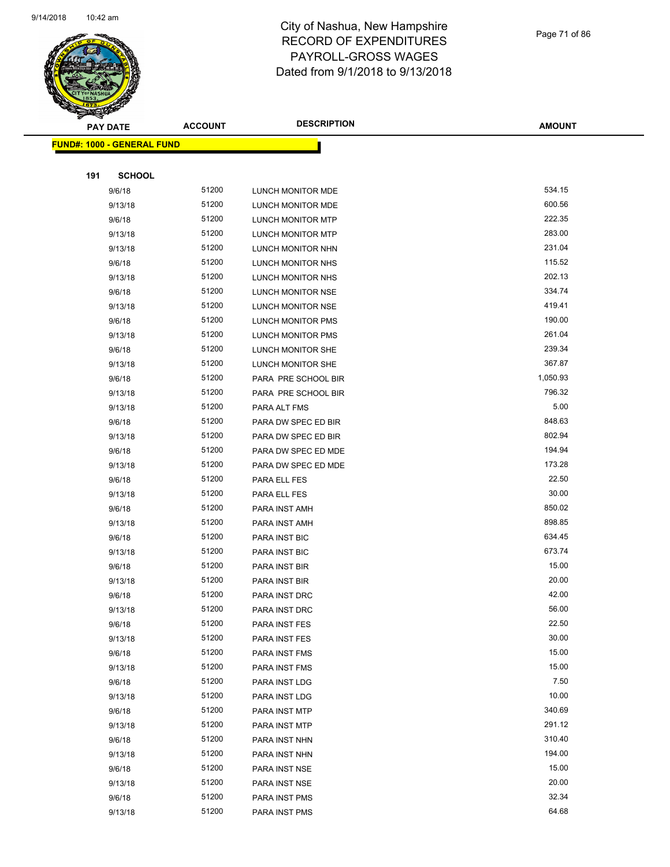

|     | <b>PAY DATE</b>                   | <b>ACCOUNT</b> | <b>DESCRIPTION</b>             | <b>AMOUNT</b> |
|-----|-----------------------------------|----------------|--------------------------------|---------------|
|     | <b>FUND#: 1000 - GENERAL FUND</b> |                |                                |               |
|     |                                   |                |                                |               |
| 191 | <b>SCHOOL</b>                     |                |                                |               |
|     | 9/6/18                            | 51200          | LUNCH MONITOR MDE              | 534.15        |
|     | 9/13/18                           | 51200          | LUNCH MONITOR MDE              | 600.56        |
|     | 9/6/18                            | 51200          | LUNCH MONITOR MTP              | 222.35        |
|     | 9/13/18                           | 51200          | LUNCH MONITOR MTP              | 283.00        |
|     | 9/13/18                           | 51200          | LUNCH MONITOR NHN              | 231.04        |
|     | 9/6/18                            | 51200          | LUNCH MONITOR NHS              | 115.52        |
|     | 9/13/18                           | 51200          | LUNCH MONITOR NHS              | 202.13        |
|     | 9/6/18                            | 51200          | LUNCH MONITOR NSE              | 334.74        |
|     | 9/13/18                           | 51200          | LUNCH MONITOR NSE              | 419.41        |
|     | 9/6/18                            | 51200          | LUNCH MONITOR PMS              | 190.00        |
|     | 9/13/18                           | 51200          | LUNCH MONITOR PMS              | 261.04        |
|     | 9/6/18                            | 51200          | LUNCH MONITOR SHE              | 239.34        |
|     | 9/13/18                           | 51200          | LUNCH MONITOR SHE              | 367.87        |
|     | 9/6/18                            | 51200          | PARA PRE SCHOOL BIR            | 1,050.93      |
|     | 9/13/18                           | 51200          | PARA PRE SCHOOL BIR            | 796.32        |
|     | 9/13/18                           | 51200          | PARA ALT FMS                   | 5.00          |
|     | 9/6/18                            | 51200          | PARA DW SPEC ED BIR            | 848.63        |
|     | 9/13/18                           | 51200          | PARA DW SPEC ED BIR            | 802.94        |
|     | 9/6/18                            | 51200          | PARA DW SPEC ED MDE            | 194.94        |
|     | 9/13/18                           | 51200          | PARA DW SPEC ED MDE            | 173.28        |
|     | 9/6/18                            | 51200          | PARA ELL FES                   | 22.50         |
|     | 9/13/18                           | 51200          | PARA ELL FES                   | 30.00         |
|     | 9/6/18                            | 51200          | PARA INST AMH                  | 850.02        |
|     | 9/13/18                           | 51200          | PARA INST AMH                  | 898.85        |
|     | 9/6/18                            | 51200          | PARA INST BIC                  | 634.45        |
|     | 9/13/18                           | 51200          | PARA INST BIC                  | 673.74        |
|     | 9/6/18                            | 51200          | PARA INST BIR                  | 15.00         |
|     | 9/13/18                           | 51200          | PARA INST BIR                  | 20.00         |
|     | 9/6/18                            | 51200          | PARA INST DRC                  | 42.00         |
|     | 9/13/18                           | 51200          | PARA INST DRC                  | 56.00         |
|     | 9/6/18                            | 51200          | PARA INST FES                  | 22.50         |
|     | 9/13/18                           | 51200          | PARA INST FES                  | 30.00         |
|     | 9/6/18                            | 51200          | PARA INST FMS                  | 15.00         |
|     | 9/13/18                           | 51200          | PARA INST FMS                  | 15.00         |
|     | 9/6/18                            | 51200          | PARA INST LDG                  | 7.50<br>10.00 |
|     | 9/13/18                           | 51200<br>51200 | PARA INST LDG                  | 340.69        |
|     | 9/6/18<br>9/13/18                 | 51200          | PARA INST MTP                  | 291.12        |
|     | 9/6/18                            | 51200          | PARA INST MTP                  | 310.40        |
|     | 9/13/18                           | 51200          | PARA INST NHN<br>PARA INST NHN | 194.00        |
|     | 9/6/18                            | 51200          | PARA INST NSE                  | 15.00         |
|     | 9/13/18                           | 51200          | PARA INST NSE                  | 20.00         |
|     | 9/6/18                            | 51200          | PARA INST PMS                  | 32.34         |
|     | 9/13/18                           | 51200          | PARA INST PMS                  | 64.68         |
|     |                                   |                |                                |               |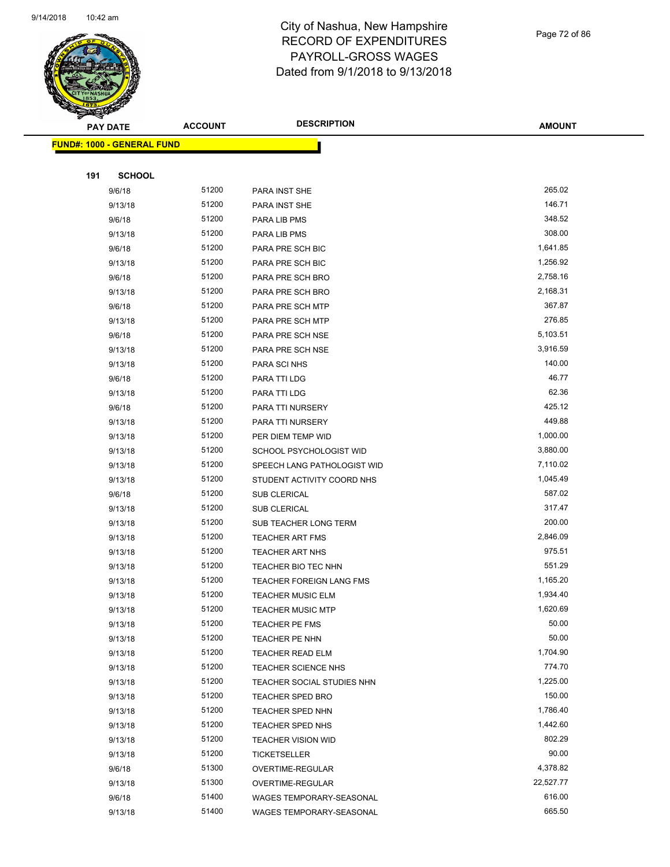

Page 72 of 86

| <b>Andri</b><br><b>PAY DATE</b>   | <b>ACCOUNT</b> | <b>DESCRIPTION</b>              | <b>AMOUNT</b> |
|-----------------------------------|----------------|---------------------------------|---------------|
| <b>FUND#: 1000 - GENERAL FUND</b> |                |                                 |               |
|                                   |                |                                 |               |
| 191<br><b>SCHOOL</b>              |                |                                 |               |
| 9/6/18                            | 51200          | PARA INST SHE                   | 265.02        |
| 9/13/18                           | 51200          | PARA INST SHE                   | 146.71        |
| 9/6/18                            | 51200          | PARA LIB PMS                    | 348.52        |
| 9/13/18                           | 51200          | PARA LIB PMS                    | 308.00        |
| 9/6/18                            | 51200          | PARA PRE SCH BIC                | 1,641.85      |
| 9/13/18                           | 51200          | PARA PRE SCH BIC                | 1,256.92      |
| 9/6/18                            | 51200          | PARA PRE SCH BRO                | 2,758.16      |
| 9/13/18                           | 51200          | PARA PRE SCH BRO                | 2,168.31      |
| 9/6/18                            | 51200          | PARA PRE SCH MTP                | 367.87        |
| 9/13/18                           | 51200          | PARA PRE SCH MTP                | 276.85        |
| 9/6/18                            | 51200          | PARA PRE SCH NSE                | 5,103.51      |
| 9/13/18                           | 51200          | PARA PRE SCH NSE                | 3,916.59      |
| 9/13/18                           | 51200          | PARA SCI NHS                    | 140.00        |
| 9/6/18                            | 51200          | PARA TTI LDG                    | 46.77         |
| 9/13/18                           | 51200          | PARA TTI LDG                    | 62.36         |
| 9/6/18                            | 51200          | PARA TTI NURSERY                | 425.12        |
| 9/13/18                           | 51200          | PARA TTI NURSERY                | 449.88        |
| 9/13/18                           | 51200          | PER DIEM TEMP WID               | 1,000.00      |
| 9/13/18                           | 51200          | SCHOOL PSYCHOLOGIST WID         | 3,880.00      |
| 9/13/18                           | 51200          | SPEECH LANG PATHOLOGIST WID     | 7,110.02      |
| 9/13/18                           | 51200          | STUDENT ACTIVITY COORD NHS      | 1,045.49      |
| 9/6/18                            | 51200          | <b>SUB CLERICAL</b>             | 587.02        |
| 9/13/18                           | 51200          | SUB CLERICAL                    | 317.47        |
| 9/13/18                           | 51200          | SUB TEACHER LONG TERM           | 200.00        |
| 9/13/18                           | 51200          | TEACHER ART FMS                 | 2,846.09      |
| 9/13/18                           | 51200          | <b>TEACHER ART NHS</b>          | 975.51        |
| 9/13/18                           | 51200          | TEACHER BIO TEC NHN             | 551.29        |
| 9/13/18                           | 51200          | <b>TEACHER FOREIGN LANG FMS</b> | 1,165.20      |
| 9/13/18                           | 51200          | <b>TEACHER MUSIC ELM</b>        | 1,934.40      |
| 9/13/18                           | 51200          | <b>TEACHER MUSIC MTP</b>        | 1,620.69      |
| 9/13/18                           | 51200          | TEACHER PE FMS                  | 50.00         |
| 9/13/18                           | 51200          | TEACHER PE NHN                  | 50.00         |
| 9/13/18                           | 51200          | TEACHER READ ELM                | 1,704.90      |
| 9/13/18                           | 51200          | <b>TEACHER SCIENCE NHS</b>      | 774.70        |
| 9/13/18                           | 51200          | TEACHER SOCIAL STUDIES NHN      | 1,225.00      |
| 9/13/18                           | 51200          | <b>TEACHER SPED BRO</b>         | 150.00        |
| 9/13/18                           | 51200          | <b>TEACHER SPED NHN</b>         | 1,786.40      |
| 9/13/18                           | 51200          | TEACHER SPED NHS                | 1,442.60      |
| 9/13/18                           | 51200          | <b>TEACHER VISION WID</b>       | 802.29        |
| 9/13/18                           | 51200          | <b>TICKETSELLER</b>             | 90.00         |
| 9/6/18                            | 51300          | OVERTIME-REGULAR                | 4,378.82      |
| 9/13/18                           | 51300          | OVERTIME-REGULAR                | 22,527.77     |
| 9/6/18                            | 51400          | WAGES TEMPORARY-SEASONAL        | 616.00        |
| 9/13/18                           | 51400          | WAGES TEMPORARY-SEASONAL        | 665.50        |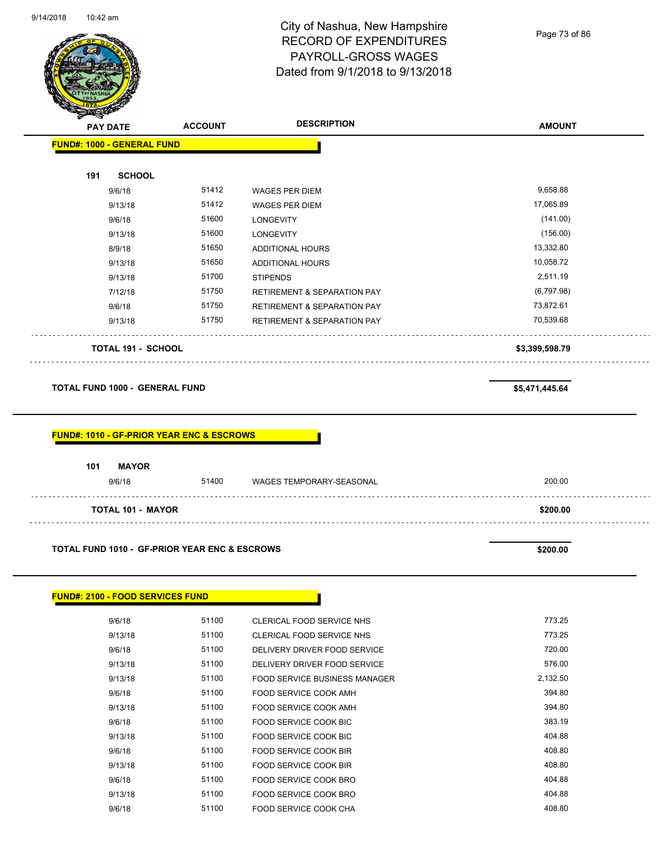

Page 73 of 86

|                                                      | <b>ACCOUNT</b> | <b>DESCRIPTION</b>                     | <b>AMOUNT</b>  |
|------------------------------------------------------|----------------|----------------------------------------|----------------|
| FUND#: 1000 - GENERAL FUND                           |                |                                        |                |
| 191<br><b>SCHOOL</b>                                 |                |                                        |                |
| 9/6/18                                               | 51412          | <b>WAGES PER DIEM</b>                  | 9,658.88       |
| 9/13/18                                              | 51412          | <b>WAGES PER DIEM</b>                  | 17,065.89      |
| 9/6/18                                               | 51600          | <b>LONGEVITY</b>                       | (141.00)       |
| 9/13/18                                              | 51600          | <b>LONGEVITY</b>                       | (156.00)       |
| 8/9/18                                               | 51650          | ADDITIONAL HOURS                       | 13,332.80      |
| 9/13/18                                              | 51650          | ADDITIONAL HOURS                       | 10,058.72      |
| 9/13/18                                              | 51700          | <b>STIPENDS</b>                        | 2,511.19       |
| 7/12/18                                              | 51750          | <b>RETIREMENT &amp; SEPARATION PAY</b> | (6,797.98)     |
| 9/6/18                                               | 51750          | <b>RETIREMENT &amp; SEPARATION PAY</b> | 73,872.61      |
| 9/13/18                                              | 51750          | <b>RETIREMENT &amp; SEPARATION PAY</b> | 70,539.68      |
|                                                      |                |                                        |                |
| <b>TOTAL 191 - SCHOOL</b>                            |                |                                        | \$3,399,598.79 |
| <b>TOTAL FUND 1000 - GENERAL FUND</b>                |                |                                        | \$5,471,445.64 |
| <b>FUND#: 1010 - GF-PRIOR YEAR ENC &amp; ESCROWS</b> |                |                                        |                |
| 101<br><b>MAYOR</b><br>9/6/18                        | 51400          | WAGES TEMPORARY-SEASONAL               | 200.00         |
| <b>TOTAL 101 - MAYOR</b>                             |                |                                        | \$200.00       |

|  |  | FUND#: 2100 - FOOD SERVICES FUND |
|--|--|----------------------------------|
|--|--|----------------------------------|

| 9/6/18  | 51100 | CLERICAL FOOD SERVICE NHS     | 773.25   |
|---------|-------|-------------------------------|----------|
| 9/13/18 | 51100 | CLERICAL FOOD SERVICE NHS     | 773.25   |
| 9/6/18  | 51100 | DELIVERY DRIVER FOOD SERVICE  | 720.00   |
| 9/13/18 | 51100 | DELIVERY DRIVER FOOD SERVICE  | 576.00   |
| 9/13/18 | 51100 | FOOD SERVICE BUSINESS MANAGER | 2,132.50 |
| 9/6/18  | 51100 | FOOD SERVICE COOK AMH         | 394.80   |
| 9/13/18 | 51100 | FOOD SERVICE COOK AMH         | 394.80   |
| 9/6/18  | 51100 | FOOD SERVICE COOK BIC         | 383.19   |
| 9/13/18 | 51100 | FOOD SERVICE COOK BIC         | 404.88   |
| 9/6/18  | 51100 | FOOD SERVICE COOK BIR         | 408.80   |
| 9/13/18 | 51100 | FOOD SERVICE COOK BIR         | 408.80   |
| 9/6/18  | 51100 | FOOD SERVICE COOK BRO         | 404.88   |
| 9/13/18 | 51100 | FOOD SERVICE COOK BRO         | 404.88   |
| 9/6/18  | 51100 | FOOD SERVICE COOK CHA         | 408.80   |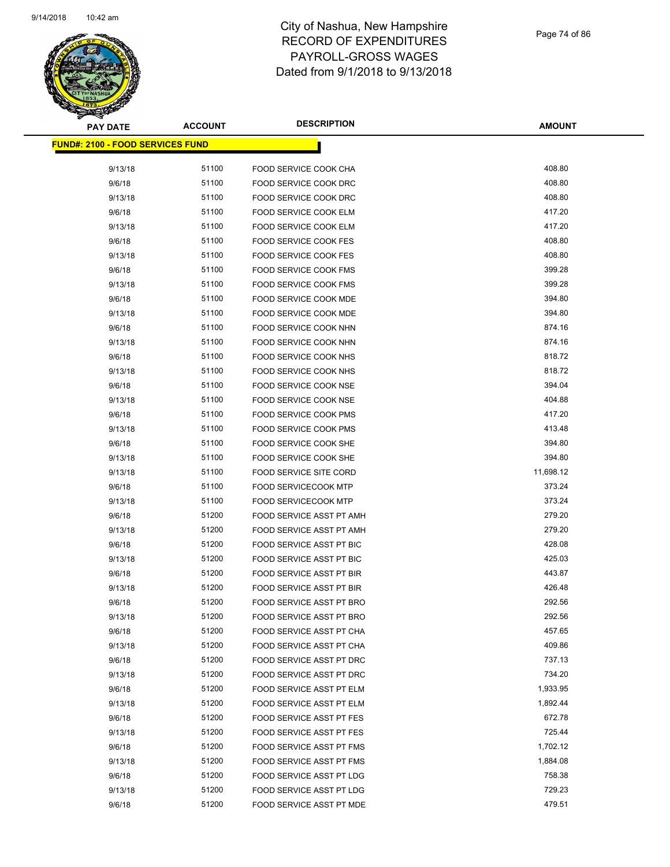

| <b>PAY DATE</b>                          | <b>ACCOUNT</b> | <b>DESCRIPTION</b>              | <b>AMOUNT</b>    |
|------------------------------------------|----------------|---------------------------------|------------------|
| <u> FUND#: 2100 - FOOD SERVICES FUND</u> |                |                                 |                  |
| 9/13/18                                  | 51100          | FOOD SERVICE COOK CHA           | 408.80           |
| 9/6/18                                   | 51100          | FOOD SERVICE COOK DRC           | 408.80           |
| 9/13/18                                  | 51100          | <b>FOOD SERVICE COOK DRC</b>    | 408.80           |
| 9/6/18                                   | 51100          | FOOD SERVICE COOK ELM           | 417.20           |
| 9/13/18                                  | 51100          | FOOD SERVICE COOK ELM           | 417.20           |
| 9/6/18                                   | 51100          | <b>FOOD SERVICE COOK FES</b>    | 408.80           |
| 9/13/18                                  | 51100          | <b>FOOD SERVICE COOK FES</b>    | 408.80           |
|                                          | 51100          | <b>FOOD SERVICE COOK FMS</b>    | 399.28           |
| 9/6/18                                   | 51100          | <b>FOOD SERVICE COOK FMS</b>    | 399.28           |
| 9/13/18<br>9/6/18                        | 51100          | FOOD SERVICE COOK MDE           | 394.80           |
|                                          |                |                                 |                  |
| 9/13/18                                  | 51100          | FOOD SERVICE COOK MDE           | 394.80<br>874.16 |
| 9/6/18                                   | 51100          | FOOD SERVICE COOK NHN           | 874.16           |
| 9/13/18                                  | 51100          | FOOD SERVICE COOK NHN           | 818.72           |
| 9/6/18                                   | 51100          | FOOD SERVICE COOK NHS           |                  |
| 9/13/18                                  | 51100          | FOOD SERVICE COOK NHS           | 818.72           |
| 9/6/18                                   | 51100          | FOOD SERVICE COOK NSE           | 394.04           |
| 9/13/18                                  | 51100          | FOOD SERVICE COOK NSE           | 404.88           |
| 9/6/18                                   | 51100          | FOOD SERVICE COOK PMS           | 417.20           |
| 9/13/18                                  | 51100          | <b>FOOD SERVICE COOK PMS</b>    | 413.48           |
| 9/6/18                                   | 51100          | FOOD SERVICE COOK SHE           | 394.80           |
| 9/13/18                                  | 51100          | FOOD SERVICE COOK SHE           | 394.80           |
| 9/13/18                                  | 51100          | <b>FOOD SERVICE SITE CORD</b>   | 11,698.12        |
| 9/6/18                                   | 51100          | <b>FOOD SERVICECOOK MTP</b>     | 373.24           |
| 9/13/18                                  | 51100          | <b>FOOD SERVICECOOK MTP</b>     | 373.24           |
| 9/6/18                                   | 51200          | FOOD SERVICE ASST PT AMH        | 279.20           |
| 9/13/18                                  | 51200          | FOOD SERVICE ASST PT AMH        | 279.20           |
| 9/6/18                                   | 51200          | <b>FOOD SERVICE ASST PT BIC</b> | 428.08           |
| 9/13/18                                  | 51200          | FOOD SERVICE ASST PT BIC        | 425.03           |
| 9/6/18                                   | 51200          | FOOD SERVICE ASST PT BIR        | 443.87           |
| 9/13/18                                  | 51200          | FOOD SERVICE ASST PT BIR        | 426.48           |
| 9/6/18                                   | 51200          | <b>FOOD SERVICE ASST PT BRO</b> | 292.56           |
| 9/13/18                                  | 51200          | FOOD SERVICE ASST PT BRO        | 292.56           |
| 9/6/18                                   | 51200          | FOOD SERVICE ASST PT CHA        | 457.65           |
| 9/13/18                                  | 51200          | FOOD SERVICE ASST PT CHA        | 409.86           |
| 9/6/18                                   | 51200          | <b>FOOD SERVICE ASST PT DRC</b> | 737.13           |
| 9/13/18                                  | 51200          | FOOD SERVICE ASST PT DRC        | 734.20           |
| 9/6/18                                   | 51200          | FOOD SERVICE ASST PT ELM        | 1,933.95         |
| 9/13/18                                  | 51200          | FOOD SERVICE ASST PT ELM        | 1,892.44         |
| 9/6/18                                   | 51200          | FOOD SERVICE ASST PT FES        | 672.78           |
| 9/13/18                                  | 51200          | FOOD SERVICE ASST PT FES        | 725.44           |
| 9/6/18                                   | 51200          | FOOD SERVICE ASST PT FMS        | 1,702.12         |
| 9/13/18                                  | 51200          | FOOD SERVICE ASST PT FMS        | 1,884.08         |
| 9/6/18                                   | 51200          | FOOD SERVICE ASST PT LDG        | 758.38           |
| 9/13/18                                  | 51200          | FOOD SERVICE ASST PT LDG        | 729.23           |
| 9/6/18                                   | 51200          | FOOD SERVICE ASST PT MDE        | 479.51           |
|                                          |                |                                 |                  |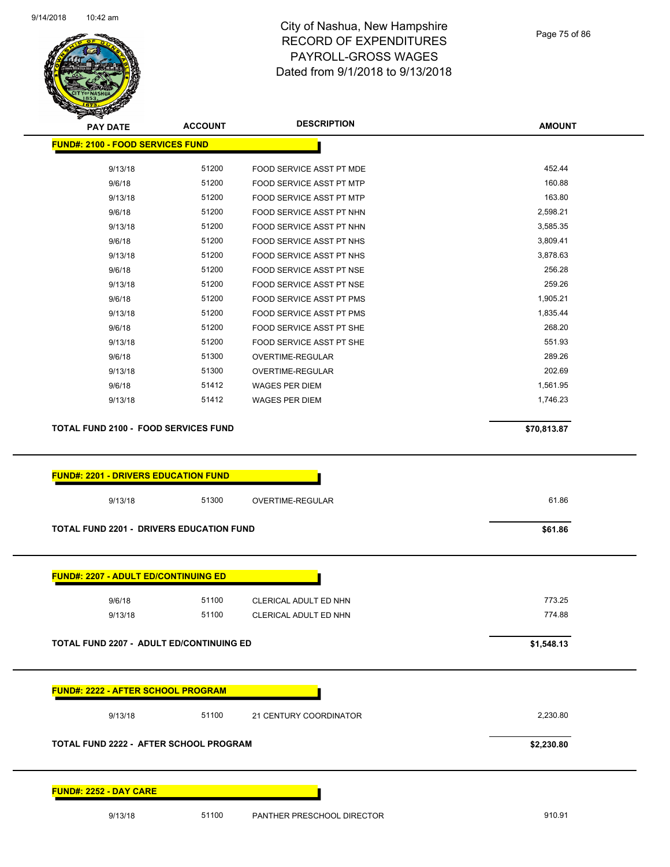

Page 75 of 86

| <b>PAY DATE</b>                                                                                                                                                  |                |                            |               |
|------------------------------------------------------------------------------------------------------------------------------------------------------------------|----------------|----------------------------|---------------|
|                                                                                                                                                                  | <b>ACCOUNT</b> | <b>DESCRIPTION</b>         | <b>AMOUNT</b> |
| <b>FUND#: 2100 - FOOD SERVICES FUND</b>                                                                                                                          |                |                            |               |
| 9/13/18                                                                                                                                                          | 51200          | FOOD SERVICE ASST PT MDE   | 452.44        |
| 9/6/18                                                                                                                                                           | 51200          | FOOD SERVICE ASST PT MTP   | 160.88        |
| 9/13/18                                                                                                                                                          | 51200          | FOOD SERVICE ASST PT MTP   | 163.80        |
| 9/6/18                                                                                                                                                           | 51200          | FOOD SERVICE ASST PT NHN   | 2,598.21      |
| 9/13/18                                                                                                                                                          | 51200          | FOOD SERVICE ASST PT NHN   | 3,585.35      |
| 9/6/18                                                                                                                                                           | 51200          | FOOD SERVICE ASST PT NHS   | 3,809.41      |
| 9/13/18                                                                                                                                                          | 51200          | FOOD SERVICE ASST PT NHS   | 3,878.63      |
| 9/6/18                                                                                                                                                           | 51200          | FOOD SERVICE ASST PT NSE   | 256.28        |
| 9/13/18                                                                                                                                                          | 51200          | FOOD SERVICE ASST PT NSE   | 259.26        |
| 9/6/18                                                                                                                                                           | 51200          | FOOD SERVICE ASST PT PMS   | 1,905.21      |
| 9/13/18                                                                                                                                                          | 51200          | FOOD SERVICE ASST PT PMS   | 1,835.44      |
| 9/6/18                                                                                                                                                           | 51200          | FOOD SERVICE ASST PT SHE   | 268.20        |
| 9/13/18                                                                                                                                                          | 51200          | FOOD SERVICE ASST PT SHE   | 551.93        |
| 9/6/18                                                                                                                                                           | 51300          | <b>OVERTIME-REGULAR</b>    | 289.26        |
| 9/13/18                                                                                                                                                          | 51300          | OVERTIME-REGULAR           | 202.69        |
| 9/6/18                                                                                                                                                           | 51412          | WAGES PER DIEM             | 1,561.95      |
| 9/13/18                                                                                                                                                          | 51412          | <b>WAGES PER DIEM</b>      | 1,746.23      |
| <b>TOTAL FUND 2100 - FOOD SERVICES FUND</b>                                                                                                                      |                |                            | \$70,813.87   |
| <b>FUND#: 2201 - DRIVERS EDUCATION FUND</b>                                                                                                                      |                |                            |               |
| 9/13/18                                                                                                                                                          | 51300          | OVERTIME-REGULAR           | 61.86         |
| <b>TOTAL FUND 2201 - DRIVERS EDUCATION FUND</b>                                                                                                                  |                |                            | \$61.86       |
|                                                                                                                                                                  |                |                            |               |
| <b>FUND#: 2207 - ADULT ED/CONTINUING ED</b>                                                                                                                      |                |                            |               |
|                                                                                                                                                                  |                |                            |               |
| 9/6/18                                                                                                                                                           | 51100          | CLERICAL ADULT ED NHN      | 773.25        |
| 9/13/18                                                                                                                                                          | 51100          | CLERICAL ADULT ED NHN      | 774.88        |
|                                                                                                                                                                  |                |                            |               |
|                                                                                                                                                                  |                |                            | \$1,548.13    |
|                                                                                                                                                                  |                |                            |               |
|                                                                                                                                                                  |                |                            |               |
| 9/13/18                                                                                                                                                          | 51100          | 21 CENTURY COORDINATOR     | 2,230.80      |
|                                                                                                                                                                  |                |                            | \$2,230.80    |
| <b>TOTAL FUND 2207 - ADULT ED/CONTINUING ED</b><br>FUND#: 2222 - AFTER SCHOOL PROGRAM<br>TOTAL FUND 2222 - AFTER SCHOOL PROGRAM<br><b>FUND#: 2252 - DAY CARE</b> |                |                            |               |
| 9/13/18                                                                                                                                                          | 51100          | PANTHER PRESCHOOL DIRECTOR | 910.91        |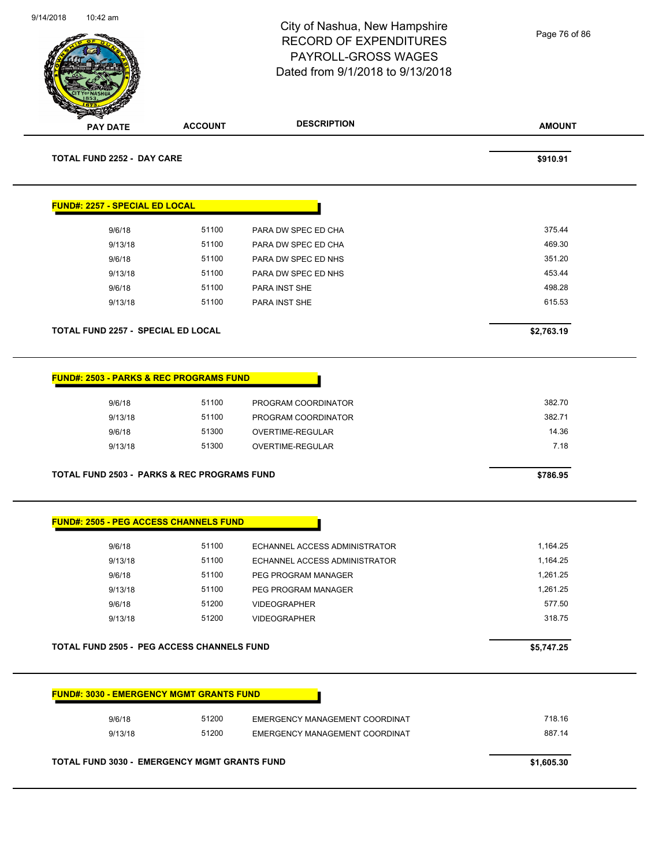| 9/14/2018 | 10:42 am                                                                                     |                                  | City of Nashua, New Hampshire<br><b>RECORD OF EXPENDITURES</b><br>PAYROLL-GROSS WAGES<br>Dated from 9/1/2018 to 9/13/2018 | Page 76 of 86                     |
|-----------|----------------------------------------------------------------------------------------------|----------------------------------|---------------------------------------------------------------------------------------------------------------------------|-----------------------------------|
|           | <b>PAY DATE</b>                                                                              | <b>ACCOUNT</b>                   | <b>DESCRIPTION</b>                                                                                                        | <b>AMOUNT</b>                     |
|           | <b>TOTAL FUND 2252 - DAY CARE</b>                                                            |                                  |                                                                                                                           | \$910.91                          |
|           | <b>FUND#: 2257 - SPECIAL ED LOCAL</b>                                                        |                                  |                                                                                                                           |                                   |
|           | 9/6/18                                                                                       | 51100                            | PARA DW SPEC ED CHA                                                                                                       | 375.44                            |
|           | 9/13/18                                                                                      | 51100                            | PARA DW SPEC ED CHA                                                                                                       | 469.30                            |
|           | 9/6/18                                                                                       | 51100                            | PARA DW SPEC ED NHS                                                                                                       | 351.20                            |
|           | 9/13/18                                                                                      | 51100                            | PARA DW SPEC ED NHS                                                                                                       | 453.44                            |
|           | 9/6/18                                                                                       | 51100                            | PARA INST SHE                                                                                                             | 498.28                            |
|           | 9/13/18                                                                                      | 51100                            | PARA INST SHE                                                                                                             | 615.53                            |
|           | TOTAL FUND 2257 - SPECIAL ED LOCAL                                                           |                                  |                                                                                                                           | \$2,763.19                        |
|           | <b>FUND#: 2503 - PARKS &amp; REC PROGRAMS FUND</b><br>9/6/18<br>9/13/18<br>9/6/18<br>9/13/18 | 51100<br>51100<br>51300<br>51300 | PROGRAM COORDINATOR<br>PROGRAM COORDINATOR<br>OVERTIME-REGULAR<br>OVERTIME-REGULAR                                        | 382.70<br>382.71<br>14.36<br>7.18 |
|           | <b>TOTAL FUND 2503 - PARKS &amp; REC PROGRAMS FUND</b>                                       |                                  |                                                                                                                           | \$786.95                          |
|           | <b>FUND#: 2505 - PEG ACCESS CHANNELS FUND</b>                                                |                                  |                                                                                                                           |                                   |
|           | 9/6/18                                                                                       | 51100                            | ECHANNEL ACCESS ADMINISTRATOR                                                                                             | 1,164.25                          |
|           | 9/13/18                                                                                      | 51100                            | ECHANNEL ACCESS ADMINISTRATOR                                                                                             | 1,164.25                          |
|           | 9/6/18                                                                                       | 51100                            | PEG PROGRAM MANAGER                                                                                                       | 1,261.25                          |
|           | 9/13/18                                                                                      | 51100                            | PEG PROGRAM MANAGER                                                                                                       | 1,261.25                          |
|           | 9/6/18                                                                                       | 51200                            | <b>VIDEOGRAPHER</b>                                                                                                       | 577.50                            |
|           | 9/13/18                                                                                      | 51200                            | <b>VIDEOGRAPHER</b>                                                                                                       | 318.75                            |
|           | <b>TOTAL FUND 2505 - PEG ACCESS CHANNELS FUND</b>                                            |                                  |                                                                                                                           | \$5,747.25                        |
|           | <b>FUND#: 3030 - EMERGENCY MGMT GRANTS FUND</b>                                              |                                  |                                                                                                                           |                                   |
|           | 9/6/18                                                                                       | 51200                            | EMERGENCY MANAGEMENT COORDINAT                                                                                            | 718.16                            |
|           | 9/13/18                                                                                      | 51200                            | EMERGENCY MANAGEMENT COORDINAT                                                                                            | 887.14                            |
|           |                                                                                              |                                  |                                                                                                                           |                                   |
|           | <b>TOTAL FUND 3030 - EMERGENCY MGMT GRANTS FUND</b>                                          |                                  |                                                                                                                           | \$1,605.30                        |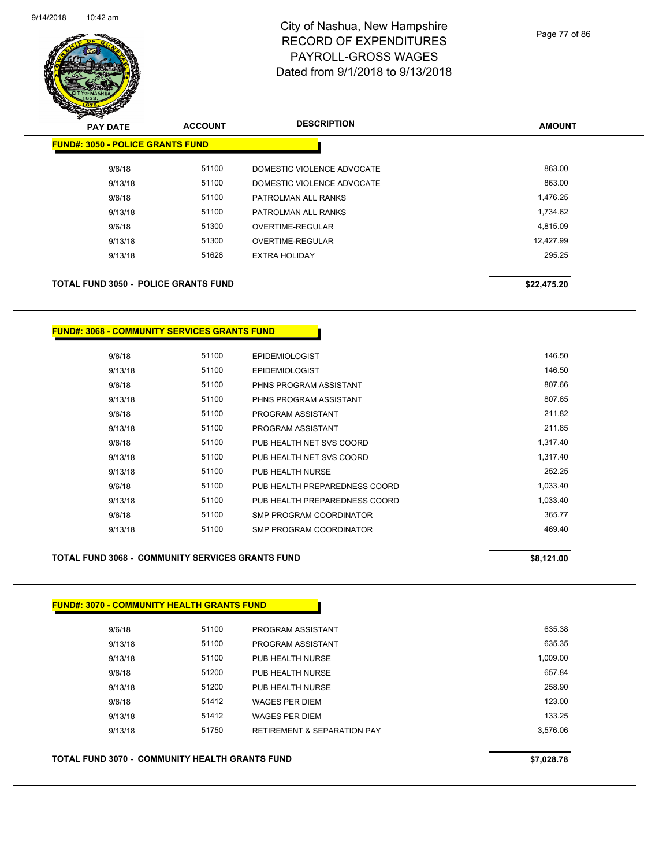

Page 77 of 86

| $\mathscr{D} \curvearrowright$<br><b>PAY DATE</b> | <b>ACCOUNT</b> | <b>DESCRIPTION</b>         | <b>AMOUNT</b> |
|---------------------------------------------------|----------------|----------------------------|---------------|
| <b>FUND#: 3050 - POLICE GRANTS FUND</b>           |                |                            |               |
| 9/6/18                                            | 51100          | DOMESTIC VIOLENCE ADVOCATE | 863.00        |
| 9/13/18                                           | 51100          | DOMESTIC VIOLENCE ADVOCATE | 863.00        |
| 9/6/18                                            | 51100          | PATROLMAN ALL RANKS        | 1,476.25      |
| 9/13/18                                           | 51100          | PATROLMAN ALL RANKS        | 1,734.62      |
| 9/6/18                                            | 51300          | OVERTIME-REGULAR           | 4,815.09      |
| 9/13/18                                           | 51300          | OVERTIME-REGULAR           | 12,427.99     |
| 9/13/18                                           | 51628          | <b>EXTRA HOLIDAY</b>       | 295.25        |
| <b>TOTAL FUND 3050 - POLICE GRANTS FUND</b>       |                |                            | \$22,475.20   |

#### **FUND#: 3068 - COMMUNITY SERVICES GRANTS FUND**

| 9/6/18  | 51100 | <b>EPIDEMIOLOGIST</b>         | 146.50   |
|---------|-------|-------------------------------|----------|
| 9/13/18 | 51100 | <b>EPIDEMIOLOGIST</b>         | 146.50   |
| 9/6/18  | 51100 | PHNS PROGRAM ASSISTANT        | 807.66   |
| 9/13/18 | 51100 | PHNS PROGRAM ASSISTANT        | 807.65   |
| 9/6/18  | 51100 | PROGRAM ASSISTANT             | 211.82   |
| 9/13/18 | 51100 | PROGRAM ASSISTANT             | 211.85   |
| 9/6/18  | 51100 | PUB HEALTH NET SVS COORD      | 1,317.40 |
| 9/13/18 | 51100 | PUB HEALTH NET SVS COORD      | 1.317.40 |
| 9/13/18 | 51100 | PUB HEALTH NURSE              | 252.25   |
| 9/6/18  | 51100 | PUB HEALTH PREPAREDNESS COORD | 1,033.40 |
| 9/13/18 | 51100 | PUB HEALTH PREPAREDNESS COORD | 1,033.40 |
| 9/6/18  | 51100 | SMP PROGRAM COORDINATOR       | 365.77   |
| 9/13/18 | 51100 | SMP PROGRAM COORDINATOR       | 469.40   |
|         |       |                               |          |

#### **TOTAL FUND 3068 - COMMUNITY SERVICES GRANTS FUND \$8,121.00**

# **FUND#: 3070 - COMMUNITY HEALTH GRANTS FUND** 9/6/18 51100 PROGRAM ASSISTANT 635.38 9/13/18 51100 PROGRAM ASSISTANT 635.35 9/13/18 51100 PUB HEALTH NURSE 1.009.00 9/6/18 51200 PUB HEALTH NURSE 657.84 9/13/18 51200 PUB HEALTH NURSE 258.90 9/6/18 51412 WAGES PER DIEM 123.00 9/13/18 51412 WAGES PER DIEM 133.25 9/13/18 51750 RETIREMENT & SEPARATION PAY 3,576.06 **TOTAL FUND 3070 - COMMUNITY HEALTH GRANTS FUND \$7,028.78**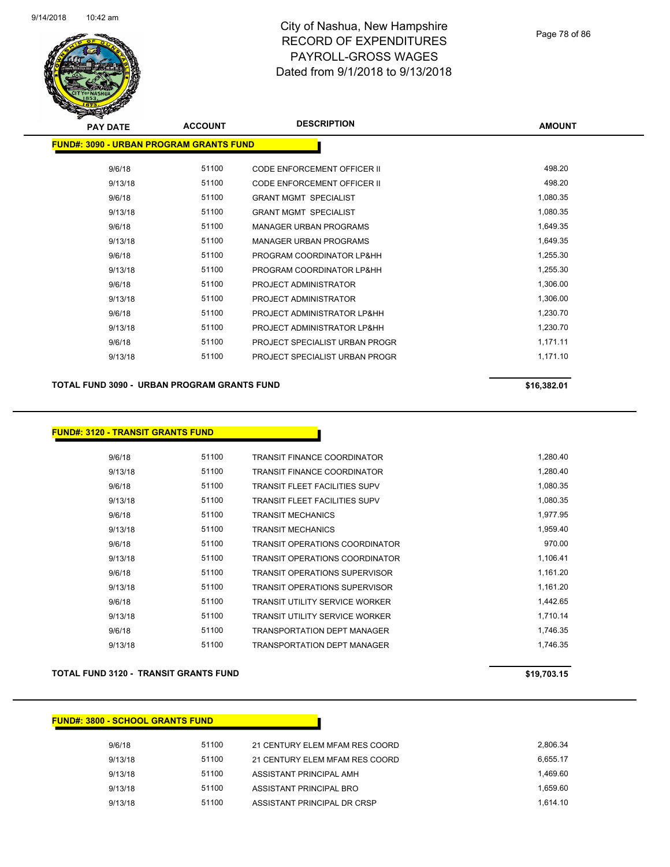

| <b>PAY DATE</b>                                | <b>ACCOUNT</b> | <b>DESCRIPTION</b>                 | <b>AMOUNT</b> |
|------------------------------------------------|----------------|------------------------------------|---------------|
| <b>FUND#: 3090 - URBAN PROGRAM GRANTS FUND</b> |                |                                    |               |
| 9/6/18                                         | 51100          | <b>CODE ENFORCEMENT OFFICER II</b> | 498.20        |
| 9/13/18                                        | 51100          | CODE ENFORCEMENT OFFICER II        | 498.20        |
| 9/6/18                                         | 51100          | <b>GRANT MGMT SPECIALIST</b>       | 1,080.35      |
| 9/13/18                                        | 51100          | <b>GRANT MGMT SPECIALIST</b>       | 1,080.35      |
| 9/6/18                                         | 51100          | <b>MANAGER URBAN PROGRAMS</b>      | 1,649.35      |
| 9/13/18                                        | 51100          | <b>MANAGER URBAN PROGRAMS</b>      | 1,649.35      |
| 9/6/18                                         | 51100          | PROGRAM COORDINATOR LP&HH          | 1,255.30      |
| 9/13/18                                        | 51100          | PROGRAM COORDINATOR LP&HH          | 1,255.30      |
| 9/6/18                                         | 51100          | PROJECT ADMINISTRATOR              | 1,306.00      |
| 9/13/18                                        | 51100          | PROJECT ADMINISTRATOR              | 1,306.00      |
| 9/6/18                                         | 51100          | PROJECT ADMINISTRATOR LP&HH        | 1,230.70      |
| 9/13/18                                        | 51100          | PROJECT ADMINISTRATOR LP&HH        | 1,230.70      |
| 9/6/18                                         | 51100          | PROJECT SPECIALIST URBAN PROGR     | 1,171.11      |
| 9/13/18                                        | 51100          | PROJECT SPECIALIST URBAN PROGR     | 1,171.10      |
|                                                |                |                                    |               |

#### **TOTAL FUND 3090 - URBAN PROGRAM GRANTS FUND \$16,382.01 \$16,382.01**

#### **FUND#: 3120 - TRANSIT GRANTS FUND**

| 9/6/18  | 51100 | TRANSIT FINANCE COORDINATOR           | 1,280.40 |
|---------|-------|---------------------------------------|----------|
| 9/13/18 | 51100 | <b>TRANSIT FINANCE COORDINATOR</b>    | 1.280.40 |
| 9/6/18  | 51100 | <b>TRANSIT FLEET FACILITIES SUPV</b>  | 1,080.35 |
| 9/13/18 | 51100 | <b>TRANSIT FLEET FACILITIES SUPV</b>  | 1,080.35 |
| 9/6/18  | 51100 | TRANSIT MECHANICS                     | 1,977.95 |
| 9/13/18 | 51100 | <b>TRANSIT MECHANICS</b>              | 1,959.40 |
| 9/6/18  | 51100 | TRANSIT OPERATIONS COORDINATOR        | 970.00   |
| 9/13/18 | 51100 | <b>TRANSIT OPERATIONS COORDINATOR</b> | 1,106.41 |
| 9/6/18  | 51100 | <b>TRANSIT OPERATIONS SUPERVISOR</b>  | 1,161.20 |
| 9/13/18 | 51100 | <b>TRANSIT OPERATIONS SUPERVISOR</b>  | 1,161.20 |
| 9/6/18  | 51100 | <b>TRANSIT UTILITY SERVICE WORKER</b> | 1,442.65 |
| 9/13/18 | 51100 | TRANSIT UTILITY SERVICE WORKER        | 1,710.14 |
| 9/6/18  | 51100 | <b>TRANSPORTATION DEPT MANAGER</b>    | 1,746.35 |
| 9/13/18 | 51100 | TRANSPORTATION DEPT MANAGER           | 1.746.35 |

#### **TOTAL FUND 3120 - TRANSIT GRANTS FUND \$19,703.15**

#### **FUND#: 3800 - SCHOOL GRANTS FUND**

| 9/6/18  | 51100 | 21 CENTURY ELEM MFAM RES COORD | 2.806.34 |
|---------|-------|--------------------------------|----------|
| 9/13/18 | 51100 | 21 CENTURY ELEM MFAM RES COORD | 6.655.17 |
| 9/13/18 | 51100 | ASSISTANT PRINCIPAL AMH        | 1.469.60 |
| 9/13/18 | 51100 | ASSISTANT PRINCIPAL BRO        | 1.659.60 |
| 9/13/18 | 51100 | ASSISTANT PRINCIPAL DR CRSP    | 1.614.10 |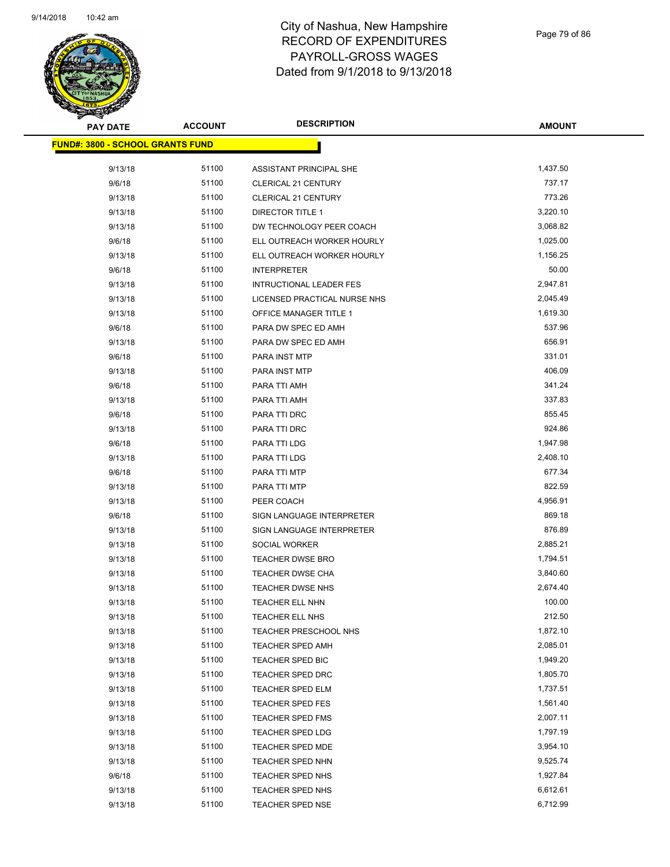

Page 79 of 86

| <b>PAY DATE</b>                         | <b>ACCOUNT</b> | <b>DESCRIPTION</b>             | <b>AMOUNT</b>        |
|-----------------------------------------|----------------|--------------------------------|----------------------|
| <b>FUND#: 3800 - SCHOOL GRANTS FUND</b> |                |                                |                      |
| 9/13/18                                 | 51100          | ASSISTANT PRINCIPAL SHE        | 1,437.50             |
| 9/6/18                                  | 51100          | CLERICAL 21 CENTURY            | 737.17               |
| 9/13/18                                 | 51100          | CLERICAL 21 CENTURY            | 773.26               |
| 9/13/18                                 | 51100          | DIRECTOR TITLE 1               | 3,220.10             |
| 9/13/18                                 | 51100          | DW TECHNOLOGY PEER COACH       | 3,068.82             |
| 9/6/18                                  | 51100          | ELL OUTREACH WORKER HOURLY     | 1,025.00             |
| 9/13/18                                 | 51100          | ELL OUTREACH WORKER HOURLY     | 1,156.25             |
| 9/6/18                                  | 51100          | <b>INTERPRETER</b>             | 50.00                |
| 9/13/18                                 | 51100          | <b>INTRUCTIONAL LEADER FES</b> | 2,947.81             |
| 9/13/18                                 | 51100          | LICENSED PRACTICAL NURSE NHS   | 2,045.49             |
| 9/13/18                                 | 51100          | OFFICE MANAGER TITLE 1         | 1,619.30             |
| 9/6/18                                  | 51100          | PARA DW SPEC ED AMH            | 537.96               |
| 9/13/18                                 | 51100          | PARA DW SPEC ED AMH            | 656.91               |
| 9/6/18                                  | 51100          | PARA INST MTP                  | 331.01               |
| 9/13/18                                 | 51100          | PARA INST MTP                  | 406.09               |
| 9/6/18                                  | 51100          | PARA TTI AMH                   | 341.24               |
| 9/13/18                                 | 51100          | PARA TTI AMH                   | 337.83               |
| 9/6/18                                  | 51100          | PARA TTI DRC                   | 855.45               |
| 9/13/18                                 | 51100          | PARA TTI DRC                   | 924.86               |
| 9/6/18                                  | 51100          | PARA TTI LDG                   | 1,947.98             |
| 9/13/18                                 | 51100          | PARA TTI LDG                   | 2,408.10             |
| 9/6/18                                  | 51100          | PARA TTI MTP                   | 677.34               |
| 9/13/18                                 | 51100          | PARA TTI MTP                   | 822.59               |
| 9/13/18                                 | 51100          | PEER COACH                     | 4,956.91             |
| 9/6/18                                  | 51100          | SIGN LANGUAGE INTERPRETER      | 869.18               |
| 9/13/18                                 | 51100          | SIGN LANGUAGE INTERPRETER      | 876.89               |
| 9/13/18                                 | 51100          | SOCIAL WORKER                  | 2,885.21             |
| 9/13/18                                 | 51100          | <b>TEACHER DWSE BRO</b>        | 1,794.51             |
| 9/13/18                                 | 51100          | <b>TEACHER DWSE CHA</b>        | 3,840.60             |
| 9/13/18                                 | 51100          | <b>TEACHER DWSE NHS</b>        | 2,674.40             |
| 9/13/18                                 | 51100          | <b>TEACHER ELL NHN</b>         | 100.00               |
| 9/13/18                                 | 51100          | TEACHER ELL NHS                | 212.50               |
| 9/13/18                                 | 51100          | TEACHER PRESCHOOL NHS          | 1,872.10             |
| 9/13/18                                 | 51100          | <b>TEACHER SPED AMH</b>        | 2,085.01             |
| 9/13/18                                 | 51100          | TEACHER SPED BIC               | 1,949.20             |
| 9/13/18                                 | 51100          | <b>TEACHER SPED DRC</b>        | 1,805.70             |
| 9/13/18                                 | 51100          | <b>TEACHER SPED ELM</b>        | 1,737.51             |
| 9/13/18                                 | 51100          | <b>TEACHER SPED FES</b>        | 1,561.40             |
| 9/13/18                                 | 51100          | <b>TEACHER SPED FMS</b>        | 2,007.11             |
| 9/13/18                                 | 51100          | <b>TEACHER SPED LDG</b>        | 1,797.19             |
| 9/13/18                                 | 51100          | <b>TEACHER SPED MDE</b>        | 3,954.10             |
| 9/13/18                                 | 51100<br>51100 | TEACHER SPED NHN               | 9,525.74             |
| 9/6/18                                  | 51100          | <b>TEACHER SPED NHS</b>        | 1,927.84<br>6,612.61 |
| 9/13/18                                 |                | <b>TEACHER SPED NHS</b>        | 6,712.99             |
| 9/13/18                                 | 51100          | <b>TEACHER SPED NSE</b>        |                      |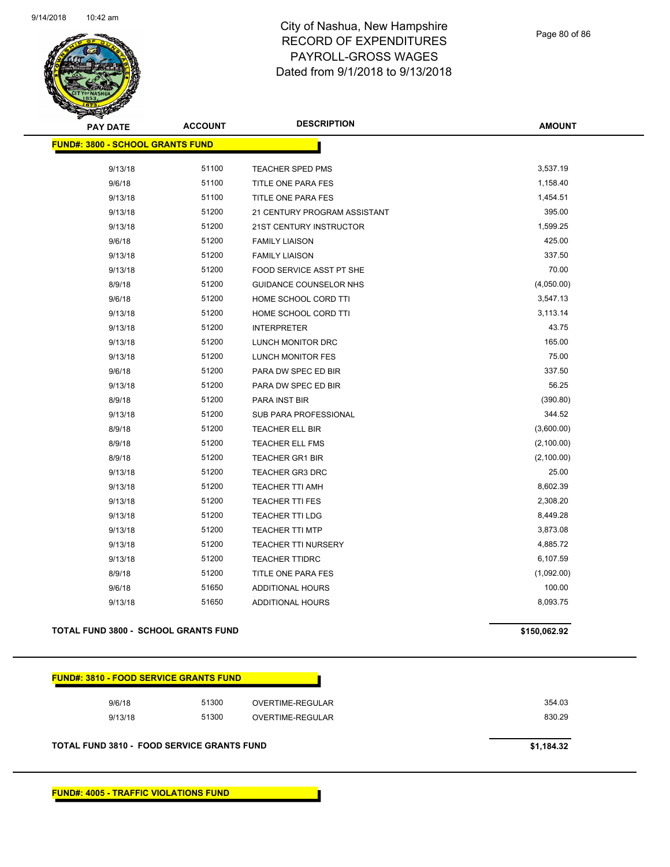

Page 80 of 86

| <b>PAY DATE</b>                         | <b>ACCOUNT</b> | <b>DESCRIPTION</b>            | <b>AMOUNT</b> |
|-----------------------------------------|----------------|-------------------------------|---------------|
| <b>FUND#: 3800 - SCHOOL GRANTS FUND</b> |                |                               |               |
| 9/13/18                                 | 51100          | TEACHER SPED PMS              | 3,537.19      |
|                                         | 51100          |                               | 1,158.40      |
| 9/6/18                                  | 51100          | TITLE ONE PARA FES            | 1,454.51      |
| 9/13/18                                 | 51200          | TITLE ONE PARA FES            | 395.00        |
| 9/13/18                                 |                | 21 CENTURY PROGRAM ASSISTANT  |               |
| 9/13/18                                 | 51200          | 21ST CENTURY INSTRUCTOR       | 1,599.25      |
| 9/6/18                                  | 51200          | <b>FAMILY LIAISON</b>         | 425.00        |
| 9/13/18                                 | 51200          | <b>FAMILY LIAISON</b>         | 337.50        |
| 9/13/18                                 | 51200          | FOOD SERVICE ASST PT SHE      | 70.00         |
| 8/9/18                                  | 51200          | <b>GUIDANCE COUNSELOR NHS</b> | (4,050.00)    |
| 9/6/18                                  | 51200          | HOME SCHOOL CORD TTI          | 3,547.13      |
| 9/13/18                                 | 51200          | HOME SCHOOL CORD TTI          | 3,113.14      |
| 9/13/18                                 | 51200          | <b>INTERPRETER</b>            | 43.75         |
| 9/13/18                                 | 51200          | LUNCH MONITOR DRC             | 165.00        |
| 9/13/18                                 | 51200          | <b>LUNCH MONITOR FES</b>      | 75.00         |
| 9/6/18                                  | 51200          | PARA DW SPEC ED BIR           | 337.50        |
| 9/13/18                                 | 51200          | PARA DW SPEC ED BIR           | 56.25         |
| 8/9/18                                  | 51200          | PARA INST BIR                 | (390.80)      |
| 9/13/18                                 | 51200          | SUB PARA PROFESSIONAL         | 344.52        |
| 8/9/18                                  | 51200          | TEACHER ELL BIR               | (3,600.00)    |
| 8/9/18                                  | 51200          | <b>TEACHER ELL FMS</b>        | (2,100.00)    |
| 8/9/18                                  | 51200          | <b>TEACHER GR1 BIR</b>        | (2,100.00)    |
| 9/13/18                                 | 51200          | <b>TEACHER GR3 DRC</b>        | 25.00         |
| 9/13/18                                 | 51200          | <b>TEACHER TTI AMH</b>        | 8,602.39      |
| 9/13/18                                 | 51200          | <b>TEACHER TTI FES</b>        | 2,308.20      |
| 9/13/18                                 | 51200          | <b>TEACHER TTI LDG</b>        | 8,449.28      |
| 9/13/18                                 | 51200          | <b>TEACHER TTI MTP</b>        | 3,873.08      |
| 9/13/18                                 | 51200          | <b>TEACHER TTI NURSERY</b>    | 4,885.72      |
| 9/13/18                                 | 51200          | <b>TEACHER TTIDRC</b>         | 6,107.59      |
| 8/9/18                                  | 51200          | TITLE ONE PARA FES            | (1,092.00)    |
| 9/6/18                                  | 51650          | ADDITIONAL HOURS              | 100.00        |
| 9/13/18                                 | 51650          | ADDITIONAL HOURS              | 8,093.75      |
|                                         |                |                               |               |

#### **TOTAL FUND 3800 - SCHOOL GRANTS FUND \$150,062.92**

| 9/6/18  | 51300 | OVERTIME-REGULAR | 354.03 |
|---------|-------|------------------|--------|
| 9/13/18 | 51300 | OVERTIME-REGULAR | 830.29 |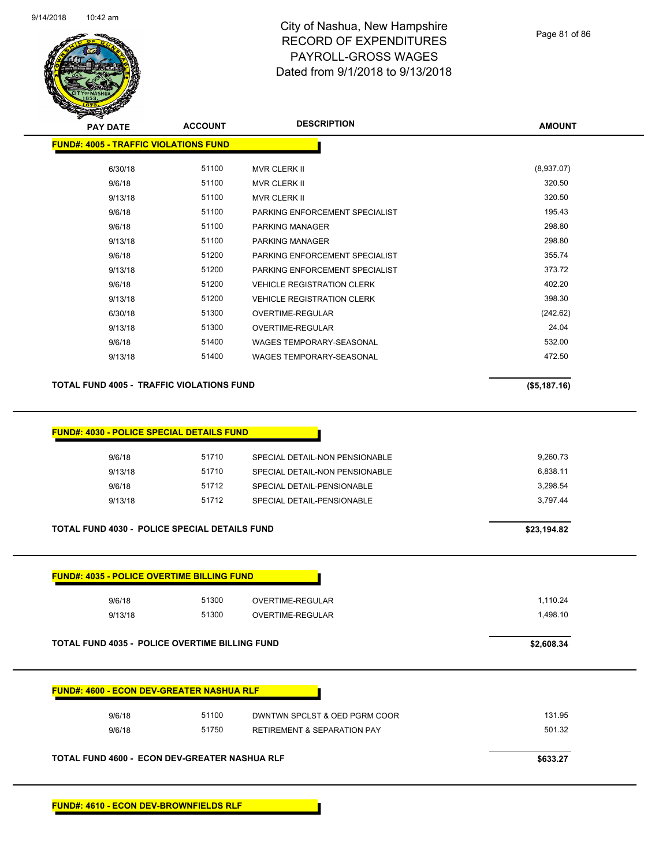

Page 81 of 86

**AMOUNT**

|                                                             | TOTAL FUND 4600 - ECON DEV-GREATER NASHUA RLF |                                        | \$633.27     |
|-------------------------------------------------------------|-----------------------------------------------|----------------------------------------|--------------|
| 9/6/18                                                      | 51750                                         | <b>RETIREMENT &amp; SEPARATION PAY</b> | 501.32       |
| 9/6/18                                                      | 51100                                         | DWNTWN SPCLST & OED PGRM COOR          | 131.95       |
| <b>FUND#: 4600 - ECON DEV-GREATER NASHUA RLF</b>            |                                               |                                        |              |
|                                                             |                                               |                                        |              |
| TOTAL FUND 4035 - POLICE OVERTIME BILLING FUND              |                                               |                                        | \$2,608.34   |
| 9/13/18                                                     | 51300                                         | OVERTIME-REGULAR                       | 1,498.10     |
| <b>FUND#: 4035 - POLICE OVERTIME BILLING FUND</b><br>9/6/18 | 51300                                         | OVERTIME-REGULAR                       | 1,110.24     |
|                                                             |                                               |                                        |              |
| TOTAL FUND 4030 - POLICE SPECIAL DETAILS FUND               |                                               |                                        | \$23,194.82  |
| 9/13/18                                                     | 51712                                         | SPECIAL DETAIL-PENSIONABLE             | 3,797.44     |
| 9/6/18                                                      | 51712                                         | SPECIAL DETAIL-PENSIONABLE             | 3,298.54     |
| 9/13/18                                                     | 51710                                         | SPECIAL DETAIL-NON PENSIONABLE         | 6,838.11     |
| 9/6/18                                                      | 51710                                         | SPECIAL DETAIL-NON PENSIONABLE         | 9,260.73     |
| FUND#: 4030 - POLICE SPECIAL DETAILS FUND                   |                                               |                                        |              |
| TOTAL FUND 4005 - TRAFFIC VIOLATIONS FUND                   |                                               |                                        | (\$5,187.16) |
| 9/13/18                                                     | 51400                                         | WAGES TEMPORARY-SEASONAL               | 472.50       |
| 9/6/18                                                      | 51400                                         | WAGES TEMPORARY-SEASONAL               | 532.00       |
| 9/13/18                                                     | 51300                                         | OVERTIME-REGULAR                       | 24.04        |
| 6/30/18                                                     | 51300                                         | OVERTIME-REGULAR                       | (242.62)     |
| 9/13/18                                                     | 51200                                         | <b>VEHICLE REGISTRATION CLERK</b>      | 398.30       |
| 9/6/18                                                      | 51200                                         | <b>VEHICLE REGISTRATION CLERK</b>      | 402.20       |
| 9/13/18                                                     | 51200                                         | PARKING ENFORCEMENT SPECIALIST         | 373.72       |
| 9/6/18                                                      | 51200                                         | PARKING ENFORCEMENT SPECIALIST         | 355.74       |
| 9/13/18                                                     | 51100                                         | <b>PARKING MANAGER</b>                 | 298.80       |
| 9/6/18                                                      | 51100                                         | PARKING MANAGER                        | 298.80       |
| 9/6/18                                                      | 51100                                         | PARKING ENFORCEMENT SPECIALIST         | 195.43       |
| 9/13/18                                                     | 51100                                         | <b>MVR CLERK II</b>                    | 320.50       |
|                                                             |                                               | <b>MVR CLERK II</b>                    | 320.50       |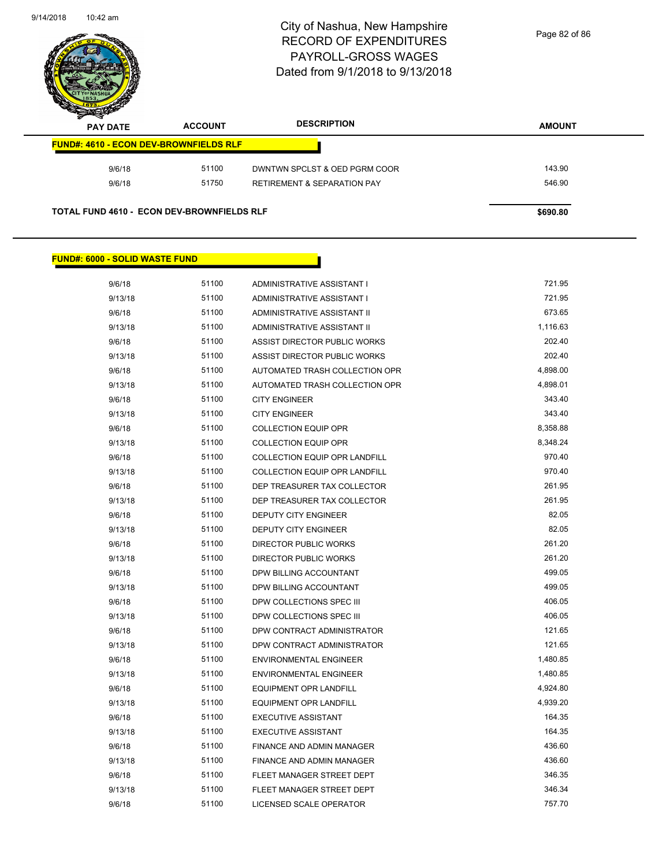

Page 82 of 86

| <b>PAY DATE</b>                               | <b>ACCOUNT</b> | <b>DESCRIPTION</b>                     | <b>AMOUNT</b> |
|-----------------------------------------------|----------------|----------------------------------------|---------------|
| <b>FUND#: 4610 - ECON DEV-BROWNFIELDS RLF</b> |                |                                        |               |
| 9/6/18                                        | 51100          | DWNTWN SPCLST & OED PGRM COOR          | 143.90        |
|                                               | 51750          | <b>RETIREMENT &amp; SEPARATION PAY</b> | 546.90        |

#### **FUND#: 6000 - SOLID WASTE FUND**

| 9/6/18  | 51100 | ADMINISTRATIVE ASSISTANT I     | 721.95   |
|---------|-------|--------------------------------|----------|
| 9/13/18 | 51100 | ADMINISTRATIVE ASSISTANT I     | 721.95   |
| 9/6/18  | 51100 | ADMINISTRATIVE ASSISTANT II    | 673.65   |
| 9/13/18 | 51100 | ADMINISTRATIVE ASSISTANT II    | 1,116.63 |
| 9/6/18  | 51100 | ASSIST DIRECTOR PUBLIC WORKS   | 202.40   |
| 9/13/18 | 51100 | ASSIST DIRECTOR PUBLIC WORKS   | 202.40   |
| 9/6/18  | 51100 | AUTOMATED TRASH COLLECTION OPR | 4,898.00 |
| 9/13/18 | 51100 | AUTOMATED TRASH COLLECTION OPR | 4,898.01 |
| 9/6/18  | 51100 | <b>CITY ENGINEER</b>           | 343.40   |
| 9/13/18 | 51100 | <b>CITY ENGINEER</b>           | 343.40   |
| 9/6/18  | 51100 | <b>COLLECTION EQUIP OPR</b>    | 8,358.88 |
| 9/13/18 | 51100 | <b>COLLECTION EQUIP OPR</b>    | 8,348.24 |
| 9/6/18  | 51100 | COLLECTION EQUIP OPR LANDFILL  | 970.40   |
| 9/13/18 | 51100 | COLLECTION EQUIP OPR LANDFILL  | 970.40   |
| 9/6/18  | 51100 | DEP TREASURER TAX COLLECTOR    | 261.95   |
| 9/13/18 | 51100 | DEP TREASURER TAX COLLECTOR    | 261.95   |
| 9/6/18  | 51100 | <b>DEPUTY CITY ENGINEER</b>    | 82.05    |
| 9/13/18 | 51100 | <b>DEPUTY CITY ENGINEER</b>    | 82.05    |
| 9/6/18  | 51100 | <b>DIRECTOR PUBLIC WORKS</b>   | 261.20   |
| 9/13/18 | 51100 | <b>DIRECTOR PUBLIC WORKS</b>   | 261.20   |
| 9/6/18  | 51100 | DPW BILLING ACCOUNTANT         | 499.05   |
| 9/13/18 | 51100 | DPW BILLING ACCOUNTANT         | 499.05   |
| 9/6/18  | 51100 | DPW COLLECTIONS SPEC III       | 406.05   |
| 9/13/18 | 51100 | DPW COLLECTIONS SPEC III       | 406.05   |
| 9/6/18  | 51100 | DPW CONTRACT ADMINISTRATOR     | 121.65   |
| 9/13/18 | 51100 | DPW CONTRACT ADMINISTRATOR     | 121.65   |
| 9/6/18  | 51100 | <b>ENVIRONMENTAL ENGINEER</b>  | 1,480.85 |
| 9/13/18 | 51100 | <b>ENVIRONMENTAL ENGINEER</b>  | 1,480.85 |
| 9/6/18  | 51100 | <b>EQUIPMENT OPR LANDFILL</b>  | 4,924.80 |
| 9/13/18 | 51100 | <b>EQUIPMENT OPR LANDFILL</b>  | 4,939.20 |
| 9/6/18  | 51100 | <b>EXECUTIVE ASSISTANT</b>     | 164.35   |
| 9/13/18 | 51100 | <b>EXECUTIVE ASSISTANT</b>     | 164.35   |
| 9/6/18  | 51100 | FINANCE AND ADMIN MANAGER      | 436.60   |
| 9/13/18 | 51100 | FINANCE AND ADMIN MANAGER      | 436.60   |
| 9/6/18  | 51100 | FLEET MANAGER STREET DEPT      | 346.35   |
| 9/13/18 | 51100 | FLEET MANAGER STREET DEPT      | 346.34   |
| 9/6/18  | 51100 | LICENSED SCALE OPERATOR        | 757.70   |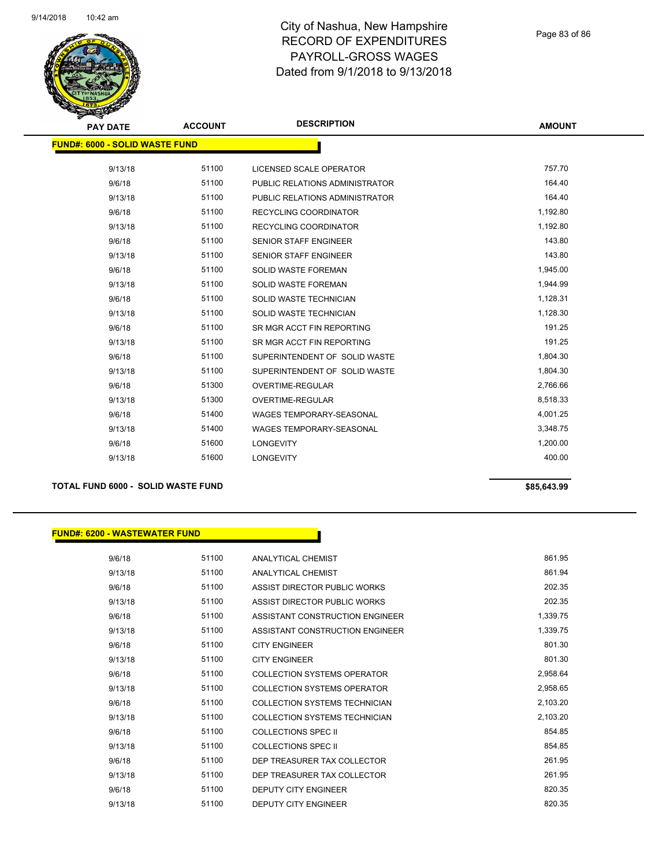

Page 83 of 86

|                                       | <b>PAY DATE</b> | <b>ACCOUNT</b> | <b>DESCRIPTION</b>              | <b>AMOUNT</b> |
|---------------------------------------|-----------------|----------------|---------------------------------|---------------|
| <b>FUND#: 6000 - SOLID WASTE FUND</b> |                 |                |                                 |               |
|                                       | 9/13/18         | 51100          | LICENSED SCALE OPERATOR         | 757.70        |
|                                       | 9/6/18          | 51100          | PUBLIC RELATIONS ADMINISTRATOR  | 164.40        |
|                                       | 9/13/18         | 51100          | PUBLIC RELATIONS ADMINISTRATOR  | 164.40        |
|                                       | 9/6/18          | 51100          | <b>RECYCLING COORDINATOR</b>    | 1,192.80      |
|                                       | 9/13/18         | 51100          | RECYCLING COORDINATOR           | 1,192.80      |
|                                       | 9/6/18          | 51100          | <b>SENIOR STAFF ENGINEER</b>    | 143.80        |
|                                       | 9/13/18         | 51100          | SENIOR STAFF ENGINEER           | 143.80        |
|                                       | 9/6/18          | 51100          | SOLID WASTE FOREMAN             | 1,945.00      |
|                                       | 9/13/18         | 51100          | SOLID WASTE FOREMAN             | 1,944.99      |
|                                       | 9/6/18          | 51100          | SOLID WASTE TECHNICIAN          | 1,128.31      |
|                                       | 9/13/18         | 51100          | SOLID WASTE TECHNICIAN          | 1,128.30      |
|                                       | 9/6/18          | 51100          | SR MGR ACCT FIN REPORTING       | 191.25        |
|                                       | 9/13/18         | 51100          | SR MGR ACCT FIN REPORTING       | 191.25        |
|                                       | 9/6/18          | 51100          | SUPERINTENDENT OF SOLID WASTE   | 1,804.30      |
|                                       | 9/13/18         | 51100          | SUPERINTENDENT OF SOLID WASTE   | 1,804.30      |
|                                       | 9/6/18          | 51300          | OVERTIME-REGULAR                | 2,766.66      |
|                                       | 9/13/18         | 51300          | OVERTIME-REGULAR                | 8,518.33      |
|                                       | 9/6/18          | 51400          | <b>WAGES TEMPORARY-SEASONAL</b> | 4,001.25      |
|                                       | 9/13/18         | 51400          | <b>WAGES TEMPORARY-SEASONAL</b> | 3,348.75      |
|                                       | 9/6/18          | 51600          | <b>LONGEVITY</b>                | 1,200.00      |
|                                       | 9/13/18         | 51600          | <b>LONGEVITY</b>                | 400.00        |
|                                       |                 |                |                                 |               |

### **TOTAL FUND 6000 - SOLID WASTE FUND \$85,643.99 \$85,643.99**

#### **FUND#: 6200 - WASTEWATER FUND**

| 9/6/18  | 51100 | ANALYTICAL CHEMIST                   | 861.95   |
|---------|-------|--------------------------------------|----------|
| 9/13/18 | 51100 | ANALYTICAL CHEMIST                   | 861.94   |
| 9/6/18  | 51100 | ASSIST DIRECTOR PUBLIC WORKS         | 202.35   |
| 9/13/18 | 51100 | ASSIST DIRECTOR PUBLIC WORKS         | 202.35   |
| 9/6/18  | 51100 | ASSISTANT CONSTRUCTION ENGINEER      | 1,339.75 |
| 9/13/18 | 51100 | ASSISTANT CONSTRUCTION ENGINEER      | 1,339.75 |
| 9/6/18  | 51100 | <b>CITY ENGINEER</b>                 | 801.30   |
| 9/13/18 | 51100 | <b>CITY ENGINEER</b>                 | 801.30   |
| 9/6/18  | 51100 | COLLECTION SYSTEMS OPERATOR          | 2,958.64 |
| 9/13/18 | 51100 | COLLECTION SYSTEMS OPERATOR          | 2,958.65 |
| 9/6/18  | 51100 | <b>COLLECTION SYSTEMS TECHNICIAN</b> | 2,103.20 |
| 9/13/18 | 51100 | COLLECTION SYSTEMS TECHNICIAN        | 2,103.20 |
| 9/6/18  | 51100 | COLLECTIONS SPEC II                  | 854.85   |
| 9/13/18 | 51100 | COLLECTIONS SPEC II                  | 854.85   |
| 9/6/18  | 51100 | DEP TREASURER TAX COLLECTOR          | 261.95   |
| 9/13/18 | 51100 | DEP TREASURER TAX COLLECTOR          | 261.95   |
| 9/6/18  | 51100 | <b>DEPUTY CITY ENGINEER</b>          | 820.35   |
| 9/13/18 | 51100 | <b>DEPUTY CITY ENGINEER</b>          | 820.35   |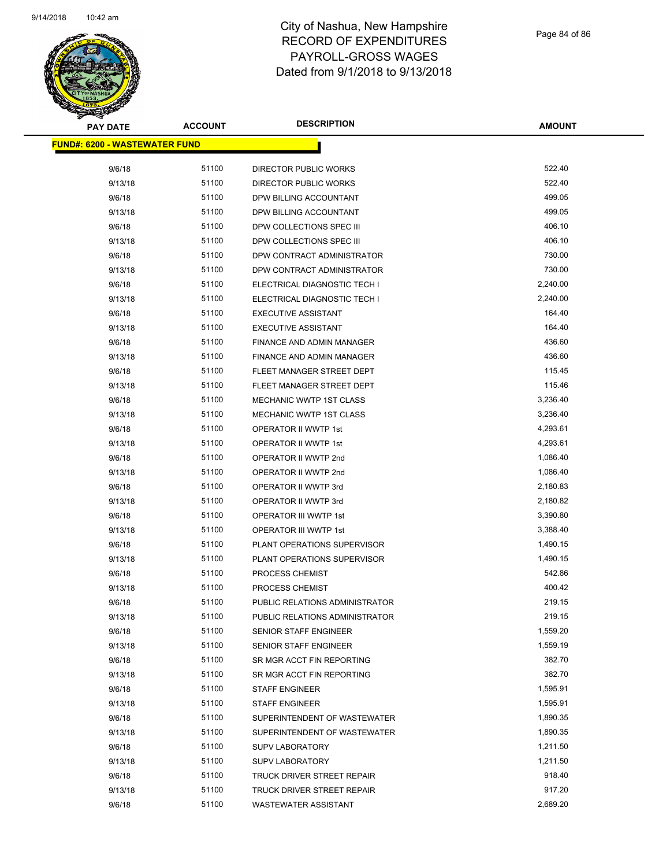

Page 84 of 86

| <b>PAY DATE</b>                      | <b>ACCOUNT</b> | <b>DESCRIPTION</b>             | <b>AMOUNT</b> |
|--------------------------------------|----------------|--------------------------------|---------------|
| <b>FUND#: 6200 - WASTEWATER FUND</b> |                |                                |               |
| 9/6/18                               | 51100          | DIRECTOR PUBLIC WORKS          | 522.40        |
| 9/13/18                              | 51100          | DIRECTOR PUBLIC WORKS          | 522.40        |
| 9/6/18                               | 51100          | DPW BILLING ACCOUNTANT         | 499.05        |
| 9/13/18                              | 51100          | DPW BILLING ACCOUNTANT         | 499.05        |
| 9/6/18                               | 51100          | DPW COLLECTIONS SPEC III       | 406.10        |
| 9/13/18                              | 51100          | DPW COLLECTIONS SPEC III       | 406.10        |
| 9/6/18                               | 51100          | DPW CONTRACT ADMINISTRATOR     | 730.00        |
| 9/13/18                              | 51100          | DPW CONTRACT ADMINISTRATOR     | 730.00        |
| 9/6/18                               | 51100          | ELECTRICAL DIAGNOSTIC TECH I   | 2,240.00      |
| 9/13/18                              | 51100          | ELECTRICAL DIAGNOSTIC TECH I   | 2,240.00      |
| 9/6/18                               | 51100          | <b>EXECUTIVE ASSISTANT</b>     | 164.40        |
| 9/13/18                              | 51100          | <b>EXECUTIVE ASSISTANT</b>     | 164.40        |
| 9/6/18                               | 51100          | FINANCE AND ADMIN MANAGER      | 436.60        |
| 9/13/18                              | 51100          | FINANCE AND ADMIN MANAGER      | 436.60        |
| 9/6/18                               | 51100          | FLEET MANAGER STREET DEPT      | 115.45        |
| 9/13/18                              | 51100          | FLEET MANAGER STREET DEPT      | 115.46        |
| 9/6/18                               | 51100          | MECHANIC WWTP 1ST CLASS        | 3,236.40      |
| 9/13/18                              | 51100          | MECHANIC WWTP 1ST CLASS        | 3,236.40      |
| 9/6/18                               | 51100          | OPERATOR II WWTP 1st           | 4,293.61      |
| 9/13/18                              | 51100          | OPERATOR II WWTP 1st           | 4,293.61      |
| 9/6/18                               | 51100          | OPERATOR II WWTP 2nd           | 1,086.40      |
| 9/13/18                              | 51100          | OPERATOR II WWTP 2nd           | 1,086.40      |
| 9/6/18                               | 51100          | OPERATOR II WWTP 3rd           | 2,180.83      |
| 9/13/18                              | 51100          | OPERATOR II WWTP 3rd           | 2,180.82      |
| 9/6/18                               | 51100          | OPERATOR III WWTP 1st          | 3,390.80      |
| 9/13/18                              | 51100          | OPERATOR III WWTP 1st          | 3,388.40      |
| 9/6/18                               | 51100          | PLANT OPERATIONS SUPERVISOR    | 1,490.15      |
| 9/13/18                              | 51100          | PLANT OPERATIONS SUPERVISOR    | 1,490.15      |
| 9/6/18                               | 51100          | PROCESS CHEMIST                | 542.86        |
| 9/13/18                              | 51100          | <b>PROCESS CHEMIST</b>         | 400.42        |
| 9/6/18                               | 51100          | PUBLIC RELATIONS ADMINISTRATOR | 219.15        |
| 9/13/18                              | 51100          | PUBLIC RELATIONS ADMINISTRATOR | 219.15        |
| 9/6/18                               | 51100          | <b>SENIOR STAFF ENGINEER</b>   | 1,559.20      |
| 9/13/18                              | 51100          | <b>SENIOR STAFF ENGINEER</b>   | 1,559.19      |
| 9/6/18                               | 51100          | SR MGR ACCT FIN REPORTING      | 382.70        |
| 9/13/18                              | 51100          | SR MGR ACCT FIN REPORTING      | 382.70        |
| 9/6/18                               | 51100          | <b>STAFF ENGINEER</b>          | 1,595.91      |
| 9/13/18                              | 51100          | <b>STAFF ENGINEER</b>          | 1,595.91      |
| 9/6/18                               | 51100          | SUPERINTENDENT OF WASTEWATER   | 1,890.35      |
| 9/13/18                              | 51100          | SUPERINTENDENT OF WASTEWATER   | 1,890.35      |
| 9/6/18                               | 51100          | <b>SUPV LABORATORY</b>         | 1,211.50      |
| 9/13/18                              | 51100          | <b>SUPV LABORATORY</b>         | 1,211.50      |
| 9/6/18                               | 51100          | TRUCK DRIVER STREET REPAIR     | 918.40        |
| 9/13/18                              | 51100          | TRUCK DRIVER STREET REPAIR     | 917.20        |
| 9/6/18                               | 51100          | WASTEWATER ASSISTANT           | 2,689.20      |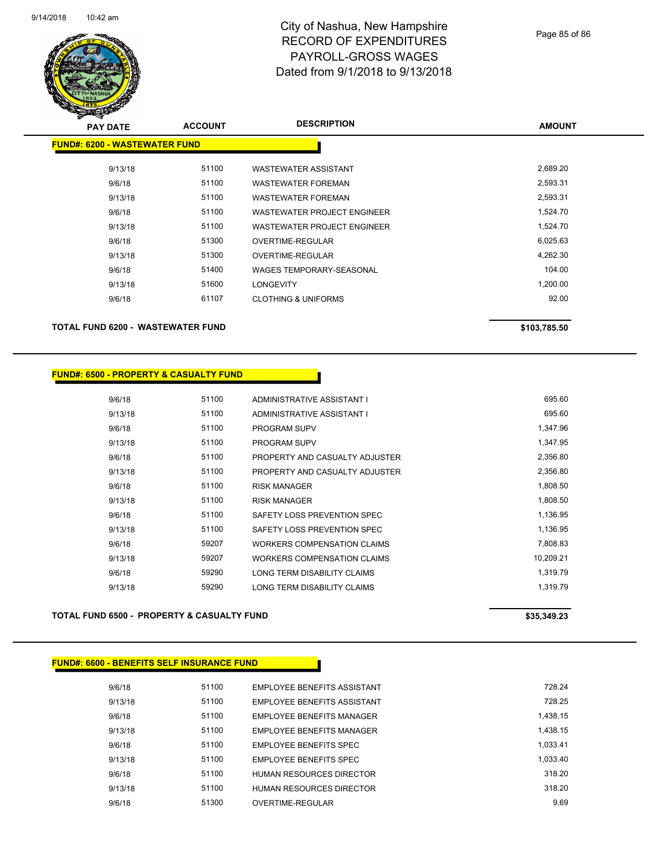

Page 85 of 86

| <b>PAY DATE</b>                      | <b>ACCOUNT</b> | <b>DESCRIPTION</b>              | <b>AMOUNT</b> |
|--------------------------------------|----------------|---------------------------------|---------------|
| <b>FUND#: 6200 - WASTEWATER FUND</b> |                |                                 |               |
| 9/13/18                              | 51100          | <b>WASTEWATER ASSISTANT</b>     | 2,689.20      |
| 9/6/18                               | 51100          | <b>WASTEWATER FOREMAN</b>       | 2,593.31      |
| 9/13/18                              | 51100          | <b>WASTEWATER FOREMAN</b>       | 2,593.31      |
| 9/6/18                               | 51100          | WASTEWATER PROJECT ENGINEER     | 1,524.70      |
| 9/13/18                              | 51100          | WASTEWATER PROJECT ENGINEER     | 1,524.70      |
| 9/6/18                               | 51300          | OVERTIME-REGULAR                | 6,025.63      |
| 9/13/18                              | 51300          | OVERTIME-REGULAR                | 4,262.30      |
| 9/6/18                               | 51400          | <b>WAGES TEMPORARY-SEASONAL</b> | 104.00        |
| 9/13/18                              | 51600          | <b>LONGEVITY</b>                | 1,200.00      |
| 9/6/18                               | 61107          | <b>CLOTHING &amp; UNIFORMS</b>  | 92.00         |
| TOTAL FUND 6200 - WASTEWATER FUND    |                |                                 | \$103,785.50  |

#### **FUND#: 6500 - PROPERTY & CASUALTY FUND**

| 9/6/18  | 51100 | ADMINISTRATIVE ASSISTANT I     | 695.60    |
|---------|-------|--------------------------------|-----------|
| 9/13/18 | 51100 | ADMINISTRATIVE ASSISTANT I     | 695.60    |
| 9/6/18  | 51100 | <b>PROGRAM SUPV</b>            | 1.347.96  |
| 9/13/18 | 51100 | <b>PROGRAM SUPV</b>            | 1,347.95  |
| 9/6/18  | 51100 | PROPERTY AND CASUALTY ADJUSTER | 2,356.80  |
| 9/13/18 | 51100 | PROPERTY AND CASUALTY ADJUSTER | 2,356.80  |
| 9/6/18  | 51100 | <b>RISK MANAGER</b>            | 1,808.50  |
| 9/13/18 | 51100 | <b>RISK MANAGER</b>            | 1,808.50  |
| 9/6/18  | 51100 | SAFETY LOSS PREVENTION SPEC    | 1,136.95  |
| 9/13/18 | 51100 | SAFETY LOSS PREVENTION SPEC    | 1,136.95  |
| 9/6/18  | 59207 | WORKERS COMPENSATION CLAIMS    | 7.808.83  |
| 9/13/18 | 59207 | WORKERS COMPENSATION CLAIMS    | 10.209.21 |
| 9/6/18  | 59290 | LONG TERM DISABILITY CLAIMS    | 1,319.79  |
| 9/13/18 | 59290 | LONG TERM DISABILITY CLAIMS    | 1.319.79  |
|         |       |                                |           |

### TOTAL FUND 6500 - PROPERTY & CASUALTY FUND<br>
\$35,349.23

#### **FUND#: 6600 - BENEFITS SELF INSURANCE FUND**

| 9/6/18  | 51100 | <b>EMPLOYEE BENEFITS ASSISTANT</b> | 728.24   |
|---------|-------|------------------------------------|----------|
| 9/13/18 | 51100 | <b>EMPLOYEE BENEFITS ASSISTANT</b> | 728 25   |
| 9/6/18  | 51100 | <b>EMPLOYEE BENEEITS MANAGER</b>   | 1.438.15 |
| 9/13/18 | 51100 | <b>EMPLOYEE BENEFITS MANAGER</b>   | 1.438.15 |
| 9/6/18  | 51100 | <b>EMPLOYEE BENEFITS SPEC</b>      | 1.033.41 |
| 9/13/18 | 51100 | EMPLOYEE BENEFITS SPEC             | 1.033.40 |
| 9/6/18  | 51100 | HUMAN RESOURCES DIRECTOR           | 318.20   |
| 9/13/18 | 51100 | HUMAN RESOURCES DIRECTOR           | 318.20   |
| 9/6/18  | 51300 | OVERTIME-REGULAR                   | 9.69     |
|         |       |                                    |          |